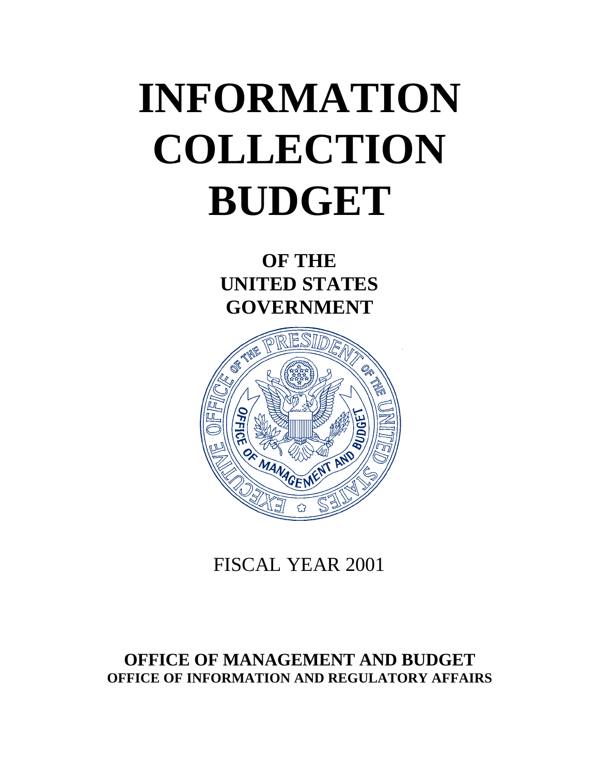# **INFORMATION COLLECTION BUDGET**

**OF THE UNITED STATES GOVERNMENT**



# FISCAL YEAR 2001

# **OFFICE OF MANAGEMENT AND BUDGET OFFICE OF INFORMATION AND REGULATORY AFFAIRS**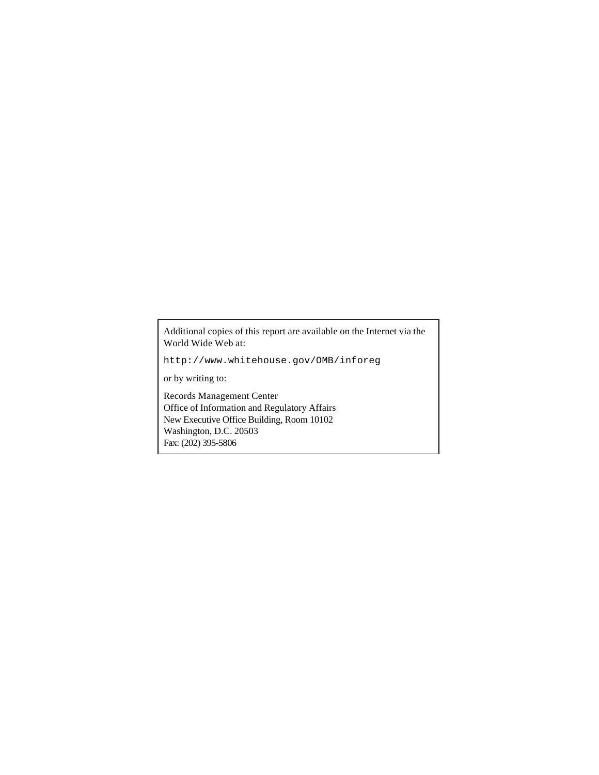Additional copies of this report are available on the Internet via the World Wide Web at:

[http://www.whitehouse.gov/OMB/inforeg](http://www.whitehouse.gov/OMB/inforeg/) 

or by writing to:

Records Management Center Office of Information and Regulatory Affairs New Executive Office Building, Room 10102 Washington, D.C. 20503 Fax: (202) 395-5806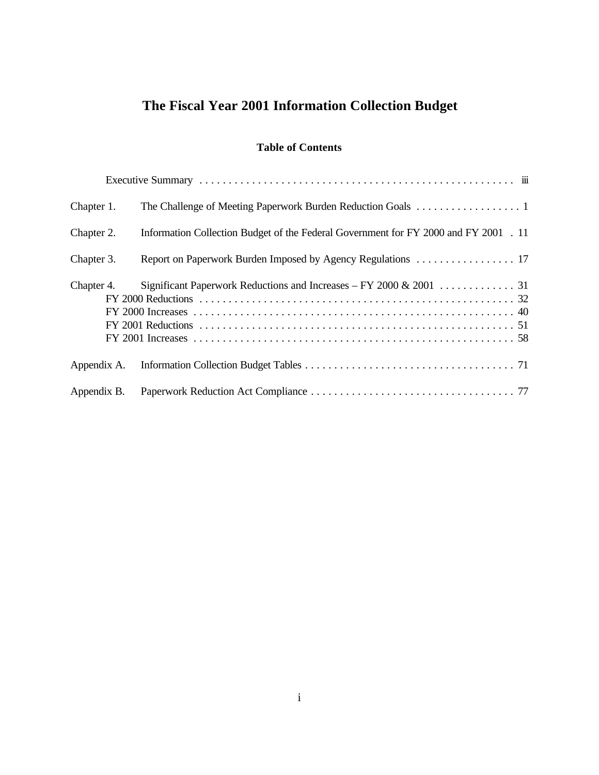# **The Fiscal Year 2001 Information Collection Budget**

# **Table of Contents**

| Chapter 1.  |                                                                                      |
|-------------|--------------------------------------------------------------------------------------|
| Chapter 2.  | Information Collection Budget of the Federal Government for FY 2000 and FY 2001 . 11 |
| Chapter 3.  | Report on Paperwork Burden Imposed by Agency Regulations  17                         |
| Chapter 4.  | Significant Paperwork Reductions and Increases - FY 2000 & 2001 31                   |
| Appendix A. |                                                                                      |
| Appendix B. |                                                                                      |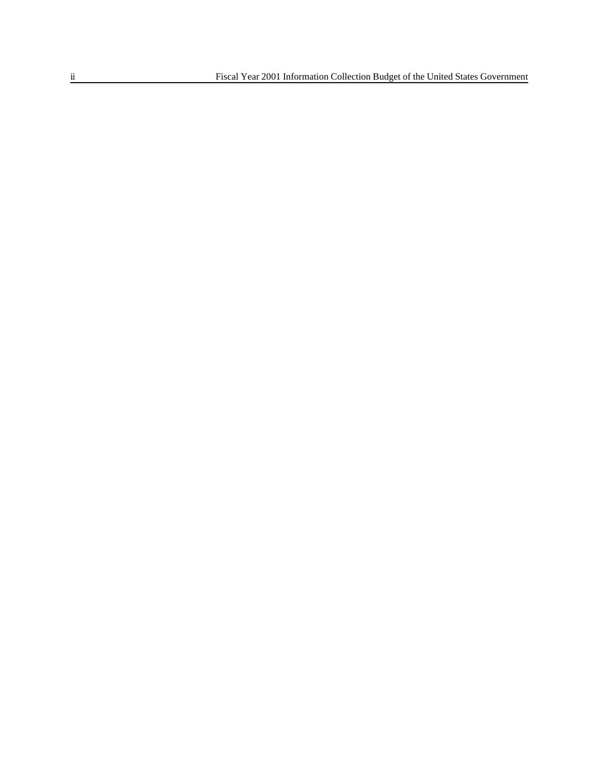ii Fiscal Year 2001 Information Collection Budget of the United States Government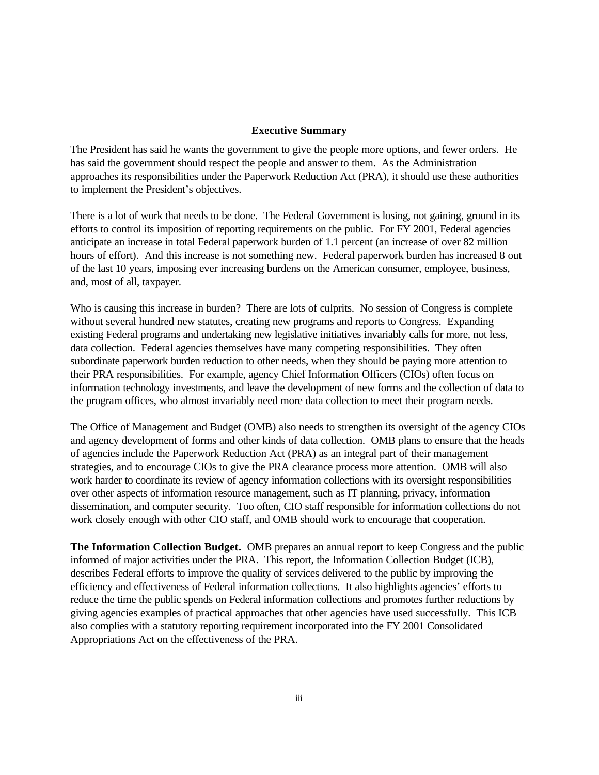#### **Executive Summary**

The President has said he wants the government to give the people more options, and fewer orders. He has said the government should respect the people and answer to them. As the Administration approaches its responsibilities under the Paperwork Reduction Act (PRA), it should use these authorities to implement the President's objectives.

There is a lot of work that needs to be done. The Federal Government is losing, not gaining, ground in its efforts to control its imposition of reporting requirements on the public. For FY 2001, Federal agencies anticipate an increase in total Federal paperwork burden of 1.1 percent (an increase of over 82 million hours of effort). And this increase is not something new. Federal paperwork burden has increased 8 out of the last 10 years, imposing ever increasing burdens on the American consumer, employee, business, and, most of all, taxpayer.

Who is causing this increase in burden? There are lots of culprits. No session of Congress is complete without several hundred new statutes, creating new programs and reports to Congress. Expanding existing Federal programs and undertaking new legislative initiatives invariably calls for more, not less, data collection. Federal agencies themselves have many competing responsibilities. They often subordinate paperwork burden reduction to other needs, when they should be paying more attention to their PRA responsibilities. For example, agency Chief Information Officers (CIOs) often focus on information technology investments, and leave the development of new forms and the collection of data to the program offices, who almost invariably need more data collection to meet their program needs.

The Office of Management and Budget (OMB) also needs to strengthen its oversight of the agency CIOs and agency development of forms and other kinds of data collection. OMB plans to ensure that the heads of agencies include the Paperwork Reduction Act (PRA) as an integral part of their management strategies, and to encourage CIOs to give the PRA clearance process more attention. OMB will also work harder to coordinate its review of agency information collections with its oversight responsibilities over other aspects of information resource management, such as IT planning, privacy, information dissemination, and computer security. Too often, CIO staff responsible for information collections do not work closely enough with other CIO staff, and OMB should work to encourage that cooperation.

**The Information Collection Budget.** OMB prepares an annual report to keep Congress and the public informed of major activities under the PRA. This report, the Information Collection Budget (ICB), describes Federal efforts to improve the quality of services delivered to the public by improving the efficiency and effectiveness of Federal information collections. It also highlights agencies' efforts to reduce the time the public spends on Federal information collections and promotes further reductions by giving agencies examples of practical approaches that other agencies have used successfully. This ICB also complies with a statutory reporting requirement incorporated into the FY 2001 Consolidated Appropriations Act on the effectiveness of the PRA.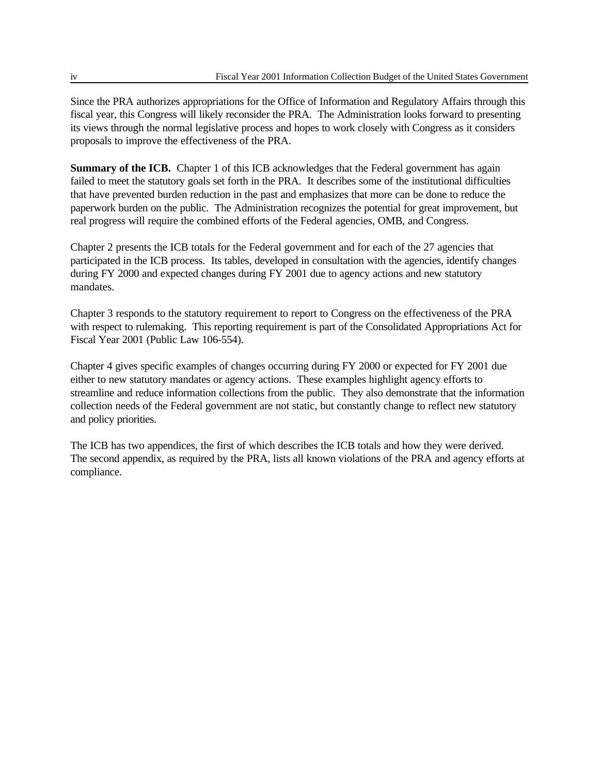Since the PRA authorizes appropriations for the Office of Information and Regulatory Affairs through this fiscal year, this Congress will likely reconsider the PRA. The Administration looks forward to presenting its views through the normal legislative process and hopes to work closely with Congress as it considers proposals to improve the effectiveness of the PRA.

**Summary of the ICB.** Chapter 1 of this ICB acknowledges that the Federal government has again failed to meet the statutory goals set forth in the PRA. It describes some of the institutional difficulties that have prevented burden reduction in the past and emphasizes that more can be done to reduce the paperwork burden on the public. The Administration recognizes the potential for great improvement, but real progress will require the combined efforts of the Federal agencies, OMB, and Congress.

Chapter 2 presents the ICB totals for the Federal government and for each of the 27 agencies that participated in the ICB process. Its tables, developed in consultation with the agencies, identify changes during FY 2000 and expected changes during FY 2001 due to agency actions and new statutory mandates.

Chapter 3 responds to the statutory requirement to report to Congress on the effectiveness of the PRA with respect to rulemaking. This reporting requirement is part of the Consolidated Appropriations Act for Fiscal Year 2001 (Public Law 106-554).

Chapter 4 gives specific examples of changes occurring during FY 2000 or expected for FY 2001 due either to new statutory mandates or agency actions. These examples highlight agency efforts to streamline and reduce information collections from the public. They also demonstrate that the information collection needs of the Federal government are not static, but constantly change to reflect new statutory and policy priorities.

The ICB has two appendices, the first of which describes the ICB totals and how they were derived. The second appendix, as required by the PRA, lists all known violations of the PRA and agency efforts at compliance.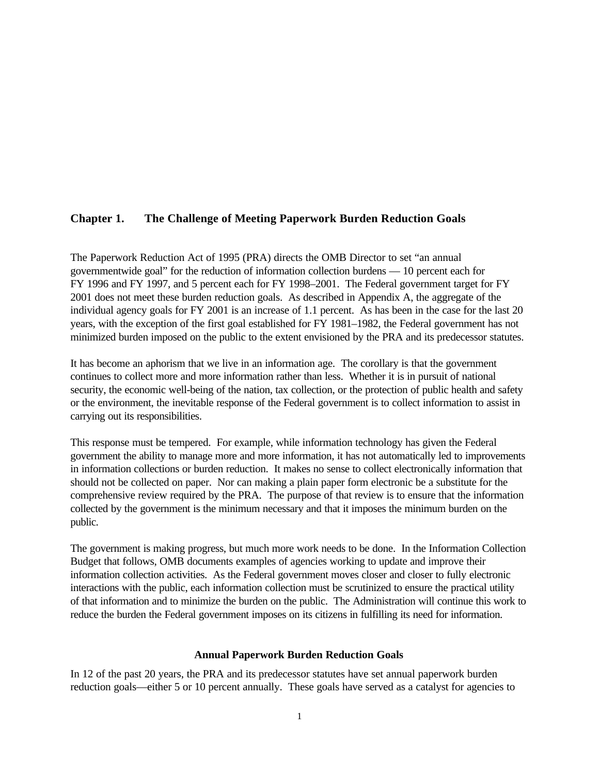### **Chapter 1. The Challenge of Meeting Paperwork Burden Reduction Goals**

The Paperwork Reduction Act of 1995 (PRA) directs the OMB Director to set "an annual governmentwide goal" for the reduction of information collection burdens — 10 percent each for FY 1996 and FY 1997, and 5 percent each for FY 1998–2001. The Federal government target for FY 2001 does not meet these burden reduction goals. As described in Appendix A, the aggregate of the individual agency goals for FY 2001 is an increase of 1.1 percent. As has been in the case for the last 20 years, with the exception of the first goal established for FY 1981–1982, the Federal government has not minimized burden imposed on the public to the extent envisioned by the PRA and its predecessor statutes.

It has become an aphorism that we live in an information age. The corollary is that the government continues to collect more and more information rather than less. Whether it is in pursuit of national security, the economic well-being of the nation, tax collection, or the protection of public health and safety or the environment, the inevitable response of the Federal government is to collect information to assist in carrying out its responsibilities.

This response must be tempered. For example, while information technology has given the Federal government the ability to manage more and more information, it has not automatically led to improvements in information collections or burden reduction. It makes no sense to collect electronically information that should not be collected on paper. Nor can making a plain paper form electronic be a substitute for the comprehensive review required by the PRA. The purpose of that review is to ensure that the information collected by the government is the minimum necessary and that it imposes the minimum burden on the public.

The government is making progress, but much more work needs to be done. In the Information Collection Budget that follows, OMB documents examples of agencies working to update and improve their information collection activities. As the Federal government moves closer and closer to fully electronic interactions with the public, each information collection must be scrutinized to ensure the practical utility of that information and to minimize the burden on the public. The Administration will continue this work to reduce the burden the Federal government imposes on its citizens in fulfilling its need for information.

#### **Annual Paperwork Burden Reduction Goals**

In 12 of the past 20 years, the PRA and its predecessor statutes have set annual paperwork burden reduction goals—either 5 or 10 percent annually. These goals have served as a catalyst for agencies to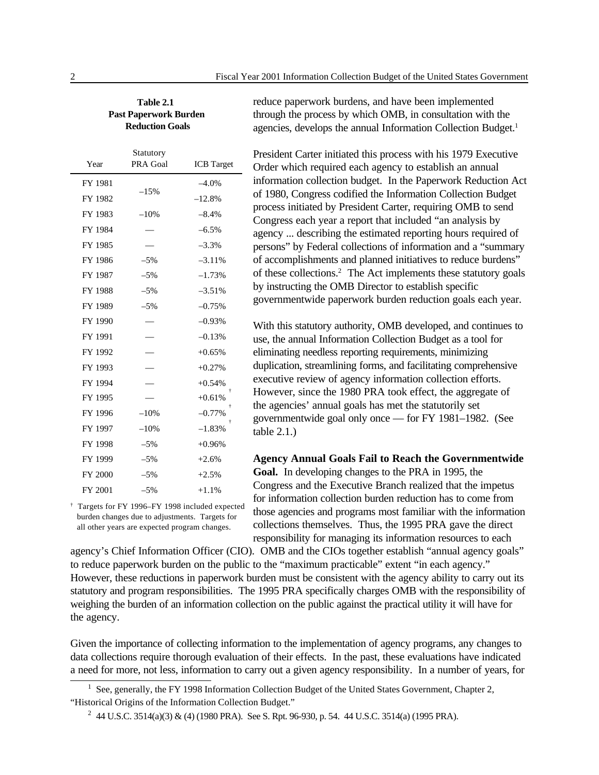Statutory Year PRA Goal ICB Target FY 1981 –4.0% –15% FY 1982  $-12.8\%$ FY 1983 –10% –8.4% FY 1984  $-6.5\%$  $FY 1985 -3.3%$ FY 1986  $-5\%$   $-3.11\%$ FY 1987 –5% –1.73% FY 1988  $-5\%$   $-3.51\%$ FY 1989  $-5\%$   $-0.75\%$  $FY 1990 - 0.93\%$  $FY 1991 - 0.13\%$  $FY 1992 - +0.65\%$  $FY 1993 \t - 40.27\%$ FY 1994 —  $+0.54\%$ <br>FY 1995 —  $+0.61\%$ FY 1995  $-$  +0.61% FY 1996  $-10\%$   $-0.77\%$ FY 1997  $-10\%$   $-1.83\%$ FY 1998  $-5\%$   $+0.96\%$ 

† Targets for FY 1996–FY 1998 included expected burden changes due to adjustments. Targets for all other years are expected program changes.

FY 1999  $-5\%$   $+2.6\%$ FY 2000  $-5\%$   $+2.5\%$ FY 2001  $-5\%$  +1.1% reduce paperwork burdens, and have been implemented through the process by which OMB, in consultation with the agencies, develops the annual Information Collection Budget.<sup>1</sup>

President Carter initiated this process with his 1979 Executive Order which required each agency to establish an annual information collection budget. In the Paperwork Reduction Act of 1980, Congress codified the Information Collection Budget process initiated by President Carter, requiring OMB to send Congress each year a report that included "an analysis by agency ... describing the estimated reporting hours required of persons" by Federal collections of information and a "summary of accomplishments and planned initiatives to reduce burdens" of these collections.2 The Act implements these statutory goals by instructing the OMB Director to establish specific governmentwide paperwork burden reduction goals each year.

With this statutory authority, OMB developed, and continues to use, the annual Information Collection Budget as a tool for eliminating needless reporting requirements, minimizing duplication, streamlining forms, and facilitating comprehensive executive review of agency information collection efforts. However, since the 1980 PRA took effect, the aggregate of the agencies' annual goals has met the statutorily set governmentwide goal only once — for FY 1981–1982. (See table 2.1.)

**Agency Annual Goals Fail to Reach the Governmentwide Goal.** In developing changes to the PRA in 1995, the Congress and the Executive Branch realized that the impetus for information collection burden reduction has to come from those agencies and programs most familiar with the information collections themselves. Thus, the 1995 PRA gave the direct responsibility for managing its information resources to each

agency's Chief Information Officer (CIO). OMB and the CIOs together establish "annual agency goals" to reduce paperwork burden on the public to the "maximum practicable" extent "in each agency." However, these reductions in paperwork burden must be consistent with the agency ability to carry out its statutory and program responsibilities. The 1995 PRA specifically charges OMB with the responsibility of weighing the burden of an information collection on the public against the practical utility it will have for the agency.

Given the importance of collecting information to the implementation of agency programs, any changes to data collections require thorough evaluation of their effects. In the past, these evaluations have indicated a need for more, not less, information to carry out a given agency responsibility. In a number of years, for

| Table 2.1                    |
|------------------------------|
| <b>Past Paperwork Burden</b> |
| <b>Reduction Goals</b>       |
|                              |

<sup>&</sup>lt;sup>1</sup> See, generally, the FY 1998 Information Collection Budget of the United States Government, Chapter 2, "Historical Origins of the Information Collection Budget."

<sup>2 44</sup> U.S.C. 3514(a)(3) & (4) (1980 PRA). See S. Rpt. 96-930, p. 54. 44 U.S.C. 3514(a) (1995 PRA).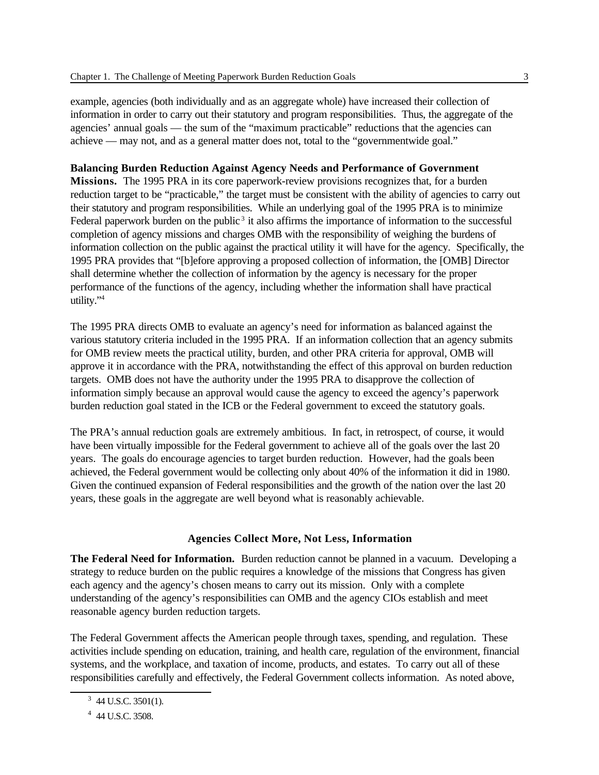example, agencies (both individually and as an aggregate whole) have increased their collection of information in order to carry out their statutory and program responsibilities. Thus, the aggregate of the agencies' annual goals — the sum of the "maximum practicable" reductions that the agencies can achieve — may not, and as a general matter does not, total to the "governmentwide goal."

#### **Balancing Burden Reduction Against Agency Needs and Performance of Government**

**Missions.** The 1995 PRA in its core paperwork-review provisions recognizes that, for a burden reduction target to be "practicable," the target must be consistent with the ability of agencies to carry out their statutory and program responsibilities. While an underlying goal of the 1995 PRA is to minimize Federal paperwork burden on the public<sup>3</sup> it also affirms the importance of information to the successful completion of agency missions and charges OMB with the responsibility of weighing the burdens of information collection on the public against the practical utility it will have for the agency. Specifically, the 1995 PRA provides that "[b]efore approving a proposed collection of information, the [OMB] Director shall determine whether the collection of information by the agency is necessary for the proper performance of the functions of the agency, including whether the information shall have practical utility."4

The 1995 PRA directs OMB to evaluate an agency's need for information as balanced against the various statutory criteria included in the 1995 PRA. If an information collection that an agency submits for OMB review meets the practical utility, burden, and other PRA criteria for approval, OMB will approve it in accordance with the PRA, notwithstanding the effect of this approval on burden reduction targets. OMB does not have the authority under the 1995 PRA to disapprove the collection of information simply because an approval would cause the agency to exceed the agency's paperwork burden reduction goal stated in the ICB or the Federal government to exceed the statutory goals.

The PRA's annual reduction goals are extremely ambitious. In fact, in retrospect, of course, it would have been virtually impossible for the Federal government to achieve all of the goals over the last 20 years. The goals do encourage agencies to target burden reduction. However, had the goals been achieved, the Federal government would be collecting only about 40% of the information it did in 1980. Given the continued expansion of Federal responsibilities and the growth of the nation over the last 20 years, these goals in the aggregate are well beyond what is reasonably achievable.

#### **Agencies Collect More, Not Less, Information**

**The Federal Need for Information.** Burden reduction cannot be planned in a vacuum. Developing a strategy to reduce burden on the public requires a knowledge of the missions that Congress has given each agency and the agency's chosen means to carry out its mission. Only with a complete understanding of the agency's responsibilities can OMB and the agency CIOs establish and meet reasonable agency burden reduction targets.

The Federal Government affects the American people through taxes, spending, and regulation. These activities include spending on education, training, and health care, regulation of the environment, financial systems, and the workplace, and taxation of income, products, and estates. To carry out all of these responsibilities carefully and effectively, the Federal Government collects information. As noted above,

 $3\,$  44 U.S.C. 3501(1).

<sup>4 44</sup> U.S.C. 3508.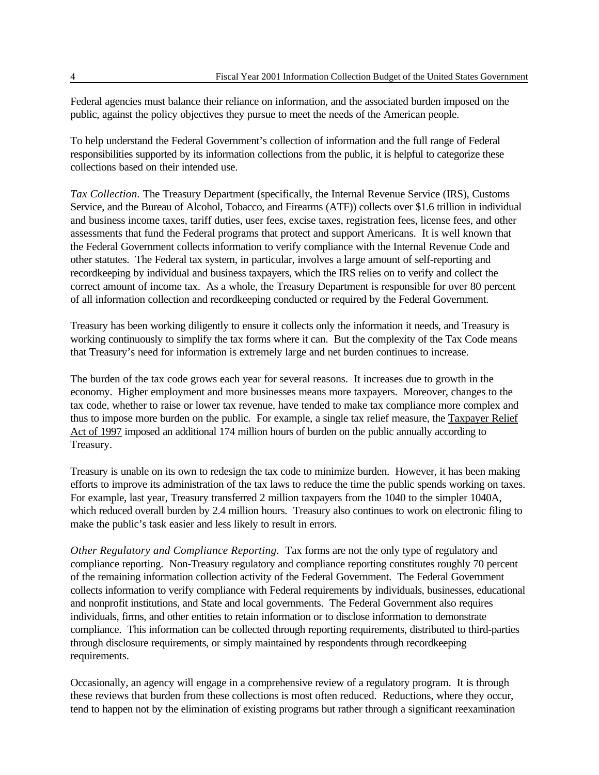Federal agencies must balance their reliance on information, and the associated burden imposed on the public, against the policy objectives they pursue to meet the needs of the American people.

To help understand the Federal Government's collection of information and the full range of Federal responsibilities supported by its information collections from the public, it is helpful to categorize these collections based on their intended use.

*Tax Collection.* The Treasury Department (specifically, the Internal Revenue Service (IRS), Customs Service, and the Bureau of Alcohol, Tobacco, and Firearms (ATF)) collects over \$1.6 trillion in individual and business income taxes, tariff duties, user fees, excise taxes, registration fees, license fees, and other assessments that fund the Federal programs that protect and support Americans. It is well known that the Federal Government collects information to verify compliance with the Internal Revenue Code and other statutes. The Federal tax system, in particular, involves a large amount of self-reporting and recordkeeping by individual and business taxpayers, which the IRS relies on to verify and collect the correct amount of income tax. As a whole, the Treasury Department is responsible for over 80 percent of all information collection and recordkeeping conducted or required by the Federal Government.

Treasury has been working diligently to ensure it collects only the information it needs, and Treasury is working continuously to simplify the tax forms where it can. But the complexity of the Tax Code means that Treasury's need for information is extremely large and net burden continues to increase.

The burden of the tax code grows each year for several reasons. It increases due to growth in the economy. Higher employment and more businesses means more taxpayers. Moreover, changes to the tax code, whether to raise or lower tax revenue, have tended to make tax compliance more complex and thus to impose more burden on the public. For example, a single tax relief measure, the Taxpayer Relief Act of 1997 imposed an additional 174 million hours of burden on the public annually according to Treasury.

Treasury is unable on its own to redesign the tax code to minimize burden. However, it has been making efforts to improve its administration of the tax laws to reduce the time the public spends working on taxes. For example, last year, Treasury transferred 2 million taxpayers from the 1040 to the simpler 1040A, which reduced overall burden by 2.4 million hours. Treasury also continues to work on electronic filing to make the public's task easier and less likely to result in errors.

*Other Regulatory and Compliance Reporting.* Tax forms are not the only type of regulatory and compliance reporting. Non-Treasury regulatory and compliance reporting constitutes roughly 70 percent of the remaining information collection activity of the Federal Government. The Federal Government collects information to verify compliance with Federal requirements by individuals, businesses, educational and nonprofit institutions, and State and local governments. The Federal Government also requires individuals, firms, and other entities to retain information or to disclose information to demonstrate compliance. This information can be collected through reporting requirements, distributed to third-parties through disclosure requirements, or simply maintained by respondents through recordkeeping requirements.

Occasionally, an agency will engage in a comprehensive review of a regulatory program. It is through these reviews that burden from these collections is most often reduced. Reductions, where they occur, tend to happen not by the elimination of existing programs but rather through a significant reexamination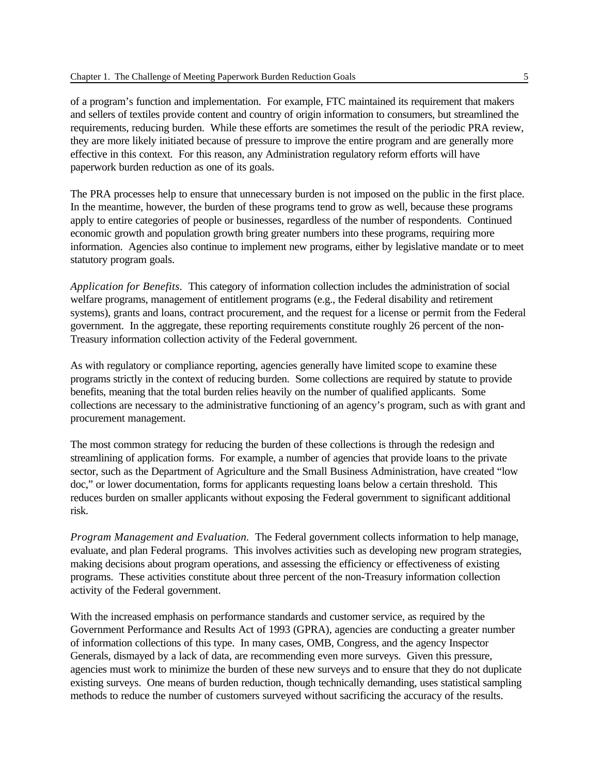of a program's function and implementation. For example, FTC maintained its requirement that makers and sellers of textiles provide content and country of origin information to consumers, but streamlined the requirements, reducing burden. While these efforts are sometimes the result of the periodic PRA review, they are more likely initiated because of pressure to improve the entire program and are generally more effective in this context. For this reason, any Administration regulatory reform efforts will have paperwork burden reduction as one of its goals.

The PRA processes help to ensure that unnecessary burden is not imposed on the public in the first place. In the meantime, however, the burden of these programs tend to grow as well, because these programs apply to entire categories of people or businesses, regardless of the number of respondents. Continued economic growth and population growth bring greater numbers into these programs, requiring more information. Agencies also continue to implement new programs, either by legislative mandate or to meet statutory program goals.

*Application for Benefits.* This category of information collection includes the administration of social welfare programs, management of entitlement programs (e.g., the Federal disability and retirement systems), grants and loans, contract procurement, and the request for a license or permit from the Federal government. In the aggregate, these reporting requirements constitute roughly 26 percent of the non-Treasury information collection activity of the Federal government.

As with regulatory or compliance reporting, agencies generally have limited scope to examine these programs strictly in the context of reducing burden. Some collections are required by statute to provide benefits, meaning that the total burden relies heavily on the number of qualified applicants. Some collections are necessary to the administrative functioning of an agency's program, such as with grant and procurement management.

The most common strategy for reducing the burden of these collections is through the redesign and streamlining of application forms. For example, a number of agencies that provide loans to the private sector, such as the Department of Agriculture and the Small Business Administration, have created "low doc," or lower documentation, forms for applicants requesting loans below a certain threshold. This reduces burden on smaller applicants without exposing the Federal government to significant additional risk.

*Program Management and Evaluation.* The Federal government collects information to help manage, evaluate, and plan Federal programs. This involves activities such as developing new program strategies, making decisions about program operations, and assessing the efficiency or effectiveness of existing programs. These activities constitute about three percent of the non-Treasury information collection activity of the Federal government.

With the increased emphasis on performance standards and customer service, as required by the Government Performance and Results Act of 1993 (GPRA), agencies are conducting a greater number of information collections of this type. In many cases, OMB, Congress, and the agency Inspector Generals, dismayed by a lack of data, are recommending even more surveys. Given this pressure, agencies must work to minimize the burden of these new surveys and to ensure that they do not duplicate existing surveys. One means of burden reduction, though technically demanding, uses statistical sampling methods to reduce the number of customers surveyed without sacrificing the accuracy of the results.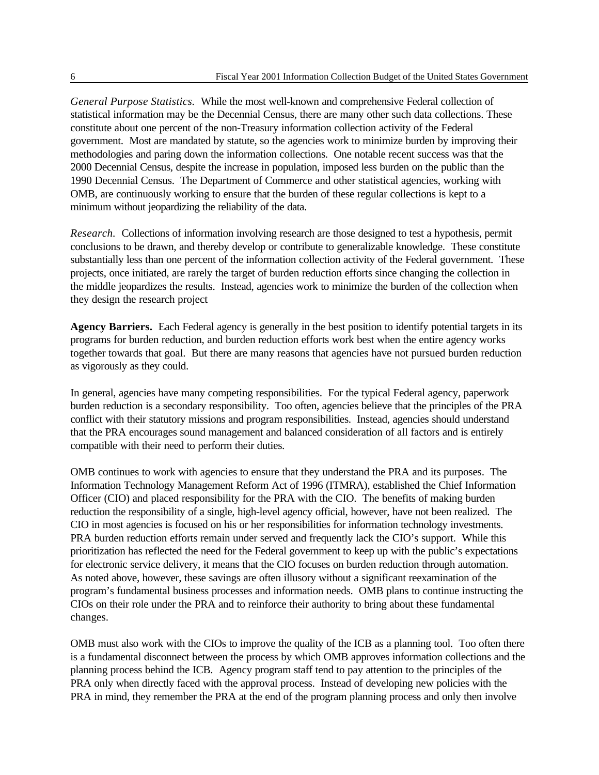*General Purpose Statistics.* While the most well-known and comprehensive Federal collection of statistical information may be the Decennial Census, there are many other such data collections. These constitute about one percent of the non-Treasury information collection activity of the Federal government. Most are mandated by statute, so the agencies work to minimize burden by improving their methodologies and paring down the information collections. One notable recent success was that the 2000 Decennial Census, despite the increase in population, imposed less burden on the public than the 1990 Decennial Census. The Department of Commerce and other statistical agencies, working with OMB, are continuously working to ensure that the burden of these regular collections is kept to a minimum without jeopardizing the reliability of the data.

*Research.* Collections of information involving research are those designed to test a hypothesis, permit conclusions to be drawn, and thereby develop or contribute to generalizable knowledge. These constitute substantially less than one percent of the information collection activity of the Federal government. These projects, once initiated, are rarely the target of burden reduction efforts since changing the collection in the middle jeopardizes the results. Instead, agencies work to minimize the burden of the collection when they design the research project

**Agency Barriers.** Each Federal agency is generally in the best position to identify potential targets in its programs for burden reduction, and burden reduction efforts work best when the entire agency works together towards that goal. But there are many reasons that agencies have not pursued burden reduction as vigorously as they could.

In general, agencies have many competing responsibilities. For the typical Federal agency, paperwork burden reduction is a secondary responsibility. Too often, agencies believe that the principles of the PRA conflict with their statutory missions and program responsibilities. Instead, agencies should understand that the PRA encourages sound management and balanced consideration of all factors and is entirely compatible with their need to perform their duties.

OMB continues to work with agencies to ensure that they understand the PRA and its purposes. The Information Technology Management Reform Act of 1996 (ITMRA), established the Chief Information Officer (CIO) and placed responsibility for the PRA with the CIO. The benefits of making burden reduction the responsibility of a single, high-level agency official, however, have not been realized. The CIO in most agencies is focused on his or her responsibilities for information technology investments. PRA burden reduction efforts remain under served and frequently lack the CIO's support. While this prioritization has reflected the need for the Federal government to keep up with the public's expectations for electronic service delivery, it means that the CIO focuses on burden reduction through automation. As noted above, however, these savings are often illusory without a significant reexamination of the program's fundamental business processes and information needs. OMB plans to continue instructing the CIOs on their role under the PRA and to reinforce their authority to bring about these fundamental changes.

OMB must also work with the CIOs to improve the quality of the ICB as a planning tool. Too often there is a fundamental disconnect between the process by which OMB approves information collections and the planning process behind the ICB. Agency program staff tend to pay attention to the principles of the PRA only when directly faced with the approval process. Instead of developing new policies with the PRA in mind, they remember the PRA at the end of the program planning process and only then involve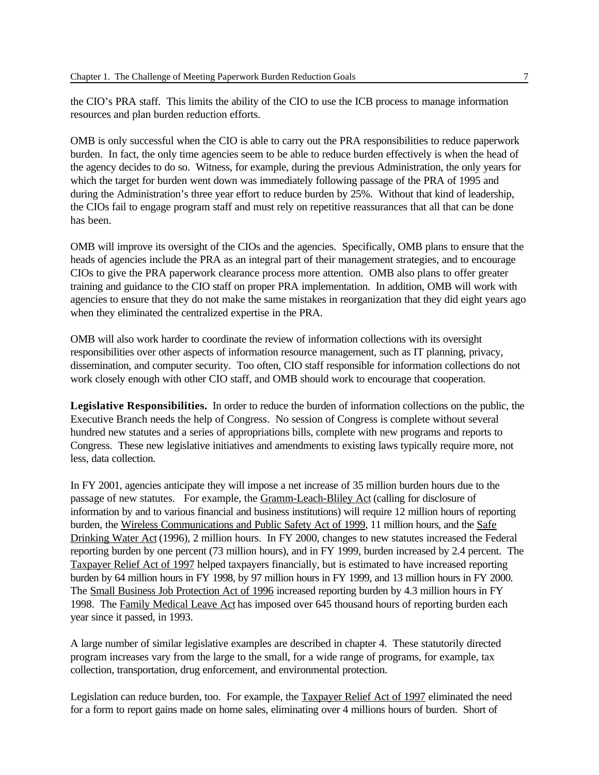the CIO's PRA staff. This limits the ability of the CIO to use the ICB process to manage information resources and plan burden reduction efforts.

OMB is only successful when the CIO is able to carry out the PRA responsibilities to reduce paperwork burden. In fact, the only time agencies seem to be able to reduce burden effectively is when the head of the agency decides to do so. Witness, for example, during the previous Administration, the only years for which the target for burden went down was immediately following passage of the PRA of 1995 and during the Administration's three year effort to reduce burden by 25%. Without that kind of leadership, the CIOs fail to engage program staff and must rely on repetitive reassurances that all that can be done has been.

OMB will improve its oversight of the CIOs and the agencies. Specifically, OMB plans to ensure that the heads of agencies include the PRA as an integral part of their management strategies, and to encourage CIOs to give the PRA paperwork clearance process more attention. OMB also plans to offer greater training and guidance to the CIO staff on proper PRA implementation. In addition, OMB will work with agencies to ensure that they do not make the same mistakes in reorganization that they did eight years ago when they eliminated the centralized expertise in the PRA.

OMB will also work harder to coordinate the review of information collections with its oversight responsibilities over other aspects of information resource management, such as IT planning, privacy, dissemination, and computer security. Too often, CIO staff responsible for information collections do not work closely enough with other CIO staff, and OMB should work to encourage that cooperation.

**Legislative Responsibilities.** In order to reduce the burden of information collections on the public, the Executive Branch needs the help of Congress. No session of Congress is complete without several hundred new statutes and a series of appropriations bills, complete with new programs and reports to Congress. These new legislative initiatives and amendments to existing laws typically require more, not less, data collection.

In FY 2001, agencies anticipate they will impose a net increase of 35 million burden hours due to the passage of new statutes. For example, the Gramm-Leach-Bliley Act (calling for disclosure of information by and to various financial and business institutions) will require 12 million hours of reporting burden, the Wireless Communications and Public Safety Act of 1999, 11 million hours, and the Safe Drinking Water Act (1996), 2 million hours. In FY 2000, changes to new statutes increased the Federal reporting burden by one percent (73 million hours), and in FY 1999, burden increased by 2.4 percent. The Taxpayer Relief Act of 1997 helped taxpayers financially, but is estimated to have increased reporting burden by 64 million hours in FY 1998, by 97 million hours in FY 1999, and 13 million hours in FY 2000. The Small Business Job Protection Act of 1996 increased reporting burden by 4.3 million hours in FY 1998. The Family Medical Leave Act has imposed over 645 thousand hours of reporting burden each year since it passed, in 1993.

A large number of similar legislative examples are described in chapter 4. These statutorily directed program increases vary from the large to the small, for a wide range of programs, for example, tax collection, transportation, drug enforcement, and environmental protection.

Legislation can reduce burden, too. For example, the Taxpayer Relief Act of 1997 eliminated the need for a form to report gains made on home sales, eliminating over 4 millions hours of burden. Short of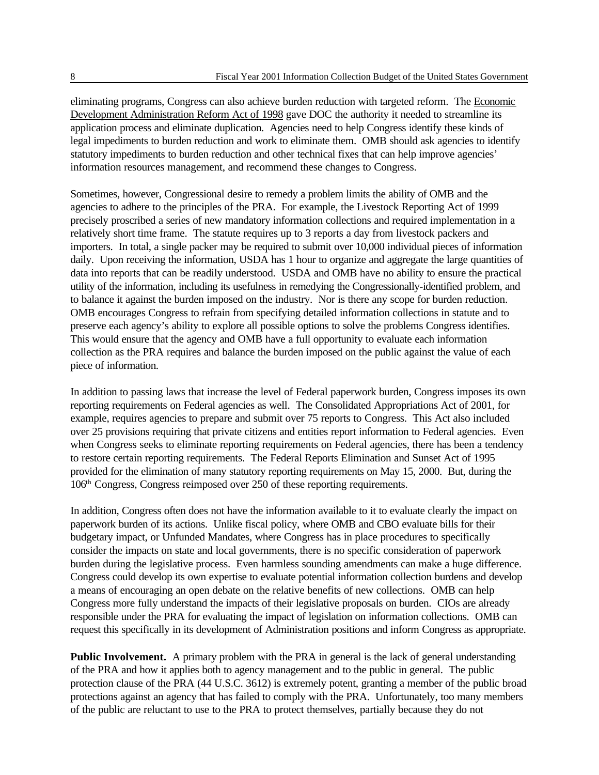eliminating programs, Congress can also achieve burden reduction with targeted reform. The Economic Development Administration Reform Act of 1998 gave DOC the authority it needed to streamline its application process and eliminate duplication. Agencies need to help Congress identify these kinds of legal impediments to burden reduction and work to eliminate them. OMB should ask agencies to identify statutory impediments to burden reduction and other technical fixes that can help improve agencies' information resources management, and recommend these changes to Congress.

Sometimes, however, Congressional desire to remedy a problem limits the ability of OMB and the agencies to adhere to the principles of the PRA. For example, the Livestock Reporting Act of 1999 precisely proscribed a series of new mandatory information collections and required implementation in a relatively short time frame. The statute requires up to 3 reports a day from livestock packers and importers. In total, a single packer may be required to submit over 10,000 individual pieces of information daily. Upon receiving the information, USDA has 1 hour to organize and aggregate the large quantities of data into reports that can be readily understood. USDA and OMB have no ability to ensure the practical utility of the information, including its usefulness in remedying the Congressionally-identified problem, and to balance it against the burden imposed on the industry. Nor is there any scope for burden reduction. OMB encourages Congress to refrain from specifying detailed information collections in statute and to preserve each agency's ability to explore all possible options to solve the problems Congress identifies. This would ensure that the agency and OMB have a full opportunity to evaluate each information collection as the PRA requires and balance the burden imposed on the public against the value of each piece of information.

In addition to passing laws that increase the level of Federal paperwork burden, Congress imposes its own reporting requirements on Federal agencies as well. The Consolidated Appropriations Act of 2001, for example, requires agencies to prepare and submit over 75 reports to Congress. This Act also included over 25 provisions requiring that private citizens and entities report information to Federal agencies. Even when Congress seeks to eliminate reporting requirements on Federal agencies, there has been a tendency to restore certain reporting requirements. The Federal Reports Elimination and Sunset Act of 1995 provided for the elimination of many statutory reporting requirements on May 15, 2000. But, during the 106th Congress, Congress reimposed over 250 of these reporting requirements.

In addition, Congress often does not have the information available to it to evaluate clearly the impact on paperwork burden of its actions. Unlike fiscal policy, where OMB and CBO evaluate bills for their budgetary impact, or Unfunded Mandates, where Congress has in place procedures to specifically consider the impacts on state and local governments, there is no specific consideration of paperwork burden during the legislative process. Even harmless sounding amendments can make a huge difference. Congress could develop its own expertise to evaluate potential information collection burdens and develop a means of encouraging an open debate on the relative benefits of new collections. OMB can help Congress more fully understand the impacts of their legislative proposals on burden. CIOs are already responsible under the PRA for evaluating the impact of legislation on information collections. OMB can request this specifically in its development of Administration positions and inform Congress as appropriate.

**Public Involvement.** A primary problem with the PRA in general is the lack of general understanding of the PRA and how it applies both to agency management and to the public in general. The public protection clause of the PRA (44 U.S.C. 3612) is extremely potent, granting a member of the public broad protections against an agency that has failed to comply with the PRA. Unfortunately, too many members of the public are reluctant to use to the PRA to protect themselves, partially because they do not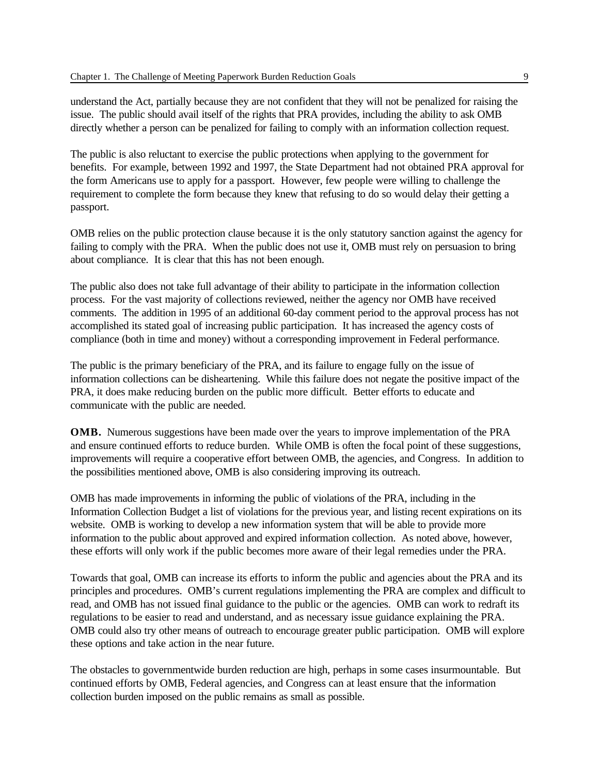understand the Act, partially because they are not confident that they will not be penalized for raising the issue. The public should avail itself of the rights that PRA provides, including the ability to ask OMB directly whether a person can be penalized for failing to comply with an information collection request.

The public is also reluctant to exercise the public protections when applying to the government for benefits. For example, between 1992 and 1997, the State Department had not obtained PRA approval for the form Americans use to apply for a passport. However, few people were willing to challenge the requirement to complete the form because they knew that refusing to do so would delay their getting a passport.

OMB relies on the public protection clause because it is the only statutory sanction against the agency for failing to comply with the PRA. When the public does not use it, OMB must rely on persuasion to bring about compliance. It is clear that this has not been enough.

The public also does not take full advantage of their ability to participate in the information collection process. For the vast majority of collections reviewed, neither the agency nor OMB have received comments. The addition in 1995 of an additional 60-day comment period to the approval process has not accomplished its stated goal of increasing public participation. It has increased the agency costs of compliance (both in time and money) without a corresponding improvement in Federal performance.

The public is the primary beneficiary of the PRA, and its failure to engage fully on the issue of information collections can be disheartening. While this failure does not negate the positive impact of the PRA, it does make reducing burden on the public more difficult. Better efforts to educate and communicate with the public are needed.

**OMB.** Numerous suggestions have been made over the years to improve implementation of the PRA and ensure continued efforts to reduce burden. While OMB is often the focal point of these suggestions, improvements will require a cooperative effort between OMB, the agencies, and Congress. In addition to the possibilities mentioned above, OMB is also considering improving its outreach.

OMB has made improvements in informing the public of violations of the PRA, including in the Information Collection Budget a list of violations for the previous year, and listing recent expirations on its website. OMB is working to develop a new information system that will be able to provide more information to the public about approved and expired information collection. As noted above, however, these efforts will only work if the public becomes more aware of their legal remedies under the PRA.

Towards that goal, OMB can increase its efforts to inform the public and agencies about the PRA and its principles and procedures. OMB's current regulations implementing the PRA are complex and difficult to read, and OMB has not issued final guidance to the public or the agencies. OMB can work to redraft its regulations to be easier to read and understand, and as necessary issue guidance explaining the PRA. OMB could also try other means of outreach to encourage greater public participation. OMB will explore these options and take action in the near future.

The obstacles to governmentwide burden reduction are high, perhaps in some cases insurmountable. But continued efforts by OMB, Federal agencies, and Congress can at least ensure that the information collection burden imposed on the public remains as small as possible.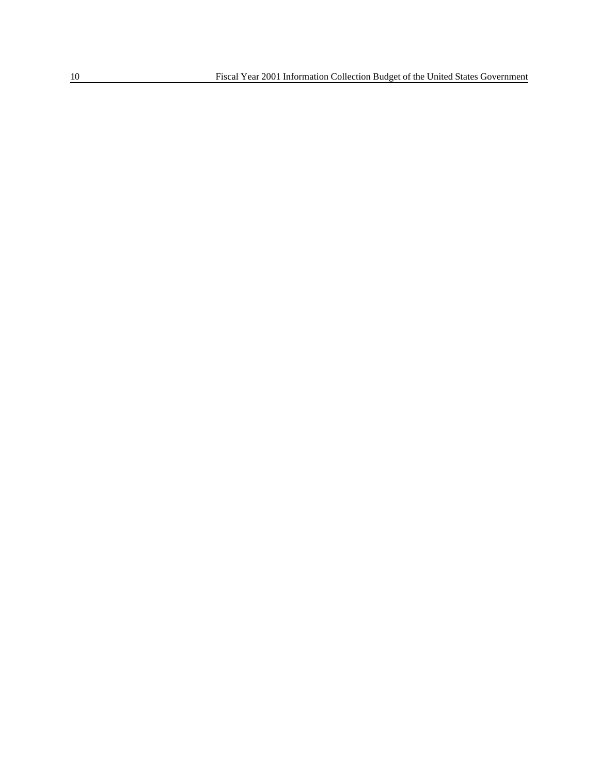10 Fiscal Year 2001 Information Collection Budget of the United States Government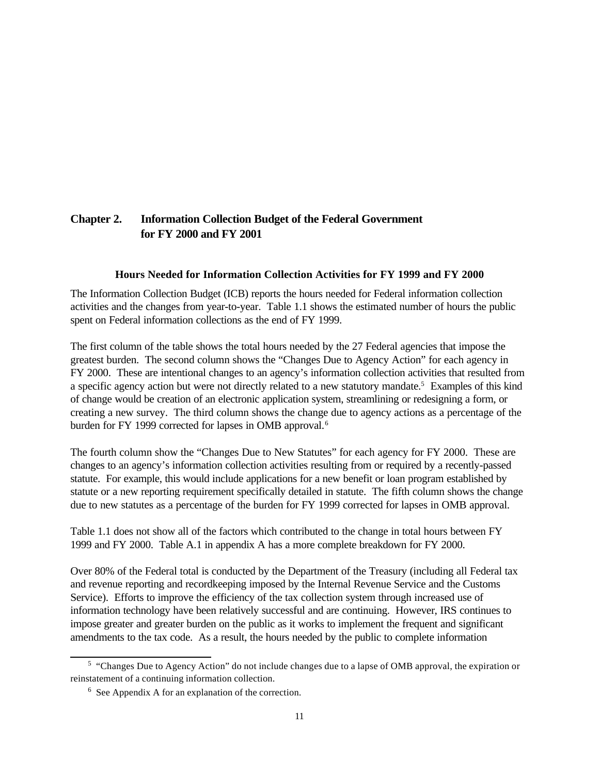# **Chapter 2. Information Collection Budget of the Federal Government for FY 2000 and FY 2001**

#### **Hours Needed for Information Collection Activities for FY 1999 and FY 2000**

The Information Collection Budget (ICB) reports the hours needed for Federal information collection activities and the changes from year-to-year. Table 1.1 shows the estimated number of hours the public spent on Federal information collections as the end of FY 1999.

The first column of the table shows the total hours needed by the 27 Federal agencies that impose the greatest burden. The second column shows the "Changes Due to Agency Action" for each agency in FY 2000. These are intentional changes to an agency's information collection activities that resulted from a specific agency action but were not directly related to a new statutory mandate.5 Examples of this kind of change would be creation of an electronic application system, streamlining or redesigning a form, or creating a new survey. The third column shows the change due to agency actions as a percentage of the burden for FY 1999 corrected for lapses in OMB approval.<sup>6</sup>

The fourth column show the "Changes Due to New Statutes" for each agency for FY 2000. These are changes to an agency's information collection activities resulting from or required by a recently-passed statute. For example, this would include applications for a new benefit or loan program established by statute or a new reporting requirement specifically detailed in statute. The fifth column shows the change due to new statutes as a percentage of the burden for FY 1999 corrected for lapses in OMB approval.

Table 1.1 does not show all of the factors which contributed to the change in total hours between FY 1999 and FY 2000. Table A.1 in appendix A has a more complete breakdown for FY 2000.

Over 80% of the Federal total is conducted by the Department of the Treasury (including all Federal tax and revenue reporting and recordkeeping imposed by the Internal Revenue Service and the Customs Service). Efforts to improve the efficiency of the tax collection system through increased use of information technology have been relatively successful and are continuing. However, IRS continues to impose greater and greater burden on the public as it works to implement the frequent and significant amendments to the tax code. As a result, the hours needed by the public to complete information

<sup>5 &</sup>quot;Changes Due to Agency Action" do not include changes due to a lapse of OMB approval, the expiration or reinstatement of a continuing information collection.

<sup>6</sup> See Appendix A for an explanation of the correction.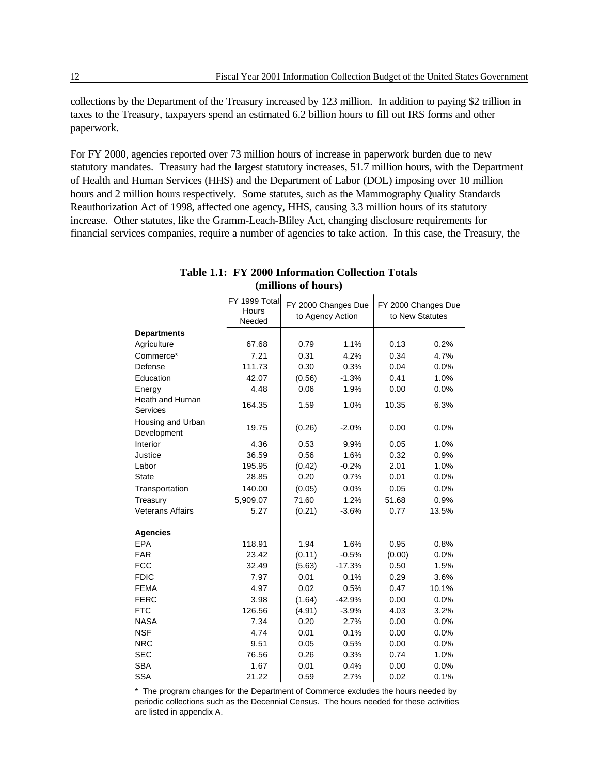collections by the Department of the Treasury increased by 123 million. In addition to paying \$2 trillion in taxes to the Treasury, taxpayers spend an estimated 6.2 billion hours to fill out IRS forms and other paperwork.

For FY 2000, agencies reported over 73 million hours of increase in paperwork burden due to new statutory mandates. Treasury had the largest statutory increases, 51.7 million hours, with the Department of Health and Human Services (HHS) and the Department of Labor (DOL) imposing over 10 million hours and 2 million hours respectively. Some statutes, such as the Mammography Quality Standards Reauthorization Act of 1998, affected one agency, HHS, causing 3.3 million hours of its statutory increase. Other statutes, like the Gramm-Leach-Bliley Act, changing disclosure requirements for financial services companies, require a number of agencies to take action. In this case, the Treasury, the

|                                  | FY 1999 Total<br>Hours<br>Needed | FY 2000 Changes Due<br>to Agency Action |          | FY 2000 Changes Due<br>to New Statutes |       |
|----------------------------------|----------------------------------|-----------------------------------------|----------|----------------------------------------|-------|
| <b>Departments</b>               |                                  |                                         |          |                                        |       |
| Agriculture                      | 67.68                            | 0.79                                    | 1.1%     | 0.13                                   | 0.2%  |
| Commerce*                        | 7.21                             | 0.31                                    | 4.2%     | 0.34                                   | 4.7%  |
| Defense                          | 111.73                           | 0.30                                    | 0.3%     | 0.04                                   | 0.0%  |
| Education                        | 42.07                            | (0.56)                                  | $-1.3%$  | 0.41                                   | 1.0%  |
| Energy                           | 4.48                             | 0.06                                    | 1.9%     | 0.00                                   | 0.0%  |
| Heath and Human<br>Services      | 164.35                           | 1.59                                    | 1.0%     | 10.35                                  | 6.3%  |
| Housing and Urban<br>Development | 19.75                            | (0.26)                                  | $-2.0%$  | 0.00                                   | 0.0%  |
| Interior                         | 4.36                             | 0.53                                    | 9.9%     | 0.05                                   | 1.0%  |
| Justice                          | 36.59                            | 0.56                                    | 1.6%     | 0.32                                   | 0.9%  |
| Labor                            | 195.95                           | (0.42)                                  | $-0.2%$  | 2.01                                   | 1.0%  |
| State                            | 28.85                            | 0.20                                    | 0.7%     | 0.01                                   | 0.0%  |
| Transportation                   | 140.00                           | (0.05)                                  | 0.0%     | 0.05                                   | 0.0%  |
| Treasury                         | 5,909.07                         | 71.60                                   | 1.2%     | 51.68                                  | 0.9%  |
| <b>Veterans Affairs</b>          | 5.27                             | (0.21)                                  | $-3.6%$  | 0.77                                   | 13.5% |
| <b>Agencies</b>                  |                                  |                                         |          |                                        |       |
| EPA                              | 118.91                           | 1.94                                    | 1.6%     | 0.95                                   | 0.8%  |
| <b>FAR</b>                       | 23.42                            | (0.11)                                  | $-0.5%$  | (0.00)                                 | 0.0%  |
| FCC                              | 32.49                            | (5.63)                                  | $-17.3%$ | 0.50                                   | 1.5%  |
| <b>FDIC</b>                      | 7.97                             | 0.01                                    | 0.1%     | 0.29                                   | 3.6%  |
| <b>FEMA</b>                      | 4.97                             | 0.02                                    | 0.5%     | 0.47                                   | 10.1% |
| FERC                             | 3.98                             | (1.64)                                  | $-42.9%$ | 0.00                                   | 0.0%  |
| <b>FTC</b>                       | 126.56                           | (4.91)                                  | $-3.9%$  | 4.03                                   | 3.2%  |
| NASA                             | 7.34                             | 0.20                                    | 2.7%     | 0.00                                   | 0.0%  |
| NSF                              | 4.74                             | 0.01                                    | 0.1%     | 0.00                                   | 0.0%  |
| <b>NRC</b>                       | 9.51                             | 0.05                                    | 0.5%     | 0.00                                   | 0.0%  |
| SEC                              | 76.56                            | 0.26                                    | 0.3%     | 0.74                                   | 1.0%  |
| SBA                              | 1.67                             | 0.01                                    | 0.4%     | 0.00                                   | 0.0%  |
| SSA                              | 21.22                            | 0.59                                    | 2.7%     | 0.02                                   | 0.1%  |

#### **Table 1.1: FY 2000 Information Collection Totals (millions of hours)**

\* The program changes for the Department of Commerce excludes the hours needed by periodic collections such as the Decennial Census. The hours needed for these activities are listed in appendix A.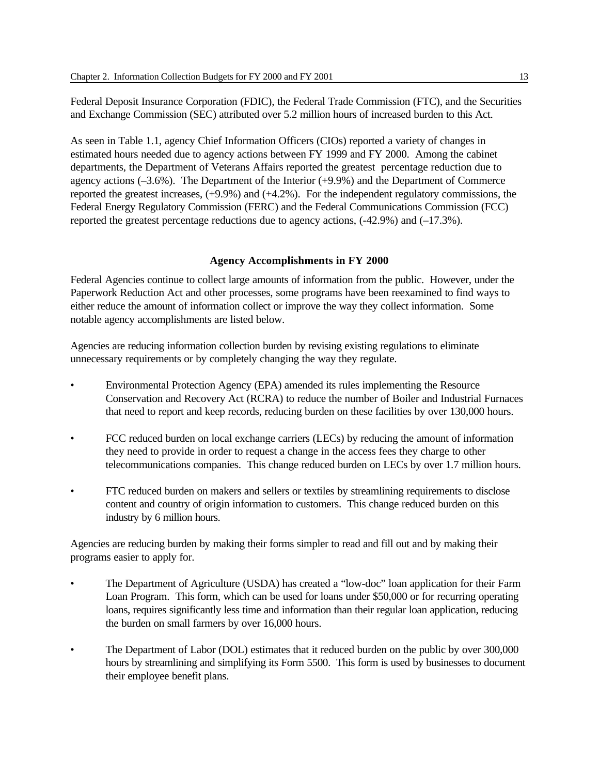Federal Deposit Insurance Corporation (FDIC), the Federal Trade Commission (FTC), and the Securities and Exchange Commission (SEC) attributed over 5.2 million hours of increased burden to this Act.

As seen in Table 1.1, agency Chief Information Officers (CIOs) reported a variety of changes in estimated hours needed due to agency actions between FY 1999 and FY 2000. Among the cabinet departments, the Department of Veterans Affairs reported the greatest percentage reduction due to agency actions (–3.6%). The Department of the Interior (+9.9%) and the Department of Commerce reported the greatest increases, (+9.9%) and (+4.2%). For the independent regulatory commissions, the Federal Energy Regulatory Commission (FERC) and the Federal Communications Commission (FCC) reported the greatest percentage reductions due to agency actions, (-42.9%) and (–17.3%).

#### **Agency Accomplishments in FY 2000**

Federal Agencies continue to collect large amounts of information from the public. However, under the Paperwork Reduction Act and other processes, some programs have been reexamined to find ways to either reduce the amount of information collect or improve the way they collect information. Some notable agency accomplishments are listed below.

Agencies are reducing information collection burden by revising existing regulations to eliminate unnecessary requirements or by completely changing the way they regulate.

- Environmental Protection Agency (EPA) amended its rules implementing the Resource Conservation and Recovery Act (RCRA) to reduce the number of Boiler and Industrial Furnaces that need to report and keep records, reducing burden on these facilities by over 130,000 hours.
- FCC reduced burden on local exchange carriers (LECs) by reducing the amount of information they need to provide in order to request a change in the access fees they charge to other telecommunications companies. This change reduced burden on LECs by over 1.7 million hours.
- FTC reduced burden on makers and sellers or textiles by streamlining requirements to disclose content and country of origin information to customers. This change reduced burden on this industry by 6 million hours.

Agencies are reducing burden by making their forms simpler to read and fill out and by making their programs easier to apply for.

- The Department of Agriculture (USDA) has created a "low-doc" loan application for their Farm Loan Program. This form, which can be used for loans under \$50,000 or for recurring operating loans, requires significantly less time and information than their regular loan application, reducing the burden on small farmers by over 16,000 hours.
- The Department of Labor (DOL) estimates that it reduced burden on the public by over 300,000 hours by streamlining and simplifying its Form 5500. This form is used by businesses to document their employee benefit plans.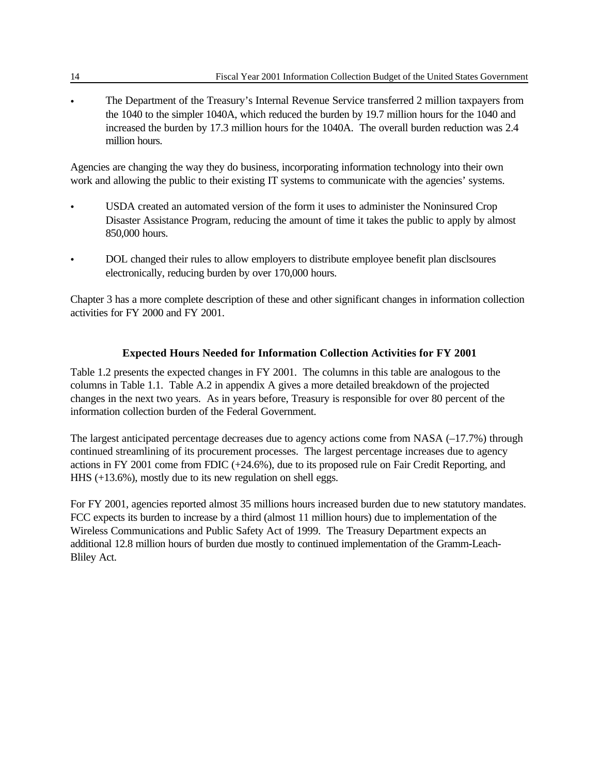• The Department of the Treasury's Internal Revenue Service transferred 2 million taxpayers from the 1040 to the simpler 1040A, which reduced the burden by 19.7 million hours for the 1040 and increased the burden by 17.3 million hours for the 1040A. The overall burden reduction was 2.4 million hours.

Agencies are changing the way they do business, incorporating information technology into their own work and allowing the public to their existing IT systems to communicate with the agencies' systems.

- USDA created an automated version of the form it uses to administer the Noninsured Crop Disaster Assistance Program, reducing the amount of time it takes the public to apply by almost 850,000 hours.
- DOL changed their rules to allow employers to distribute employee benefit plan disclsoures electronically, reducing burden by over 170,000 hours.

Chapter 3 has a more complete description of these and other significant changes in information collection activities for FY 2000 and FY 2001.

# **Expected Hours Needed for Information Collection Activities for FY 2001**

Table 1.2 presents the expected changes in FY 2001. The columns in this table are analogous to the columns in Table 1.1. Table A.2 in appendix A gives a more detailed breakdown of the projected changes in the next two years. As in years before, Treasury is responsible for over 80 percent of the information collection burden of the Federal Government.

The largest anticipated percentage decreases due to agency actions come from NASA (–17.7%) through continued streamlining of its procurement processes. The largest percentage increases due to agency actions in FY 2001 come from FDIC (+24.6%), due to its proposed rule on Fair Credit Reporting, and HHS (+13.6%), mostly due to its new regulation on shell eggs.

For FY 2001, agencies reported almost 35 millions hours increased burden due to new statutory mandates. FCC expects its burden to increase by a third (almost 11 million hours) due to implementation of the Wireless Communications and Public Safety Act of 1999. The Treasury Department expects an additional 12.8 million hours of burden due mostly to continued implementation of the Gramm-Leach-Bliley Act.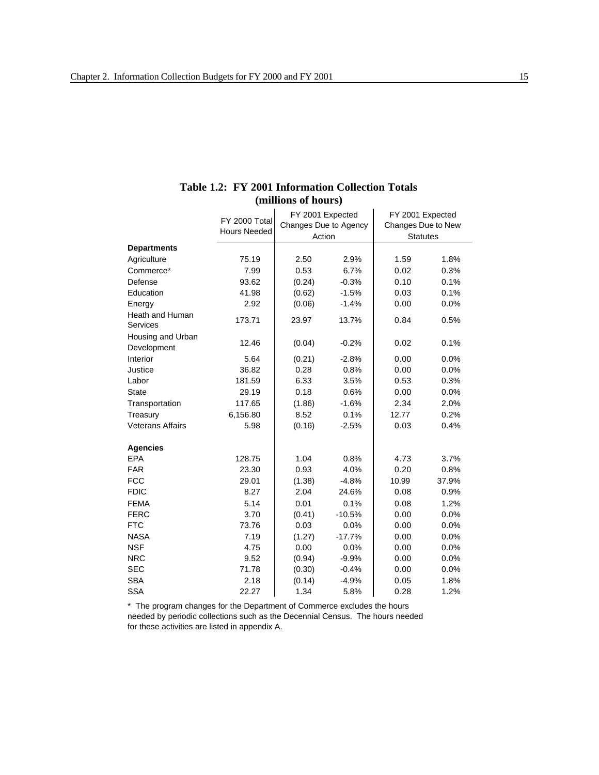|                                  |                                      | FY 2001 Expected      |          | FY 2001 Expected   |       |
|----------------------------------|--------------------------------------|-----------------------|----------|--------------------|-------|
|                                  | FY 2000 Total<br><b>Hours Needed</b> | Changes Due to Agency |          | Changes Due to New |       |
|                                  |                                      | Action                |          | <b>Statutes</b>    |       |
| <b>Departments</b>               |                                      |                       |          |                    |       |
| Agriculture                      | 75.19                                | 2.50                  | 2.9%     | 1.59               | 1.8%  |
| Commerce*                        | 7.99                                 | 0.53                  | 6.7%     | 0.02               | 0.3%  |
| Defense                          | 93.62                                | (0.24)                | $-0.3%$  | 0.10               | 0.1%  |
| Education                        | 41.98                                | (0.62)                | $-1.5%$  | 0.03               | 0.1%  |
| Energy                           | 2.92                                 | (0.06)                | $-1.4%$  | 0.00               | 0.0%  |
| Heath and Human<br>Services      | 173.71                               | 23.97                 | 13.7%    | 0.84               | 0.5%  |
| Housing and Urban<br>Development | 12.46                                | (0.04)                | $-0.2%$  | 0.02               | 0.1%  |
| Interior                         | 5.64                                 | (0.21)                | $-2.8%$  | 0.00               | 0.0%  |
| Justice                          | 36.82                                | 0.28                  | 0.8%     | 0.00               | 0.0%  |
| Labor                            | 181.59                               | 6.33                  | 3.5%     | 0.53               | 0.3%  |
| <b>State</b>                     | 29.19                                | 0.18                  | 0.6%     | 0.00               | 0.0%  |
| Transportation                   | 117.65                               | (1.86)                | $-1.6%$  | 2.34               | 2.0%  |
| Treasury                         | 6,156.80                             | 8.52                  | 0.1%     | 12.77              | 0.2%  |
| <b>Veterans Affairs</b>          | 5.98                                 | (0.16)                | $-2.5%$  | 0.03               | 0.4%  |
| <b>Agencies</b>                  |                                      |                       |          |                    |       |
| <b>EPA</b>                       | 128.75                               | 1.04                  | 0.8%     | 4.73               | 3.7%  |
| <b>FAR</b>                       | 23.30                                | 0.93                  | 4.0%     | 0.20               | 0.8%  |
| <b>FCC</b>                       | 29.01                                | (1.38)                | $-4.8%$  | 10.99              | 37.9% |
| <b>FDIC</b>                      | 8.27                                 | 2.04                  | 24.6%    | 0.08               | 0.9%  |
| <b>FEMA</b>                      | 5.14                                 | 0.01                  | 0.1%     | 0.08               | 1.2%  |
| <b>FERC</b>                      | 3.70                                 | (0.41)                | $-10.5%$ | 0.00               | 0.0%  |
| <b>FTC</b>                       | 73.76                                | 0.03                  | 0.0%     | 0.00               | 0.0%  |
| <b>NASA</b>                      | 7.19                                 | (1.27)                | $-17.7%$ | 0.00               | 0.0%  |
| <b>NSF</b>                       | 4.75                                 | 0.00                  | 0.0%     | 0.00               | 0.0%  |
| <b>NRC</b>                       | 9.52                                 | (0.94)                | $-9.9%$  | 0.00               | 0.0%  |
| <b>SEC</b>                       | 71.78                                | (0.30)                | $-0.4%$  | 0.00               | 0.0%  |
| <b>SBA</b>                       | 2.18                                 | (0.14)                | $-4.9%$  | 0.05               | 1.8%  |
| <b>SSA</b>                       | 22.27                                | 1.34                  | 5.8%     | 0.28               | 1.2%  |

## **Table 1.2: FY 2001 Information Collection Totals (millions of hours)**

\* The program changes for the Department of Commerce excludes the hours needed by periodic collections such as the Decennial Census. The hours needed for these activities are listed in appendix A.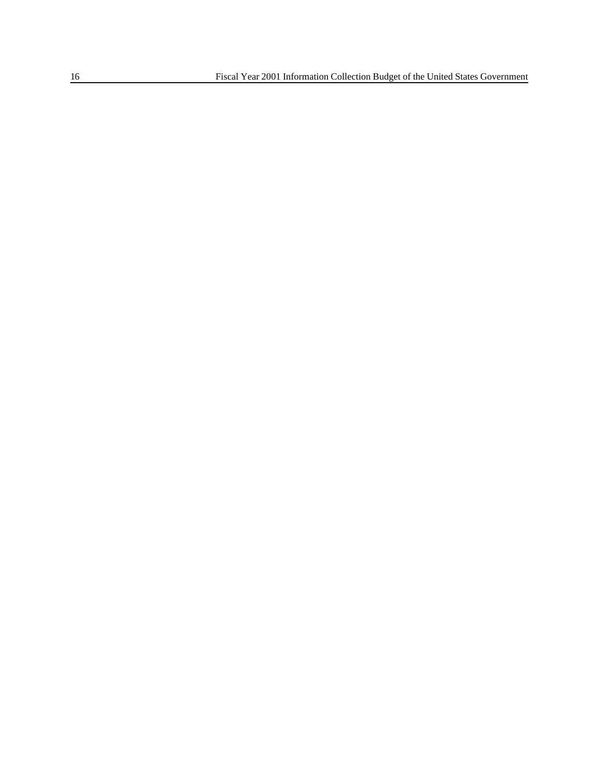16 Fiscal Year 2001 Information Collection Budget of the United States Government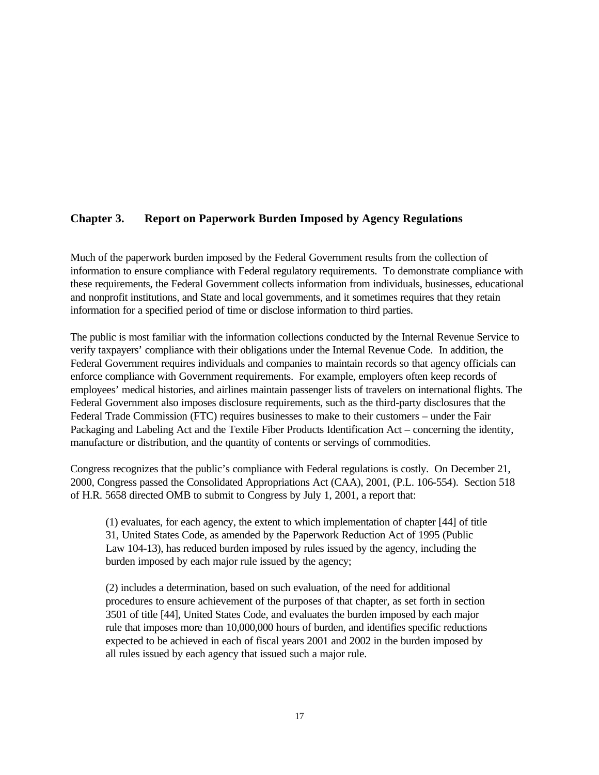# **Chapter 3. Report on Paperwork Burden Imposed by Agency Regulations**

Much of the paperwork burden imposed by the Federal Government results from the collection of information to ensure compliance with Federal regulatory requirements. To demonstrate compliance with these requirements, the Federal Government collects information from individuals, businesses, educational and nonprofit institutions, and State and local governments, and it sometimes requires that they retain information for a specified period of time or disclose information to third parties.

The public is most familiar with the information collections conducted by the Internal Revenue Service to verify taxpayers' compliance with their obligations under the Internal Revenue Code. In addition, the Federal Government requires individuals and companies to maintain records so that agency officials can enforce compliance with Government requirements. For example, employers often keep records of employees' medical histories, and airlines maintain passenger lists of travelers on international flights. The Federal Government also imposes disclosure requirements, such as the third-party disclosures that the Federal Trade Commission (FTC) requires businesses to make to their customers – under the Fair Packaging and Labeling Act and the Textile Fiber Products Identification Act – concerning the identity, manufacture or distribution, and the quantity of contents or servings of commodities.

Congress recognizes that the public's compliance with Federal regulations is costly. On December 21, 2000, Congress passed the Consolidated Appropriations Act (CAA), 2001, (P.L. 106-554). Section 518 of H.R. 5658 directed OMB to submit to Congress by July 1, 2001, a report that:

(1) evaluates, for each agency, the extent to which implementation of chapter [44] of title 31, United States Code, as amended by the Paperwork Reduction Act of 1995 (Public Law 104-13), has reduced burden imposed by rules issued by the agency, including the burden imposed by each major rule issued by the agency;

(2) includes a determination, based on such evaluation, of the need for additional procedures to ensure achievement of the purposes of that chapter, as set forth in section 3501 of title [44], United States Code, and evaluates the burden imposed by each major rule that imposes more than 10,000,000 hours of burden, and identifies specific reductions expected to be achieved in each of fiscal years 2001 and 2002 in the burden imposed by all rules issued by each agency that issued such a major rule.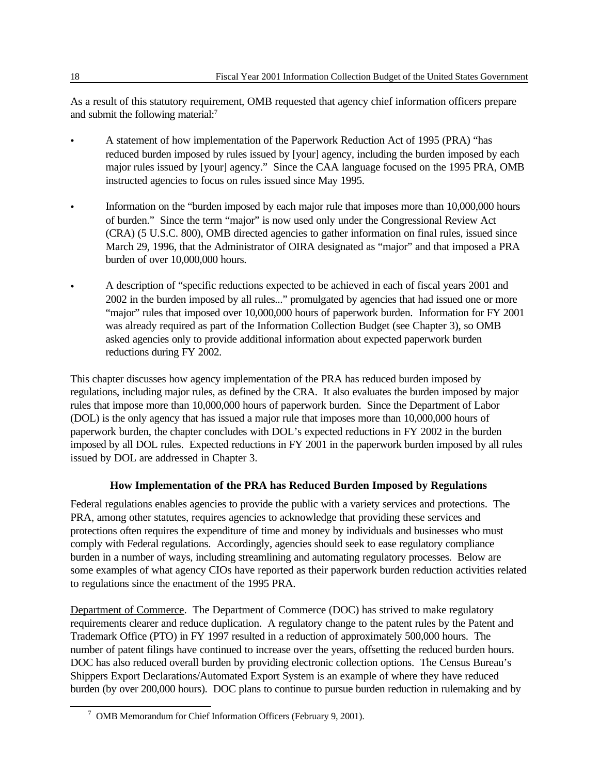As a result of this statutory requirement, OMB requested that agency chief information officers prepare and submit the following material:7

- A statement of how implementation of the Paperwork Reduction Act of 1995 (PRA) "has reduced burden imposed by rules issued by [your] agency, including the burden imposed by each major rules issued by [your] agency." Since the CAA language focused on the 1995 PRA, OMB instructed agencies to focus on rules issued since May 1995.
- Information on the "burden imposed by each major rule that imposes more than 10,000,000 hours of burden." Since the term "major" is now used only under the Congressional Review Act (CRA) (5 U.S.C. 800), OMB directed agencies to gather information on final rules, issued since March 29, 1996, that the Administrator of OIRA designated as "major" and that imposed a PRA burden of over 10,000,000 hours.
- A description of "specific reductions expected to be achieved in each of fiscal years 2001 and 2002 in the burden imposed by all rules..." promulgated by agencies that had issued one or more "major" rules that imposed over 10,000,000 hours of paperwork burden. Information for FY 2001 was already required as part of the Information Collection Budget (see Chapter 3), so OMB asked agencies only to provide additional information about expected paperwork burden reductions during FY 2002.

This chapter discusses how agency implementation of the PRA has reduced burden imposed by regulations, including major rules, as defined by the CRA. It also evaluates the burden imposed by major rules that impose more than 10,000,000 hours of paperwork burden. Since the Department of Labor (DOL) is the only agency that has issued a major rule that imposes more than 10,000,000 hours of paperwork burden, the chapter concludes with DOL's expected reductions in FY 2002 in the burden imposed by all DOL rules. Expected reductions in FY 2001 in the paperwork burden imposed by all rules issued by DOL are addressed in Chapter 3.

## **How Implementation of the PRA has Reduced Burden Imposed by Regulations**

Federal regulations enables agencies to provide the public with a variety services and protections. The PRA, among other statutes, requires agencies to acknowledge that providing these services and protections often requires the expenditure of time and money by individuals and businesses who must comply with Federal regulations. Accordingly, agencies should seek to ease regulatory compliance burden in a number of ways, including streamlining and automating regulatory processes. Below are some examples of what agency CIOs have reported as their paperwork burden reduction activities related to regulations since the enactment of the 1995 PRA.

Department of Commerce. The Department of Commerce (DOC) has strived to make regulatory requirements clearer and reduce duplication. A regulatory change to the patent rules by the Patent and Trademark Office (PTO) in FY 1997 resulted in a reduction of approximately 500,000 hours. The number of patent filings have continued to increase over the years, offsetting the reduced burden hours. DOC has also reduced overall burden by providing electronic collection options. The Census Bureau's Shippers Export Declarations/Automated Export System is an example of where they have reduced burden (by over 200,000 hours). DOC plans to continue to pursue burden reduction in rulemaking and by

<sup>7</sup> OMB Memorandum for Chief Information Officers (February 9, 2001).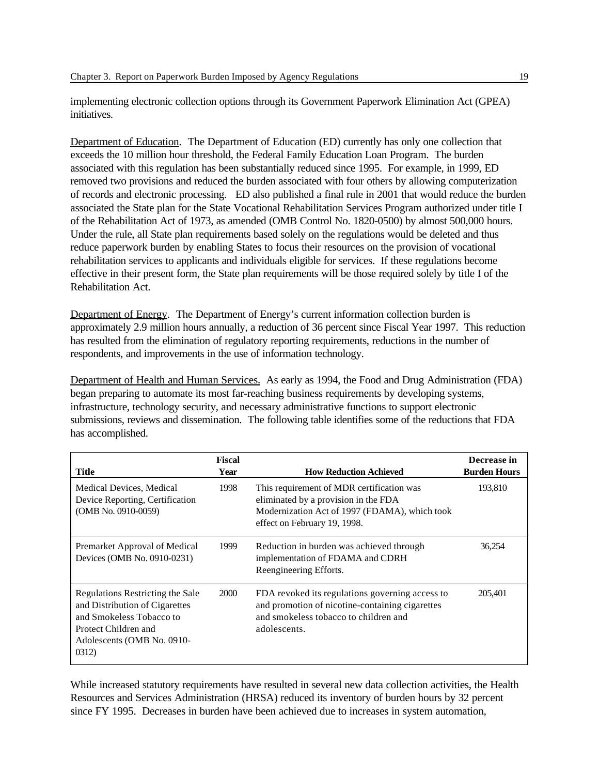implementing electronic collection options through its Government Paperwork Elimination Act (GPEA) initiatives.

Department of Education. The Department of Education (ED) currently has only one collection that exceeds the 10 million hour threshold, the Federal Family Education Loan Program. The burden associated with this regulation has been substantially reduced since 1995. For example, in 1999, ED removed two provisions and reduced the burden associated with four others by allowing computerization of records and electronic processing. ED also published a final rule in 2001 that would reduce the burden associated the State plan for the State Vocational Rehabilitation Services Program authorized under title I of the Rehabilitation Act of 1973, as amended (OMB Control No. 1820-0500) by almost 500,000 hours. Under the rule, all State plan requirements based solely on the regulations would be deleted and thus reduce paperwork burden by enabling States to focus their resources on the provision of vocational rehabilitation services to applicants and individuals eligible for services. If these regulations become effective in their present form, the State plan requirements will be those required solely by title I of the Rehabilitation Act.

Department of Energy. The Department of Energy's current information collection burden is approximately 2.9 million hours annually, a reduction of 36 percent since Fiscal Year 1997. This reduction has resulted from the elimination of regulatory reporting requirements, reductions in the number of respondents, and improvements in the use of information technology.

Department of Health and Human Services. As early as 1994, the Food and Drug Administration (FDA) began preparing to automate its most far-reaching business requirements by developing systems, infrastructure, technology security, and necessary administrative functions to support electronic submissions, reviews and dissemination. The following table identifies some of the reductions that FDA has accomplished.

| <b>Title</b>                                                                                                                                                  | <b>Fiscal</b><br>Year | <b>How Reduction Achieved</b>                                                                                                                                      | Decrease in<br><b>Burden Hours</b> |
|---------------------------------------------------------------------------------------------------------------------------------------------------------------|-----------------------|--------------------------------------------------------------------------------------------------------------------------------------------------------------------|------------------------------------|
| Medical Devices, Medical<br>Device Reporting, Certification<br>(OMB No. 0910-0059)                                                                            | 1998                  | This requirement of MDR certification was<br>eliminated by a provision in the FDA<br>Modernization Act of 1997 (FDAMA), which took<br>effect on February 19, 1998. | 193,810                            |
| Premarket Approval of Medical<br>Devices (OMB No. 0910-0231)                                                                                                  | 1999                  | Reduction in burden was achieved through<br>implementation of FDAMA and CDRH<br>Reengineering Efforts.                                                             | 36.254                             |
| Regulations Restricting the Sale<br>and Distribution of Cigarettes<br>and Smokeless Tobacco to<br>Protect Children and<br>Adolescents (OMB No. 0910-<br>0312) | <b>2000</b>           | FDA revoked its regulations governing access to<br>and promotion of nicotine-containing cigarettes<br>and smokeless tobacco to children and<br>adolescents.        | 205,401                            |

While increased statutory requirements have resulted in several new data collection activities, the Health Resources and Services Administration (HRSA) reduced its inventory of burden hours by 32 percent since FY 1995. Decreases in burden have been achieved due to increases in system automation,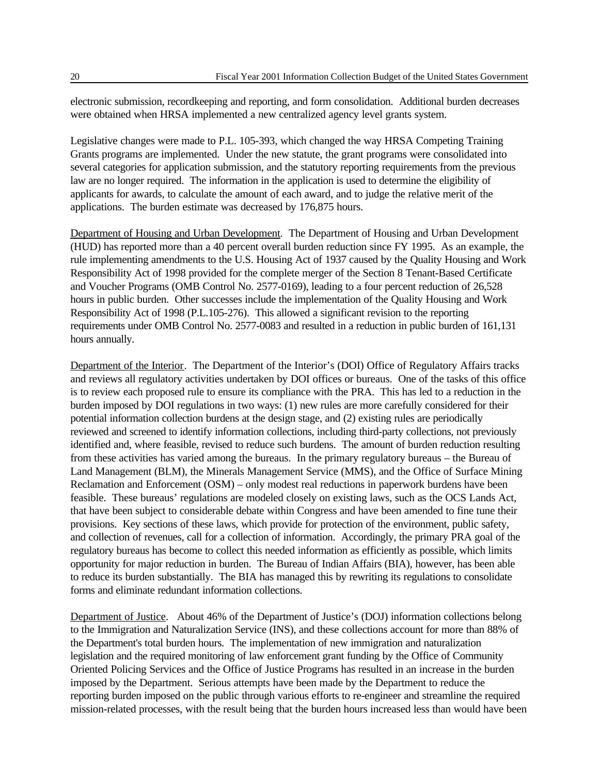electronic submission, recordkeeping and reporting, and form consolidation. Additional burden decreases were obtained when HRSA implemented a new centralized agency level grants system.

Legislative changes were made to P.L. 105-393, which changed the way HRSA Competing Training Grants programs are implemented. Under the new statute, the grant programs were consolidated into several categories for application submission, and the statutory reporting requirements from the previous law are no longer required. The information in the application is used to determine the eligibility of applicants for awards, to calculate the amount of each award, and to judge the relative merit of the applications. The burden estimate was decreased by 176,875 hours.

Department of Housing and Urban Development. The Department of Housing and Urban Development (HUD) has reported more than a 40 percent overall burden reduction since FY 1995. As an example, the rule implementing amendments to the U.S. Housing Act of 1937 caused by the Quality Housing and Work Responsibility Act of 1998 provided for the complete merger of the Section 8 Tenant-Based Certificate and Voucher Programs (OMB Control No. 2577-0169), leading to a four percent reduction of 26,528 hours in public burden. Other successes include the implementation of the Quality Housing and Work Responsibility Act of 1998 (P.L.105-276). This allowed a significant revision to the reporting requirements under OMB Control No. 2577-0083 and resulted in a reduction in public burden of 161,131 hours annually.

Department of the Interior. The Department of the Interior's (DOI) Office of Regulatory Affairs tracks and reviews all regulatory activities undertaken by DOI offices or bureaus. One of the tasks of this office is to review each proposed rule to ensure its compliance with the PRA. This has led to a reduction in the burden imposed by DOI regulations in two ways: (1) new rules are more carefully considered for their potential information collection burdens at the design stage, and (2) existing rules are periodically reviewed and screened to identify information collections, including third-party collections, not previously identified and, where feasible, revised to reduce such burdens. The amount of burden reduction resulting from these activities has varied among the bureaus. In the primary regulatory bureaus – the Bureau of Land Management (BLM), the Minerals Management Service (MMS), and the Office of Surface Mining Reclamation and Enforcement (OSM) – only modest real reductions in paperwork burdens have been feasible. These bureaus' regulations are modeled closely on existing laws, such as the OCS Lands Act, that have been subject to considerable debate within Congress and have been amended to fine tune their provisions. Key sections of these laws, which provide for protection of the environment, public safety, and collection of revenues, call for a collection of information. Accordingly, the primary PRA goal of the regulatory bureaus has become to collect this needed information as efficiently as possible, which limits opportunity for major reduction in burden. The Bureau of Indian Affairs (BIA), however, has been able to reduce its burden substantially. The BIA has managed this by rewriting its regulations to consolidate forms and eliminate redundant information collections.

Department of Justice. About 46% of the Department of Justice's (DOJ) information collections belong to the Immigration and Naturalization Service (INS), and these collections account for more than 88% of the Department's total burden hours. The implementation of new immigration and naturalization legislation and the required monitoring of law enforcement grant funding by the Office of Community Oriented Policing Services and the Office of Justice Programs has resulted in an increase in the burden imposed by the Department. Serious attempts have been made by the Department to reduce the reporting burden imposed on the public through various efforts to re-engineer and streamline the required mission-related processes, with the result being that the burden hours increased less than would have been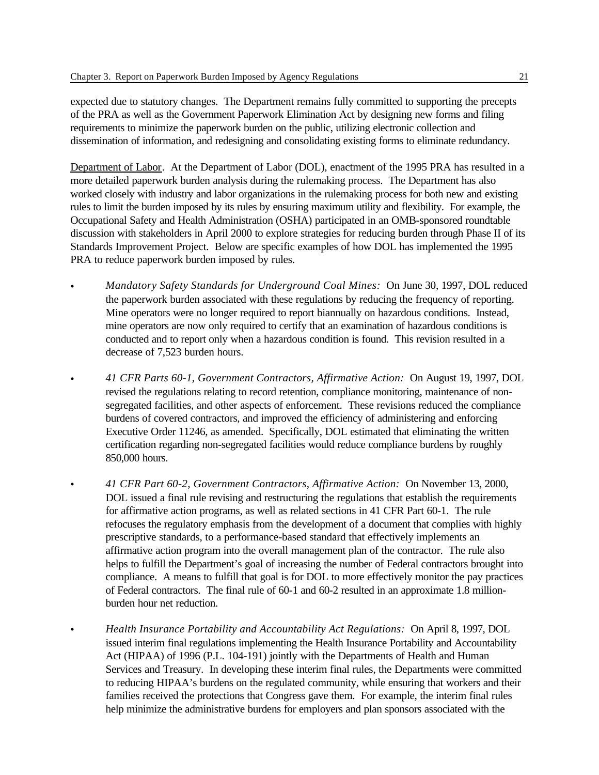expected due to statutory changes. The Department remains fully committed to supporting the precepts of the PRA as well as the Government Paperwork Elimination Act by designing new forms and filing requirements to minimize the paperwork burden on the public, utilizing electronic collection and dissemination of information, and redesigning and consolidating existing forms to eliminate redundancy.

Department of Labor. At the Department of Labor (DOL), enactment of the 1995 PRA has resulted in a more detailed paperwork burden analysis during the rulemaking process. The Department has also worked closely with industry and labor organizations in the rulemaking process for both new and existing rules to limit the burden imposed by its rules by ensuring maximum utility and flexibility. For example, the Occupational Safety and Health Administration (OSHA) participated in an OMB-sponsored roundtable discussion with stakeholders in April 2000 to explore strategies for reducing burden through Phase II of its Standards Improvement Project. Below are specific examples of how DOL has implemented the 1995 PRA to reduce paperwork burden imposed by rules.

- *Mandatory Safety Standards for Underground Coal Mines:* On June 30, 1997, DOL reduced the paperwork burden associated with these regulations by reducing the frequency of reporting. Mine operators were no longer required to report biannually on hazardous conditions. Instead, mine operators are now only required to certify that an examination of hazardous conditions is conducted and to report only when a hazardous condition is found. This revision resulted in a decrease of 7,523 burden hours.
- *41 CFR Parts 60-1, Government Contractors, Affirmative Action:* On August 19, 1997, DOL revised the regulations relating to record retention, compliance monitoring, maintenance of nonsegregated facilities, and other aspects of enforcement. These revisions reduced the compliance burdens of covered contractors, and improved the efficiency of administering and enforcing Executive Order 11246, as amended. Specifically, DOL estimated that eliminating the written certification regarding non-segregated facilities would reduce compliance burdens by roughly 850,000 hours.
- *41 CFR Part 60-2, Government Contractors, Affirmative Action:* On November 13, 2000, DOL issued a final rule revising and restructuring the regulations that establish the requirements for affirmative action programs, as well as related sections in 41 CFR Part 60-1. The rule refocuses the regulatory emphasis from the development of a document that complies with highly prescriptive standards, to a performance-based standard that effectively implements an affirmative action program into the overall management plan of the contractor. The rule also helps to fulfill the Department's goal of increasing the number of Federal contractors brought into compliance. A means to fulfill that goal is for DOL to more effectively monitor the pay practices of Federal contractors. The final rule of 60-1 and 60-2 resulted in an approximate 1.8 millionburden hour net reduction.
- *Health Insurance Portability and Accountability Act Regulations:* On April 8, 1997, DOL issued interim final regulations implementing the Health Insurance Portability and Accountability Act (HIPAA) of 1996 (P.L. 104-191) jointly with the Departments of Health and Human Services and Treasury. In developing these interim final rules, the Departments were committed to reducing HIPAA's burdens on the regulated community, while ensuring that workers and their families received the protections that Congress gave them. For example, the interim final rules help minimize the administrative burdens for employers and plan sponsors associated with the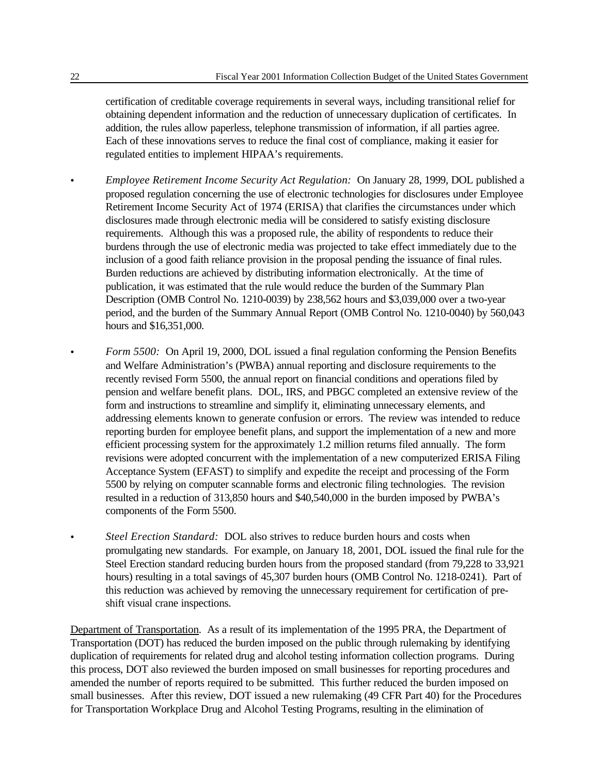certification of creditable coverage requirements in several ways, including transitional relief for obtaining dependent information and the reduction of unnecessary duplication of certificates. In addition, the rules allow paperless, telephone transmission of information, if all parties agree. Each of these innovations serves to reduce the final cost of compliance, making it easier for regulated entities to implement HIPAA's requirements.

- *Employee Retirement Income Security Act Regulation:* On January 28, 1999, DOL published a proposed regulation concerning the use of electronic technologies for disclosures under Employee Retirement Income Security Act of 1974 (ERISA) that clarifies the circumstances under which disclosures made through electronic media will be considered to satisfy existing disclosure requirements. Although this was a proposed rule, the ability of respondents to reduce their burdens through the use of electronic media was projected to take effect immediately due to the inclusion of a good faith reliance provision in the proposal pending the issuance of final rules. Burden reductions are achieved by distributing information electronically. At the time of publication, it was estimated that the rule would reduce the burden of the Summary Plan Description (OMB Control No. 1210-0039) by 238,562 hours and \$3,039,000 over a two-year period, and the burden of the Summary Annual Report (OMB Control No. 1210-0040) by 560,043 hours and \$16,351,000.
- *Form 5500:* On April 19, 2000, DOL issued a final regulation conforming the Pension Benefits and Welfare Administration's (PWBA) annual reporting and disclosure requirements to the recently revised Form 5500, the annual report on financial conditions and operations filed by pension and welfare benefit plans. DOL, IRS, and PBGC completed an extensive review of the form and instructions to streamline and simplify it, eliminating unnecessary elements, and addressing elements known to generate confusion or errors. The review was intended to reduce reporting burden for employee benefit plans, and support the implementation of a new and more efficient processing system for the approximately 1.2 million returns filed annually. The form revisions were adopted concurrent with the implementation of a new computerized ERISA Filing Acceptance System (EFAST) to simplify and expedite the receipt and processing of the Form 5500 by relying on computer scannable forms and electronic filing technologies. The revision resulted in a reduction of 313,850 hours and \$40,540,000 in the burden imposed by PWBA's components of the Form 5500.
- *Steel Erection Standard:* DOL also strives to reduce burden hours and costs when promulgating new standards. For example, on January 18, 2001, DOL issued the final rule for the Steel Erection standard reducing burden hours from the proposed standard (from 79,228 to 33,921 hours) resulting in a total savings of 45,307 burden hours (OMB Control No. 1218-0241). Part of this reduction was achieved by removing the unnecessary requirement for certification of preshift visual crane inspections.

Department of Transportation. As a result of its implementation of the 1995 PRA, the Department of Transportation (DOT) has reduced the burden imposed on the public through rulemaking by identifying duplication of requirements for related drug and alcohol testing information collection programs. During this process, DOT also reviewed the burden imposed on small businesses for reporting procedures and amended the number of reports required to be submitted. This further reduced the burden imposed on small businesses. After this review, DOT issued a new rulemaking (49 CFR Part 40) for the Procedures for Transportation Workplace Drug and Alcohol Testing Programs, resulting in the elimination of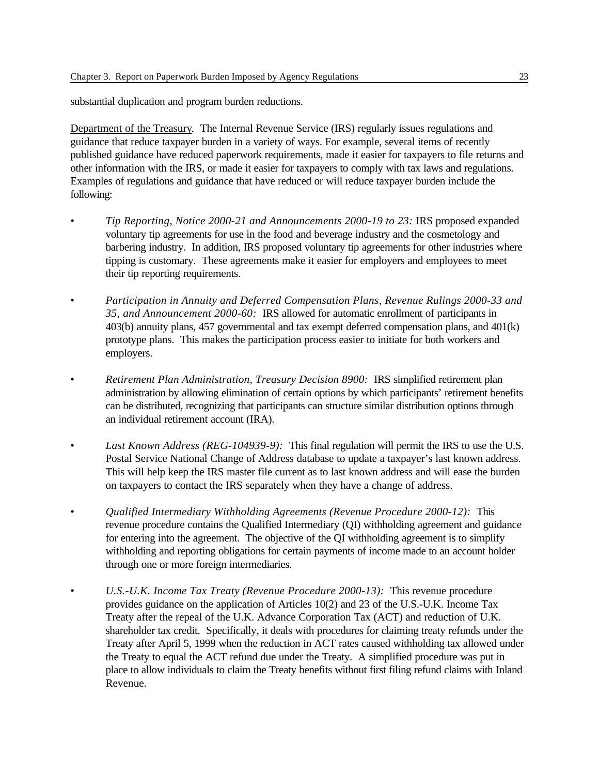substantial duplication and program burden reductions.

Department of the Treasury. The Internal Revenue Service (IRS) regularly issues regulations and guidance that reduce taxpayer burden in a variety of ways. For example, several items of recently published guidance have reduced paperwork requirements, made it easier for taxpayers to file returns and other information with the IRS, or made it easier for taxpayers to comply with tax laws and regulations. Examples of regulations and guidance that have reduced or will reduce taxpayer burden include the following:

- *• Tip Reporting, Notice 2000-21 and Announcements 2000-19 to 23:* IRS proposed expanded voluntary tip agreements for use in the food and beverage industry and the cosmetology and barbering industry. In addition, IRS proposed voluntary tip agreements for other industries where tipping is customary. These agreements make it easier for employers and employees to meet their tip reporting requirements.
- *• Participation in Annuity and Deferred Compensation Plans, Revenue Rulings 2000-33 and 35, and Announcement 2000-60:* IRS allowed for automatic enrollment of participants in 403(b) annuity plans, 457 governmental and tax exempt deferred compensation plans, and 401(k) prototype plans. This makes the participation process easier to initiate for both workers and employers.
- *• Retirement Plan Administration, Treasury Decision 8900:* IRS simplified retirement plan administration by allowing elimination of certain options by which participants' retirement benefits can be distributed, recognizing that participants can structure similar distribution options through an individual retirement account (IRA).
- *• Last Known Address (REG-104939-9):* This final regulation will permit the IRS to use the U.S. Postal Service National Change of Address database to update a taxpayer's last known address. This will help keep the IRS master file current as to last known address and will ease the burden on taxpayers to contact the IRS separately when they have a change of address.
- *• Qualified Intermediary Withholding Agreements (Revenue Procedure 2000-12):* This revenue procedure contains the Qualified Intermediary (QI) withholding agreement and guidance for entering into the agreement. The objective of the QI withholding agreement is to simplify withholding and reporting obligations for certain payments of income made to an account holder through one or more foreign intermediaries.
- *• U.S.-U.K. Income Tax Treaty (Revenue Procedure 2000-13):* This revenue procedure provides guidance on the application of Articles 10(2) and 23 of the U.S.-U.K. Income Tax Treaty after the repeal of the U.K. Advance Corporation Tax (ACT) and reduction of U.K. shareholder tax credit. Specifically, it deals with procedures for claiming treaty refunds under the Treaty after April 5, 1999 when the reduction in ACT rates caused withholding tax allowed under the Treaty to equal the ACT refund due under the Treaty. A simplified procedure was put in place to allow individuals to claim the Treaty benefits without first filing refund claims with Inland Revenue.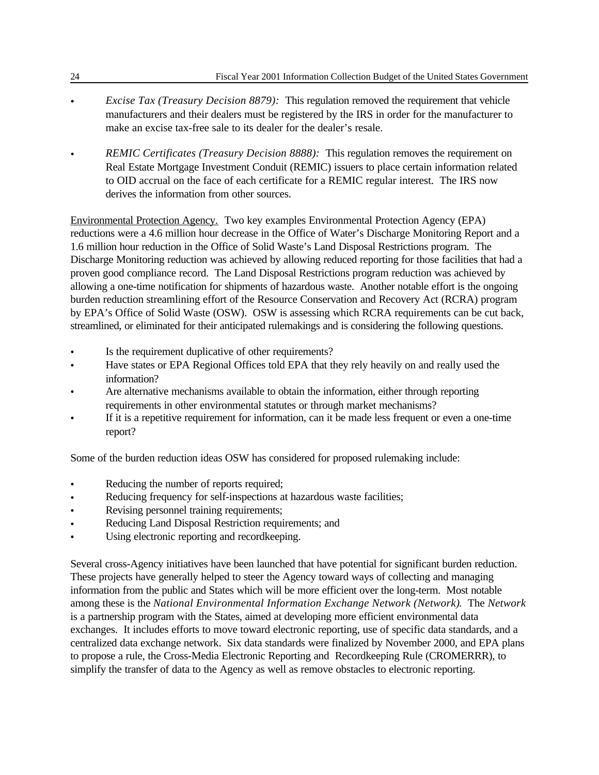- *Excise Tax (Treasury Decision 8879):* This regulation removed the requirement that vehicle manufacturers and their dealers must be registered by the IRS in order for the manufacturer to make an excise tax-free sale to its dealer for the dealer's resale.
- *• REMIC Certificates (Treasury Decision 8888):* This regulation removes the requirement on Real Estate Mortgage Investment Conduit (REMIC) issuers to place certain information related to OID accrual on the face of each certificate for a REMIC regular interest. The IRS now derives the information from other sources.

Environmental Protection Agency. Two key examples Environmental Protection Agency (EPA) reductions were a 4.6 million hour decrease in the Office of Water's Discharge Monitoring Report and a 1.6 million hour reduction in the Office of Solid Waste's Land Disposal Restrictions program. The Discharge Monitoring reduction was achieved by allowing reduced reporting for those facilities that had a proven good compliance record. The Land Disposal Restrictions program reduction was achieved by allowing a one-time notification for shipments of hazardous waste. Another notable effort is the ongoing burden reduction streamlining effort of the Resource Conservation and Recovery Act (RCRA) program by EPA's Office of Solid Waste (OSW). OSW is assessing which RCRA requirements can be cut back, streamlined, or eliminated for their anticipated rulemakings and is considering the following questions.

- Is the requirement duplicative of other requirements?
- Have states or EPA Regional Offices told EPA that they rely heavily on and really used the information?
- Are alternative mechanisms available to obtain the information, either through reporting requirements in other environmental statutes or through market mechanisms?
- If it is a repetitive requirement for information, can it be made less frequent or even a one-time report?

Some of the burden reduction ideas OSW has considered for proposed rulemaking include:

- Reducing the number of reports required;
- Reducing frequency for self-inspections at hazardous waste facilities;
- Revising personnel training requirements;
- Reducing Land Disposal Restriction requirements; and
- Using electronic reporting and recordkeeping.

Several cross-Agency initiatives have been launched that have potential for significant burden reduction. These projects have generally helped to steer the Agency toward ways of collecting and managing information from the public and States which will be more efficient over the long-term. Most notable among these is the *National Environmental Information Exchange Network (Network)*. The *Network*  is a partnership program with the States, aimed at developing more efficient environmental data exchanges. It includes efforts to move toward electronic reporting, use of specific data standards, and a centralized data exchange network. Six data standards were finalized by November 2000, and EPA plans to propose a rule, the Cross-Media Electronic Reporting and Recordkeeping Rule (CROMERRR), to simplify the transfer of data to the Agency as well as remove obstacles to electronic reporting.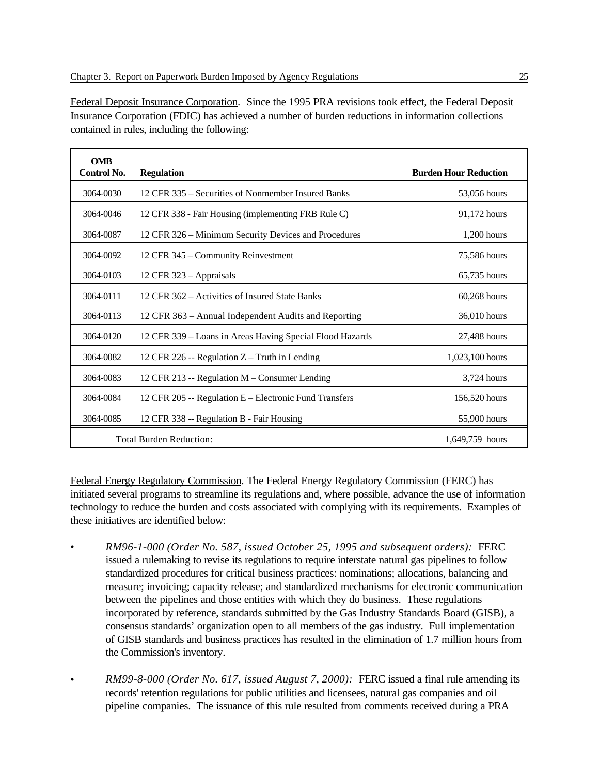Federal Deposit Insurance Corporation. Since the 1995 PRA revisions took effect, the Federal Deposit Insurance Corporation (FDIC) has achieved a number of burden reductions in information collections contained in rules, including the following:

| <b>OMB</b><br>Control No. | <b>Regulation</b>                                        | <b>Burden Hour Reduction</b> |
|---------------------------|----------------------------------------------------------|------------------------------|
| 3064-0030                 | 12 CFR 335 – Securities of Nonmember Insured Banks       | 53,056 hours                 |
| 3064-0046                 | 12 CFR 338 - Fair Housing (implementing FRB Rule C)      | 91,172 hours                 |
| 3064-0087                 | 12 CFR 326 – Minimum Security Devices and Procedures     | 1,200 hours                  |
| 3064-0092                 | 12 CFR 345 - Community Reinvestment                      | 75,586 hours                 |
| 3064-0103                 | 12 CFR $323 -$ Appraisals                                | 65,735 hours                 |
| 3064-0111                 | 12 CFR 362 – Activities of Insured State Banks           | 60,268 hours                 |
| 3064-0113                 | 12 CFR 363 – Annual Independent Audits and Reporting     | 36,010 hours                 |
| 3064-0120                 | 12 CFR 339 – Loans in Areas Having Special Flood Hazards | 27,488 hours                 |
| 3064-0082                 | 12 CFR 226 -- Regulation $Z -$ Truth in Lending          | 1,023,100 hours              |
| 3064-0083                 | 12 CFR 213 -- Regulation M – Consumer Lending            | 3,724 hours                  |
| 3064-0084                 | 12 CFR 205 -- Regulation E - Electronic Fund Transfers   | 156,520 hours                |
| 3064-0085                 | 12 CFR 338 -- Regulation B - Fair Housing                | 55,900 hours                 |
|                           | <b>Total Burden Reduction:</b>                           | 1,649,759 hours              |

Federal Energy Regulatory Commission. The Federal Energy Regulatory Commission (FERC) has initiated several programs to streamline its regulations and, where possible, advance the use of information technology to reduce the burden and costs associated with complying with its requirements. Examples of these initiatives are identified below:

- *RM96-1-000 (Order No. 587, issued October 25, 1995 and subsequent orders):* FERC issued a rulemaking to revise its regulations to require interstate natural gas pipelines to follow standardized procedures for critical business practices: nominations; allocations, balancing and measure; invoicing; capacity release; and standardized mechanisms for electronic communication between the pipelines and those entities with which they do business. These regulations incorporated by reference, standards submitted by the Gas Industry Standards Board (GISB), a consensus standards' organization open to all members of the gas industry. Full implementation of GISB standards and business practices has resulted in the elimination of 1.7 million hours from the Commission's inventory.
- *RM99-8-000 (Order No. 617, issued August 7, 2000):* FERC issued a final rule amending its records' retention regulations for public utilities and licensees, natural gas companies and oil pipeline companies. The issuance of this rule resulted from comments received during a PRA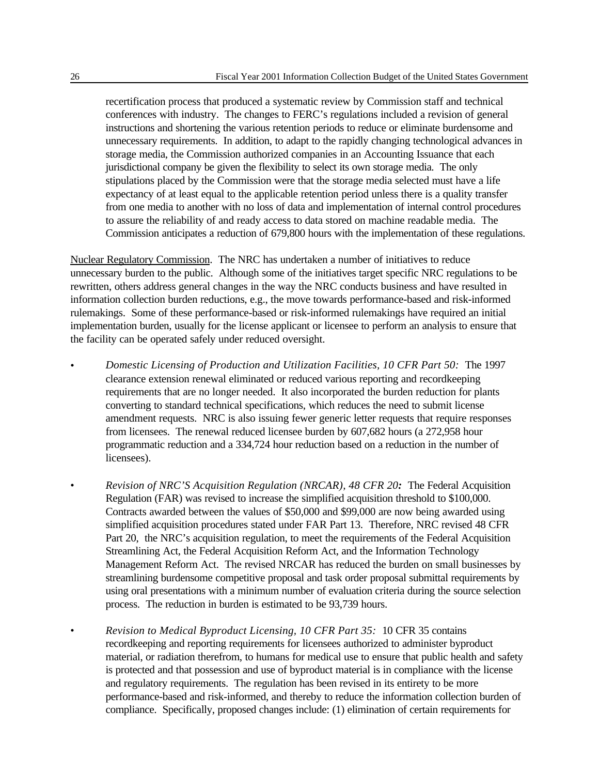recertification process that produced a systematic review by Commission staff and technical conferences with industry. The changes to FERC's regulations included a revision of general instructions and shortening the various retention periods to reduce or eliminate burdensome and unnecessary requirements. In addition, to adapt to the rapidly changing technological advances in storage media, the Commission authorized companies in an Accounting Issuance that each jurisdictional company be given the flexibility to select its own storage media. The only stipulations placed by the Commission were that the storage media selected must have a life expectancy of at least equal to the applicable retention period unless there is a quality transfer from one media to another with no loss of data and implementation of internal control procedures to assure the reliability of and ready access to data stored on machine readable media. The Commission anticipates a reduction of 679,800 hours with the implementation of these regulations.

Nuclear Regulatory Commission. The NRC has undertaken a number of initiatives to reduce unnecessary burden to the public. Although some of the initiatives target specific NRC regulations to be rewritten, others address general changes in the way the NRC conducts business and have resulted in information collection burden reductions, e.g., the move towards performance-based and risk-informed rulemakings. Some of these performance-based or risk-informed rulemakings have required an initial implementation burden, usually for the license applicant or licensee to perform an analysis to ensure that the facility can be operated safely under reduced oversight.

- *Domestic Licensing of Production and Utilization Facilities, 10 CFR Part 50:* The 1997 clearance extension renewal eliminated or reduced various reporting and recordkeeping requirements that are no longer needed. It also incorporated the burden reduction for plants converting to standard technical specifications, which reduces the need to submit license amendment requests. NRC is also issuing fewer generic letter requests that require responses from licensees. The renewal reduced licensee burden by 607,682 hours (a 272,958 hour programmatic reduction and a 334,724 hour reduction based on a reduction in the number of licensees).
- *Revision of NRC'S Acquisition Regulation (NRCAR), 48 CFR 20:* The Federal Acquisition Regulation (FAR) was revised to increase the simplified acquisition threshold to \$100,000. Contracts awarded between the values of \$50,000 and \$99,000 are now being awarded using simplified acquisition procedures stated under FAR Part 13. Therefore, NRC revised 48 CFR Part 20, the NRC's acquisition regulation, to meet the requirements of the Federal Acquisition Streamlining Act, the Federal Acquisition Reform Act, and the Information Technology Management Reform Act. The revised NRCAR has reduced the burden on small businesses by streamlining burdensome competitive proposal and task order proposal submittal requirements by using oral presentations with a minimum number of evaluation criteria during the source selection process. The reduction in burden is estimated to be 93,739 hours.
- *Revision to Medical Byproduct Licensing, 10 CFR Part 35:* 10 CFR 35 contains recordkeeping and reporting requirements for licensees authorized to administer byproduct material, or radiation therefrom, to humans for medical use to ensure that public health and safety is protected and that possession and use of byproduct material is in compliance with the license and regulatory requirements. The regulation has been revised in its entirety to be more performance-based and risk-informed, and thereby to reduce the information collection burden of compliance. Specifically, proposed changes include: (1) elimination of certain requirements for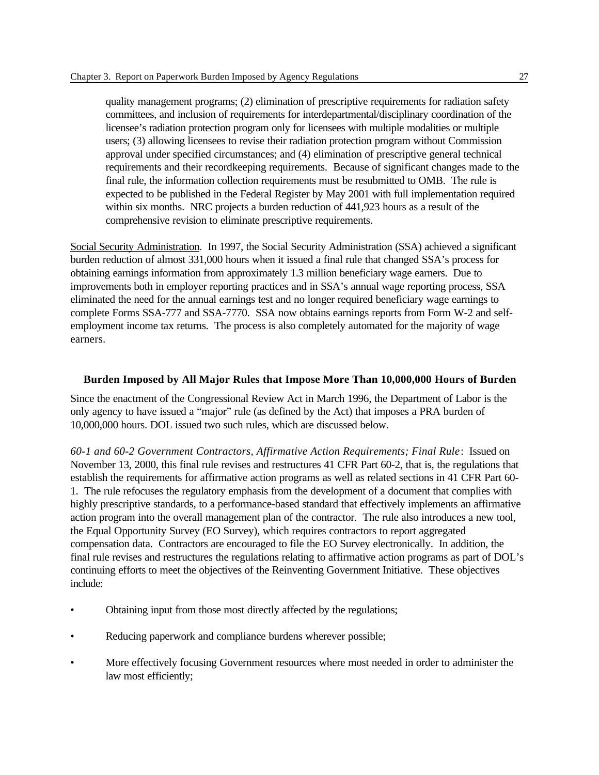quality management programs; (2) elimination of prescriptive requirements for radiation safety committees, and inclusion of requirements for interdepartmental/disciplinary coordination of the licensee's radiation protection program only for licensees with multiple modalities or multiple users; (3) allowing licensees to revise their radiation protection program without Commission approval under specified circumstances; and (4) elimination of prescriptive general technical requirements and their recordkeeping requirements. Because of significant changes made to the final rule, the information collection requirements must be resubmitted to OMB. The rule is expected to be published in the Federal Register by May 2001 with full implementation required within six months. NRC projects a burden reduction of 441,923 hours as a result of the comprehensive revision to eliminate prescriptive requirements.

Social Security Administration. In 1997, the Social Security Administration (SSA) achieved a significant burden reduction of almost 331,000 hours when it issued a final rule that changed SSA's process for obtaining earnings information from approximately 1.3 million beneficiary wage earners. Due to improvements both in employer reporting practices and in SSA's annual wage reporting process, SSA eliminated the need for the annual earnings test and no longer required beneficiary wage earnings to complete Forms SSA-777 and SSA-7770. SSA now obtains earnings reports from Form W-2 and selfemployment income tax returns. The process is also completely automated for the majority of wage earners.

#### **Burden Imposed by All Major Rules that Impose More Than 10,000,000 Hours of Burden**

Since the enactment of the Congressional Review Act in March 1996, the Department of Labor is the only agency to have issued a "major" rule (as defined by the Act) that imposes a PRA burden of 10,000,000 hours. DOL issued two such rules, which are discussed below.

*60-1 and 60-2 Government Contractors, Affirmative Action Requirements; Final Rule*: Issued on November 13, 2000, this final rule revises and restructures 41 CFR Part 60-2, that is, the regulations that establish the requirements for affirmative action programs as well as related sections in 41 CFR Part 60- 1. The rule refocuses the regulatory emphasis from the development of a document that complies with highly prescriptive standards, to a performance-based standard that effectively implements an affirmative action program into the overall management plan of the contractor. The rule also introduces a new tool, the Equal Opportunity Survey (EO Survey), which requires contractors to report aggregated compensation data. Contractors are encouraged to file the EO Survey electronically. In addition, the final rule revises and restructures the regulations relating to affirmative action programs as part of DOL's continuing efforts to meet the objectives of the Reinventing Government Initiative. These objectives include:

- Obtaining input from those most directly affected by the regulations;
- Reducing paperwork and compliance burdens wherever possible;
- More effectively focusing Government resources where most needed in order to administer the law most efficiently;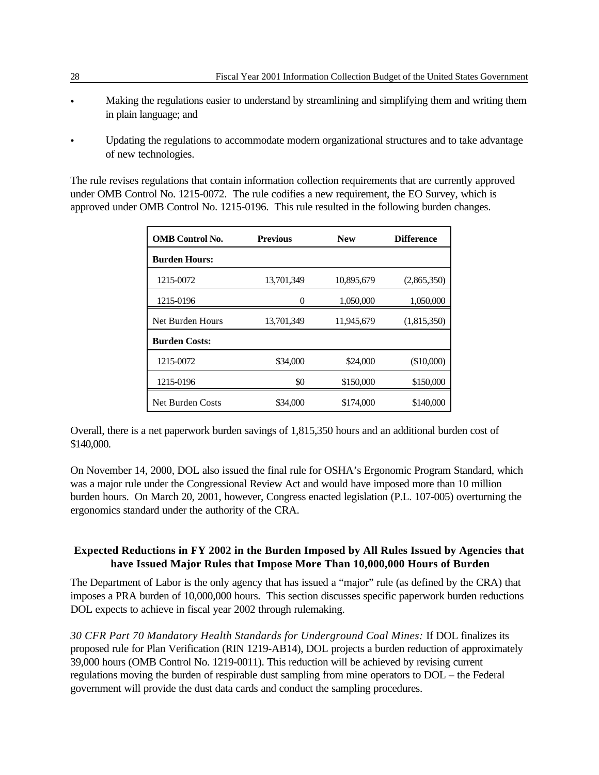- Making the regulations easier to understand by streamlining and simplifying them and writing them in plain language; and
- Updating the regulations to accommodate modern organizational structures and to take advantage of new technologies.

The rule revises regulations that contain information collection requirements that are currently approved under OMB Control No. 1215-0072. The rule codifies a new requirement, the EO Survey, which is approved under OMB Control No. 1215-0196. This rule resulted in the following burden changes.

| <b>OMB</b> Control No.  | <b>Previous</b> | <b>New</b> | <b>Difference</b> |  |
|-------------------------|-----------------|------------|-------------------|--|
| <b>Burden Hours:</b>    |                 |            |                   |  |
| 1215-0072               | 13,701,349      | 10,895,679 | (2,865,350)       |  |
| 1215-0196               | 0               | 1,050,000  | 1,050,000         |  |
| Net Burden Hours        | 13,701,349      | 11,945,679 | (1,815,350)       |  |
| <b>Burden Costs:</b>    |                 |            |                   |  |
| 1215-0072               | \$34,000        | \$24,000   | (\$10,000)        |  |
| 1215-0196               | \$0             | \$150,000  | \$150,000         |  |
| <b>Net Burden Costs</b> | \$34,000        | \$174,000  | \$140,000         |  |

Overall, there is a net paperwork burden savings of 1,815,350 hours and an additional burden cost of \$140,000.

On November 14, 2000, DOL also issued the final rule for OSHA's Ergonomic Program Standard, which was a major rule under the Congressional Review Act and would have imposed more than 10 million burden hours. On March 20, 2001, however, Congress enacted legislation (P.L. 107-005) overturning the ergonomics standard under the authority of the CRA.

## **Expected Reductions in FY 2002 in the Burden Imposed by All Rules Issued by Agencies that have Issued Major Rules that Impose More Than 10,000,000 Hours of Burden**

The Department of Labor is the only agency that has issued a "major" rule (as defined by the CRA) that imposes a PRA burden of 10,000,000 hours. This section discusses specific paperwork burden reductions DOL expects to achieve in fiscal year 2002 through rulemaking.

*30 CFR Part 70 Mandatory Health Standards for Underground Coal Mines:* If DOL finalizes its proposed rule for Plan Verification (RIN 1219-AB14), DOL projects a burden reduction of approximately 39,000 hours (OMB Control No. 1219-0011). This reduction will be achieved by revising current regulations moving the burden of respirable dust sampling from mine operators to DOL – the Federal government will provide the dust data cards and conduct the sampling procedures.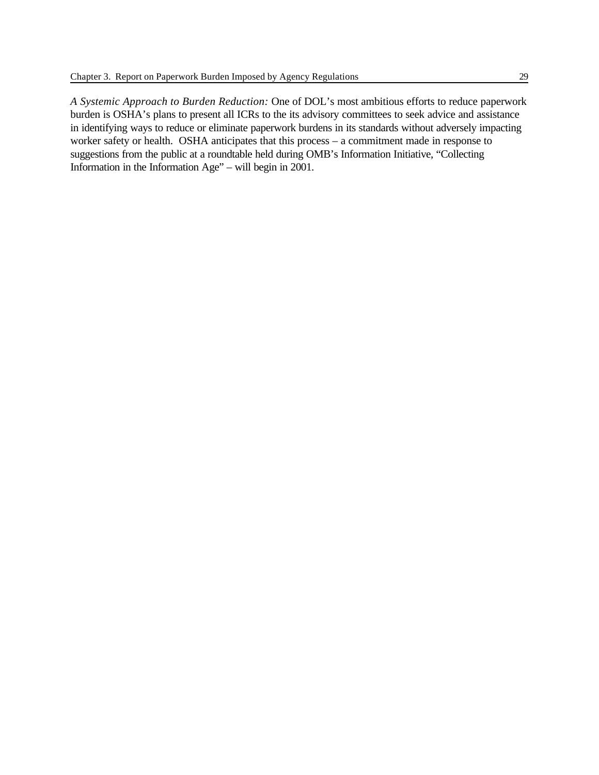*A Systemic Approach to Burden Reduction:* One of DOL's most ambitious efforts to reduce paperwork burden is OSHA's plans to present all ICRs to the its advisory committees to seek advice and assistance in identifying ways to reduce or eliminate paperwork burdens in its standards without adversely impacting worker safety or health. OSHA anticipates that this process – a commitment made in response to suggestions from the public at a roundtable held during OMB's Information Initiative, "Collecting Information in the Information Age" – will begin in 2001.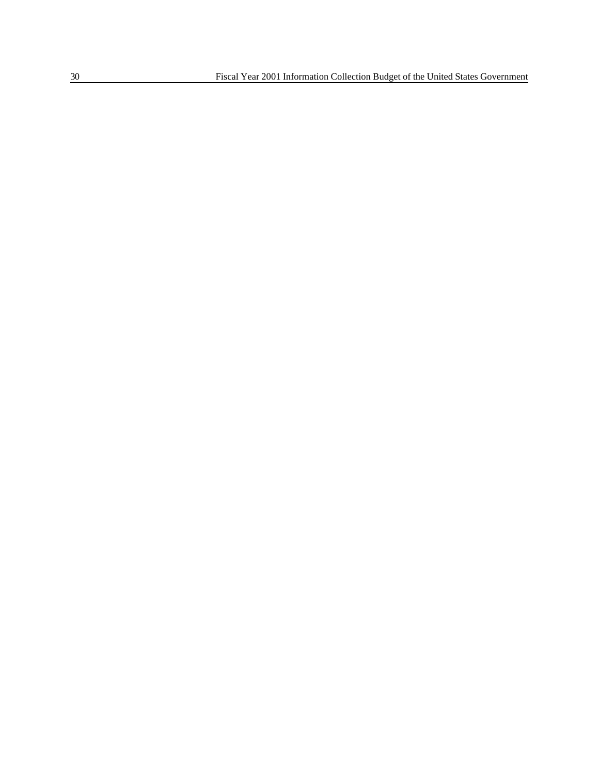30 Fiscal Year 2001 Information Collection Budget of the United States Government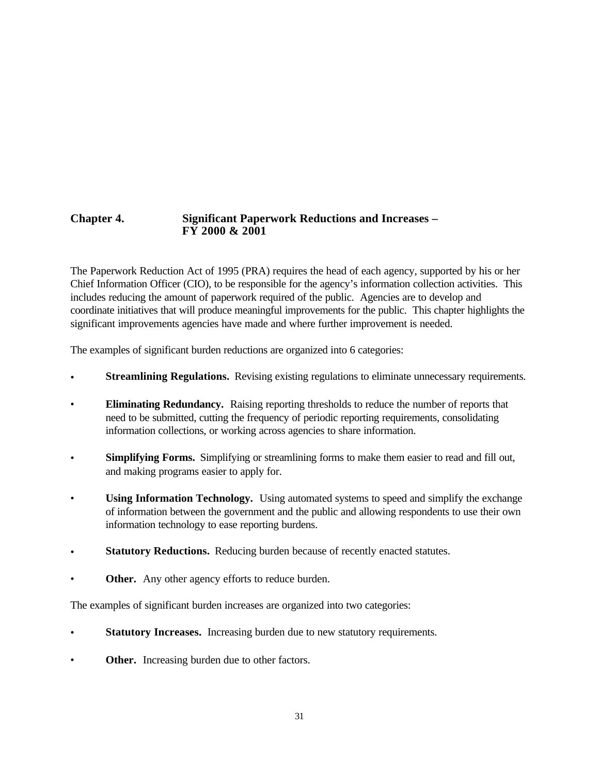# **Chapter 4. Significant Paperwork Reductions and Increases – FY 2000 & 2001**

The Paperwork Reduction Act of 1995 (PRA) requires the head of each agency, supported by his or her Chief Information Officer (CIO), to be responsible for the agency's information collection activities. This includes reducing the amount of paperwork required of the public. Agencies are to develop and coordinate initiatives that will produce meaningful improvements for the public. This chapter highlights the significant improvements agencies have made and where further improvement is needed.

The examples of significant burden reductions are organized into 6 categories:

- **Streamlining Regulations.** Revising existing regulations to eliminate unnecessary requirements.
- **Eliminating Redundancy.** Raising reporting thresholds to reduce the number of reports that need to be submitted, cutting the frequency of periodic reporting requirements, consolidating information collections, or working across agencies to share information.
- **Simplifying Forms.** Simplifying or streamlining forms to make them easier to read and fill out, and making programs easier to apply for.
- **Using Information Technology.** Using automated systems to speed and simplify the exchange of information between the government and the public and allowing respondents to use their own information technology to ease reporting burdens.
- **Statutory Reductions.** Reducing burden because of recently enacted statutes.
- **Other.** Any other agency efforts to reduce burden.

The examples of significant burden increases are organized into two categories:

- **Statutory Increases.** Increasing burden due to new statutory requirements.
- **Other.** Increasing burden due to other factors.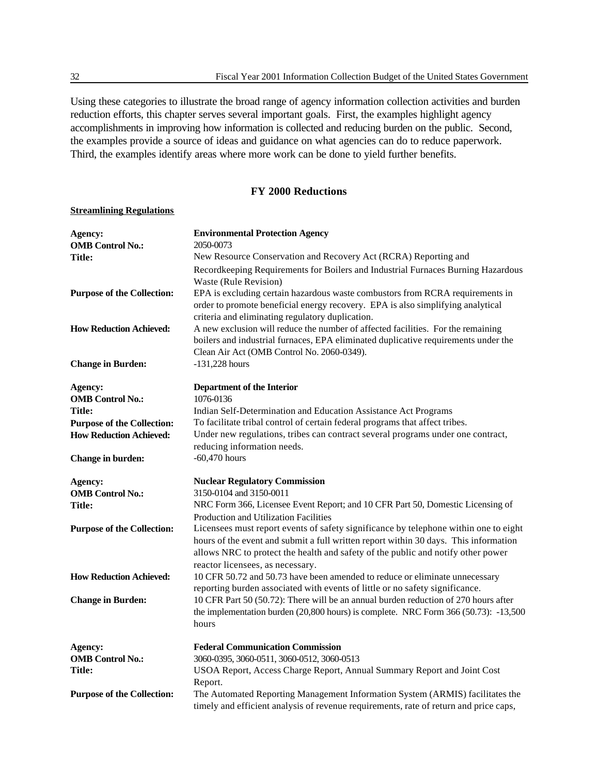Using these categories to illustrate the broad range of agency information collection activities and burden reduction efforts, this chapter serves several important goals. First, the examples highlight agency accomplishments in improving how information is collected and reducing burden on the public. Second, the examples provide a source of ideas and guidance on what agencies can do to reduce paperwork. Third, the examples identify areas where more work can be done to yield further benefits.

#### **FY 2000 Reductions**

### **Streamlining Regulations**

| Agency:                                  | <b>Environmental Protection Agency</b><br>2050-0073                                                                                                                                                                                                                                                  |
|------------------------------------------|------------------------------------------------------------------------------------------------------------------------------------------------------------------------------------------------------------------------------------------------------------------------------------------------------|
| <b>OMB</b> Control No.:<br><b>Title:</b> | New Resource Conservation and Recovery Act (RCRA) Reporting and                                                                                                                                                                                                                                      |
|                                          | Recordkeeping Requirements for Boilers and Industrial Furnaces Burning Hazardous<br>Waste (Rule Revision)                                                                                                                                                                                            |
| <b>Purpose of the Collection:</b>        | EPA is excluding certain hazardous waste combustors from RCRA requirements in<br>order to promote beneficial energy recovery. EPA is also simplifying analytical<br>criteria and eliminating regulatory duplication.                                                                                 |
| <b>How Reduction Achieved:</b>           | A new exclusion will reduce the number of affected facilities. For the remaining<br>boilers and industrial furnaces, EPA eliminated duplicative requirements under the<br>Clean Air Act (OMB Control No. 2060-0349).                                                                                 |
| <b>Change in Burden:</b>                 | $-131,228$ hours                                                                                                                                                                                                                                                                                     |
| Agency:                                  | <b>Department of the Interior</b>                                                                                                                                                                                                                                                                    |
| <b>OMB</b> Control No.:                  | 1076-0136                                                                                                                                                                                                                                                                                            |
| <b>Title:</b>                            | Indian Self-Determination and Education Assistance Act Programs                                                                                                                                                                                                                                      |
| <b>Purpose of the Collection:</b>        | To facilitate tribal control of certain federal programs that affect tribes.                                                                                                                                                                                                                         |
| <b>How Reduction Achieved:</b>           | Under new regulations, tribes can contract several programs under one contract,                                                                                                                                                                                                                      |
|                                          | reducing information needs.                                                                                                                                                                                                                                                                          |
| <b>Change in burden:</b>                 | $-60,470$ hours                                                                                                                                                                                                                                                                                      |
| Agency:                                  | <b>Nuclear Regulatory Commission</b>                                                                                                                                                                                                                                                                 |
| <b>OMB Control No.:</b>                  | 3150-0104 and 3150-0011                                                                                                                                                                                                                                                                              |
| Title:                                   | NRC Form 366, Licensee Event Report; and 10 CFR Part 50, Domestic Licensing of<br>Production and Utilization Facilities                                                                                                                                                                              |
| <b>Purpose of the Collection:</b>        | Licensees must report events of safety significance by telephone within one to eight<br>hours of the event and submit a full written report within 30 days. This information<br>allows NRC to protect the health and safety of the public and notify other power<br>reactor licensees, as necessary. |
| <b>How Reduction Achieved:</b>           | 10 CFR 50.72 and 50.73 have been amended to reduce or eliminate unnecessary<br>reporting burden associated with events of little or no safety significance.                                                                                                                                          |
| <b>Change in Burden:</b>                 | 10 CFR Part 50 (50.72): There will be an annual burden reduction of 270 hours after<br>the implementation burden (20,800 hours) is complete. NRC Form 366 (50.73): -13,500<br>hours                                                                                                                  |
| Agency:                                  | <b>Federal Communication Commission</b>                                                                                                                                                                                                                                                              |
| <b>OMB</b> Control No.:                  | 3060-0395, 3060-0511, 3060-0512, 3060-0513                                                                                                                                                                                                                                                           |
| <b>Title:</b>                            | USOA Report, Access Charge Report, Annual Summary Report and Joint Cost<br>Report.                                                                                                                                                                                                                   |
| <b>Purpose of the Collection:</b>        | The Automated Reporting Management Information System (ARMIS) facilitates the<br>timely and efficient analysis of revenue requirements, rate of return and price caps,                                                                                                                               |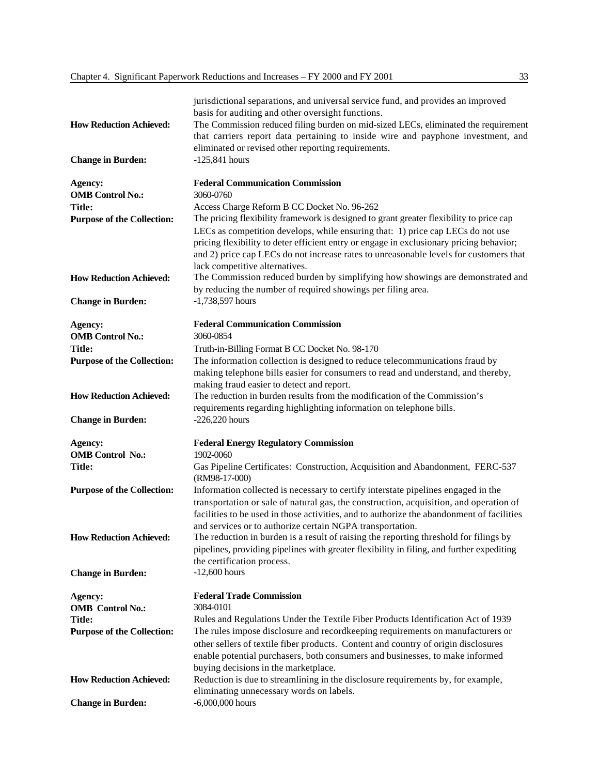| <b>How Reduction Achieved:</b>                                                    | jurisdictional separations, and universal service fund, and provides an improved<br>basis for auditing and other oversight functions.<br>The Commission reduced filing burden on mid-sized LECs, eliminated the requirement<br>that carriers report data pertaining to inside wire and payphone investment, and<br>eliminated or revised other reporting requirements.                                                                           |
|-----------------------------------------------------------------------------------|--------------------------------------------------------------------------------------------------------------------------------------------------------------------------------------------------------------------------------------------------------------------------------------------------------------------------------------------------------------------------------------------------------------------------------------------------|
| <b>Change in Burden:</b>                                                          | $-125,841$ hours                                                                                                                                                                                                                                                                                                                                                                                                                                 |
| Agency:<br><b>OMB Control No.:</b>                                                | <b>Federal Communication Commission</b><br>3060-0760                                                                                                                                                                                                                                                                                                                                                                                             |
| Title:<br><b>Purpose of the Collection:</b>                                       | Access Charge Reform B CC Docket No. 96-262<br>The pricing flexibility framework is designed to grant greater flexibility to price cap<br>LECs as competition develops, while ensuring that: 1) price cap LECs do not use<br>pricing flexibility to deter efficient entry or engage in exclusionary pricing behavior;<br>and 2) price cap LECs do not increase rates to unreasonable levels for customers that<br>lack competitive alternatives. |
| <b>How Reduction Achieved:</b><br><b>Change in Burden:</b>                        | The Commission reduced burden by simplifying how showings are demonstrated and<br>by reducing the number of required showings per filing area.<br>$-1,738,597$ hours                                                                                                                                                                                                                                                                             |
| Agency:<br><b>OMB</b> Control No.:                                                | <b>Federal Communication Commission</b><br>3060-0854                                                                                                                                                                                                                                                                                                                                                                                             |
| Title:<br><b>Purpose of the Collection:</b>                                       | Truth-in-Billing Format B CC Docket No. 98-170<br>The information collection is designed to reduce telecommunications fraud by<br>making telephone bills easier for consumers to read and understand, and thereby,<br>making fraud easier to detect and report.                                                                                                                                                                                  |
| <b>How Reduction Achieved:</b>                                                    | The reduction in burden results from the modification of the Commission's<br>requirements regarding highlighting information on telephone bills.                                                                                                                                                                                                                                                                                                 |
| <b>Change in Burden:</b>                                                          | $-226,220$ hours                                                                                                                                                                                                                                                                                                                                                                                                                                 |
| Agency:<br><b>OMB</b> Control No.:<br><b>Title:</b>                               | <b>Federal Energy Regulatory Commission</b><br>1902-0060<br>Gas Pipeline Certificates: Construction, Acquisition and Abandonment, FERC-537<br>(RM98-17-000)                                                                                                                                                                                                                                                                                      |
| <b>Purpose of the Collection:</b>                                                 | Information collected is necessary to certify interstate pipelines engaged in the<br>transportation or sale of natural gas, the construction, acquisition, and operation of<br>facilities to be used in those activities, and to authorize the abandonment of facilities<br>and services or to authorize certain NGPA transportation.                                                                                                            |
| <b>How Reduction Achieved:</b>                                                    | The reduction in burden is a result of raising the reporting threshold for filings by<br>pipelines, providing pipelines with greater flexibility in filing, and further expediting<br>the certification process.                                                                                                                                                                                                                                 |
| <b>Change in Burden:</b>                                                          | $-12,600$ hours                                                                                                                                                                                                                                                                                                                                                                                                                                  |
| Agency:<br><b>OMB</b> Control No.:<br>Title:<br><b>Purpose of the Collection:</b> | <b>Federal Trade Commission</b><br>3084-0101<br>Rules and Regulations Under the Textile Fiber Products Identification Act of 1939<br>The rules impose disclosure and recordkeeping requirements on manufacturers or<br>other sellers of textile fiber products. Content and country of origin disclosures<br>enable potential purchasers, both consumers and businesses, to make informed<br>buying decisions in the marketplace.                |
| <b>How Reduction Achieved:</b>                                                    | Reduction is due to streamlining in the disclosure requirements by, for example,<br>eliminating unnecessary words on labels.                                                                                                                                                                                                                                                                                                                     |
| <b>Change in Burden:</b>                                                          | $-6,000,000$ hours                                                                                                                                                                                                                                                                                                                                                                                                                               |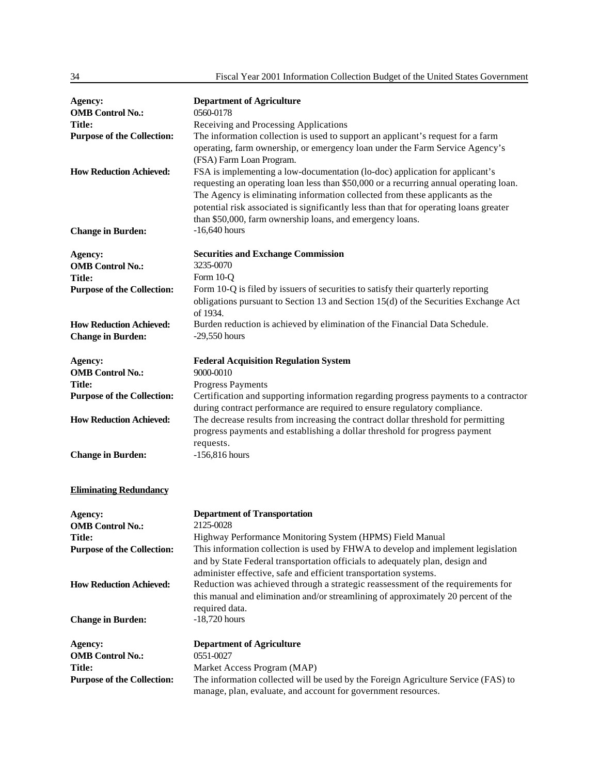| Agency:<br><b>OMB</b> Control No.: | <b>Department of Agriculture</b><br>0560-0178                                                                                                                                                                                                                                                                                                                                                               |
|------------------------------------|-------------------------------------------------------------------------------------------------------------------------------------------------------------------------------------------------------------------------------------------------------------------------------------------------------------------------------------------------------------------------------------------------------------|
| Title:                             | Receiving and Processing Applications                                                                                                                                                                                                                                                                                                                                                                       |
| <b>Purpose of the Collection:</b>  | The information collection is used to support an applicant's request for a farm<br>operating, farm ownership, or emergency loan under the Farm Service Agency's<br>(FSA) Farm Loan Program.                                                                                                                                                                                                                 |
| <b>How Reduction Achieved:</b>     | FSA is implementing a low-documentation (lo-doc) application for applicant's<br>requesting an operating loan less than \$50,000 or a recurring annual operating loan.<br>The Agency is eliminating information collected from these applicants as the<br>potential risk associated is significantly less than that for operating loans greater<br>than \$50,000, farm ownership loans, and emergency loans. |
| <b>Change in Burden:</b>           | $-16,640$ hours                                                                                                                                                                                                                                                                                                                                                                                             |
| Agency:                            | <b>Securities and Exchange Commission</b>                                                                                                                                                                                                                                                                                                                                                                   |
| <b>OMB Control No.:</b>            | 3235-0070                                                                                                                                                                                                                                                                                                                                                                                                   |
| <b>Title:</b>                      | Form 10-Q                                                                                                                                                                                                                                                                                                                                                                                                   |
| <b>Purpose of the Collection:</b>  | Form 10-Q is filed by issuers of securities to satisfy their quarterly reporting                                                                                                                                                                                                                                                                                                                            |
|                                    | obligations pursuant to Section 13 and Section 15(d) of the Securities Exchange Act                                                                                                                                                                                                                                                                                                                         |
|                                    | of 1934.                                                                                                                                                                                                                                                                                                                                                                                                    |
| <b>How Reduction Achieved:</b>     | Burden reduction is achieved by elimination of the Financial Data Schedule.<br>$-29,550$ hours                                                                                                                                                                                                                                                                                                              |
| <b>Change in Burden:</b>           |                                                                                                                                                                                                                                                                                                                                                                                                             |
| Agency:                            | <b>Federal Acquisition Regulation System</b>                                                                                                                                                                                                                                                                                                                                                                |
| <b>OMB Control No.:</b>            | 9000-0010                                                                                                                                                                                                                                                                                                                                                                                                   |
| <b>Title:</b>                      | Progress Payments                                                                                                                                                                                                                                                                                                                                                                                           |
| <b>Purpose of the Collection:</b>  | Certification and supporting information regarding progress payments to a contractor                                                                                                                                                                                                                                                                                                                        |
| <b>How Reduction Achieved:</b>     | during contract performance are required to ensure regulatory compliance.<br>The decrease results from increasing the contract dollar threshold for permitting                                                                                                                                                                                                                                              |
|                                    | progress payments and establishing a dollar threshold for progress payment<br>requests.                                                                                                                                                                                                                                                                                                                     |
| <b>Change in Burden:</b>           | $-156,816$ hours                                                                                                                                                                                                                                                                                                                                                                                            |
| <b>Eliminating Redundancy</b>      |                                                                                                                                                                                                                                                                                                                                                                                                             |
| Agency:                            | <b>Department of Transportation</b>                                                                                                                                                                                                                                                                                                                                                                         |
| <b>OMB</b> Control No.:            | 2125-0028                                                                                                                                                                                                                                                                                                                                                                                                   |
| <b>Title:</b>                      | Highway Performance Monitoring System (HPMS) Field Manual                                                                                                                                                                                                                                                                                                                                                   |
| <b>Purpose of the Collection:</b>  | This information collection is used by FHWA to develop and implement legislation                                                                                                                                                                                                                                                                                                                            |
|                                    | and by State Federal transportation officials to adequately plan, design and                                                                                                                                                                                                                                                                                                                                |
|                                    | administer effective, safe and efficient transportation systems.                                                                                                                                                                                                                                                                                                                                            |
| <b>How Reduction Achieved:</b>     | Reduction was achieved through a strategic reassessment of the requirements for                                                                                                                                                                                                                                                                                                                             |
|                                    | this manual and elimination and/or streamlining of approximately 20 percent of the                                                                                                                                                                                                                                                                                                                          |
|                                    | required data.                                                                                                                                                                                                                                                                                                                                                                                              |
| <b>Change in Burden:</b>           | $-18,720$ hours                                                                                                                                                                                                                                                                                                                                                                                             |
| Agency:                            | <b>Department of Agriculture</b>                                                                                                                                                                                                                                                                                                                                                                            |
| <b>OMB</b> Control No.:            | 0551-0027                                                                                                                                                                                                                                                                                                                                                                                                   |
| Title:                             | Market Access Program (MAP)                                                                                                                                                                                                                                                                                                                                                                                 |
| <b>Purpose of the Collection:</b>  | The information collected will be used by the Foreign Agriculture Service (FAS) to<br>manage, plan, evaluate, and account for government resources.                                                                                                                                                                                                                                                         |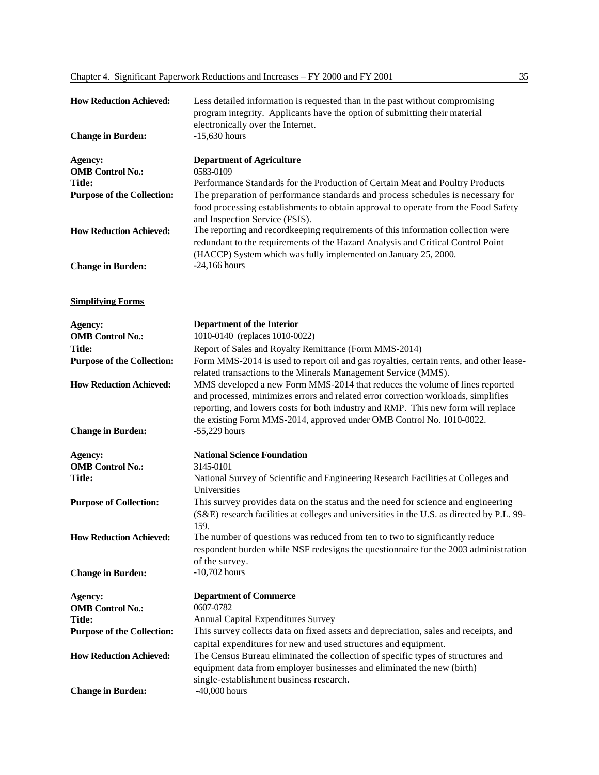| <b>How Reduction Achieved:</b>                      | Less detailed information is requested than in the past without compromising<br>program integrity. Applicants have the option of submitting their material<br>electronically over the Internet.                                                                                                                                 |
|-----------------------------------------------------|---------------------------------------------------------------------------------------------------------------------------------------------------------------------------------------------------------------------------------------------------------------------------------------------------------------------------------|
| <b>Change in Burden:</b>                            | $-15,630$ hours                                                                                                                                                                                                                                                                                                                 |
| Agency:<br><b>OMB</b> Control No.:<br><b>Title:</b> | <b>Department of Agriculture</b><br>0583-0109                                                                                                                                                                                                                                                                                   |
| <b>Purpose of the Collection:</b>                   | Performance Standards for the Production of Certain Meat and Poultry Products<br>The preparation of performance standards and process schedules is necessary for<br>food processing establishments to obtain approval to operate from the Food Safety                                                                           |
| <b>How Reduction Achieved:</b>                      | and Inspection Service (FSIS).<br>The reporting and recordkeeping requirements of this information collection were<br>redundant to the requirements of the Hazard Analysis and Critical Control Point                                                                                                                           |
| <b>Change in Burden:</b>                            | (HACCP) System which was fully implemented on January 25, 2000.<br>$-24,166$ hours                                                                                                                                                                                                                                              |
| <b>Simplifying Forms</b>                            |                                                                                                                                                                                                                                                                                                                                 |
| Agency:<br><b>OMB</b> Control No.:                  | Department of the Interior<br>1010-0140 (replaces 1010-0022)                                                                                                                                                                                                                                                                    |
| <b>Title:</b><br><b>Purpose of the Collection:</b>  | Report of Sales and Royalty Remittance (Form MMS-2014)<br>Form MMS-2014 is used to report oil and gas royalties, certain rents, and other lease-<br>related transactions to the Minerals Management Service (MMS).                                                                                                              |
| <b>How Reduction Achieved:</b>                      | MMS developed a new Form MMS-2014 that reduces the volume of lines reported<br>and processed, minimizes errors and related error correction workloads, simplifies<br>reporting, and lowers costs for both industry and RMP. This new form will replace<br>the existing Form MMS-2014, approved under OMB Control No. 1010-0022. |
| <b>Change in Burden:</b>                            | $-55,229$ hours                                                                                                                                                                                                                                                                                                                 |
| Agency:<br><b>OMB Control No.:</b><br><b>Title:</b> | <b>National Science Foundation</b><br>3145-0101<br>National Survey of Scientific and Engineering Research Facilities at Colleges and                                                                                                                                                                                            |
| <b>Purpose of Collection:</b>                       | Universities<br>This survey provides data on the status and the need for science and engineering<br>(S&E) research facilities at colleges and universities in the U.S. as directed by P.L. 99-<br>159.                                                                                                                          |
| <b>How Reduction Achieved:</b>                      | The number of questions was reduced from ten to two to significantly reduce<br>respondent burden while NSF redesigns the questionnaire for the 2003 administration<br>of the survey.                                                                                                                                            |
| <b>Change in Burden:</b>                            | $-10,702$ hours                                                                                                                                                                                                                                                                                                                 |
| Agency:<br><b>OMB Control No.:</b>                  | <b>Department of Commerce</b><br>0607-0782                                                                                                                                                                                                                                                                                      |
| <b>Title:</b>                                       | <b>Annual Capital Expenditures Survey</b>                                                                                                                                                                                                                                                                                       |
| <b>Purpose of the Collection:</b>                   | This survey collects data on fixed assets and depreciation, sales and receipts, and<br>capital expenditures for new and used structures and equipment.                                                                                                                                                                          |
| <b>How Reduction Achieved:</b>                      | The Census Bureau eliminated the collection of specific types of structures and<br>equipment data from employer businesses and eliminated the new (birth)<br>single-establishment business research.                                                                                                                            |
| <b>Change in Burden:</b>                            | $-40,000$ hours                                                                                                                                                                                                                                                                                                                 |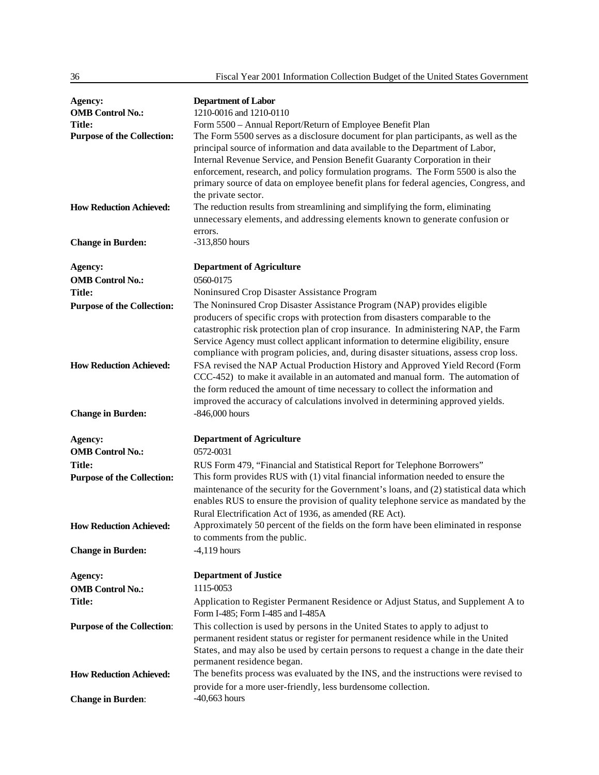| Agency:<br><b>OMB</b> Control No.: | <b>Department of Labor</b><br>1210-0016 and 1210-0110                                                                                                                                                                                                                                                                                                                                                                                                    |
|------------------------------------|----------------------------------------------------------------------------------------------------------------------------------------------------------------------------------------------------------------------------------------------------------------------------------------------------------------------------------------------------------------------------------------------------------------------------------------------------------|
| Title:                             | Form 5500 - Annual Report/Return of Employee Benefit Plan                                                                                                                                                                                                                                                                                                                                                                                                |
| <b>Purpose of the Collection:</b>  | The Form 5500 serves as a disclosure document for plan participants, as well as the<br>principal source of information and data available to the Department of Labor,<br>Internal Revenue Service, and Pension Benefit Guaranty Corporation in their<br>enforcement, research, and policy formulation programs. The Form 5500 is also the<br>primary source of data on employee benefit plans for federal agencies, Congress, and<br>the private sector. |
| <b>How Reduction Achieved:</b>     | The reduction results from streamlining and simplifying the form, eliminating<br>unnecessary elements, and addressing elements known to generate confusion or<br>errors.                                                                                                                                                                                                                                                                                 |
| <b>Change in Burden:</b>           | $-313,850$ hours                                                                                                                                                                                                                                                                                                                                                                                                                                         |
| Agency:                            | <b>Department of Agriculture</b>                                                                                                                                                                                                                                                                                                                                                                                                                         |
| <b>OMB</b> Control No.:            | 0560-0175                                                                                                                                                                                                                                                                                                                                                                                                                                                |
| <b>Title:</b>                      | Noninsured Crop Disaster Assistance Program                                                                                                                                                                                                                                                                                                                                                                                                              |
| <b>Purpose of the Collection:</b>  | The Noninsured Crop Disaster Assistance Program (NAP) provides eligible<br>producers of specific crops with protection from disasters comparable to the<br>catastrophic risk protection plan of crop insurance. In administering NAP, the Farm<br>Service Agency must collect applicant information to determine eligibility, ensure<br>compliance with program policies, and, during disaster situations, assess crop loss.                             |
| <b>How Reduction Achieved:</b>     | FSA revised the NAP Actual Production History and Approved Yield Record (Form<br>CCC-452) to make it available in an automated and manual form. The automation of<br>the form reduced the amount of time necessary to collect the information and<br>improved the accuracy of calculations involved in determining approved yields.                                                                                                                      |
| <b>Change in Burden:</b>           | $-846,000$ hours                                                                                                                                                                                                                                                                                                                                                                                                                                         |
| Agency:                            | <b>Department of Agriculture</b>                                                                                                                                                                                                                                                                                                                                                                                                                         |
| <b>OMB</b> Control No.:            | 0572-0031                                                                                                                                                                                                                                                                                                                                                                                                                                                |
| <b>Title:</b>                      | RUS Form 479, "Financial and Statistical Report for Telephone Borrowers"                                                                                                                                                                                                                                                                                                                                                                                 |
| <b>Purpose of the Collection:</b>  | This form provides RUS with (1) vital financial information needed to ensure the<br>maintenance of the security for the Government's loans, and (2) statistical data which<br>enables RUS to ensure the provision of quality telephone service as mandated by the<br>Rural Electrification Act of 1936, as amended (RE Act).                                                                                                                             |
| <b>How Reduction Achieved:</b>     | Approximately 50 percent of the fields on the form have been eliminated in response<br>to comments from the public.                                                                                                                                                                                                                                                                                                                                      |
| <b>Change in Burden:</b>           | $-4,119$ hours                                                                                                                                                                                                                                                                                                                                                                                                                                           |
| Agency:                            | <b>Department of Justice</b>                                                                                                                                                                                                                                                                                                                                                                                                                             |
| <b>OMB</b> Control No.:            | 1115-0053                                                                                                                                                                                                                                                                                                                                                                                                                                                |
| <b>Title:</b>                      | Application to Register Permanent Residence or Adjust Status, and Supplement A to<br>Form I-485; Form I-485 and I-485A                                                                                                                                                                                                                                                                                                                                   |
| <b>Purpose of the Collection:</b>  | This collection is used by persons in the United States to apply to adjust to<br>permanent resident status or register for permanent residence while in the United<br>States, and may also be used by certain persons to request a change in the date their<br>permanent residence began.                                                                                                                                                                |
| <b>How Reduction Achieved:</b>     | The benefits process was evaluated by the INS, and the instructions were revised to<br>provide for a more user-friendly, less burdensome collection.                                                                                                                                                                                                                                                                                                     |
| <b>Change in Burden:</b>           | $-40,663$ hours                                                                                                                                                                                                                                                                                                                                                                                                                                          |

36 Fiscal Year 2001 Information Collection Budget of the United States Government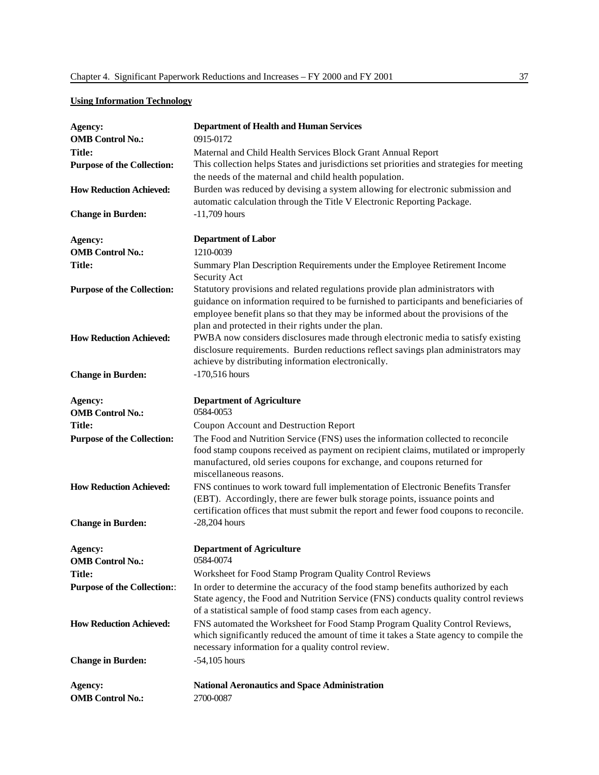# **Using Information Technology**

| Agency:                                            | <b>Department of Health and Human Services</b>                                                                                                                                                                                                                               |
|----------------------------------------------------|------------------------------------------------------------------------------------------------------------------------------------------------------------------------------------------------------------------------------------------------------------------------------|
| <b>OMB</b> Control No.:                            | 0915-0172                                                                                                                                                                                                                                                                    |
| <b>Title:</b><br><b>Purpose of the Collection:</b> | Maternal and Child Health Services Block Grant Annual Report<br>This collection helps States and jurisdictions set priorities and strategies for meeting<br>the needs of the maternal and child health population.                                                           |
| <b>How Reduction Achieved:</b>                     | Burden was reduced by devising a system allowing for electronic submission and<br>automatic calculation through the Title V Electronic Reporting Package.                                                                                                                    |
| <b>Change in Burden:</b>                           | $-11,709$ hours                                                                                                                                                                                                                                                              |
| Agency:                                            | <b>Department of Labor</b>                                                                                                                                                                                                                                                   |
| <b>OMB</b> Control No.:                            | 1210-0039                                                                                                                                                                                                                                                                    |
| <b>Title:</b>                                      | Summary Plan Description Requirements under the Employee Retirement Income<br>Security Act                                                                                                                                                                                   |
| <b>Purpose of the Collection:</b>                  | Statutory provisions and related regulations provide plan administrators with<br>guidance on information required to be furnished to participants and beneficiaries of<br>employee benefit plans so that they may be informed about the provisions of the                    |
| <b>How Reduction Achieved:</b>                     | plan and protected in their rights under the plan.<br>PWBA now considers disclosures made through electronic media to satisfy existing<br>disclosure requirements. Burden reductions reflect savings plan administrators may                                                 |
|                                                    | achieve by distributing information electronically.                                                                                                                                                                                                                          |
| <b>Change in Burden:</b>                           | $-170,516$ hours                                                                                                                                                                                                                                                             |
| Agency:<br><b>OMB</b> Control No.:                 | <b>Department of Agriculture</b><br>0584-0053                                                                                                                                                                                                                                |
| <b>Title:</b>                                      | Coupon Account and Destruction Report                                                                                                                                                                                                                                        |
| <b>Purpose of the Collection:</b>                  | The Food and Nutrition Service (FNS) uses the information collected to reconcile<br>food stamp coupons received as payment on recipient claims, mutilated or improperly<br>manufactured, old series coupons for exchange, and coupons returned for<br>miscellaneous reasons. |
| <b>How Reduction Achieved:</b>                     | FNS continues to work toward full implementation of Electronic Benefits Transfer<br>(EBT). Accordingly, there are fewer bulk storage points, issuance points and<br>certification offices that must submit the report and fewer food coupons to reconcile.                   |
| <b>Change in Burden:</b>                           | $-28,204$ hours                                                                                                                                                                                                                                                              |
| Agency:                                            | <b>Department of Agriculture</b>                                                                                                                                                                                                                                             |
| <b>OMB</b> Control No.:                            | 0584-0074                                                                                                                                                                                                                                                                    |
| <b>Title:</b>                                      | Worksheet for Food Stamp Program Quality Control Reviews                                                                                                                                                                                                                     |
| <b>Purpose of the Collection::</b>                 | In order to determine the accuracy of the food stamp benefits authorized by each<br>State agency, the Food and Nutrition Service (FNS) conducts quality control reviews<br>of a statistical sample of food stamp cases from each agency.                                     |
| <b>How Reduction Achieved:</b>                     | FNS automated the Worksheet for Food Stamp Program Quality Control Reviews,<br>which significantly reduced the amount of time it takes a State agency to compile the<br>necessary information for a quality control review.                                                  |
| <b>Change in Burden:</b>                           | $-54,105$ hours                                                                                                                                                                                                                                                              |
| Agency:                                            | <b>National Aeronautics and Space Administration</b>                                                                                                                                                                                                                         |
| <b>OMB</b> Control No.:                            | 2700-0087                                                                                                                                                                                                                                                                    |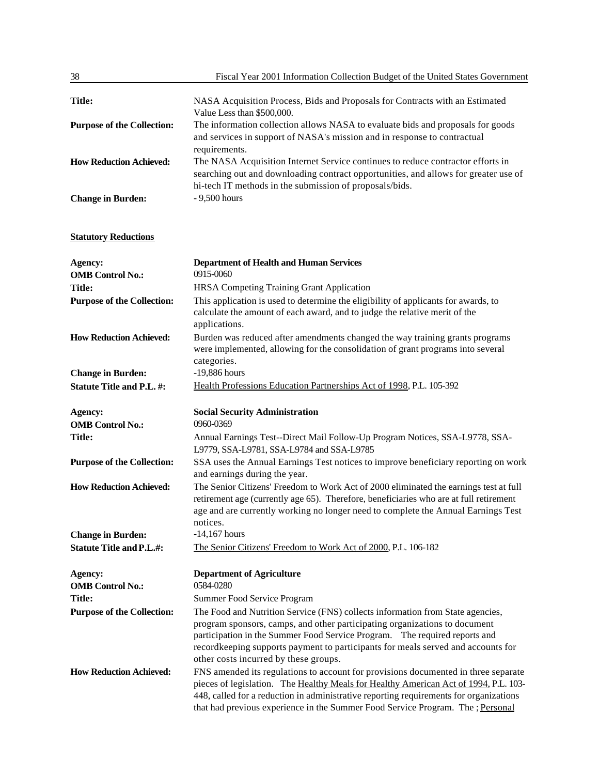| 38                                 | Fiscal Year 2001 Information Collection Budget of the United States Government                                                                                                                                                                                                                                                                          |
|------------------------------------|---------------------------------------------------------------------------------------------------------------------------------------------------------------------------------------------------------------------------------------------------------------------------------------------------------------------------------------------------------|
| <b>Title:</b>                      | NASA Acquisition Process, Bids and Proposals for Contracts with an Estimated<br>Value Less than \$500,000.                                                                                                                                                                                                                                              |
| <b>Purpose of the Collection:</b>  | The information collection allows NASA to evaluate bids and proposals for goods<br>and services in support of NASA's mission and in response to contractual<br>requirements.                                                                                                                                                                            |
| <b>How Reduction Achieved:</b>     | The NASA Acquisition Internet Service continues to reduce contractor efforts in<br>searching out and downloading contract opportunities, and allows for greater use of                                                                                                                                                                                  |
| <b>Change in Burden:</b>           | hi-tech IT methods in the submission of proposals/bids.<br>- 9,500 hours                                                                                                                                                                                                                                                                                |
| <b>Statutory Reductions</b>        |                                                                                                                                                                                                                                                                                                                                                         |
| Agency:<br><b>OMB</b> Control No.: | <b>Department of Health and Human Services</b><br>0915-0060                                                                                                                                                                                                                                                                                             |
| <b>Title:</b>                      | <b>HRSA</b> Competing Training Grant Application                                                                                                                                                                                                                                                                                                        |
| <b>Purpose of the Collection:</b>  | This application is used to determine the eligibility of applicants for awards, to<br>calculate the amount of each award, and to judge the relative merit of the<br>applications.                                                                                                                                                                       |
| <b>How Reduction Achieved:</b>     | Burden was reduced after amendments changed the way training grants programs<br>were implemented, allowing for the consolidation of grant programs into several<br>categories.                                                                                                                                                                          |
| <b>Change in Burden:</b>           | -19,886 hours                                                                                                                                                                                                                                                                                                                                           |
| <b>Statute Title and P.L. #:</b>   | Health Professions Education Partnerships Act of 1998, P.L. 105-392                                                                                                                                                                                                                                                                                     |
| Agency:                            | <b>Social Security Administration</b>                                                                                                                                                                                                                                                                                                                   |
| <b>OMB</b> Control No.:            | 0960-0369                                                                                                                                                                                                                                                                                                                                               |
| <b>Title:</b>                      | Annual Earnings Test--Direct Mail Follow-Up Program Notices, SSA-L9778, SSA-<br>L9779, SSA-L9781, SSA-L9784 and SSA-L9785                                                                                                                                                                                                                               |
| <b>Purpose of the Collection:</b>  | SSA uses the Annual Earnings Test notices to improve beneficiary reporting on work<br>and earnings during the year.                                                                                                                                                                                                                                     |
| <b>How Reduction Achieved:</b>     | The Senior Citizens' Freedom to Work Act of 2000 eliminated the earnings test at full<br>retirement age (currently age 65). Therefore, beneficiaries who are at full retirement<br>age and are currently working no longer need to complete the Annual Earnings Test<br>notices.                                                                        |
| <b>Change in Burden:</b>           | $-14,167$ hours                                                                                                                                                                                                                                                                                                                                         |
| <b>Statute Title and P.L.#:</b>    | The Senior Citizens' Freedom to Work Act of 2000, P.L. 106-182                                                                                                                                                                                                                                                                                          |
| Agency:                            | <b>Department of Agriculture</b>                                                                                                                                                                                                                                                                                                                        |
| <b>OMB Control No.:</b>            | 0584-0280                                                                                                                                                                                                                                                                                                                                               |
| Title:                             | Summer Food Service Program                                                                                                                                                                                                                                                                                                                             |
| <b>Purpose of the Collection:</b>  | The Food and Nutrition Service (FNS) collects information from State agencies,                                                                                                                                                                                                                                                                          |
|                                    | program sponsors, camps, and other participating organizations to document<br>participation in the Summer Food Service Program. The required reports and<br>recordkeeping supports payment to participants for meals served and accounts for<br>other costs incurred by these groups.                                                                   |
| <b>How Reduction Achieved:</b>     | FNS amended its regulations to account for provisions documented in three separate<br>pieces of legislation. The Healthy Meals for Healthy American Act of 1994, P.L. 103-<br>448, called for a reduction in administrative reporting requirements for organizations<br>that had previous experience in the Summer Food Service Program. The ; Personal |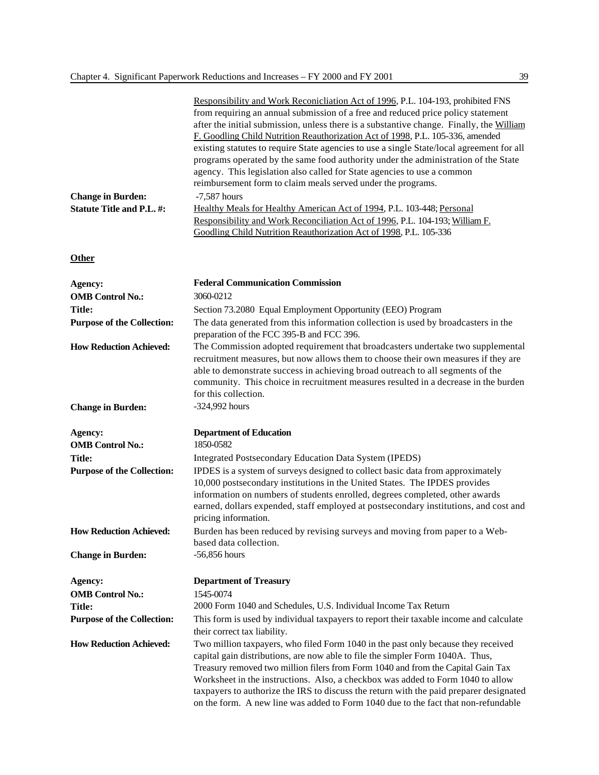| <b>Change in Burden:</b><br><b>Statute Title and P.L. #:</b> | Responsibility and Work Reconicliation Act of 1996, P.L. 104-193, prohibited FNS<br>from requiring an annual submission of a free and reduced price policy statement<br>after the initial submission, unless there is a substantive change. Finally, the William<br>F. Goodling Child Nutrition Reauthorization Act of 1998, P.L. 105-336, amended<br>existing statutes to require State agencies to use a single State/local agreement for all<br>programs operated by the same food authority under the administration of the State<br>agency. This legislation also called for State agencies to use a common<br>reimbursement form to claim meals served under the programs.<br>$-7,587$ hours<br>Healthy Meals for Healthy American Act of 1994, P.L. 103-448; Personal<br>Responsibility and Work Reconciliation Act of 1996, P.L. 104-193; William F.<br>Goodling Child Nutrition Reauthorization Act of 1998, P.L. 105-336 |
|--------------------------------------------------------------|------------------------------------------------------------------------------------------------------------------------------------------------------------------------------------------------------------------------------------------------------------------------------------------------------------------------------------------------------------------------------------------------------------------------------------------------------------------------------------------------------------------------------------------------------------------------------------------------------------------------------------------------------------------------------------------------------------------------------------------------------------------------------------------------------------------------------------------------------------------------------------------------------------------------------------|
| <b>Other</b>                                                 |                                                                                                                                                                                                                                                                                                                                                                                                                                                                                                                                                                                                                                                                                                                                                                                                                                                                                                                                    |
| Agency:<br><b>OMB</b> Control No.:                           | <b>Federal Communication Commission</b><br>3060-0212                                                                                                                                                                                                                                                                                                                                                                                                                                                                                                                                                                                                                                                                                                                                                                                                                                                                               |
| <b>Title:</b>                                                | Section 73.2080 Equal Employment Opportunity (EEO) Program                                                                                                                                                                                                                                                                                                                                                                                                                                                                                                                                                                                                                                                                                                                                                                                                                                                                         |
| <b>Purpose of the Collection:</b>                            | The data generated from this information collection is used by broadcasters in the<br>preparation of the FCC 395-B and FCC 396.                                                                                                                                                                                                                                                                                                                                                                                                                                                                                                                                                                                                                                                                                                                                                                                                    |
| <b>How Reduction Achieved:</b>                               | The Commission adopted requirement that broadcasters undertake two supplemental<br>recruitment measures, but now allows them to choose their own measures if they are<br>able to demonstrate success in achieving broad outreach to all segments of the<br>community. This choice in recruitment measures resulted in a decrease in the burden<br>for this collection.                                                                                                                                                                                                                                                                                                                                                                                                                                                                                                                                                             |
| <b>Change in Burden:</b>                                     | -324,992 hours                                                                                                                                                                                                                                                                                                                                                                                                                                                                                                                                                                                                                                                                                                                                                                                                                                                                                                                     |
| Agency:<br><b>OMB</b> Control No.:                           | <b>Department of Education</b><br>1850-0582                                                                                                                                                                                                                                                                                                                                                                                                                                                                                                                                                                                                                                                                                                                                                                                                                                                                                        |
| <b>Title:</b>                                                |                                                                                                                                                                                                                                                                                                                                                                                                                                                                                                                                                                                                                                                                                                                                                                                                                                                                                                                                    |
|                                                              | Integrated Postsecondary Education Data System (IPEDS)                                                                                                                                                                                                                                                                                                                                                                                                                                                                                                                                                                                                                                                                                                                                                                                                                                                                             |
| <b>Purpose of the Collection:</b>                            | IPDES is a system of surveys designed to collect basic data from approximately<br>10,000 postsecondary institutions in the United States. The IPDES provides<br>information on numbers of students enrolled, degrees completed, other awards<br>earned, dollars expended, staff employed at postsecondary institutions, and cost and<br>pricing information.                                                                                                                                                                                                                                                                                                                                                                                                                                                                                                                                                                       |
| <b>How Reduction Achieved:</b>                               | Burden has been reduced by revising surveys and moving from paper to a Web-<br>based data collection.                                                                                                                                                                                                                                                                                                                                                                                                                                                                                                                                                                                                                                                                                                                                                                                                                              |
| <b>Change in Burden:</b>                                     | $-56,856$ hours                                                                                                                                                                                                                                                                                                                                                                                                                                                                                                                                                                                                                                                                                                                                                                                                                                                                                                                    |
| Agency:                                                      | <b>Department of Treasury</b>                                                                                                                                                                                                                                                                                                                                                                                                                                                                                                                                                                                                                                                                                                                                                                                                                                                                                                      |
| <b>OMB</b> Control No.:                                      | 1545-0074                                                                                                                                                                                                                                                                                                                                                                                                                                                                                                                                                                                                                                                                                                                                                                                                                                                                                                                          |
| <b>Title:</b>                                                | 2000 Form 1040 and Schedules, U.S. Individual Income Tax Return                                                                                                                                                                                                                                                                                                                                                                                                                                                                                                                                                                                                                                                                                                                                                                                                                                                                    |
| <b>Purpose of the Collection:</b>                            | This form is used by individual taxpayers to report their taxable income and calculate<br>their correct tax liability.                                                                                                                                                                                                                                                                                                                                                                                                                                                                                                                                                                                                                                                                                                                                                                                                             |
| <b>How Reduction Achieved:</b>                               | Two million taxpayers, who filed Form 1040 in the past only because they received<br>capital gain distributions, are now able to file the simpler Form 1040A. Thus,<br>Treasury removed two million filers from Form 1040 and from the Capital Gain Tax<br>Worksheet in the instructions. Also, a checkbox was added to Form 1040 to allow<br>taxpayers to authorize the IRS to discuss the return with the paid preparer designated<br>on the form. A new line was added to Form 1040 due to the fact that non-refundable                                                                                                                                                                                                                                                                                                                                                                                                         |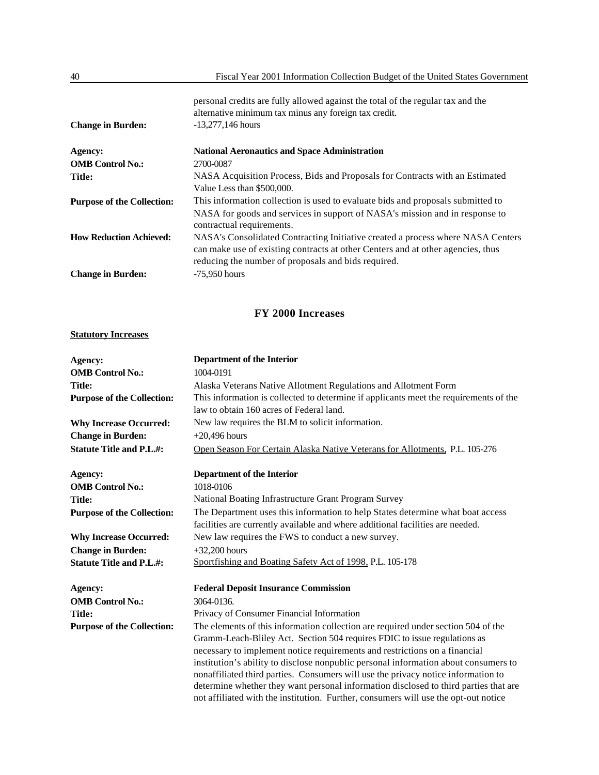personal credits are fully allowed against the total of the regular tax and the

| <b>Change in Burden:</b>          | alternative minimum tax minus any foreign tax credit.<br>$-13,277,146$ hours                                                                                                                                              |
|-----------------------------------|---------------------------------------------------------------------------------------------------------------------------------------------------------------------------------------------------------------------------|
| Agency:                           | <b>National Aeronautics and Space Administration</b>                                                                                                                                                                      |
| <b>OMB</b> Control No.:           | 2700-0087                                                                                                                                                                                                                 |
| Title:                            | NASA Acquisition Process, Bids and Proposals for Contracts with an Estimated<br>Value Less than \$500,000.                                                                                                                |
| <b>Purpose of the Collection:</b> | This information collection is used to evaluate bids and proposals submitted to<br>NASA for goods and services in support of NASA's mission and in response to<br>contractual requirements.                               |
| <b>How Reduction Achieved:</b>    | NASA's Consolidated Contracting Initiative created a process where NASA Centers<br>can make use of existing contracts at other Centers and at other agencies, thus<br>reducing the number of proposals and bids required. |
| <b>Change in Burden:</b>          | $-75.950$ hours                                                                                                                                                                                                           |

### **FY 2000 Increases**

### **Statutory Increases**

| Agency:                           | <b>Department of the Interior</b>                                                                                                                                                                                                                                                                                                                                                                                                     |
|-----------------------------------|---------------------------------------------------------------------------------------------------------------------------------------------------------------------------------------------------------------------------------------------------------------------------------------------------------------------------------------------------------------------------------------------------------------------------------------|
| <b>OMB</b> Control No.:           | 1004-0191                                                                                                                                                                                                                                                                                                                                                                                                                             |
| <b>Title:</b>                     | Alaska Veterans Native Allotment Regulations and Allotment Form                                                                                                                                                                                                                                                                                                                                                                       |
| <b>Purpose of the Collection:</b> | This information is collected to determine if applicants meet the requirements of the<br>law to obtain 160 acres of Federal land.                                                                                                                                                                                                                                                                                                     |
| <b>Why Increase Occurred:</b>     | New law requires the BLM to solicit information.                                                                                                                                                                                                                                                                                                                                                                                      |
| <b>Change in Burden:</b>          | $+20,496$ hours                                                                                                                                                                                                                                                                                                                                                                                                                       |
| <b>Statute Title and P.L.#:</b>   | Open Season For Certain Alaska Native Veterans for Allotments, P.L. 105-276                                                                                                                                                                                                                                                                                                                                                           |
| Agency:                           | <b>Department of the Interior</b>                                                                                                                                                                                                                                                                                                                                                                                                     |
| <b>OMB</b> Control No.:           | 1018-0106                                                                                                                                                                                                                                                                                                                                                                                                                             |
| <b>Title:</b>                     | National Boating Infrastructure Grant Program Survey                                                                                                                                                                                                                                                                                                                                                                                  |
| <b>Purpose of the Collection:</b> | The Department uses this information to help States determine what boat access                                                                                                                                                                                                                                                                                                                                                        |
|                                   | facilities are currently available and where additional facilities are needed.                                                                                                                                                                                                                                                                                                                                                        |
| <b>Why Increase Occurred:</b>     | New law requires the FWS to conduct a new survey.                                                                                                                                                                                                                                                                                                                                                                                     |
| <b>Change in Burden:</b>          | $+32,200$ hours                                                                                                                                                                                                                                                                                                                                                                                                                       |
| <b>Statute Title and P.L.#:</b>   | Sportfishing and Boating Safety Act of 1998, P.L. 105-178                                                                                                                                                                                                                                                                                                                                                                             |
| Agency:                           | <b>Federal Deposit Insurance Commission</b>                                                                                                                                                                                                                                                                                                                                                                                           |
| <b>OMB</b> Control No.:           | 3064-0136.                                                                                                                                                                                                                                                                                                                                                                                                                            |
| <b>Title:</b>                     | Privacy of Consumer Financial Information                                                                                                                                                                                                                                                                                                                                                                                             |
| <b>Purpose of the Collection:</b> | The elements of this information collection are required under section 504 of the<br>Gramm-Leach-Bliley Act. Section 504 requires FDIC to issue regulations as                                                                                                                                                                                                                                                                        |
|                                   | necessary to implement notice requirements and restrictions on a financial<br>institution's ability to disclose nonpublic personal information about consumers to<br>nonaffiliated third parties. Consumers will use the privacy notice information to<br>determine whether they want personal information disclosed to third parties that are<br>not affiliated with the institution. Further, consumers will use the opt-out notice |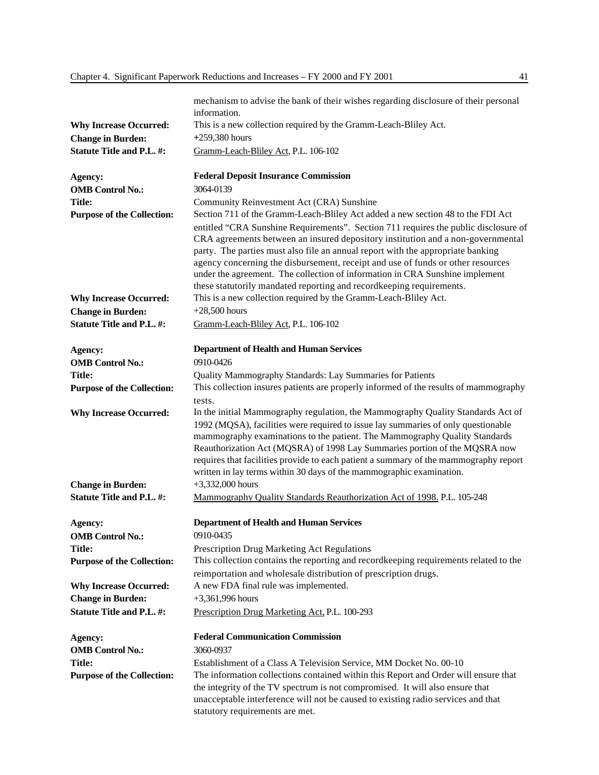|                                                              | mechanism to advise the bank of their wishes regarding disclosure of their personal                                                                                                                                                                                                         |
|--------------------------------------------------------------|---------------------------------------------------------------------------------------------------------------------------------------------------------------------------------------------------------------------------------------------------------------------------------------------|
|                                                              | information.<br>This is a new collection required by the Gramm-Leach-Bliley Act.                                                                                                                                                                                                            |
| <b>Why Increase Occurred:</b><br><b>Change in Burden:</b>    | $+259,380$ hours                                                                                                                                                                                                                                                                            |
| <b>Statute Title and P.L. #:</b>                             | Gramm-Leach-Bliley Act, P.L. 106-102                                                                                                                                                                                                                                                        |
|                                                              |                                                                                                                                                                                                                                                                                             |
| Agency:                                                      | <b>Federal Deposit Insurance Commission</b>                                                                                                                                                                                                                                                 |
| <b>OMB</b> Control No.:                                      | 3064-0139                                                                                                                                                                                                                                                                                   |
| <b>Title:</b>                                                | Community Reinvestment Act (CRA) Sunshine                                                                                                                                                                                                                                                   |
| <b>Purpose of the Collection:</b>                            | Section 711 of the Gramm-Leach-Bliley Act added a new section 48 to the FDI Act                                                                                                                                                                                                             |
|                                                              | entitled "CRA Sunshine Requirements". Section 711 requires the public disclosure of<br>CRA agreements between an insured depository institution and a non-governmental                                                                                                                      |
|                                                              | party. The parties must also file an annual report with the appropriate banking                                                                                                                                                                                                             |
|                                                              | agency concerning the disbursement, receipt and use of funds or other resources                                                                                                                                                                                                             |
|                                                              | under the agreement. The collection of information in CRA Sunshine implement                                                                                                                                                                                                                |
|                                                              | these statutorily mandated reporting and recordkeeping requirements.                                                                                                                                                                                                                        |
| <b>Why Increase Occurred:</b>                                | This is a new collection required by the Gramm-Leach-Bliley Act.                                                                                                                                                                                                                            |
| <b>Change in Burden:</b>                                     | $+28,500$ hours                                                                                                                                                                                                                                                                             |
| <b>Statute Title and P.L. #:</b>                             | Gramm-Leach-Bliley Act, P.L. 106-102                                                                                                                                                                                                                                                        |
| Agency:                                                      | <b>Department of Health and Human Services</b>                                                                                                                                                                                                                                              |
| <b>OMB</b> Control No.:                                      | 0910-0426                                                                                                                                                                                                                                                                                   |
| <b>Title:</b>                                                | Quality Mammography Standards: Lay Summaries for Patients                                                                                                                                                                                                                                   |
| <b>Purpose of the Collection:</b>                            | This collection insures patients are properly informed of the results of mammography                                                                                                                                                                                                        |
|                                                              | tests.                                                                                                                                                                                                                                                                                      |
| <b>Why Increase Occurred:</b>                                | In the initial Mammography regulation, the Mammography Quality Standards Act of<br>1992 (MQSA), facilities were required to issue lay summaries of only questionable<br>mammography examinations to the patient. The Mammography Quality Standards                                          |
|                                                              | Reauthorization Act (MQSRA) of 1998 Lay Summaries portion of the MQSRA now                                                                                                                                                                                                                  |
|                                                              | requires that facilities provide to each patient a summary of the mammography report                                                                                                                                                                                                        |
|                                                              | written in lay terms within 30 days of the mammographic examination.<br>$+3,332,000$ hours                                                                                                                                                                                                  |
| <b>Change in Burden:</b><br><b>Statute Title and P.L. #:</b> | Mammography Quality Standards Reauthorization Act of 1998. P.L. 105-248                                                                                                                                                                                                                     |
|                                                              |                                                                                                                                                                                                                                                                                             |
| Agency:                                                      | <b>Department of Health and Human Services</b>                                                                                                                                                                                                                                              |
| <b>OMB</b> Control No.:                                      | 0910-0435                                                                                                                                                                                                                                                                                   |
| <b>Title:</b>                                                | Prescription Drug Marketing Act Regulations                                                                                                                                                                                                                                                 |
| <b>Purpose of the Collection:</b>                            | This collection contains the reporting and recordkeeping requirements related to the                                                                                                                                                                                                        |
|                                                              | reimportation and wholesale distribution of prescription drugs.                                                                                                                                                                                                                             |
| <b>Why Increase Occurred:</b><br><b>Change in Burden:</b>    | A new FDA final rule was implemented.<br>$+3,361,996$ hours                                                                                                                                                                                                                                 |
| <b>Statute Title and P.L. #:</b>                             | Prescription Drug Marketing Act, P.L. 100-293                                                                                                                                                                                                                                               |
|                                                              |                                                                                                                                                                                                                                                                                             |
| Agency:                                                      | <b>Federal Communication Commission</b>                                                                                                                                                                                                                                                     |
| <b>OMB</b> Control No.:                                      | 3060-0937                                                                                                                                                                                                                                                                                   |
| Title:                                                       | Establishment of a Class A Television Service, MM Docket No. 00-10                                                                                                                                                                                                                          |
| <b>Purpose of the Collection:</b>                            | The information collections contained within this Report and Order will ensure that<br>the integrity of the TV spectrum is not compromised. It will also ensure that<br>unacceptable interference will not be caused to existing radio services and that<br>statutory requirements are met. |
|                                                              |                                                                                                                                                                                                                                                                                             |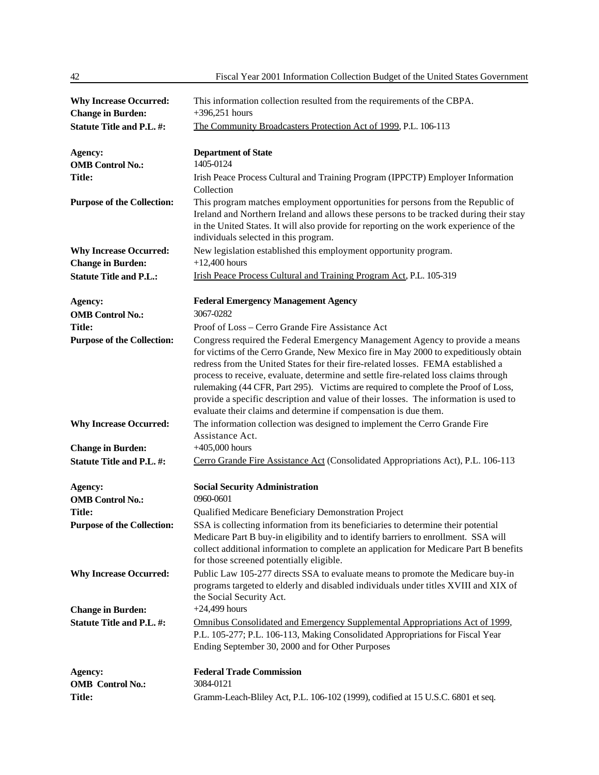| <b>Why Increase Occurred:</b><br><b>Change in Burden:</b> | This information collection resulted from the requirements of the CBPA.<br>$+396,251$ hours                                                                                                                                                                                                                                                                                                                                                                                                                                                                                                       |
|-----------------------------------------------------------|---------------------------------------------------------------------------------------------------------------------------------------------------------------------------------------------------------------------------------------------------------------------------------------------------------------------------------------------------------------------------------------------------------------------------------------------------------------------------------------------------------------------------------------------------------------------------------------------------|
| <b>Statute Title and P.L. #:</b>                          | The Community Broadcasters Protection Act of 1999, P.L. 106-113                                                                                                                                                                                                                                                                                                                                                                                                                                                                                                                                   |
| Agency:<br><b>OMB</b> Control No.:                        | <b>Department of State</b><br>1405-0124                                                                                                                                                                                                                                                                                                                                                                                                                                                                                                                                                           |
| <b>Title:</b>                                             | Irish Peace Process Cultural and Training Program (IPPCTP) Employer Information<br>Collection                                                                                                                                                                                                                                                                                                                                                                                                                                                                                                     |
| <b>Purpose of the Collection:</b>                         | This program matches employment opportunities for persons from the Republic of<br>Ireland and Northern Ireland and allows these persons to be tracked during their stay<br>in the United States. It will also provide for reporting on the work experience of the<br>individuals selected in this program.                                                                                                                                                                                                                                                                                        |
| <b>Why Increase Occurred:</b><br><b>Change in Burden:</b> | New legislation established this employment opportunity program.<br>$+12,400$ hours                                                                                                                                                                                                                                                                                                                                                                                                                                                                                                               |
| <b>Statute Title and P.L.:</b>                            | Irish Peace Process Cultural and Training Program Act, P.L. 105-319                                                                                                                                                                                                                                                                                                                                                                                                                                                                                                                               |
| Agency:<br><b>OMB Control No.:</b>                        | <b>Federal Emergency Management Agency</b><br>3067-0282                                                                                                                                                                                                                                                                                                                                                                                                                                                                                                                                           |
| <b>Title:</b>                                             | Proof of Loss – Cerro Grande Fire Assistance Act                                                                                                                                                                                                                                                                                                                                                                                                                                                                                                                                                  |
| <b>Purpose of the Collection:</b>                         | Congress required the Federal Emergency Management Agency to provide a means<br>for victims of the Cerro Grande, New Mexico fire in May 2000 to expeditiously obtain<br>redress from the United States for their fire-related losses. FEMA established a<br>process to receive, evaluate, determine and settle fire-related loss claims through<br>rulemaking (44 CFR, Part 295). Victims are required to complete the Proof of Loss,<br>provide a specific description and value of their losses. The information is used to<br>evaluate their claims and determine if compensation is due them. |
| <b>Why Increase Occurred:</b>                             | The information collection was designed to implement the Cerro Grande Fire<br>Assistance Act.                                                                                                                                                                                                                                                                                                                                                                                                                                                                                                     |
| <b>Change in Burden:</b>                                  | $+405,000$ hours                                                                                                                                                                                                                                                                                                                                                                                                                                                                                                                                                                                  |
| <b>Statute Title and P.L. #:</b>                          | Cerro Grande Fire Assistance Act (Consolidated Appropriations Act), P.L. 106-113                                                                                                                                                                                                                                                                                                                                                                                                                                                                                                                  |
| Agency:<br><b>OMB</b> Control No.:                        | <b>Social Security Administration</b><br>0960-0601                                                                                                                                                                                                                                                                                                                                                                                                                                                                                                                                                |
| <b>Title:</b>                                             | Qualified Medicare Beneficiary Demonstration Project                                                                                                                                                                                                                                                                                                                                                                                                                                                                                                                                              |
| <b>Purpose of the Collection:</b>                         | SSA is collecting information from its beneficiaries to determine their potential<br>Medicare Part B buy-in eligibility and to identify barriers to enrollment. SSA will<br>collect additional information to complete an application for Medicare Part B benefits<br>for those screened potentially eligible.                                                                                                                                                                                                                                                                                    |
| <b>Why Increase Occurred:</b>                             | Public Law 105-277 directs SSA to evaluate means to promote the Medicare buy-in<br>programs targeted to elderly and disabled individuals under titles XVIII and XIX of<br>the Social Security Act.                                                                                                                                                                                                                                                                                                                                                                                                |
| <b>Change in Burden:</b>                                  | $+24,499$ hours                                                                                                                                                                                                                                                                                                                                                                                                                                                                                                                                                                                   |
| <b>Statute Title and P.L.#:</b>                           | Omnibus Consolidated and Emergency Supplemental Appropriations Act of 1999,<br>P.L. 105-277; P.L. 106-113, Making Consolidated Appropriations for Fiscal Year<br>Ending September 30, 2000 and for Other Purposes                                                                                                                                                                                                                                                                                                                                                                                 |
| Agency:                                                   | <b>Federal Trade Commission</b>                                                                                                                                                                                                                                                                                                                                                                                                                                                                                                                                                                   |
| <b>OMB</b> Control No.:                                   | 3084-0121                                                                                                                                                                                                                                                                                                                                                                                                                                                                                                                                                                                         |
| <b>Title:</b>                                             | Gramm-Leach-Bliley Act, P.L. 106-102 (1999), codified at 15 U.S.C. 6801 et seq.                                                                                                                                                                                                                                                                                                                                                                                                                                                                                                                   |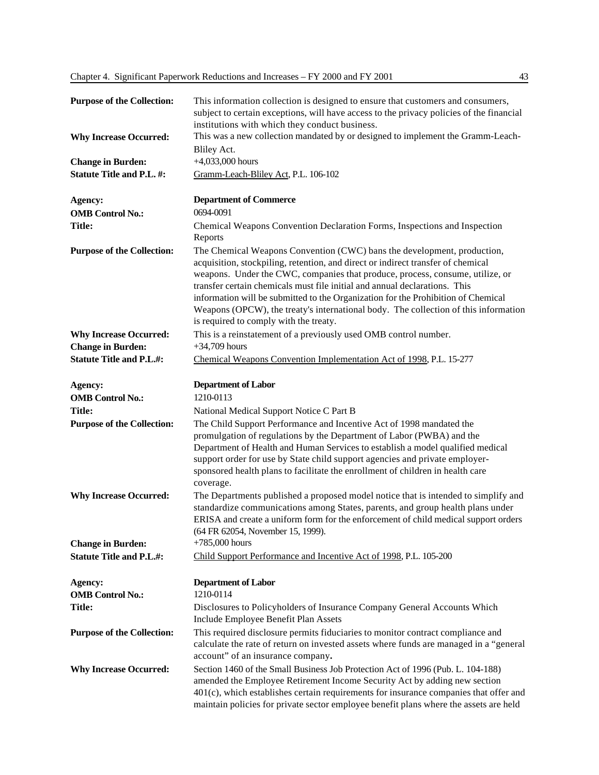Chapter 4. Significant Paperwork Reductions and Increases – FY 2000 and FY 2001 43

| <b>Purpose of the Collection:</b>                            | This information collection is designed to ensure that customers and consumers,<br>subject to certain exceptions, will have access to the privacy policies of the financial<br>institutions with which they conduct business.                                                                                                                                                                                                                                                                                                                    |
|--------------------------------------------------------------|--------------------------------------------------------------------------------------------------------------------------------------------------------------------------------------------------------------------------------------------------------------------------------------------------------------------------------------------------------------------------------------------------------------------------------------------------------------------------------------------------------------------------------------------------|
| <b>Why Increase Occurred:</b>                                | This was a new collection mandated by or designed to implement the Gramm-Leach-<br>Bliley Act.                                                                                                                                                                                                                                                                                                                                                                                                                                                   |
| <b>Change in Burden:</b><br><b>Statute Title and P.L. #:</b> | $+4,033,000$ hours<br>Gramm-Leach-Bliley Act, P.L. 106-102                                                                                                                                                                                                                                                                                                                                                                                                                                                                                       |
|                                                              |                                                                                                                                                                                                                                                                                                                                                                                                                                                                                                                                                  |
| Agency:<br><b>OMB Control No.:</b>                           | <b>Department of Commerce</b><br>0694-0091                                                                                                                                                                                                                                                                                                                                                                                                                                                                                                       |
| <b>Title:</b>                                                | Chemical Weapons Convention Declaration Forms, Inspections and Inspection<br>Reports                                                                                                                                                                                                                                                                                                                                                                                                                                                             |
| <b>Purpose of the Collection:</b>                            | The Chemical Weapons Convention (CWC) bans the development, production,<br>acquisition, stockpiling, retention, and direct or indirect transfer of chemical<br>weapons. Under the CWC, companies that produce, process, consume, utilize, or<br>transfer certain chemicals must file initial and annual declarations. This<br>information will be submitted to the Organization for the Prohibition of Chemical<br>Weapons (OPCW), the treaty's international body. The collection of this information<br>is required to comply with the treaty. |
| <b>Why Increase Occurred:</b>                                | This is a reinstatement of a previously used OMB control number.                                                                                                                                                                                                                                                                                                                                                                                                                                                                                 |
| <b>Change in Burden:</b>                                     | $+34,709$ hours                                                                                                                                                                                                                                                                                                                                                                                                                                                                                                                                  |
| <b>Statute Title and P.L.#:</b>                              | Chemical Weapons Convention Implementation Act of 1998, P.L. 15-277                                                                                                                                                                                                                                                                                                                                                                                                                                                                              |
| Agency:<br><b>OMB Control No.:</b>                           | <b>Department of Labor</b><br>1210-0113                                                                                                                                                                                                                                                                                                                                                                                                                                                                                                          |
| <b>Title:</b>                                                | National Medical Support Notice C Part B                                                                                                                                                                                                                                                                                                                                                                                                                                                                                                         |
| <b>Purpose of the Collection:</b>                            | The Child Support Performance and Incentive Act of 1998 mandated the                                                                                                                                                                                                                                                                                                                                                                                                                                                                             |
|                                                              | promulgation of regulations by the Department of Labor (PWBA) and the<br>Department of Health and Human Services to establish a model qualified medical<br>support order for use by State child support agencies and private employer-<br>sponsored health plans to facilitate the enrollment of children in health care<br>coverage.                                                                                                                                                                                                            |
| <b>Why Increase Occurred:</b>                                | The Departments published a proposed model notice that is intended to simplify and<br>standardize communications among States, parents, and group health plans under<br>ERISA and create a uniform form for the enforcement of child medical support orders<br>(64 FR 62054, November 15, 1999).                                                                                                                                                                                                                                                 |
| <b>Change in Burden:</b>                                     | $+785,000$ hours                                                                                                                                                                                                                                                                                                                                                                                                                                                                                                                                 |
| <b>Statute Title and P.L.#:</b>                              | Child Support Performance and Incentive Act of 1998, P.L. 105-200                                                                                                                                                                                                                                                                                                                                                                                                                                                                                |
| Agency:<br><b>OMB</b> Control No.:                           | <b>Department of Labor</b><br>1210-0114                                                                                                                                                                                                                                                                                                                                                                                                                                                                                                          |
| <b>Title:</b>                                                | Disclosures to Policyholders of Insurance Company General Accounts Which<br>Include Employee Benefit Plan Assets                                                                                                                                                                                                                                                                                                                                                                                                                                 |
| <b>Purpose of the Collection:</b>                            | This required disclosure permits fiduciaries to monitor contract compliance and<br>calculate the rate of return on invested assets where funds are managed in a "general<br>account" of an insurance company.                                                                                                                                                                                                                                                                                                                                    |
| <b>Why Increase Occurred:</b>                                | Section 1460 of the Small Business Job Protection Act of 1996 (Pub. L. 104-188)<br>amended the Employee Retirement Income Security Act by adding new section<br>$401(c)$ , which establishes certain requirements for insurance companies that offer and<br>maintain policies for private sector employee benefit plans where the assets are held                                                                                                                                                                                                |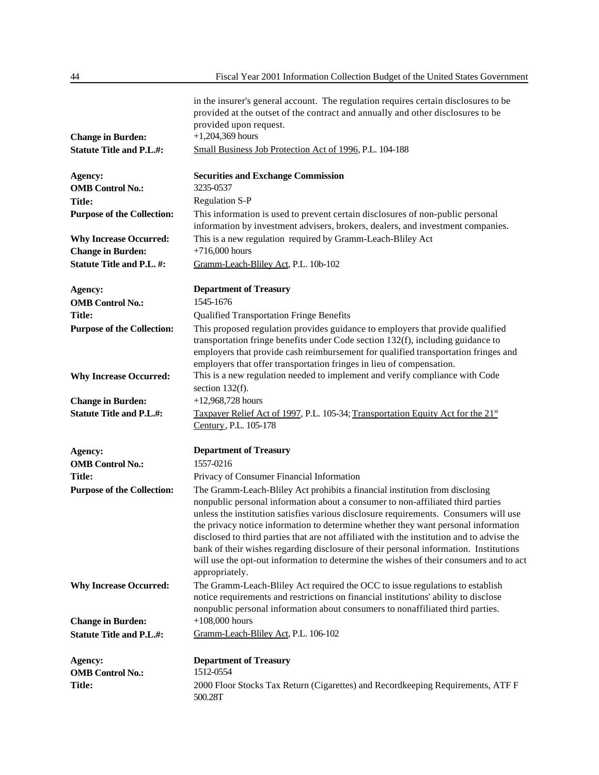|                                                             | in the insurer's general account. The regulation requires certain disclosures to be<br>provided at the outset of the contract and annually and other disclosures to be<br>provided upon request.<br>$+1,204,369$ hours                                                                                                                                                                                                                                                                                                                                                                                                                          |
|-------------------------------------------------------------|-------------------------------------------------------------------------------------------------------------------------------------------------------------------------------------------------------------------------------------------------------------------------------------------------------------------------------------------------------------------------------------------------------------------------------------------------------------------------------------------------------------------------------------------------------------------------------------------------------------------------------------------------|
| <b>Change in Burden:</b><br><b>Statute Title and P.L.#:</b> | Small Business Job Protection Act of 1996, P.L. 104-188                                                                                                                                                                                                                                                                                                                                                                                                                                                                                                                                                                                         |
|                                                             |                                                                                                                                                                                                                                                                                                                                                                                                                                                                                                                                                                                                                                                 |
| Agency:<br><b>OMB</b> Control No.:                          | <b>Securities and Exchange Commission</b><br>3235-0537                                                                                                                                                                                                                                                                                                                                                                                                                                                                                                                                                                                          |
| <b>Title:</b>                                               | <b>Regulation S-P</b>                                                                                                                                                                                                                                                                                                                                                                                                                                                                                                                                                                                                                           |
| <b>Purpose of the Collection:</b>                           | This information is used to prevent certain disclosures of non-public personal<br>information by investment advisers, brokers, dealers, and investment companies.                                                                                                                                                                                                                                                                                                                                                                                                                                                                               |
| <b>Why Increase Occurred:</b>                               | This is a new regulation required by Gramm-Leach-Bliley Act                                                                                                                                                                                                                                                                                                                                                                                                                                                                                                                                                                                     |
| <b>Change in Burden:</b>                                    | $+716,000$ hours                                                                                                                                                                                                                                                                                                                                                                                                                                                                                                                                                                                                                                |
| <b>Statute Title and P.L. #:</b>                            | Gramm-Leach-Bliley Act, P.L. 10b-102                                                                                                                                                                                                                                                                                                                                                                                                                                                                                                                                                                                                            |
| Agency:                                                     | <b>Department of Treasury</b>                                                                                                                                                                                                                                                                                                                                                                                                                                                                                                                                                                                                                   |
| <b>OMB</b> Control No.:                                     | 1545-1676                                                                                                                                                                                                                                                                                                                                                                                                                                                                                                                                                                                                                                       |
| <b>Title:</b>                                               | <b>Qualified Transportation Fringe Benefits</b>                                                                                                                                                                                                                                                                                                                                                                                                                                                                                                                                                                                                 |
| <b>Purpose of the Collection:</b>                           | This proposed regulation provides guidance to employers that provide qualified<br>transportation fringe benefits under Code section 132(f), including guidance to<br>employers that provide cash reimbursement for qualified transportation fringes and<br>employers that offer transportation fringes in lieu of compensation.                                                                                                                                                                                                                                                                                                                 |
| <b>Why Increase Occurred:</b>                               | This is a new regulation needed to implement and verify compliance with Code<br>section 132(f).                                                                                                                                                                                                                                                                                                                                                                                                                                                                                                                                                 |
| <b>Change in Burden:</b>                                    | $+12,968,728$ hours                                                                                                                                                                                                                                                                                                                                                                                                                                                                                                                                                                                                                             |
| <b>Statute Title and P.L.#:</b>                             | Taxpayer Relief Act of 1997, P.L. 105-34; Transportation Equity Act for the 21 <sup>st</sup><br>Century, P.L. 105-178                                                                                                                                                                                                                                                                                                                                                                                                                                                                                                                           |
| Agency:                                                     | <b>Department of Treasury</b>                                                                                                                                                                                                                                                                                                                                                                                                                                                                                                                                                                                                                   |
| <b>OMB</b> Control No.:                                     | 1557-0216                                                                                                                                                                                                                                                                                                                                                                                                                                                                                                                                                                                                                                       |
| <b>Title:</b>                                               | Privacy of Consumer Financial Information                                                                                                                                                                                                                                                                                                                                                                                                                                                                                                                                                                                                       |
| <b>Purpose of the Collection:</b>                           | The Gramm-Leach-Bliley Act prohibits a financial institution from disclosing<br>nonpublic personal information about a consumer to non-affiliated third parties<br>unless the institution satisfies various disclosure requirements. Consumers will use<br>the privacy notice information to determine whether they want personal information<br>disclosed to third parties that are not affiliated with the institution and to advise the<br>bank of their wishes regarding disclosure of their personal information. Institutions<br>will use the opt-out information to determine the wishes of their consumers and to act<br>appropriately. |
| <b>Why Increase Occurred:</b>                               | The Gramm-Leach-Bliley Act required the OCC to issue regulations to establish<br>notice requirements and restrictions on financial institutions' ability to disclose<br>nonpublic personal information about consumers to nonaffiliated third parties.                                                                                                                                                                                                                                                                                                                                                                                          |
| <b>Change in Burden:</b>                                    | $+108,000$ hours                                                                                                                                                                                                                                                                                                                                                                                                                                                                                                                                                                                                                                |
| <b>Statute Title and P.L.#:</b>                             | Gramm-Leach-Bliley Act, P.L. 106-102                                                                                                                                                                                                                                                                                                                                                                                                                                                                                                                                                                                                            |
| Agency:<br><b>OMB</b> Control No.:<br><b>Title:</b>         | <b>Department of Treasury</b><br>1512-0554<br>2000 Floor Stocks Tax Return (Cigarettes) and Recordkeeping Requirements, ATF F                                                                                                                                                                                                                                                                                                                                                                                                                                                                                                                   |
|                                                             | 500.28T                                                                                                                                                                                                                                                                                                                                                                                                                                                                                                                                                                                                                                         |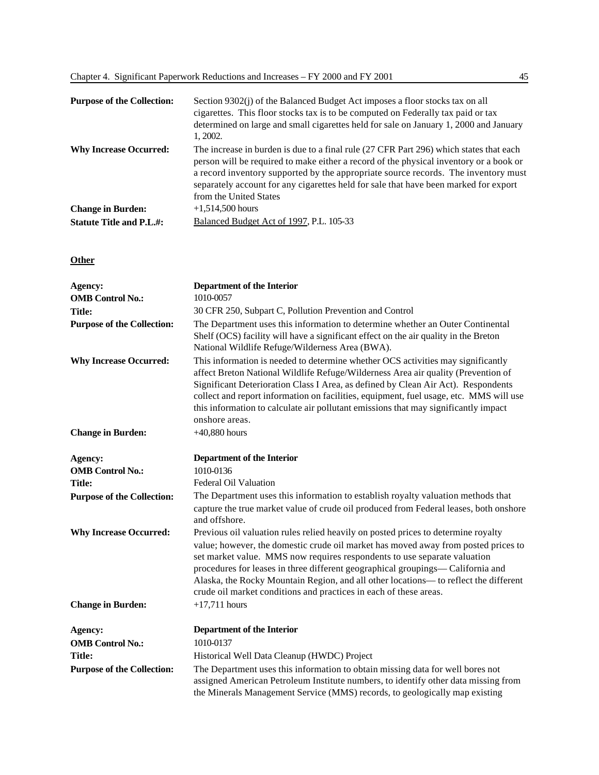| <b>Purpose of the Collection:</b> | Section 9302(j) of the Balanced Budget Act imposes a floor stocks tax on all<br>cigarettes. This floor stocks tax is to be computed on Federally tax paid or tax<br>determined on large and small cigarettes held for sale on January 1, 2000 and January<br>1, 2002.                                                                                                                    |
|-----------------------------------|------------------------------------------------------------------------------------------------------------------------------------------------------------------------------------------------------------------------------------------------------------------------------------------------------------------------------------------------------------------------------------------|
| <b>Why Increase Occurred:</b>     | The increase in burden is due to a final rule (27 CFR Part 296) which states that each<br>person will be required to make either a record of the physical inventory or a book or<br>a record inventory supported by the appropriate source records. The inventory must<br>separately account for any cigarettes held for sale that have been marked for export<br>from the United States |
| <b>Change in Burden:</b>          | $+1,514,500$ hours                                                                                                                                                                                                                                                                                                                                                                       |
| <b>Statute Title and P.L.#:</b>   | Balanced Budget Act of 1997, P.L. 105-33                                                                                                                                                                                                                                                                                                                                                 |

# **Other**

| Agency:                                  | Department of the Interior<br>1010-0057                                                                                                                                                                                                                                                                                                                                                                                                                                                             |
|------------------------------------------|-----------------------------------------------------------------------------------------------------------------------------------------------------------------------------------------------------------------------------------------------------------------------------------------------------------------------------------------------------------------------------------------------------------------------------------------------------------------------------------------------------|
| <b>OMB</b> Control No.:<br><b>Title:</b> | 30 CFR 250, Subpart C, Pollution Prevention and Control                                                                                                                                                                                                                                                                                                                                                                                                                                             |
| <b>Purpose of the Collection:</b>        | The Department uses this information to determine whether an Outer Continental<br>Shelf (OCS) facility will have a significant effect on the air quality in the Breton<br>National Wildlife Refuge/Wilderness Area (BWA).                                                                                                                                                                                                                                                                           |
| <b>Why Increase Occurred:</b>            | This information is needed to determine whether OCS activities may significantly<br>affect Breton National Wildlife Refuge/Wilderness Area air quality (Prevention of<br>Significant Deterioration Class I Area, as defined by Clean Air Act). Respondents<br>collect and report information on facilities, equipment, fuel usage, etc. MMS will use<br>this information to calculate air pollutant emissions that may significantly impact<br>onshore areas.                                       |
| <b>Change in Burden:</b>                 | $+40,880$ hours                                                                                                                                                                                                                                                                                                                                                                                                                                                                                     |
| Agency:                                  | Department of the Interior                                                                                                                                                                                                                                                                                                                                                                                                                                                                          |
| <b>OMB</b> Control No.:                  | 1010-0136                                                                                                                                                                                                                                                                                                                                                                                                                                                                                           |
| <b>Title:</b>                            | <b>Federal Oil Valuation</b>                                                                                                                                                                                                                                                                                                                                                                                                                                                                        |
| <b>Purpose of the Collection:</b>        | The Department uses this information to establish royalty valuation methods that<br>capture the true market value of crude oil produced from Federal leases, both onshore<br>and offshore.                                                                                                                                                                                                                                                                                                          |
| <b>Why Increase Occurred:</b>            | Previous oil valuation rules relied heavily on posted prices to determine royalty<br>value; however, the domestic crude oil market has moved away from posted prices to<br>set market value. MMS now requires respondents to use separate valuation<br>procedures for leases in three different geographical groupings— California and<br>Alaska, the Rocky Mountain Region, and all other locations- to reflect the different<br>crude oil market conditions and practices in each of these areas. |
| <b>Change in Burden:</b>                 | $+17,711$ hours                                                                                                                                                                                                                                                                                                                                                                                                                                                                                     |
| Agency:                                  | Department of the Interior                                                                                                                                                                                                                                                                                                                                                                                                                                                                          |
| <b>OMB</b> Control No.:                  | 1010-0137                                                                                                                                                                                                                                                                                                                                                                                                                                                                                           |
| <b>Title:</b>                            | Historical Well Data Cleanup (HWDC) Project                                                                                                                                                                                                                                                                                                                                                                                                                                                         |
| <b>Purpose of the Collection:</b>        | The Department uses this information to obtain missing data for well bores not<br>assigned American Petroleum Institute numbers, to identify other data missing from<br>the Minerals Management Service (MMS) records, to geologically map existing                                                                                                                                                                                                                                                 |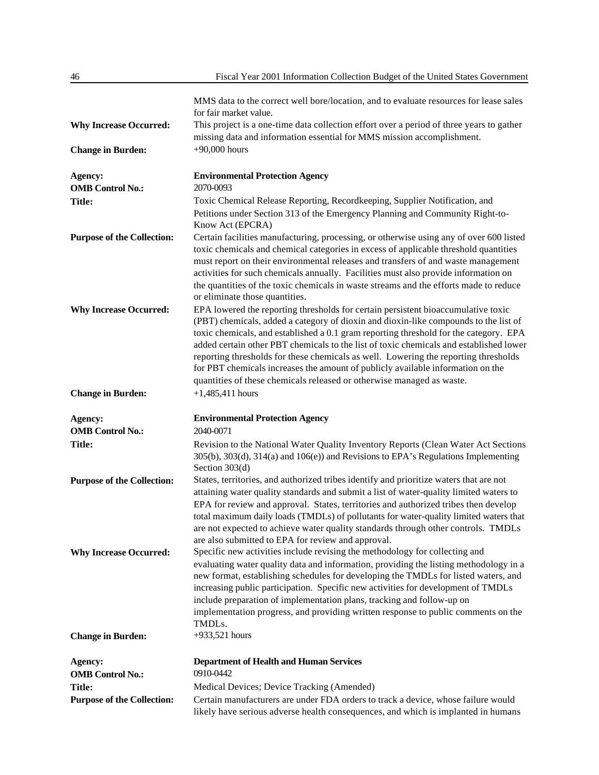|                                    | MMS data to the correct well bore/location, and to evaluate resources for lease sales                                                                                                                                                                                                                                                                                                                                                                                                                                                                                                                           |
|------------------------------------|-----------------------------------------------------------------------------------------------------------------------------------------------------------------------------------------------------------------------------------------------------------------------------------------------------------------------------------------------------------------------------------------------------------------------------------------------------------------------------------------------------------------------------------------------------------------------------------------------------------------|
|                                    | for fair market value.                                                                                                                                                                                                                                                                                                                                                                                                                                                                                                                                                                                          |
| <b>Why Increase Occurred:</b>      | This project is a one-time data collection effort over a period of three years to gather<br>missing data and information essential for MMS mission accomplishment.                                                                                                                                                                                                                                                                                                                                                                                                                                              |
| <b>Change in Burden:</b>           | $+90,000$ hours                                                                                                                                                                                                                                                                                                                                                                                                                                                                                                                                                                                                 |
| Agency:                            | <b>Environmental Protection Agency</b>                                                                                                                                                                                                                                                                                                                                                                                                                                                                                                                                                                          |
| <b>OMB</b> Control No.:            | 2070-0093                                                                                                                                                                                                                                                                                                                                                                                                                                                                                                                                                                                                       |
| <b>Title:</b>                      | Toxic Chemical Release Reporting, Recordkeeping, Supplier Notification, and<br>Petitions under Section 313 of the Emergency Planning and Community Right-to-<br>Know Act (EPCRA)                                                                                                                                                                                                                                                                                                                                                                                                                                |
| <b>Purpose of the Collection:</b>  | Certain facilities manufacturing, processing, or otherwise using any of over 600 listed<br>toxic chemicals and chemical categories in excess of applicable threshold quantities<br>must report on their environmental releases and transfers of and waste management<br>activities for such chemicals annually. Facilities must also provide information on<br>the quantities of the toxic chemicals in waste streams and the efforts made to reduce<br>or eliminate those quantities.                                                                                                                          |
| <b>Why Increase Occurred:</b>      | EPA lowered the reporting thresholds for certain persistent bioaccumulative toxic<br>(PBT) chemicals, added a category of dioxin and dioxin-like compounds to the list of<br>toxic chemicals, and established a 0.1 gram reporting threshold for the category. EPA<br>added certain other PBT chemicals to the list of toxic chemicals and established lower<br>reporting thresholds for these chemicals as well. Lowering the reporting thresholds<br>for PBT chemicals increases the amount of publicly available information on the<br>quantities of these chemicals released or otherwise managed as waste. |
| <b>Change in Burden:</b>           | $+1,485,411$ hours                                                                                                                                                                                                                                                                                                                                                                                                                                                                                                                                                                                              |
|                                    |                                                                                                                                                                                                                                                                                                                                                                                                                                                                                                                                                                                                                 |
| Agency:                            | <b>Environmental Protection Agency</b>                                                                                                                                                                                                                                                                                                                                                                                                                                                                                                                                                                          |
| <b>OMB Control No.:</b>            | 2040-0071                                                                                                                                                                                                                                                                                                                                                                                                                                                                                                                                                                                                       |
| <b>Title:</b>                      | Revision to the National Water Quality Inventory Reports (Clean Water Act Sections<br>305(b), 303(d), 314(a) and 106(e)) and Revisions to EPA's Regulations Implementing<br>Section 303(d)                                                                                                                                                                                                                                                                                                                                                                                                                      |
| <b>Purpose of the Collection:</b>  | States, territories, and authorized tribes identify and prioritize waters that are not<br>attaining water quality standards and submit a list of water-quality limited waters to<br>EPA for review and approval. States, territories and authorized tribes then develop<br>total maximum daily loads (TMDLs) of pollutants for water-quality limited waters that<br>are not expected to achieve water quality standards through other controls. TMDLs                                                                                                                                                           |
| <b>Why Increase Occurred:</b>      | are also submitted to EPA for review and approval.<br>Specific new activities include revising the methodology for collecting and<br>evaluating water quality data and information, providing the listing methodology in a<br>new format, establishing schedules for developing the TMDLs for listed waters, and<br>increasing public participation. Specific new activities for development of TMDLs<br>include preparation of implementation plans, tracking and follow-up on<br>implementation progress, and providing written response to public comments on the<br>TMDL <sub>s</sub> .                     |
| <b>Change in Burden:</b>           | +933,521 hours                                                                                                                                                                                                                                                                                                                                                                                                                                                                                                                                                                                                  |
| Agency:<br><b>OMB Control No.:</b> | <b>Department of Health and Human Services</b><br>0910-0442                                                                                                                                                                                                                                                                                                                                                                                                                                                                                                                                                     |
| <b>Title:</b>                      | Medical Devices; Device Tracking (Amended)                                                                                                                                                                                                                                                                                                                                                                                                                                                                                                                                                                      |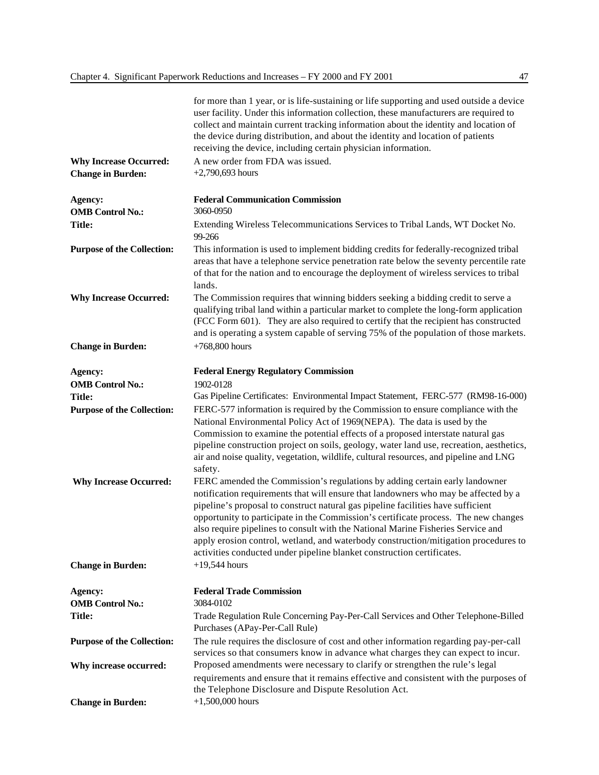| <b>Why Increase Occurred:</b>            | for more than 1 year, or is life-sustaining or life supporting and used outside a device<br>user facility. Under this information collection, these manufacturers are required to<br>collect and maintain current tracking information about the identity and location of<br>the device during distribution, and about the identity and location of patients<br>receiving the device, including certain physician information.<br>A new order from FDA was issued.                                                                                                                                 |
|------------------------------------------|----------------------------------------------------------------------------------------------------------------------------------------------------------------------------------------------------------------------------------------------------------------------------------------------------------------------------------------------------------------------------------------------------------------------------------------------------------------------------------------------------------------------------------------------------------------------------------------------------|
| <b>Change in Burden:</b>                 | $+2,790,693$ hours                                                                                                                                                                                                                                                                                                                                                                                                                                                                                                                                                                                 |
| Agency:<br><b>OMB</b> Control No.:       | <b>Federal Communication Commission</b><br>3060-0950                                                                                                                                                                                                                                                                                                                                                                                                                                                                                                                                               |
| <b>Title:</b>                            | Extending Wireless Telecommunications Services to Tribal Lands, WT Docket No.<br>99-266                                                                                                                                                                                                                                                                                                                                                                                                                                                                                                            |
| <b>Purpose of the Collection:</b>        | This information is used to implement bidding credits for federally-recognized tribal<br>areas that have a telephone service penetration rate below the seventy percentile rate<br>of that for the nation and to encourage the deployment of wireless services to tribal<br>lands.                                                                                                                                                                                                                                                                                                                 |
| <b>Why Increase Occurred:</b>            | The Commission requires that winning bidders seeking a bidding credit to serve a<br>qualifying tribal land within a particular market to complete the long-form application<br>(FCC Form 601). They are also required to certify that the recipient has constructed<br>and is operating a system capable of serving 75% of the population of those markets.                                                                                                                                                                                                                                        |
| <b>Change in Burden:</b>                 | $+768,800$ hours                                                                                                                                                                                                                                                                                                                                                                                                                                                                                                                                                                                   |
| Agency:                                  | <b>Federal Energy Regulatory Commission</b>                                                                                                                                                                                                                                                                                                                                                                                                                                                                                                                                                        |
| <b>OMB</b> Control No.:<br><b>Title:</b> | 1902-0128<br>Gas Pipeline Certificates: Environmental Impact Statement, FERC-577 (RM98-16-000)                                                                                                                                                                                                                                                                                                                                                                                                                                                                                                     |
| <b>Purpose of the Collection:</b>        | FERC-577 information is required by the Commission to ensure compliance with the<br>National Environmental Policy Act of 1969(NEPA). The data is used by the<br>Commission to examine the potential effects of a proposed interstate natural gas<br>pipeline construction project on soils, geology, water land use, recreation, aesthetics,<br>air and noise quality, vegetation, wildlife, cultural resources, and pipeline and LNG<br>safety.                                                                                                                                                   |
| <b>Why Increase Occurred:</b>            | FERC amended the Commission's regulations by adding certain early landowner<br>notification requirements that will ensure that landowners who may be affected by a<br>pipeline's proposal to construct natural gas pipeline facilities have sufficient<br>opportunity to participate in the Commission's certificate process. The new changes<br>also require pipelines to consult with the National Marine Fisheries Service and<br>apply erosion control, wetland, and waterbody construction/mitigation procedures to<br>activities conducted under pipeline blanket construction certificates. |
| <b>Change in Burden:</b>                 | $+19,544$ hours                                                                                                                                                                                                                                                                                                                                                                                                                                                                                                                                                                                    |
| Agency:<br><b>OMB Control No.:</b>       | <b>Federal Trade Commission</b><br>3084-0102                                                                                                                                                                                                                                                                                                                                                                                                                                                                                                                                                       |
| Title:                                   | Trade Regulation Rule Concerning Pay-Per-Call Services and Other Telephone-Billed<br>Purchases (APay-Per-Call Rule)                                                                                                                                                                                                                                                                                                                                                                                                                                                                                |
| <b>Purpose of the Collection:</b>        | The rule requires the disclosure of cost and other information regarding pay-per-call<br>services so that consumers know in advance what charges they can expect to incur.                                                                                                                                                                                                                                                                                                                                                                                                                         |
| Why increase occurred:                   | Proposed amendments were necessary to clarify or strengthen the rule's legal<br>requirements and ensure that it remains effective and consistent with the purposes of<br>the Telephone Disclosure and Dispute Resolution Act.                                                                                                                                                                                                                                                                                                                                                                      |
| <b>Change in Burden:</b>                 | $+1,500,000$ hours                                                                                                                                                                                                                                                                                                                                                                                                                                                                                                                                                                                 |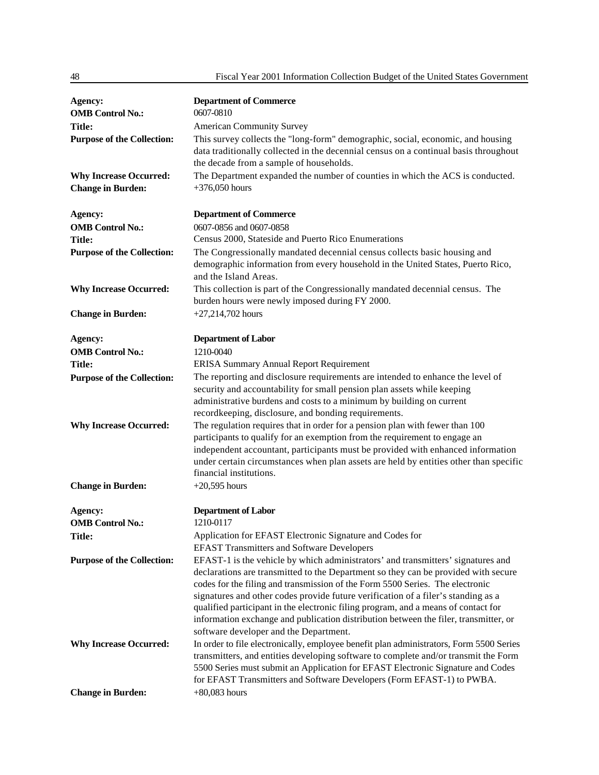| Agency:<br><b>OMB Control No.:</b>                        | <b>Department of Commerce</b><br>0607-0810                                                                                                                                                                                                                                                                                                                                                                                                                                                                                                                                      |
|-----------------------------------------------------------|---------------------------------------------------------------------------------------------------------------------------------------------------------------------------------------------------------------------------------------------------------------------------------------------------------------------------------------------------------------------------------------------------------------------------------------------------------------------------------------------------------------------------------------------------------------------------------|
| <b>Title:</b>                                             | <b>American Community Survey</b>                                                                                                                                                                                                                                                                                                                                                                                                                                                                                                                                                |
| <b>Purpose of the Collection:</b>                         | This survey collects the "long-form" demographic, social, economic, and housing<br>data traditionally collected in the decennial census on a continual basis throughout<br>the decade from a sample of households.                                                                                                                                                                                                                                                                                                                                                              |
| <b>Why Increase Occurred:</b><br><b>Change in Burden:</b> | The Department expanded the number of counties in which the ACS is conducted.<br>$+376,050$ hours                                                                                                                                                                                                                                                                                                                                                                                                                                                                               |
| Agency:                                                   | <b>Department of Commerce</b>                                                                                                                                                                                                                                                                                                                                                                                                                                                                                                                                                   |
| <b>OMB</b> Control No.:                                   | 0607-0856 and 0607-0858                                                                                                                                                                                                                                                                                                                                                                                                                                                                                                                                                         |
| Title:                                                    | Census 2000, Stateside and Puerto Rico Enumerations                                                                                                                                                                                                                                                                                                                                                                                                                                                                                                                             |
| <b>Purpose of the Collection:</b>                         | The Congressionally mandated decennial census collects basic housing and<br>demographic information from every household in the United States, Puerto Rico,<br>and the Island Areas.                                                                                                                                                                                                                                                                                                                                                                                            |
| <b>Why Increase Occurred:</b>                             | This collection is part of the Congressionally mandated decennial census. The<br>burden hours were newly imposed during FY 2000.                                                                                                                                                                                                                                                                                                                                                                                                                                                |
| <b>Change in Burden:</b>                                  | $+27,214,702$ hours                                                                                                                                                                                                                                                                                                                                                                                                                                                                                                                                                             |
| Agency:                                                   | <b>Department of Labor</b>                                                                                                                                                                                                                                                                                                                                                                                                                                                                                                                                                      |
| <b>OMB Control No.:</b>                                   | 1210-0040                                                                                                                                                                                                                                                                                                                                                                                                                                                                                                                                                                       |
| <b>Title:</b>                                             | <b>ERISA Summary Annual Report Requirement</b>                                                                                                                                                                                                                                                                                                                                                                                                                                                                                                                                  |
| <b>Purpose of the Collection:</b>                         | The reporting and disclosure requirements are intended to enhance the level of<br>security and accountability for small pension plan assets while keeping<br>administrative burdens and costs to a minimum by building on current<br>recordkeeping, disclosure, and bonding requirements.                                                                                                                                                                                                                                                                                       |
| <b>Why Increase Occurred:</b>                             | The regulation requires that in order for a pension plan with fewer than 100<br>participants to qualify for an exemption from the requirement to engage an<br>independent accountant, participants must be provided with enhanced information<br>under certain circumstances when plan assets are held by entities other than specific<br>financial institutions.                                                                                                                                                                                                               |
| <b>Change in Burden:</b>                                  | $+20,595$ hours                                                                                                                                                                                                                                                                                                                                                                                                                                                                                                                                                                 |
| Agency:<br><b>OMB</b> Control No.:                        | <b>Department of Labor</b><br>1210-0117                                                                                                                                                                                                                                                                                                                                                                                                                                                                                                                                         |
| Title:                                                    | Application for EFAST Electronic Signature and Codes for                                                                                                                                                                                                                                                                                                                                                                                                                                                                                                                        |
| <b>Purpose of the Collection:</b>                         | <b>EFAST Transmitters and Software Developers</b><br>EFAST-1 is the vehicle by which administrators' and transmitters' signatures and<br>declarations are transmitted to the Department so they can be provided with secure<br>codes for the filing and transmission of the Form 5500 Series. The electronic<br>signatures and other codes provide future verification of a filer's standing as a<br>qualified participant in the electronic filing program, and a means of contact for<br>information exchange and publication distribution between the filer, transmitter, or |
| <b>Why Increase Occurred:</b>                             | software developer and the Department.<br>In order to file electronically, employee benefit plan administrators, Form 5500 Series<br>transmitters, and entities developing software to complete and/or transmit the Form<br>5500 Series must submit an Application for EFAST Electronic Signature and Codes<br>for EFAST Transmitters and Software Developers (Form EFAST-1) to PWBA.<br>$+80,083$ hours                                                                                                                                                                        |
| <b>Change in Burden:</b>                                  |                                                                                                                                                                                                                                                                                                                                                                                                                                                                                                                                                                                 |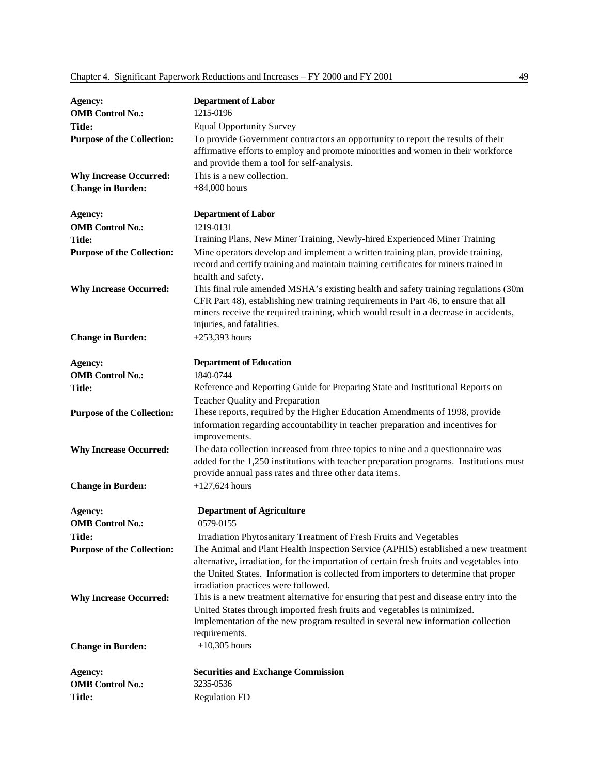| Agency:<br><b>OMB Control No.:</b>                        | <b>Department of Labor</b><br>1215-0196                                                                                                                                                                                                                                                                        |
|-----------------------------------------------------------|----------------------------------------------------------------------------------------------------------------------------------------------------------------------------------------------------------------------------------------------------------------------------------------------------------------|
| <b>Title:</b>                                             | <b>Equal Opportunity Survey</b>                                                                                                                                                                                                                                                                                |
| <b>Purpose of the Collection:</b>                         | To provide Government contractors an opportunity to report the results of their<br>affirmative efforts to employ and promote minorities and women in their workforce<br>and provide them a tool for self-analysis.                                                                                             |
| <b>Why Increase Occurred:</b><br><b>Change in Burden:</b> | This is a new collection.<br>$+84,000$ hours                                                                                                                                                                                                                                                                   |
| Agency:                                                   | <b>Department of Labor</b>                                                                                                                                                                                                                                                                                     |
| <b>OMB Control No.:</b>                                   | 1219-0131                                                                                                                                                                                                                                                                                                      |
| <b>Title:</b>                                             | Training Plans, New Miner Training, Newly-hired Experienced Miner Training                                                                                                                                                                                                                                     |
| <b>Purpose of the Collection:</b>                         | Mine operators develop and implement a written training plan, provide training,<br>record and certify training and maintain training certificates for miners trained in<br>health and safety.                                                                                                                  |
| <b>Why Increase Occurred:</b>                             | This final rule amended MSHA's existing health and safety training regulations (30m<br>CFR Part 48), establishing new training requirements in Part 46, to ensure that all<br>miners receive the required training, which would result in a decrease in accidents,<br>injuries, and fatalities.                |
| <b>Change in Burden:</b>                                  | $+253,393$ hours                                                                                                                                                                                                                                                                                               |
| Agency:                                                   | <b>Department of Education</b>                                                                                                                                                                                                                                                                                 |
| <b>OMB Control No.:</b>                                   | 1840-0744                                                                                                                                                                                                                                                                                                      |
| <b>Title:</b>                                             | Reference and Reporting Guide for Preparing State and Institutional Reports on                                                                                                                                                                                                                                 |
| <b>Purpose of the Collection:</b>                         | Teacher Quality and Preparation<br>These reports, required by the Higher Education Amendments of 1998, provide<br>information regarding accountability in teacher preparation and incentives for<br>improvements.                                                                                              |
| <b>Why Increase Occurred:</b>                             | The data collection increased from three topics to nine and a questionnaire was<br>added for the 1,250 institutions with teacher preparation programs. Institutions must<br>provide annual pass rates and three other data items.                                                                              |
| <b>Change in Burden:</b>                                  | $+127,624$ hours                                                                                                                                                                                                                                                                                               |
| Agency:<br><b>OMB Control No.:</b>                        | <b>Department of Agriculture</b><br>0579-0155                                                                                                                                                                                                                                                                  |
| Title:                                                    | Irradiation Phytosanitary Treatment of Fresh Fruits and Vegetables                                                                                                                                                                                                                                             |
| <b>Purpose of the Collection:</b>                         | The Animal and Plant Health Inspection Service (APHIS) established a new treatment<br>alternative, irradiation, for the importation of certain fresh fruits and vegetables into<br>the United States. Information is collected from importers to determine that proper<br>irradiation practices were followed. |
| <b>Why Increase Occurred:</b>                             | This is a new treatment alternative for ensuring that pest and disease entry into the<br>United States through imported fresh fruits and vegetables is minimized.<br>Implementation of the new program resulted in several new information collection<br>requirements.                                         |
| <b>Change in Burden:</b>                                  | $+10,305$ hours                                                                                                                                                                                                                                                                                                |
| Agency:                                                   | <b>Securities and Exchange Commission</b>                                                                                                                                                                                                                                                                      |
| <b>OMB</b> Control No.:                                   | 3235-0536                                                                                                                                                                                                                                                                                                      |
| <b>Title:</b>                                             | <b>Regulation FD</b>                                                                                                                                                                                                                                                                                           |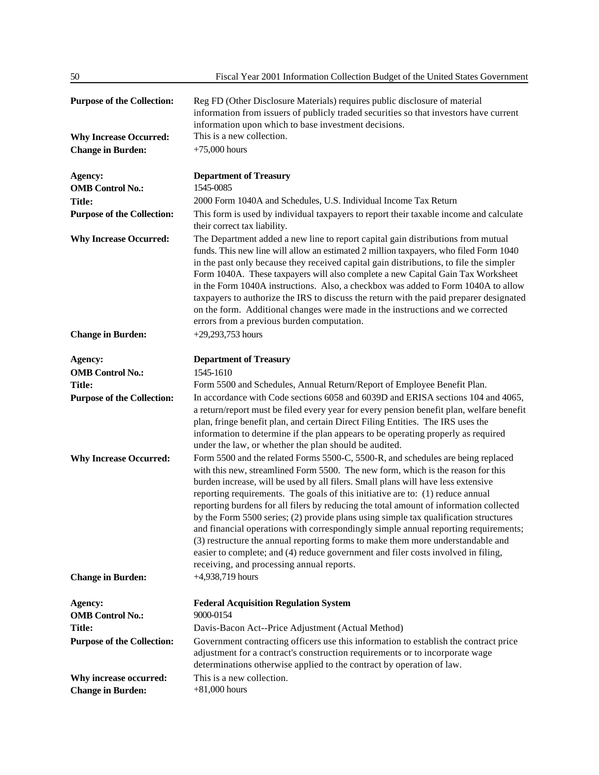| 50                                                 | Fiscal Year 2001 Information Collection Budget of the United States Government                                                                                                                                                                                                                                                                                                                                                                                                                                                                                                                                                                                                                                                                                                                                                            |
|----------------------------------------------------|-------------------------------------------------------------------------------------------------------------------------------------------------------------------------------------------------------------------------------------------------------------------------------------------------------------------------------------------------------------------------------------------------------------------------------------------------------------------------------------------------------------------------------------------------------------------------------------------------------------------------------------------------------------------------------------------------------------------------------------------------------------------------------------------------------------------------------------------|
| <b>Purpose of the Collection:</b>                  | Reg FD (Other Disclosure Materials) requires public disclosure of material<br>information from issuers of publicly traded securities so that investors have current<br>information upon which to base investment decisions.                                                                                                                                                                                                                                                                                                                                                                                                                                                                                                                                                                                                               |
| <b>Why Increase Occurred:</b>                      | This is a new collection.                                                                                                                                                                                                                                                                                                                                                                                                                                                                                                                                                                                                                                                                                                                                                                                                                 |
| <b>Change in Burden:</b>                           | $+75,000$ hours                                                                                                                                                                                                                                                                                                                                                                                                                                                                                                                                                                                                                                                                                                                                                                                                                           |
| Agency:<br><b>OMB</b> Control No.:                 | <b>Department of Treasury</b><br>1545-0085                                                                                                                                                                                                                                                                                                                                                                                                                                                                                                                                                                                                                                                                                                                                                                                                |
| <b>Title:</b>                                      | 2000 Form 1040A and Schedules, U.S. Individual Income Tax Return                                                                                                                                                                                                                                                                                                                                                                                                                                                                                                                                                                                                                                                                                                                                                                          |
| <b>Purpose of the Collection:</b>                  | This form is used by individual taxpayers to report their taxable income and calculate<br>their correct tax liability.                                                                                                                                                                                                                                                                                                                                                                                                                                                                                                                                                                                                                                                                                                                    |
| <b>Why Increase Occurred:</b>                      | The Department added a new line to report capital gain distributions from mutual<br>funds. This new line will allow an estimated 2 million taxpayers, who filed Form 1040<br>in the past only because they received capital gain distributions, to file the simpler<br>Form 1040A. These taxpayers will also complete a new Capital Gain Tax Worksheet<br>in the Form 1040A instructions. Also, a checkbox was added to Form 1040A to allow<br>taxpayers to authorize the IRS to discuss the return with the paid preparer designated<br>on the form. Additional changes were made in the instructions and we corrected<br>errors from a previous burden computation.                                                                                                                                                                     |
| <b>Change in Burden:</b>                           | $+29,293,753$ hours                                                                                                                                                                                                                                                                                                                                                                                                                                                                                                                                                                                                                                                                                                                                                                                                                       |
| Agency:                                            | <b>Department of Treasury</b>                                                                                                                                                                                                                                                                                                                                                                                                                                                                                                                                                                                                                                                                                                                                                                                                             |
| <b>OMB</b> Control No.:                            | 1545-1610                                                                                                                                                                                                                                                                                                                                                                                                                                                                                                                                                                                                                                                                                                                                                                                                                                 |
| Title:                                             | Form 5500 and Schedules, Annual Return/Report of Employee Benefit Plan.                                                                                                                                                                                                                                                                                                                                                                                                                                                                                                                                                                                                                                                                                                                                                                   |
| <b>Purpose of the Collection:</b>                  | In accordance with Code sections 6058 and 6039D and ERISA sections 104 and 4065,<br>a return/report must be filed every year for every pension benefit plan, welfare benefit<br>plan, fringe benefit plan, and certain Direct Filing Entities. The IRS uses the<br>information to determine if the plan appears to be operating properly as required<br>under the law, or whether the plan should be audited.                                                                                                                                                                                                                                                                                                                                                                                                                             |
| <b>Why Increase Occurred:</b>                      | Form 5500 and the related Forms 5500-C, 5500-R, and schedules are being replaced<br>with this new, streamlined Form 5500. The new form, which is the reason for this<br>burden increase, will be used by all filers. Small plans will have less extensive<br>reporting requirements. The goals of this initiative are to: (1) reduce annual<br>reporting burdens for all filers by reducing the total amount of information collected<br>by the Form 5500 series; (2) provide plans using simple tax qualification structures<br>and financial operations with correspondingly simple annual reporting requirements;<br>(3) restructure the annual reporting forms to make them more understandable and<br>easier to complete; and (4) reduce government and filer costs involved in filing,<br>receiving, and processing annual reports. |
| <b>Change in Burden:</b>                           | +4,938,719 hours                                                                                                                                                                                                                                                                                                                                                                                                                                                                                                                                                                                                                                                                                                                                                                                                                          |
| Agency:<br><b>OMB Control No.:</b>                 | <b>Federal Acquisition Regulation System</b><br>9000-0154                                                                                                                                                                                                                                                                                                                                                                                                                                                                                                                                                                                                                                                                                                                                                                                 |
| Title:                                             | Davis-Bacon Act--Price Adjustment (Actual Method)                                                                                                                                                                                                                                                                                                                                                                                                                                                                                                                                                                                                                                                                                                                                                                                         |
| <b>Purpose of the Collection:</b>                  | Government contracting officers use this information to establish the contract price<br>adjustment for a contract's construction requirements or to incorporate wage<br>determinations otherwise applied to the contract by operation of law.                                                                                                                                                                                                                                                                                                                                                                                                                                                                                                                                                                                             |
| Why increase occurred:<br><b>Change in Burden:</b> | This is a new collection.<br>$+81,000$ hours                                                                                                                                                                                                                                                                                                                                                                                                                                                                                                                                                                                                                                                                                                                                                                                              |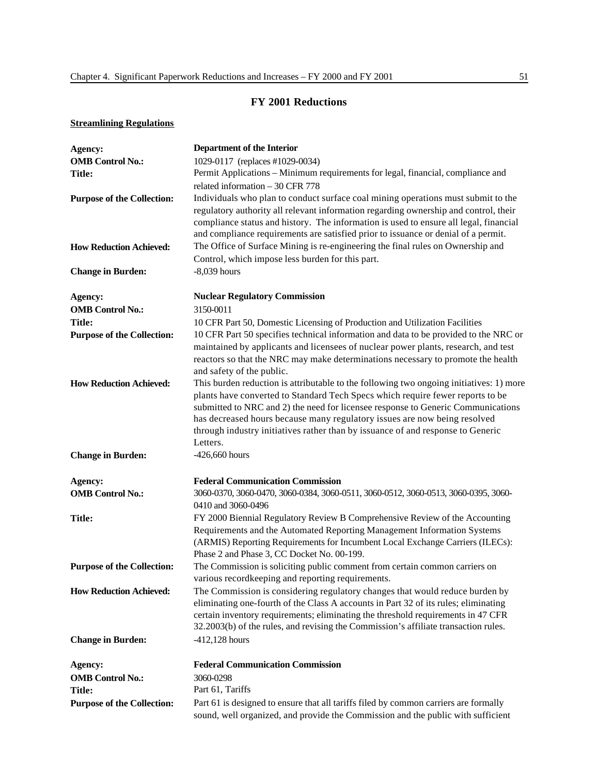### **FY 2001 Reductions**

#### **Streamlining Regulations**

| Agency:                           | Department of the Interior                                                              |
|-----------------------------------|-----------------------------------------------------------------------------------------|
| <b>OMB</b> Control No.:           | 1029-0117 (replaces #1029-0034)                                                         |
| <b>Title:</b>                     | Permit Applications - Minimum requirements for legal, financial, compliance and         |
|                                   | related information - 30 CFR 778                                                        |
| <b>Purpose of the Collection:</b> | Individuals who plan to conduct surface coal mining operations must submit to the       |
|                                   | regulatory authority all relevant information regarding ownership and control, their    |
|                                   | compliance status and history. The information is used to ensure all legal, financial   |
|                                   | and compliance requirements are satisfied prior to issuance or denial of a permit.      |
| <b>How Reduction Achieved:</b>    | The Office of Surface Mining is re-engineering the final rules on Ownership and         |
|                                   | Control, which impose less burden for this part.                                        |
| <b>Change in Burden:</b>          | $-8,039$ hours                                                                          |
| Agency:                           | <b>Nuclear Regulatory Commission</b>                                                    |
| <b>OMB</b> Control No.:           | 3150-0011                                                                               |
| Title:                            | 10 CFR Part 50, Domestic Licensing of Production and Utilization Facilities             |
| <b>Purpose of the Collection:</b> | 10 CFR Part 50 specifies technical information and data to be provided to the NRC or    |
|                                   | maintained by applicants and licensees of nuclear power plants, research, and test      |
|                                   | reactors so that the NRC may make determinations necessary to promote the health        |
|                                   | and safety of the public.                                                               |
| <b>How Reduction Achieved:</b>    | This burden reduction is attributable to the following two ongoing initiatives: 1) more |
|                                   | plants have converted to Standard Tech Specs which require fewer reports to be          |
|                                   | submitted to NRC and 2) the need for licensee response to Generic Communications        |
|                                   | has decreased hours because many regulatory issues are now being resolved               |
|                                   | through industry initiatives rather than by issuance of and response to Generic         |
|                                   | Letters.                                                                                |
| <b>Change in Burden:</b>          | $-426,660$ hours                                                                        |
| Agency:                           | <b>Federal Communication Commission</b>                                                 |
| <b>OMB</b> Control No.:           | 3060-0370, 3060-0470, 3060-0384, 3060-0511, 3060-0512, 3060-0513, 3060-0395, 3060-      |
|                                   | 0410 and 3060-0496                                                                      |
| Title:                            | FY 2000 Biennial Regulatory Review B Comprehensive Review of the Accounting             |
|                                   | Requirements and the Automated Reporting Management Information Systems                 |
|                                   | (ARMIS) Reporting Requirements for Incumbent Local Exchange Carriers (ILECs):           |
|                                   | Phase 2 and Phase 3, CC Docket No. 00-199.                                              |
| <b>Purpose of the Collection:</b> | The Commission is soliciting public comment from certain common carriers on             |
|                                   | various recordkeeping and reporting requirements.                                       |
| <b>How Reduction Achieved:</b>    | The Commission is considering regulatory changes that would reduce burden by            |
|                                   | eliminating one-fourth of the Class A accounts in Part 32 of its rules; eliminating     |
|                                   | certain inventory requirements; eliminating the threshold requirements in 47 CFR        |
|                                   | 32.2003(b) of the rules, and revising the Commission's affiliate transaction rules.     |
| <b>Change in Burden:</b>          | $-412,128$ hours                                                                        |
| Agency:                           | <b>Federal Communication Commission</b>                                                 |
| <b>OMB</b> Control No.:           | 3060-0298                                                                               |
| <b>Title:</b>                     | Part 61, Tariffs                                                                        |
| <b>Purpose of the Collection:</b> | Part 61 is designed to ensure that all tariffs filed by common carriers are formally    |
|                                   | sound, well organized, and provide the Commission and the public with sufficient        |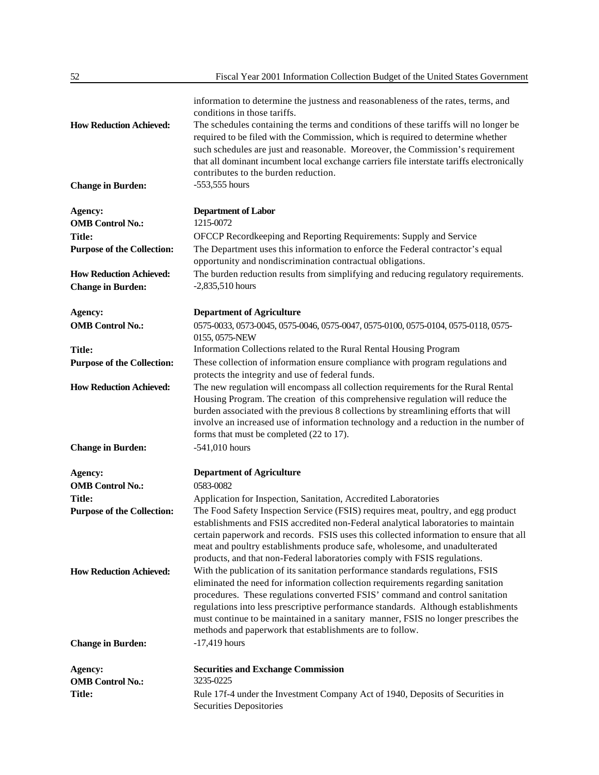| 52                                                         | Fiscal Year 2001 Information Collection Budget of the United States Government                                                                                                                                                                                                                                                                                                                                                                                                                  |
|------------------------------------------------------------|-------------------------------------------------------------------------------------------------------------------------------------------------------------------------------------------------------------------------------------------------------------------------------------------------------------------------------------------------------------------------------------------------------------------------------------------------------------------------------------------------|
| <b>How Reduction Achieved:</b>                             | information to determine the justness and reasonableness of the rates, terms, and<br>conditions in those tariffs.<br>The schedules containing the terms and conditions of these tariffs will no longer be<br>required to be filed with the Commission, which is required to determine whether<br>such schedules are just and reasonable. Moreover, the Commission's requirement<br>that all dominant incumbent local exchange carriers file interstate tariffs electronically                   |
| <b>Change in Burden:</b>                                   | contributes to the burden reduction.<br>$-553,555$ hours                                                                                                                                                                                                                                                                                                                                                                                                                                        |
| Agency:<br><b>OMB</b> Control No.:                         | <b>Department of Labor</b><br>1215-0072                                                                                                                                                                                                                                                                                                                                                                                                                                                         |
| Title:<br><b>Purpose of the Collection:</b>                | OFCCP Recordkeeping and Reporting Requirements: Supply and Service<br>The Department uses this information to enforce the Federal contractor's equal<br>opportunity and nondiscrimination contractual obligations.                                                                                                                                                                                                                                                                              |
| <b>How Reduction Achieved:</b><br><b>Change in Burden:</b> | The burden reduction results from simplifying and reducing regulatory requirements.<br>$-2,835,510$ hours                                                                                                                                                                                                                                                                                                                                                                                       |
| Agency:<br><b>OMB</b> Control No.:                         | <b>Department of Agriculture</b><br>0575-0033, 0573-0045, 0575-0046, 0575-0047, 0575-0100, 0575-0104, 0575-0118, 0575-<br>0155, 0575-NEW                                                                                                                                                                                                                                                                                                                                                        |
| <b>Title:</b><br><b>Purpose of the Collection:</b>         | Information Collections related to the Rural Rental Housing Program<br>These collection of information ensure compliance with program regulations and<br>protects the integrity and use of federal funds.                                                                                                                                                                                                                                                                                       |
| <b>How Reduction Achieved:</b>                             | The new regulation will encompass all collection requirements for the Rural Rental<br>Housing Program. The creation of this comprehensive regulation will reduce the<br>burden associated with the previous 8 collections by streamlining efforts that will<br>involve an increased use of information technology and a reduction in the number of<br>forms that must be completed (22 to 17).                                                                                                  |
| <b>Change in Burden:</b>                                   | $-541,010$ hours                                                                                                                                                                                                                                                                                                                                                                                                                                                                                |
| Agency:<br><b>OMB</b> Control No.:                         | <b>Department of Agriculture</b><br>0583-0082                                                                                                                                                                                                                                                                                                                                                                                                                                                   |
| <b>Title:</b><br><b>Purpose of the Collection:</b>         | Application for Inspection, Sanitation, Accredited Laboratories<br>The Food Safety Inspection Service (FSIS) requires meat, poultry, and egg product<br>establishments and FSIS accredited non-Federal analytical laboratories to maintain<br>certain paperwork and records. FSIS uses this collected information to ensure that all<br>meat and poultry establishments produce safe, wholesome, and unadulterated<br>products, and that non-Federal laboratories comply with FSIS regulations. |
| <b>How Reduction Achieved:</b>                             | With the publication of its sanitation performance standards regulations, FSIS<br>eliminated the need for information collection requirements regarding sanitation<br>procedures. These regulations converted FSIS' command and control sanitation<br>regulations into less prescriptive performance standards. Although establishments<br>must continue to be maintained in a sanitary manner, FSIS no longer prescribes the<br>methods and paperwork that establishments are to follow.       |
| <b>Change in Burden:</b>                                   | $-17,419$ hours                                                                                                                                                                                                                                                                                                                                                                                                                                                                                 |
| Agency:<br><b>OMB</b> Control No.:<br><b>Title:</b>        | <b>Securities and Exchange Commission</b><br>3235-0225<br>Rule 17f-4 under the Investment Company Act of 1940, Deposits of Securities in<br>Securities Depositories                                                                                                                                                                                                                                                                                                                             |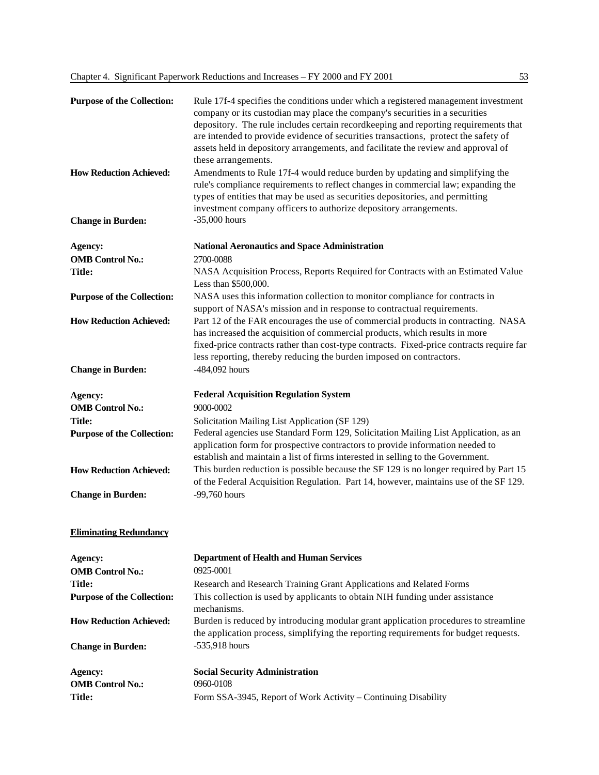| <b>Purpose of the Collection:</b>                  | Rule 17f-4 specifies the conditions under which a registered management investment<br>company or its custodian may place the company's securities in a securities<br>depository. The rule includes certain recordkeeping and reporting requirements that<br>are intended to provide evidence of securities transactions, protect the safety of<br>assets held in depository arrangements, and facilitate the review and approval of<br>these arrangements. |
|----------------------------------------------------|------------------------------------------------------------------------------------------------------------------------------------------------------------------------------------------------------------------------------------------------------------------------------------------------------------------------------------------------------------------------------------------------------------------------------------------------------------|
| <b>How Reduction Achieved:</b>                     | Amendments to Rule 17f-4 would reduce burden by updating and simplifying the<br>rule's compliance requirements to reflect changes in commercial law; expanding the<br>types of entities that may be used as securities depositories, and permitting<br>investment company officers to authorize depository arrangements.                                                                                                                                   |
| <b>Change in Burden:</b>                           | $-35,000$ hours                                                                                                                                                                                                                                                                                                                                                                                                                                            |
| Agency:<br><b>OMB</b> Control No.:                 | <b>National Aeronautics and Space Administration</b><br>2700-0088                                                                                                                                                                                                                                                                                                                                                                                          |
| <b>Title:</b>                                      | NASA Acquisition Process, Reports Required for Contracts with an Estimated Value<br>Less than \$500,000.                                                                                                                                                                                                                                                                                                                                                   |
| <b>Purpose of the Collection:</b>                  | NASA uses this information collection to monitor compliance for contracts in<br>support of NASA's mission and in response to contractual requirements.                                                                                                                                                                                                                                                                                                     |
| <b>How Reduction Achieved:</b>                     | Part 12 of the FAR encourages the use of commercial products in contracting. NASA<br>has increased the acquisition of commercial products, which results in more<br>fixed-price contracts rather than cost-type contracts. Fixed-price contracts require far<br>less reporting, thereby reducing the burden imposed on contractors.                                                                                                                        |
| <b>Change in Burden:</b>                           | -484,092 hours                                                                                                                                                                                                                                                                                                                                                                                                                                             |
| Agency:                                            | <b>Federal Acquisition Regulation System</b>                                                                                                                                                                                                                                                                                                                                                                                                               |
| <b>OMB</b> Control No.:                            | 9000-0002                                                                                                                                                                                                                                                                                                                                                                                                                                                  |
| <b>Title:</b><br><b>Purpose of the Collection:</b> | Solicitation Mailing List Application (SF 129)<br>Federal agencies use Standard Form 129, Solicitation Mailing List Application, as an<br>application form for prospective contractors to provide information needed to<br>establish and maintain a list of firms interested in selling to the Government.                                                                                                                                                 |
| <b>How Reduction Achieved:</b>                     | This burden reduction is possible because the SF 129 is no longer required by Part 15<br>of the Federal Acquisition Regulation. Part 14, however, maintains use of the SF 129.                                                                                                                                                                                                                                                                             |
| <b>Change in Burden:</b>                           | -99,760 hours                                                                                                                                                                                                                                                                                                                                                                                                                                              |
| <b>Eliminating Redundancy</b>                      |                                                                                                                                                                                                                                                                                                                                                                                                                                                            |
| Agency:                                            | <b>Department of Health and Human Services</b>                                                                                                                                                                                                                                                                                                                                                                                                             |
| <b>OMB</b> Control No.:                            | 0925-0001                                                                                                                                                                                                                                                                                                                                                                                                                                                  |
| <b>Title:</b>                                      | Research and Research Training Grant Applications and Related Forms                                                                                                                                                                                                                                                                                                                                                                                        |
| <b>Purpose of the Collection:</b>                  | This collection is used by applicants to obtain NIH funding under assistance<br>mechanisms.                                                                                                                                                                                                                                                                                                                                                                |
| <b>How Reduction Achieved:</b>                     | Burden is reduced by introducing modular grant application procedures to streamline<br>the application process, simplifying the reporting requirements for budget requests.                                                                                                                                                                                                                                                                                |
| <b>Change in Burden:</b>                           | -535,918 hours                                                                                                                                                                                                                                                                                                                                                                                                                                             |
| Agency:                                            | <b>Social Security Administration</b>                                                                                                                                                                                                                                                                                                                                                                                                                      |
| <b>OMB</b> Control No.:                            | 0960-0108                                                                                                                                                                                                                                                                                                                                                                                                                                                  |
| <b>Title:</b>                                      | Form SSA-3945, Report of Work Activity – Continuing Disability                                                                                                                                                                                                                                                                                                                                                                                             |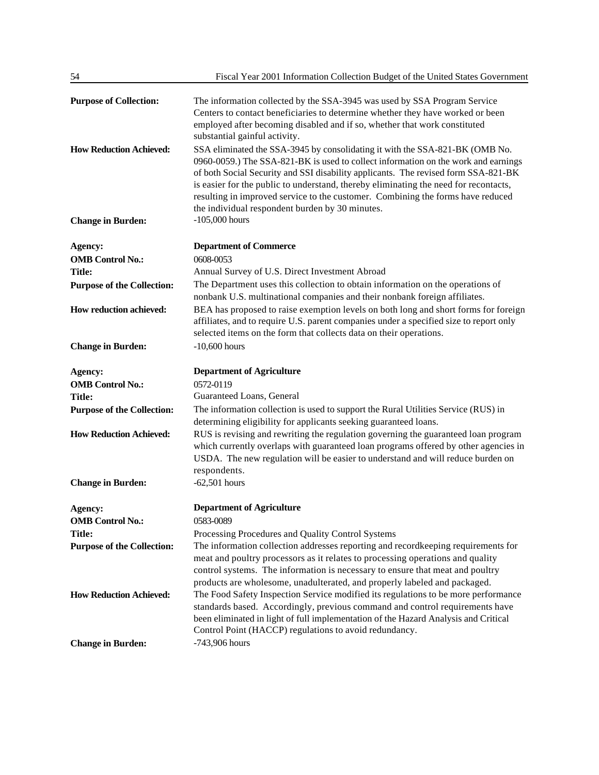| 54                                 | Fiscal Year 2001 Information Collection Budget of the United States Government                                                                                                                                                                                                                                                                                                                                                                                                         |
|------------------------------------|----------------------------------------------------------------------------------------------------------------------------------------------------------------------------------------------------------------------------------------------------------------------------------------------------------------------------------------------------------------------------------------------------------------------------------------------------------------------------------------|
| <b>Purpose of Collection:</b>      | The information collected by the SSA-3945 was used by SSA Program Service<br>Centers to contact beneficiaries to determine whether they have worked or been<br>employed after becoming disabled and if so, whether that work constituted<br>substantial gainful activity.                                                                                                                                                                                                              |
| <b>How Reduction Achieved:</b>     | SSA eliminated the SSA-3945 by consolidating it with the SSA-821-BK (OMB No.<br>0960-0059.) The SSA-821-BK is used to collect information on the work and earnings<br>of both Social Security and SSI disability applicants. The revised form SSA-821-BK<br>is easier for the public to understand, thereby eliminating the need for recontacts,<br>resulting in improved service to the customer. Combining the forms have reduced<br>the individual respondent burden by 30 minutes. |
| <b>Change in Burden:</b>           | $-105,000$ hours                                                                                                                                                                                                                                                                                                                                                                                                                                                                       |
| Agency:                            | <b>Department of Commerce</b>                                                                                                                                                                                                                                                                                                                                                                                                                                                          |
| <b>OMB</b> Control No.:            | 0608-0053                                                                                                                                                                                                                                                                                                                                                                                                                                                                              |
| <b>Title:</b>                      | Annual Survey of U.S. Direct Investment Abroad                                                                                                                                                                                                                                                                                                                                                                                                                                         |
| <b>Purpose of the Collection:</b>  | The Department uses this collection to obtain information on the operations of<br>nonbank U.S. multinational companies and their nonbank foreign affiliates.                                                                                                                                                                                                                                                                                                                           |
| How reduction achieved:            | BEA has proposed to raise exemption levels on both long and short forms for foreign<br>affiliates, and to require U.S. parent companies under a specified size to report only<br>selected items on the form that collects data on their operations.                                                                                                                                                                                                                                    |
| <b>Change in Burden:</b>           | $-10,600$ hours                                                                                                                                                                                                                                                                                                                                                                                                                                                                        |
| Agency:                            | <b>Department of Agriculture</b>                                                                                                                                                                                                                                                                                                                                                                                                                                                       |
| <b>OMB</b> Control No.:            | 0572-0119                                                                                                                                                                                                                                                                                                                                                                                                                                                                              |
| <b>Title:</b>                      | Guaranteed Loans, General                                                                                                                                                                                                                                                                                                                                                                                                                                                              |
| <b>Purpose of the Collection:</b>  | The information collection is used to support the Rural Utilities Service (RUS) in<br>determining eligibility for applicants seeking guaranteed loans.                                                                                                                                                                                                                                                                                                                                 |
| <b>How Reduction Achieved:</b>     | RUS is revising and rewriting the regulation governing the guaranteed loan program<br>which currently overlaps with guaranteed loan programs offered by other agencies in<br>USDA. The new regulation will be easier to understand and will reduce burden on<br>respondents.                                                                                                                                                                                                           |
| <b>Change in Burden:</b>           | $-62,501$ hours                                                                                                                                                                                                                                                                                                                                                                                                                                                                        |
| Agency:<br><b>OMB</b> Control No.: | <b>Department of Agriculture</b><br>0583-0089                                                                                                                                                                                                                                                                                                                                                                                                                                          |
| <b>Title:</b>                      | Processing Procedures and Quality Control Systems                                                                                                                                                                                                                                                                                                                                                                                                                                      |
| <b>Purpose of the Collection:</b>  | The information collection addresses reporting and recordkeeping requirements for<br>meat and poultry processors as it relates to processing operations and quality<br>control systems. The information is necessary to ensure that meat and poultry                                                                                                                                                                                                                                   |
| <b>How Reduction Achieved:</b>     | products are wholesome, unadulterated, and properly labeled and packaged.<br>The Food Safety Inspection Service modified its regulations to be more performance<br>standards based. Accordingly, previous command and control requirements have<br>been eliminated in light of full implementation of the Hazard Analysis and Critical<br>Control Point (HACCP) regulations to avoid redundancy.                                                                                       |
| <b>Change in Burden:</b>           | -743,906 hours                                                                                                                                                                                                                                                                                                                                                                                                                                                                         |
|                                    |                                                                                                                                                                                                                                                                                                                                                                                                                                                                                        |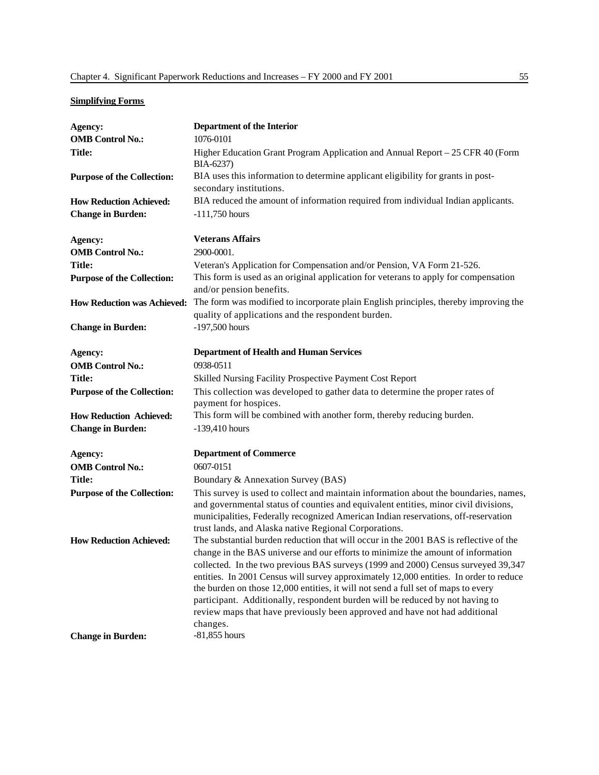# **Simplifying Forms**

| Agency:                            | Department of the Interior                                                                                                                                                                                                                                                                                                                                                                                                                                                                                                                                                                                               |
|------------------------------------|--------------------------------------------------------------------------------------------------------------------------------------------------------------------------------------------------------------------------------------------------------------------------------------------------------------------------------------------------------------------------------------------------------------------------------------------------------------------------------------------------------------------------------------------------------------------------------------------------------------------------|
| <b>OMB Control No.:</b>            | 1076-0101                                                                                                                                                                                                                                                                                                                                                                                                                                                                                                                                                                                                                |
| <b>Title:</b>                      | Higher Education Grant Program Application and Annual Report - 25 CFR 40 (Form<br>BIA-6237)                                                                                                                                                                                                                                                                                                                                                                                                                                                                                                                              |
| <b>Purpose of the Collection:</b>  | BIA uses this information to determine applicant eligibility for grants in post-<br>secondary institutions.                                                                                                                                                                                                                                                                                                                                                                                                                                                                                                              |
| <b>How Reduction Achieved:</b>     | BIA reduced the amount of information required from individual Indian applicants.                                                                                                                                                                                                                                                                                                                                                                                                                                                                                                                                        |
| <b>Change in Burden:</b>           | $-111,750$ hours                                                                                                                                                                                                                                                                                                                                                                                                                                                                                                                                                                                                         |
| Agency:                            | <b>Veterans Affairs</b>                                                                                                                                                                                                                                                                                                                                                                                                                                                                                                                                                                                                  |
| <b>OMB Control No.:</b>            | 2900-0001.                                                                                                                                                                                                                                                                                                                                                                                                                                                                                                                                                                                                               |
| Title:                             | Veteran's Application for Compensation and/or Pension, VA Form 21-526.                                                                                                                                                                                                                                                                                                                                                                                                                                                                                                                                                   |
| <b>Purpose of the Collection:</b>  | This form is used as an original application for veterans to apply for compensation<br>and/or pension benefits.                                                                                                                                                                                                                                                                                                                                                                                                                                                                                                          |
| <b>How Reduction was Achieved:</b> | The form was modified to incorporate plain English principles, thereby improving the                                                                                                                                                                                                                                                                                                                                                                                                                                                                                                                                     |
|                                    | quality of applications and the respondent burden.                                                                                                                                                                                                                                                                                                                                                                                                                                                                                                                                                                       |
| <b>Change in Burden:</b>           | -197,500 hours                                                                                                                                                                                                                                                                                                                                                                                                                                                                                                                                                                                                           |
| Agency:                            | <b>Department of Health and Human Services</b>                                                                                                                                                                                                                                                                                                                                                                                                                                                                                                                                                                           |
| <b>OMB</b> Control No.:            | 0938-0511                                                                                                                                                                                                                                                                                                                                                                                                                                                                                                                                                                                                                |
| <b>Title:</b>                      | Skilled Nursing Facility Prospective Payment Cost Report                                                                                                                                                                                                                                                                                                                                                                                                                                                                                                                                                                 |
| <b>Purpose of the Collection:</b>  | This collection was developed to gather data to determine the proper rates of<br>payment for hospices.                                                                                                                                                                                                                                                                                                                                                                                                                                                                                                                   |
| <b>How Reduction Achieved:</b>     | This form will be combined with another form, thereby reducing burden.                                                                                                                                                                                                                                                                                                                                                                                                                                                                                                                                                   |
| <b>Change in Burden:</b>           | -139,410 hours                                                                                                                                                                                                                                                                                                                                                                                                                                                                                                                                                                                                           |
| Agency:                            | <b>Department of Commerce</b>                                                                                                                                                                                                                                                                                                                                                                                                                                                                                                                                                                                            |
| <b>OMB</b> Control No.:            | 0607-0151                                                                                                                                                                                                                                                                                                                                                                                                                                                                                                                                                                                                                |
| <b>Title:</b>                      | Boundary & Annexation Survey (BAS)                                                                                                                                                                                                                                                                                                                                                                                                                                                                                                                                                                                       |
| <b>Purpose of the Collection:</b>  | This survey is used to collect and maintain information about the boundaries, names,<br>and governmental status of counties and equivalent entities, minor civil divisions,<br>municipalities, Federally recognized American Indian reservations, off-reservation<br>trust lands, and Alaska native Regional Corporations.                                                                                                                                                                                                                                                                                               |
| <b>How Reduction Achieved:</b>     | The substantial burden reduction that will occur in the 2001 BAS is reflective of the<br>change in the BAS universe and our efforts to minimize the amount of information<br>collected. In the two previous BAS surveys (1999 and 2000) Census surveyed 39,347<br>entities. In 2001 Census will survey approximately 12,000 entities. In order to reduce<br>the burden on those 12,000 entities, it will not send a full set of maps to every<br>participant. Additionally, respondent burden will be reduced by not having to<br>review maps that have previously been approved and have not had additional<br>changes. |
| <b>Change in Burden:</b>           | $-81,855$ hours                                                                                                                                                                                                                                                                                                                                                                                                                                                                                                                                                                                                          |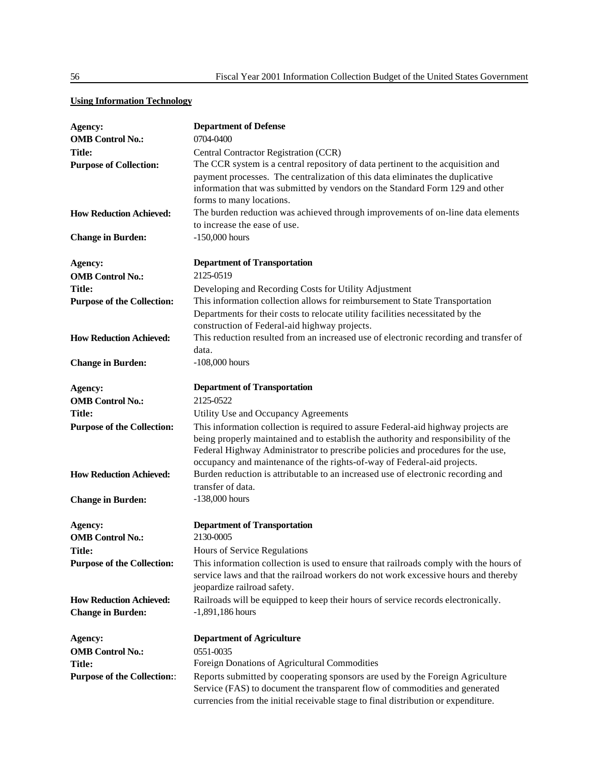# **Using Information Technology**

| Agency:<br><b>OMB</b> Control No.:                                  | <b>Department of Defense</b><br>0704-0400                                                                                                                                                                                                                                                                                                                                                                                  |
|---------------------------------------------------------------------|----------------------------------------------------------------------------------------------------------------------------------------------------------------------------------------------------------------------------------------------------------------------------------------------------------------------------------------------------------------------------------------------------------------------------|
| <b>Title:</b>                                                       |                                                                                                                                                                                                                                                                                                                                                                                                                            |
| <b>Purpose of Collection:</b>                                       | Central Contractor Registration (CCR)<br>The CCR system is a central repository of data pertinent to the acquisition and<br>payment processes. The centralization of this data eliminates the duplicative<br>information that was submitted by vendors on the Standard Form 129 and other<br>forms to many locations.                                                                                                      |
| <b>How Reduction Achieved:</b>                                      | The burden reduction was achieved through improvements of on-line data elements<br>to increase the ease of use.                                                                                                                                                                                                                                                                                                            |
| <b>Change in Burden:</b>                                            | $-150,000$ hours                                                                                                                                                                                                                                                                                                                                                                                                           |
| Agency:                                                             | <b>Department of Transportation</b>                                                                                                                                                                                                                                                                                                                                                                                        |
| <b>OMB</b> Control No.:                                             | 2125-0519                                                                                                                                                                                                                                                                                                                                                                                                                  |
| <b>Title:</b>                                                       | Developing and Recording Costs for Utility Adjustment                                                                                                                                                                                                                                                                                                                                                                      |
| <b>Purpose of the Collection:</b>                                   | This information collection allows for reimbursement to State Transportation<br>Departments for their costs to relocate utility facilities necessitated by the                                                                                                                                                                                                                                                             |
| <b>How Reduction Achieved:</b>                                      | construction of Federal-aid highway projects.<br>This reduction resulted from an increased use of electronic recording and transfer of<br>data.                                                                                                                                                                                                                                                                            |
| <b>Change in Burden:</b>                                            | $-108,000$ hours                                                                                                                                                                                                                                                                                                                                                                                                           |
| Agency:                                                             | <b>Department of Transportation</b>                                                                                                                                                                                                                                                                                                                                                                                        |
| <b>OMB</b> Control No.:                                             | 2125-0522                                                                                                                                                                                                                                                                                                                                                                                                                  |
| <b>Title:</b>                                                       | Utility Use and Occupancy Agreements                                                                                                                                                                                                                                                                                                                                                                                       |
| <b>Purpose of the Collection:</b><br><b>How Reduction Achieved:</b> | This information collection is required to assure Federal-aid highway projects are<br>being properly maintained and to establish the authority and responsibility of the<br>Federal Highway Administrator to prescribe policies and procedures for the use,<br>occupancy and maintenance of the rights-of-way of Federal-aid projects.<br>Burden reduction is attributable to an increased use of electronic recording and |
|                                                                     | transfer of data.                                                                                                                                                                                                                                                                                                                                                                                                          |
| <b>Change in Burden:</b>                                            | $-138,000$ hours                                                                                                                                                                                                                                                                                                                                                                                                           |
| Agency:<br><b>OMB</b> Control No.:                                  | <b>Department of Transportation</b><br>2130-0005                                                                                                                                                                                                                                                                                                                                                                           |
|                                                                     | Hours of Service Regulations                                                                                                                                                                                                                                                                                                                                                                                               |
| <b>Title:</b>                                                       |                                                                                                                                                                                                                                                                                                                                                                                                                            |
| <b>Purpose of the Collection:</b>                                   | This information collection is used to ensure that railroads comply with the hours of<br>service laws and that the railroad workers do not work excessive hours and thereby<br>jeopardize railroad safety.                                                                                                                                                                                                                 |
| <b>How Reduction Achieved:</b><br><b>Change in Burden:</b>          | Railroads will be equipped to keep their hours of service records electronically.<br>$-1,891,186$ hours                                                                                                                                                                                                                                                                                                                    |
| Agency:                                                             | <b>Department of Agriculture</b>                                                                                                                                                                                                                                                                                                                                                                                           |
| <b>OMB</b> Control No.:                                             | 0551-0035                                                                                                                                                                                                                                                                                                                                                                                                                  |
| <b>Title:</b>                                                       | Foreign Donations of Agricultural Commodities                                                                                                                                                                                                                                                                                                                                                                              |
| <b>Purpose of the Collection::</b>                                  | Reports submitted by cooperating sponsors are used by the Foreign Agriculture<br>Service (FAS) to document the transparent flow of commodities and generated<br>currencies from the initial receivable stage to final distribution or expenditure.                                                                                                                                                                         |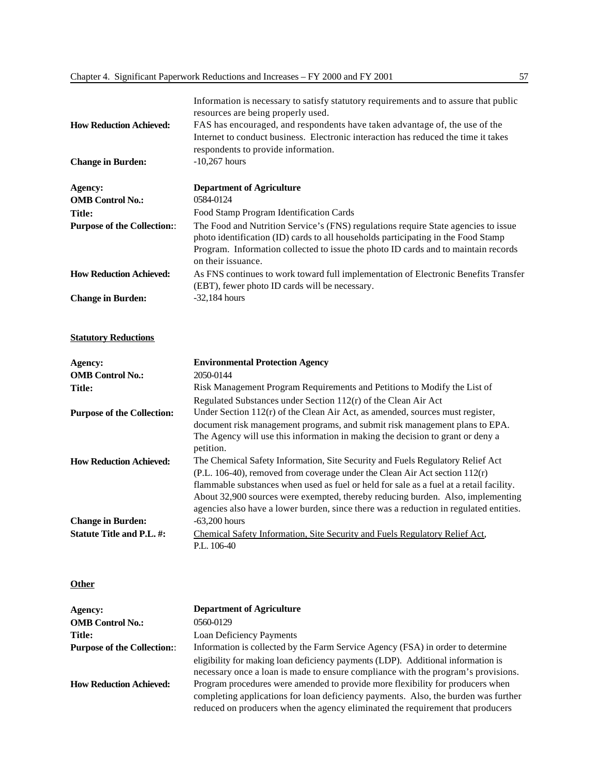|                                    | Information is necessary to satisfy statutory requirements and to assure that public<br>resources are being properly used.                                              |
|------------------------------------|-------------------------------------------------------------------------------------------------------------------------------------------------------------------------|
| <b>How Reduction Achieved:</b>     | FAS has encouraged, and respondents have taken advantage of, the use of the                                                                                             |
|                                    | Internet to conduct business. Electronic interaction has reduced the time it takes<br>respondents to provide information.                                               |
| <b>Change in Burden:</b>           | $-10,267$ hours                                                                                                                                                         |
| Agency:                            | <b>Department of Agriculture</b>                                                                                                                                        |
| <b>OMB</b> Control No.:            | 0584-0124                                                                                                                                                               |
| <b>Title:</b>                      | Food Stamp Program Identification Cards                                                                                                                                 |
| <b>Purpose of the Collection::</b> | The Food and Nutrition Service's (FNS) regulations require State agencies to issue<br>photo identification (ID) cards to all households participating in the Food Stamp |
|                                    | Program. Information collected to issue the photo ID cards and to maintain records<br>on their issuance.                                                                |
| <b>How Reduction Achieved:</b>     | As FNS continues to work toward full implementation of Electronic Benefits Transfer<br>(EBT), fewer photo ID cards will be necessary.                                   |
| <b>Change in Burden:</b>           | $-32,184$ hours                                                                                                                                                         |

### **Statutory Reductions**

| Agency:                           | <b>Environmental Protection Agency</b>                                                  |
|-----------------------------------|-----------------------------------------------------------------------------------------|
| <b>OMB</b> Control No.:           | 2050-0144                                                                               |
| Title:                            | Risk Management Program Requirements and Petitions to Modify the List of                |
|                                   | Regulated Substances under Section 112(r) of the Clean Air Act                          |
| <b>Purpose of the Collection:</b> | Under Section $112(r)$ of the Clean Air Act, as amended, sources must register,         |
|                                   | document risk management programs, and submit risk management plans to EPA.             |
|                                   | The Agency will use this information in making the decision to grant or deny a          |
|                                   | petition.                                                                               |
| <b>How Reduction Achieved:</b>    | The Chemical Safety Information, Site Security and Fuels Regulatory Relief Act          |
|                                   | $(P.L. 106-40)$ , removed from coverage under the Clean Air Act section $112(r)$        |
|                                   | flammable substances when used as fuel or held for sale as a fuel at a retail facility. |
|                                   | About 32,900 sources were exempted, thereby reducing burden. Also, implementing         |
|                                   | agencies also have a lower burden, since there was a reduction in regulated entities.   |
| <b>Change in Burden:</b>          | $-63,200$ hours                                                                         |
| Statute Title and P.L. #:         | Chemical Safety Information, Site Security and Fuels Regulatory Relief Act,             |
|                                   | P.L. 106-40                                                                             |

# **Other**

| Agency:                            | <b>Department of Agriculture</b>                                                                                                                                                                                                                       |
|------------------------------------|--------------------------------------------------------------------------------------------------------------------------------------------------------------------------------------------------------------------------------------------------------|
| <b>OMB</b> Control No.:            | 0560-0129                                                                                                                                                                                                                                              |
| Title:                             | Loan Deficiency Payments                                                                                                                                                                                                                               |
| <b>Purpose of the Collection::</b> | Information is collected by the Farm Service Agency (FSA) in order to determine                                                                                                                                                                        |
|                                    | eligibility for making loan deficiency payments (LDP). Additional information is<br>necessary once a loan is made to ensure compliance with the program's provisions.                                                                                  |
| <b>How Reduction Achieved:</b>     | Program procedures were amended to provide more flexibility for producers when<br>completing applications for loan deficiency payments. Also, the burden was further<br>reduced on producers when the agency eliminated the requirement that producers |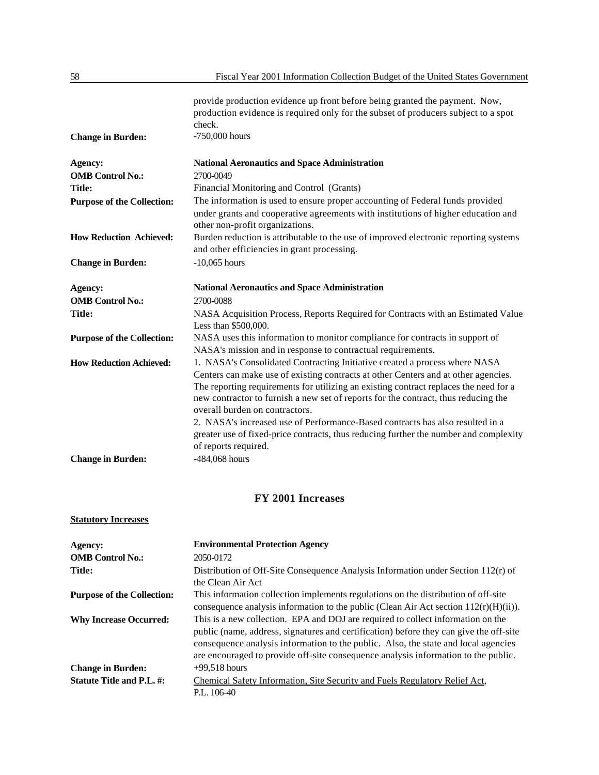|                                   | provide production evidence up front before being granted the payment. Now,<br>production evidence is required only for the subset of producers subject to a spot<br>check.                                                                                                                                                                                                                                                                                                                                                                                                         |
|-----------------------------------|-------------------------------------------------------------------------------------------------------------------------------------------------------------------------------------------------------------------------------------------------------------------------------------------------------------------------------------------------------------------------------------------------------------------------------------------------------------------------------------------------------------------------------------------------------------------------------------|
| <b>Change in Burden:</b>          | -750,000 hours                                                                                                                                                                                                                                                                                                                                                                                                                                                                                                                                                                      |
| Agency:                           | <b>National Aeronautics and Space Administration</b>                                                                                                                                                                                                                                                                                                                                                                                                                                                                                                                                |
| <b>OMB Control No.:</b>           | 2700-0049                                                                                                                                                                                                                                                                                                                                                                                                                                                                                                                                                                           |
| <b>Title:</b>                     | Financial Monitoring and Control (Grants)                                                                                                                                                                                                                                                                                                                                                                                                                                                                                                                                           |
| <b>Purpose of the Collection:</b> | The information is used to ensure proper accounting of Federal funds provided<br>under grants and cooperative agreements with institutions of higher education and<br>other non-profit organizations.                                                                                                                                                                                                                                                                                                                                                                               |
| <b>How Reduction Achieved:</b>    | Burden reduction is attributable to the use of improved electronic reporting systems<br>and other efficiencies in grant processing.                                                                                                                                                                                                                                                                                                                                                                                                                                                 |
| <b>Change in Burden:</b>          | $-10,065$ hours                                                                                                                                                                                                                                                                                                                                                                                                                                                                                                                                                                     |
|                                   |                                                                                                                                                                                                                                                                                                                                                                                                                                                                                                                                                                                     |
| Agency:                           | <b>National Aeronautics and Space Administration</b>                                                                                                                                                                                                                                                                                                                                                                                                                                                                                                                                |
| <b>OMB</b> Control No.:           | 2700-0088                                                                                                                                                                                                                                                                                                                                                                                                                                                                                                                                                                           |
| <b>Title:</b>                     | NASA Acquisition Process, Reports Required for Contracts with an Estimated Value<br>Less than \$500,000.                                                                                                                                                                                                                                                                                                                                                                                                                                                                            |
| <b>Purpose of the Collection:</b> | NASA uses this information to monitor compliance for contracts in support of<br>NASA's mission and in response to contractual requirements.                                                                                                                                                                                                                                                                                                                                                                                                                                         |
| <b>How Reduction Achieved:</b>    | 1. NASA's Consolidated Contracting Initiative created a process where NASA<br>Centers can make use of existing contracts at other Centers and at other agencies.<br>The reporting requirements for utilizing an existing contract replaces the need for a<br>new contractor to furnish a new set of reports for the contract, thus reducing the<br>overall burden on contractors.<br>2. NASA's increased use of Performance-Based contracts has also resulted in a<br>greater use of fixed-price contracts, thus reducing further the number and complexity<br>of reports required. |

### **FY 2001 Increases**

#### **Statutory Increases**

| Agency:                           | <b>Environmental Protection Agency</b>                                                                                                                                                                                                                                                                                                                 |
|-----------------------------------|--------------------------------------------------------------------------------------------------------------------------------------------------------------------------------------------------------------------------------------------------------------------------------------------------------------------------------------------------------|
| <b>OMB</b> Control No.:           | 2050-0172                                                                                                                                                                                                                                                                                                                                              |
| Title:                            | Distribution of Off-Site Consequence Analysis Information under Section $112(r)$ of<br>the Clean Air Act                                                                                                                                                                                                                                               |
| <b>Purpose of the Collection:</b> | This information collection implements regulations on the distribution of off-site<br>consequence analysis information to the public (Clean Air Act section $112(r)(H)(ii)$ ).                                                                                                                                                                         |
| <b>Why Increase Occurred:</b>     | This is a new collection. EPA and DOJ are required to collect information on the<br>public (name, address, signatures and certification) before they can give the off-site<br>consequence analysis information to the public. Also, the state and local agencies<br>are encouraged to provide off-site consequence analysis information to the public. |
| <b>Change in Burden:</b>          | $+99.518$ hours                                                                                                                                                                                                                                                                                                                                        |
| Statute Title and P.L. #:         | Chemical Safety Information, Site Security and Fuels Regulatory Relief Act,<br>P.L. 106-40                                                                                                                                                                                                                                                             |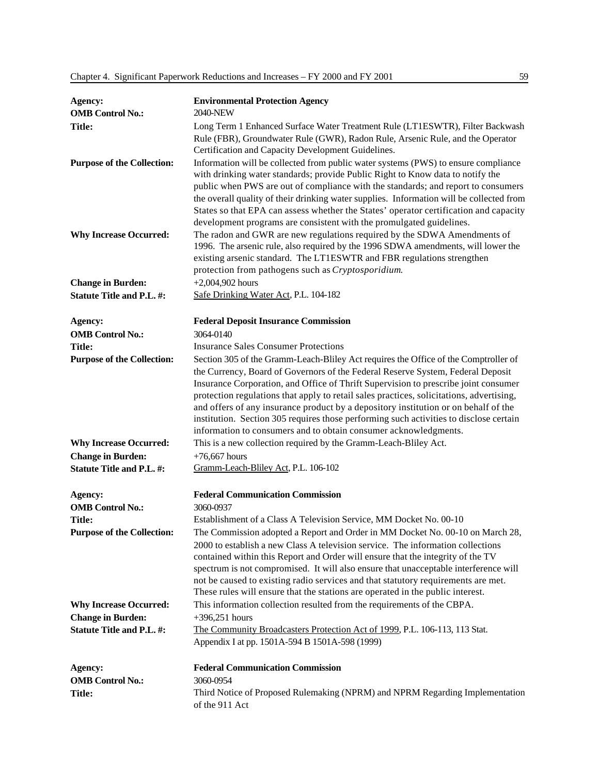| Agency:                                                      | <b>Environmental Protection Agency</b><br>2040-NEW                                                                                                            |
|--------------------------------------------------------------|---------------------------------------------------------------------------------------------------------------------------------------------------------------|
| <b>OMB</b> Control No.:                                      |                                                                                                                                                               |
| <b>Title:</b>                                                | Long Term 1 Enhanced Surface Water Treatment Rule (LT1ESWTR), Filter Backwash                                                                                 |
|                                                              | Rule (FBR), Groundwater Rule (GWR), Radon Rule, Arsenic Rule, and the Operator                                                                                |
|                                                              | Certification and Capacity Development Guidelines.                                                                                                            |
| <b>Purpose of the Collection:</b>                            | Information will be collected from public water systems (PWS) to ensure compliance                                                                            |
|                                                              | with drinking water standards; provide Public Right to Know data to notify the                                                                                |
|                                                              | public when PWS are out of compliance with the standards; and report to consumers                                                                             |
|                                                              | the overall quality of their drinking water supplies. Information will be collected from                                                                      |
|                                                              | States so that EPA can assess whether the States' operator certification and capacity<br>development programs are consistent with the promulgated guidelines. |
|                                                              | The radon and GWR are new regulations required by the SDWA Amendments of                                                                                      |
| <b>Why Increase Occurred:</b>                                | 1996. The arsenic rule, also required by the 1996 SDWA amendments, will lower the                                                                             |
|                                                              | existing arsenic standard. The LT1ESWTR and FBR regulations strengthen                                                                                        |
|                                                              | protection from pathogens such as Cryptosporidium.                                                                                                            |
|                                                              | $+2,004,902$ hours                                                                                                                                            |
| <b>Change in Burden:</b><br><b>Statute Title and P.L. #:</b> | Safe Drinking Water Act, P.L. 104-182                                                                                                                         |
|                                                              |                                                                                                                                                               |
| Agency:                                                      | <b>Federal Deposit Insurance Commission</b>                                                                                                                   |
| <b>OMB Control No.:</b>                                      | 3064-0140                                                                                                                                                     |
| Title:                                                       | <b>Insurance Sales Consumer Protections</b>                                                                                                                   |
| <b>Purpose of the Collection:</b>                            | Section 305 of the Gramm-Leach-Bliley Act requires the Office of the Comptroller of                                                                           |
|                                                              | the Currency, Board of Governors of the Federal Reserve System, Federal Deposit                                                                               |
|                                                              | Insurance Corporation, and Office of Thrift Supervision to prescribe joint consumer                                                                           |
|                                                              | protection regulations that apply to retail sales practices, solicitations, advertising,                                                                      |
|                                                              | and offers of any insurance product by a depository institution or on behalf of the                                                                           |
|                                                              | institution. Section 305 requires those performing such activities to disclose certain                                                                        |
|                                                              | information to consumers and to obtain consumer acknowledgments.                                                                                              |
| <b>Why Increase Occurred:</b>                                | This is a new collection required by the Gramm-Leach-Bliley Act.                                                                                              |
| <b>Change in Burden:</b>                                     | $+76,667$ hours                                                                                                                                               |
| <b>Statute Title and P.L. #:</b>                             | Gramm-Leach-Bliley Act, P.L. 106-102                                                                                                                          |
| Agency:                                                      | <b>Federal Communication Commission</b>                                                                                                                       |
| <b>OMB</b> Control No.:                                      | 3060-0937                                                                                                                                                     |
| <b>Title:</b>                                                | Establishment of a Class A Television Service, MM Docket No. 00-10                                                                                            |
| <b>Purpose of the Collection:</b>                            | The Commission adopted a Report and Order in MM Docket No. 00-10 on March 28,                                                                                 |
|                                                              | 2000 to establish a new Class A television service. The information collections                                                                               |
|                                                              | contained within this Report and Order will ensure that the integrity of the TV                                                                               |
|                                                              | spectrum is not compromised. It will also ensure that unacceptable interference will                                                                          |
|                                                              | not be caused to existing radio services and that statutory requirements are met.                                                                             |
|                                                              | These rules will ensure that the stations are operated in the public interest.                                                                                |
| <b>Why Increase Occurred:</b>                                | This information collection resulted from the requirements of the CBPA.                                                                                       |
| <b>Change in Burden:</b>                                     | $+396,251$ hours                                                                                                                                              |
| <b>Statute Title and P.L. #:</b>                             | The Community Broadcasters Protection Act of 1999, P.L. 106-113, 113 Stat.                                                                                    |
|                                                              | Appendix I at pp. 1501A-594 B 1501A-598 (1999)                                                                                                                |
|                                                              |                                                                                                                                                               |
| Agency:                                                      | <b>Federal Communication Commission</b>                                                                                                                       |
| <b>OMB Control No.:</b>                                      | 3060-0954                                                                                                                                                     |
| <b>Title:</b>                                                | Third Notice of Proposed Rulemaking (NPRM) and NPRM Regarding Implementation                                                                                  |
|                                                              | of the 911 Act                                                                                                                                                |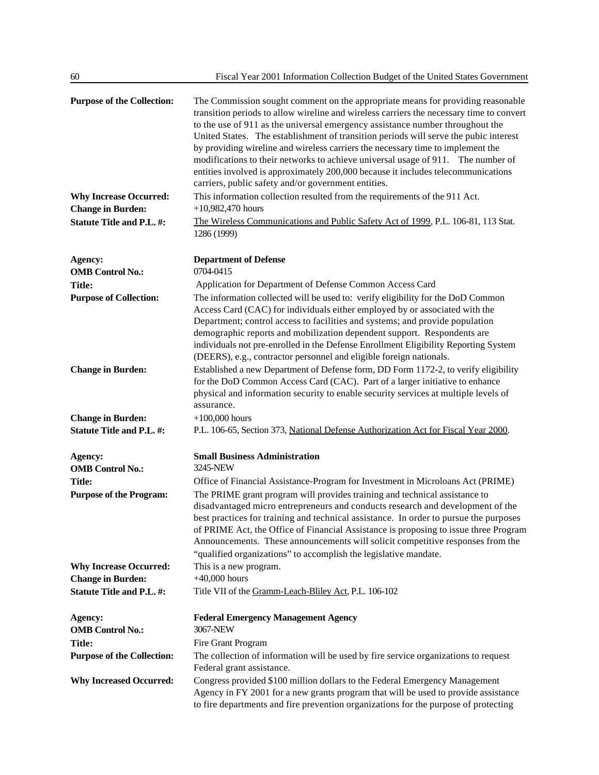| 60                                 | Fiscal Year 2001 Information Collection Budget of the United States Government                                                                                                                                                                                                                                                                                                                                                                                                                                                                                                                                                                                          |
|------------------------------------|-------------------------------------------------------------------------------------------------------------------------------------------------------------------------------------------------------------------------------------------------------------------------------------------------------------------------------------------------------------------------------------------------------------------------------------------------------------------------------------------------------------------------------------------------------------------------------------------------------------------------------------------------------------------------|
| <b>Purpose of the Collection:</b>  | The Commission sought comment on the appropriate means for providing reasonable<br>transition periods to allow wireline and wireless carriers the necessary time to convert<br>to the use of 911 as the universal emergency assistance number throughout the<br>United States. The establishment of transition periods will serve the pubic interest<br>by providing wireline and wireless carriers the necessary time to implement the<br>modifications to their networks to achieve universal usage of 911. The number of<br>entities involved is approximately 200,000 because it includes telecommunications<br>carriers, public safety and/or government entities. |
| <b>Why Increase Occurred:</b>      | This information collection resulted from the requirements of the 911 Act.                                                                                                                                                                                                                                                                                                                                                                                                                                                                                                                                                                                              |
| <b>Change in Burden:</b>           | $+10,982,470$ hours                                                                                                                                                                                                                                                                                                                                                                                                                                                                                                                                                                                                                                                     |
| <b>Statute Title and P.L. #:</b>   | The Wireless Communications and Public Safety Act of 1999, P.L. 106-81, 113 Stat.<br>1286 (1999)                                                                                                                                                                                                                                                                                                                                                                                                                                                                                                                                                                        |
| Agency:<br><b>OMB</b> Control No.: | <b>Department of Defense</b><br>0704-0415                                                                                                                                                                                                                                                                                                                                                                                                                                                                                                                                                                                                                               |
| <b>Title:</b>                      | Application for Department of Defense Common Access Card                                                                                                                                                                                                                                                                                                                                                                                                                                                                                                                                                                                                                |
| <b>Purpose of Collection:</b>      | The information collected will be used to: verify eligibility for the DoD Common<br>Access Card (CAC) for individuals either employed by or associated with the<br>Department; control access to facilities and systems; and provide population<br>demographic reports and mobilization dependent support. Respondents are<br>individuals not pre-enrolled in the Defense Enrollment Eligibility Reporting System<br>(DEERS), e.g., contractor personnel and eligible foreign nationals.                                                                                                                                                                                |
| <b>Change in Burden:</b>           | Established a new Department of Defense form, DD Form 1172-2, to verify eligibility<br>for the DoD Common Access Card (CAC). Part of a larger initiative to enhance<br>physical and information security to enable security services at multiple levels of<br>assurance.                                                                                                                                                                                                                                                                                                                                                                                                |
| <b>Change in Burden:</b>           | $+100,000$ hours                                                                                                                                                                                                                                                                                                                                                                                                                                                                                                                                                                                                                                                        |
| <b>Statute Title and P.L. #:</b>   | P.L. 106-65, Section 373, National Defense Authorization Act for Fiscal Year 2000.                                                                                                                                                                                                                                                                                                                                                                                                                                                                                                                                                                                      |
| Agency:<br><b>OMB</b> Control No.: | <b>Small Business Administration</b><br>3245-NEW                                                                                                                                                                                                                                                                                                                                                                                                                                                                                                                                                                                                                        |
| <b>Title:</b>                      | Office of Financial Assistance-Program for Investment in Microloans Act (PRIME)                                                                                                                                                                                                                                                                                                                                                                                                                                                                                                                                                                                         |
| <b>Purpose of the Program:</b>     | The PRIME grant program will provides training and technical assistance to<br>disadvantaged micro entrepreneurs and conducts research and development of the<br>best practices for training and technical assistance. In order to pursue the purposes<br>of PRIME Act, the Office of Financial Assistance is proposing to issue three Program<br>Announcements. These announcements will solicit competitive responses from the<br>"qualified organizations" to accomplish the legislative mandate.                                                                                                                                                                     |
| <b>Why Increase Occurred:</b>      | This is a new program.                                                                                                                                                                                                                                                                                                                                                                                                                                                                                                                                                                                                                                                  |
| <b>Change in Burden:</b>           | $+40,000$ hours                                                                                                                                                                                                                                                                                                                                                                                                                                                                                                                                                                                                                                                         |
| <b>Statute Title and P.L. #:</b>   | Title VII of the Gramm-Leach-Bliley Act, P.L. 106-102                                                                                                                                                                                                                                                                                                                                                                                                                                                                                                                                                                                                                   |
| Agency:<br><b>OMB</b> Control No.: | <b>Federal Emergency Management Agency</b><br>3067-NEW                                                                                                                                                                                                                                                                                                                                                                                                                                                                                                                                                                                                                  |
| Title:                             | Fire Grant Program                                                                                                                                                                                                                                                                                                                                                                                                                                                                                                                                                                                                                                                      |
| <b>Purpose of the Collection:</b>  | The collection of information will be used by fire service organizations to request<br>Federal grant assistance.                                                                                                                                                                                                                                                                                                                                                                                                                                                                                                                                                        |
| <b>Why Increased Occurred:</b>     | Congress provided \$100 million dollars to the Federal Emergency Management<br>Agency in FY 2001 for a new grants program that will be used to provide assistance<br>to fire departments and fire prevention organizations for the purpose of protecting                                                                                                                                                                                                                                                                                                                                                                                                                |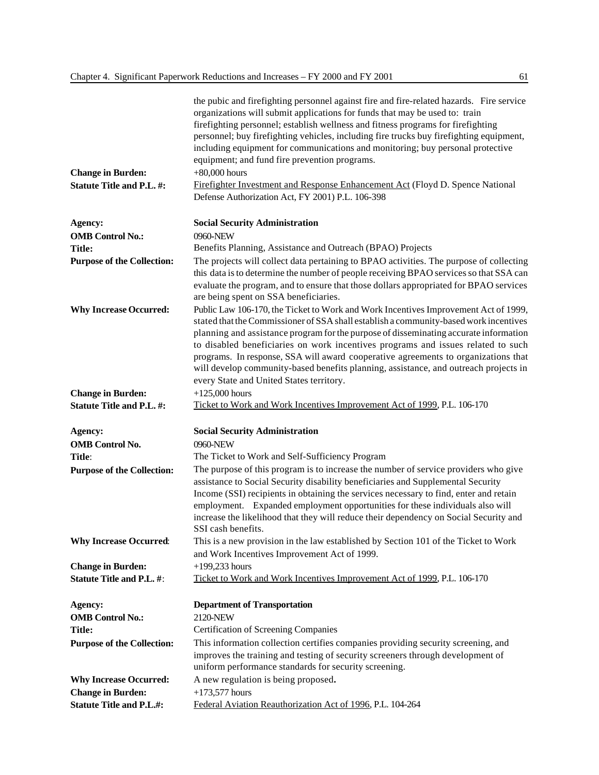| <b>Change in Burden:</b><br><b>Statute Title and P.L. #:</b> | the pubic and firefighting personnel against fire and fire-related hazards. Fire service<br>organizations will submit applications for funds that may be used to: train<br>firefighting personnel; establish wellness and fitness programs for firefighting<br>personnel; buy firefighting vehicles, including fire trucks buy firefighting equipment,<br>including equipment for communications and monitoring; buy personal protective<br>equipment; and fund fire prevention programs.<br>$+80,000$ hours<br>Firefighter Investment and Response Enhancement Act (Floyd D. Spence National<br>Defense Authorization Act, FY 2001) P.L. 106-398 |
|--------------------------------------------------------------|---------------------------------------------------------------------------------------------------------------------------------------------------------------------------------------------------------------------------------------------------------------------------------------------------------------------------------------------------------------------------------------------------------------------------------------------------------------------------------------------------------------------------------------------------------------------------------------------------------------------------------------------------|
| Agency:                                                      | <b>Social Security Administration</b>                                                                                                                                                                                                                                                                                                                                                                                                                                                                                                                                                                                                             |
| <b>OMB</b> Control No.:                                      | 0960-NEW                                                                                                                                                                                                                                                                                                                                                                                                                                                                                                                                                                                                                                          |
| Title:                                                       | Benefits Planning, Assistance and Outreach (BPAO) Projects                                                                                                                                                                                                                                                                                                                                                                                                                                                                                                                                                                                        |
| <b>Purpose of the Collection:</b>                            | The projects will collect data pertaining to BPAO activities. The purpose of collecting<br>this data is to determine the number of people receiving BPAO services so that SSA can<br>evaluate the program, and to ensure that those dollars appropriated for BPAO services<br>are being spent on SSA beneficiaries.                                                                                                                                                                                                                                                                                                                               |
| <b>Why Increase Occurred:</b>                                | Public Law 106-170, the Ticket to Work and Work Incentives Improvement Act of 1999,<br>stated that the Commissioner of SSA shall establish a community-based work incentives<br>planning and assistance program for the purpose of disseminating accurate information<br>to disabled beneficiaries on work incentives programs and issues related to such<br>programs. In response, SSA will award cooperative agreements to organizations that<br>will develop community-based benefits planning, assistance, and outreach projects in<br>every State and United States territory.                                                               |
| <b>Change in Burden:</b>                                     | $+125,000$ hours                                                                                                                                                                                                                                                                                                                                                                                                                                                                                                                                                                                                                                  |
| <b>Statute Title and P.L. #:</b>                             | Ticket to Work and Work Incentives Improvement Act of 1999, P.L. 106-170                                                                                                                                                                                                                                                                                                                                                                                                                                                                                                                                                                          |
|                                                              |                                                                                                                                                                                                                                                                                                                                                                                                                                                                                                                                                                                                                                                   |
|                                                              |                                                                                                                                                                                                                                                                                                                                                                                                                                                                                                                                                                                                                                                   |
| Agency:                                                      | <b>Social Security Administration</b>                                                                                                                                                                                                                                                                                                                                                                                                                                                                                                                                                                                                             |
| <b>OMB</b> Control No.                                       | 0960-NEW                                                                                                                                                                                                                                                                                                                                                                                                                                                                                                                                                                                                                                          |
| Title:                                                       | The Ticket to Work and Self-Sufficiency Program                                                                                                                                                                                                                                                                                                                                                                                                                                                                                                                                                                                                   |
| <b>Purpose of the Collection:</b>                            | The purpose of this program is to increase the number of service providers who give<br>assistance to Social Security disability beneficiaries and Supplemental Security<br>Income (SSI) recipients in obtaining the services necessary to find, enter and retain<br>employment. Expanded employment opportunities for these individuals also will<br>increase the likelihood that they will reduce their dependency on Social Security and<br>SSI cash benefits.                                                                                                                                                                                  |
| <b>Why Increase Occurred:</b>                                | This is a new provision in the law established by Section 101 of the Ticket to Work                                                                                                                                                                                                                                                                                                                                                                                                                                                                                                                                                               |
|                                                              | and Work Incentives Improvement Act of 1999.                                                                                                                                                                                                                                                                                                                                                                                                                                                                                                                                                                                                      |
| <b>Change in Burden:</b><br><b>Statute Title and P.L. #:</b> | $+199,233$ hours<br>Ticket to Work and Work Incentives Improvement Act of 1999, P.L. 106-170                                                                                                                                                                                                                                                                                                                                                                                                                                                                                                                                                      |
|                                                              |                                                                                                                                                                                                                                                                                                                                                                                                                                                                                                                                                                                                                                                   |
| Agency:                                                      | <b>Department of Transportation</b>                                                                                                                                                                                                                                                                                                                                                                                                                                                                                                                                                                                                               |
| <b>OMB</b> Control No.:                                      | 2120-NEW                                                                                                                                                                                                                                                                                                                                                                                                                                                                                                                                                                                                                                          |
| <b>Title:</b>                                                | <b>Certification of Screening Companies</b>                                                                                                                                                                                                                                                                                                                                                                                                                                                                                                                                                                                                       |
| <b>Purpose of the Collection:</b>                            | This information collection certifies companies providing security screening, and<br>improves the training and testing of security screeners through development of<br>uniform performance standards for security screening.                                                                                                                                                                                                                                                                                                                                                                                                                      |
| <b>Why Increase Occurred:</b>                                | A new regulation is being proposed.                                                                                                                                                                                                                                                                                                                                                                                                                                                                                                                                                                                                               |
| <b>Change in Burden:</b>                                     | $+173,577$ hours                                                                                                                                                                                                                                                                                                                                                                                                                                                                                                                                                                                                                                  |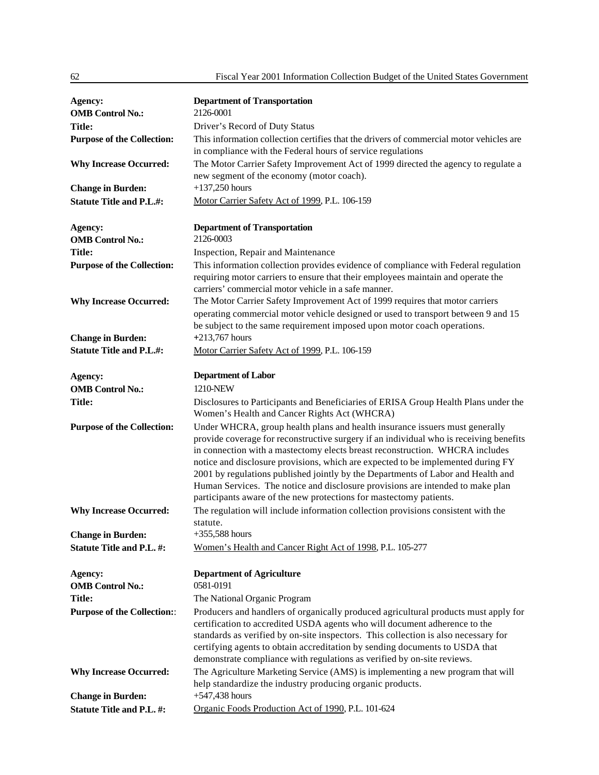| Agency:                            | <b>Department of Transportation</b><br>2126-0001                                                                                                                                                                                                                                                                                                                                                                                                                                                       |
|------------------------------------|--------------------------------------------------------------------------------------------------------------------------------------------------------------------------------------------------------------------------------------------------------------------------------------------------------------------------------------------------------------------------------------------------------------------------------------------------------------------------------------------------------|
| <b>OMB</b> Control No.:            |                                                                                                                                                                                                                                                                                                                                                                                                                                                                                                        |
| Title:                             | Driver's Record of Duty Status                                                                                                                                                                                                                                                                                                                                                                                                                                                                         |
| <b>Purpose of the Collection:</b>  | This information collection certifies that the drivers of commercial motor vehicles are<br>in compliance with the Federal hours of service regulations                                                                                                                                                                                                                                                                                                                                                 |
| <b>Why Increase Occurred:</b>      | The Motor Carrier Safety Improvement Act of 1999 directed the agency to regulate a                                                                                                                                                                                                                                                                                                                                                                                                                     |
|                                    | new segment of the economy (motor coach).                                                                                                                                                                                                                                                                                                                                                                                                                                                              |
| <b>Change in Burden:</b>           | $+137,250$ hours                                                                                                                                                                                                                                                                                                                                                                                                                                                                                       |
| <b>Statute Title and P.L.#:</b>    | Motor Carrier Safety Act of 1999, P.L. 106-159                                                                                                                                                                                                                                                                                                                                                                                                                                                         |
|                                    |                                                                                                                                                                                                                                                                                                                                                                                                                                                                                                        |
| Agency:                            | <b>Department of Transportation</b>                                                                                                                                                                                                                                                                                                                                                                                                                                                                    |
| <b>OMB Control No.:</b>            | 2126-0003                                                                                                                                                                                                                                                                                                                                                                                                                                                                                              |
| Title:                             | Inspection, Repair and Maintenance                                                                                                                                                                                                                                                                                                                                                                                                                                                                     |
| <b>Purpose of the Collection:</b>  | This information collection provides evidence of compliance with Federal regulation                                                                                                                                                                                                                                                                                                                                                                                                                    |
|                                    | requiring motor carriers to ensure that their employees maintain and operate the<br>carriers' commercial motor vehicle in a safe manner.                                                                                                                                                                                                                                                                                                                                                               |
| <b>Why Increase Occurred:</b>      | The Motor Carrier Safety Improvement Act of 1999 requires that motor carriers                                                                                                                                                                                                                                                                                                                                                                                                                          |
|                                    | operating commercial motor vehicle designed or used to transport between 9 and 15<br>be subject to the same requirement imposed upon motor coach operations.                                                                                                                                                                                                                                                                                                                                           |
| <b>Change in Burden:</b>           | $+213,767$ hours                                                                                                                                                                                                                                                                                                                                                                                                                                                                                       |
| <b>Statute Title and P.L.#:</b>    | Motor Carrier Safety Act of 1999, P.L. 106-159                                                                                                                                                                                                                                                                                                                                                                                                                                                         |
|                                    |                                                                                                                                                                                                                                                                                                                                                                                                                                                                                                        |
| Agency:                            | <b>Department of Labor</b>                                                                                                                                                                                                                                                                                                                                                                                                                                                                             |
| <b>OMB</b> Control No.:            | 1210-NEW                                                                                                                                                                                                                                                                                                                                                                                                                                                                                               |
| <b>Title:</b>                      | Disclosures to Participants and Beneficiaries of ERISA Group Health Plans under the<br>Women's Health and Cancer Rights Act (WHCRA)                                                                                                                                                                                                                                                                                                                                                                    |
|                                    | Under WHCRA, group health plans and health insurance issuers must generally                                                                                                                                                                                                                                                                                                                                                                                                                            |
| <b>Purpose of the Collection:</b>  | provide coverage for reconstructive surgery if an individual who is receiving benefits<br>in connection with a mastectomy elects breast reconstruction. WHCRA includes<br>notice and disclosure provisions, which are expected to be implemented during FY<br>2001 by regulations published jointly by the Departments of Labor and Health and<br>Human Services. The notice and disclosure provisions are intended to make plan<br>participants aware of the new protections for mastectomy patients. |
| <b>Why Increase Occurred:</b>      | The regulation will include information collection provisions consistent with the                                                                                                                                                                                                                                                                                                                                                                                                                      |
|                                    | statute.                                                                                                                                                                                                                                                                                                                                                                                                                                                                                               |
| <b>Change in Burden:</b>           | $+355,588$ hours                                                                                                                                                                                                                                                                                                                                                                                                                                                                                       |
| <b>Statute Title and P.L.#:</b>    | Women's Health and Cancer Right Act of 1998, P.L. 105-277                                                                                                                                                                                                                                                                                                                                                                                                                                              |
| Agency:<br><b>OMB</b> Control No.: | <b>Department of Agriculture</b><br>0581-0191                                                                                                                                                                                                                                                                                                                                                                                                                                                          |
| Title:                             | The National Organic Program                                                                                                                                                                                                                                                                                                                                                                                                                                                                           |
| <b>Purpose of the Collection::</b> | Producers and handlers of organically produced agricultural products must apply for                                                                                                                                                                                                                                                                                                                                                                                                                    |
|                                    | certification to accredited USDA agents who will document adherence to the<br>standards as verified by on-site inspectors. This collection is also necessary for<br>certifying agents to obtain accreditation by sending documents to USDA that<br>demonstrate compliance with regulations as verified by on-site reviews.                                                                                                                                                                             |
| <b>Why Increase Occurred:</b>      | The Agriculture Marketing Service (AMS) is implementing a new program that will<br>help standardize the industry producing organic products.                                                                                                                                                                                                                                                                                                                                                           |
| <b>Change in Burden:</b>           | $+547,438$ hours                                                                                                                                                                                                                                                                                                                                                                                                                                                                                       |
| Statute Title and P.L. #:          | Organic Foods Production Act of 1990, P.L. 101-624                                                                                                                                                                                                                                                                                                                                                                                                                                                     |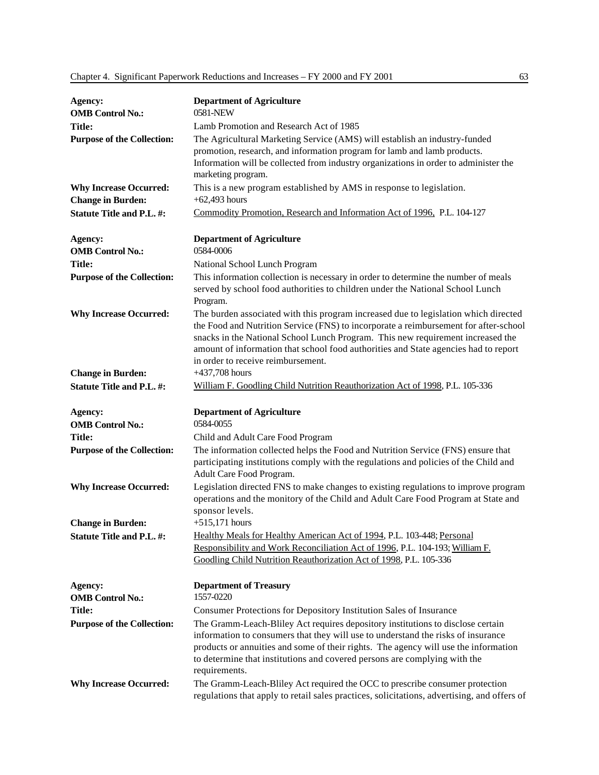|                                    | <b>Department of Agriculture</b>                                                                                                                                         |
|------------------------------------|--------------------------------------------------------------------------------------------------------------------------------------------------------------------------|
| Agency:<br><b>OMB</b> Control No.: | 0581-NEW                                                                                                                                                                 |
| Title:                             | Lamb Promotion and Research Act of 1985                                                                                                                                  |
| <b>Purpose of the Collection:</b>  | The Agricultural Marketing Service (AMS) will establish an industry-funded                                                                                               |
|                                    | promotion, research, and information program for lamb and lamb products.                                                                                                 |
|                                    | Information will be collected from industry organizations in order to administer the                                                                                     |
|                                    | marketing program.                                                                                                                                                       |
| <b>Why Increase Occurred:</b>      | This is a new program established by AMS in response to legislation.                                                                                                     |
| <b>Change in Burden:</b>           | $+62,493$ hours                                                                                                                                                          |
| <b>Statute Title and P.L. #:</b>   | Commodity Promotion, Research and Information Act of 1996, P.L. 104-127                                                                                                  |
|                                    |                                                                                                                                                                          |
| Agency:                            | <b>Department of Agriculture</b>                                                                                                                                         |
| <b>OMB</b> Control No.:            | 0584-0006                                                                                                                                                                |
| Title:                             | National School Lunch Program                                                                                                                                            |
| <b>Purpose of the Collection:</b>  | This information collection is necessary in order to determine the number of meals                                                                                       |
|                                    | served by school food authorities to children under the National School Lunch                                                                                            |
|                                    | Program.                                                                                                                                                                 |
| <b>Why Increase Occurred:</b>      | The burden associated with this program increased due to legislation which directed                                                                                      |
|                                    | the Food and Nutrition Service (FNS) to incorporate a reimbursement for after-school                                                                                     |
|                                    | snacks in the National School Lunch Program. This new requirement increased the                                                                                          |
|                                    | amount of information that school food authorities and State agencies had to report<br>in order to receive reimbursement.                                                |
| <b>Change in Burden:</b>           | $+437,708$ hours                                                                                                                                                         |
| <b>Statute Title and P.L. #:</b>   | William F. Goodling Child Nutrition Reauthorization Act of 1998, P.L. 105-336                                                                                            |
|                                    |                                                                                                                                                                          |
|                                    |                                                                                                                                                                          |
|                                    |                                                                                                                                                                          |
| Agency:<br><b>OMB Control No.:</b> | <b>Department of Agriculture</b><br>0584-0055                                                                                                                            |
| <b>Title:</b>                      | Child and Adult Care Food Program                                                                                                                                        |
|                                    |                                                                                                                                                                          |
| <b>Purpose of the Collection:</b>  | The information collected helps the Food and Nutrition Service (FNS) ensure that<br>participating institutions comply with the regulations and policies of the Child and |
|                                    | Adult Care Food Program.                                                                                                                                                 |
| <b>Why Increase Occurred:</b>      | Legislation directed FNS to make changes to existing regulations to improve program                                                                                      |
|                                    | operations and the monitory of the Child and Adult Care Food Program at State and                                                                                        |
|                                    | sponsor levels.                                                                                                                                                          |
| <b>Change in Burden:</b>           | $+515,171$ hours                                                                                                                                                         |
| <b>Statute Title and P.L. #:</b>   | Healthy Meals for Healthy American Act of 1994, P.L. 103-448; Personal                                                                                                   |
|                                    | Responsibility and Work Reconciliation Act of 1996, P.L. 104-193; William F.                                                                                             |
|                                    | Goodling Child Nutrition Reauthorization Act of 1998, P.L. 105-336                                                                                                       |
|                                    |                                                                                                                                                                          |
| Agency:                            | <b>Department of Treasury</b>                                                                                                                                            |
| <b>OMB</b> Control No.:            | 1557-0220                                                                                                                                                                |
| Title:                             | Consumer Protections for Depository Institution Sales of Insurance                                                                                                       |
| <b>Purpose of the Collection:</b>  | The Gramm-Leach-Bliley Act requires depository institutions to disclose certain                                                                                          |
|                                    | information to consumers that they will use to understand the risks of insurance                                                                                         |
|                                    | products or annuities and some of their rights. The agency will use the information<br>to determine that institutions and covered persons are complying with the         |
|                                    | requirements.                                                                                                                                                            |
| <b>Why Increase Occurred:</b>      | The Gramm-Leach-Bliley Act required the OCC to prescribe consumer protection                                                                                             |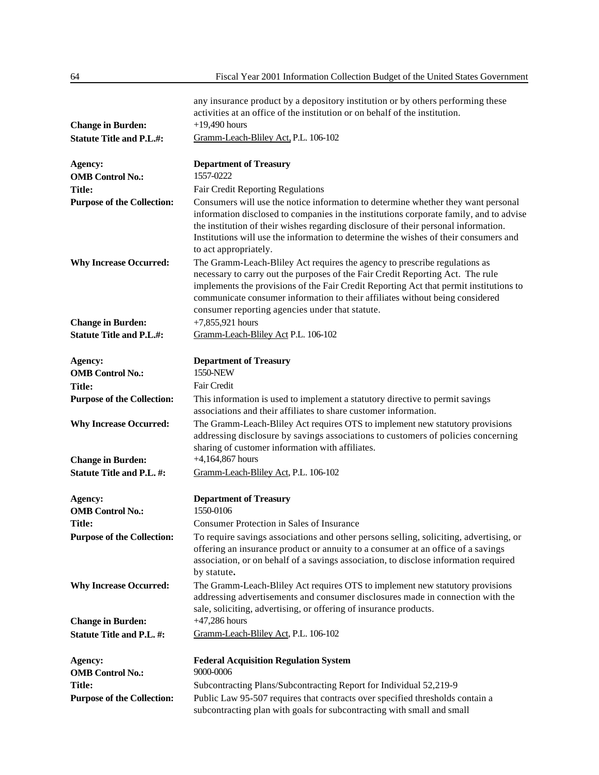any insurance product by a depository institution or by others performing these activities at an office of the institution or on behalf of the institution. **Change in Burden:**  $+19,490$  hours **Statute Title and P.L.#:** Gramm-Leach-Bliley Act, P.L. 106-102 **Agency: Department of Treasury OMB Control No.:** 1557-0222 Title: Fair Credit Reporting Regulations **Purpose of the Collection:** Consumers will use the notice information to determine whether they want personal information disclosed to companies in the institutions corporate family, and to advise the institution of their wishes regarding disclosure of their personal information. Institutions will use the information to determine the wishes of their consumers and to act appropriately. **Why Increase Occurred:** The Gramm-Leach-Bliley Act requires the agency to prescribe regulations as necessary to carry out the purposes of the Fair Credit Reporting Act. The rule implements the provisions of the Fair Credit Reporting Act that permit institutions to communicate consumer information to their affiliates without being considered consumer reporting agencies under that statute. **Change in Burden:**  $+7,855,921$  hours **Statute Title and P.L.#:** Gramm-Leach-Bliley Act P.L. 106-102 **Agency: Department of Treasury OMB Control No.:** 1550-NEW **Title:** Fair Credit **Purpose of the Collection:** This information is used to implement a statutory directive to permit savings associations and their affiliates to share customer information. **Why Increase Occurred:** The Gramm-Leach-Bliley Act requires OTS to implement new statutory provisions addressing disclosure by savings associations to customers of policies concerning sharing of customer information with affiliates. **Change in Burden:**  $+4,164,867$  hours **Statute Title and P.L. #:** Gramm-Leach-Bliley Act, P.L. 106-102 **Agency: Department of Treasury OMB Control No.:** 1550-0106 **Title:** Consumer Protection in Sales of Insurance **Purpose of the Collection:** To require savings associations and other persons selling, soliciting, advertising, or offering an insurance product or annuity to a consumer at an office of a savings association, or on behalf of a savings association, to disclose information required by statute**. Why Increase Occurred:** The Gramm-Leach-Bliley Act requires OTS to implement new statutory provisions addressing advertisements and consumer disclosures made in connection with the sale, soliciting, advertising, or offering of insurance products. **Change in Burden:**  $+47,286$  hours **Statute Title and P.L. #:** Gramm-Leach-Bliley Act, P.L. 106-102 **Agency: Federal Acquisition Regulation System OMB Control No.:** 9000-0006 **Title:** Subcontracting Plans/Subcontracting Report for Individual 52,219-9 **Purpose of the Collection:** Public Law 95-507 requires that contracts over specified thresholds contain a

subcontracting plan with goals for subcontracting with small and small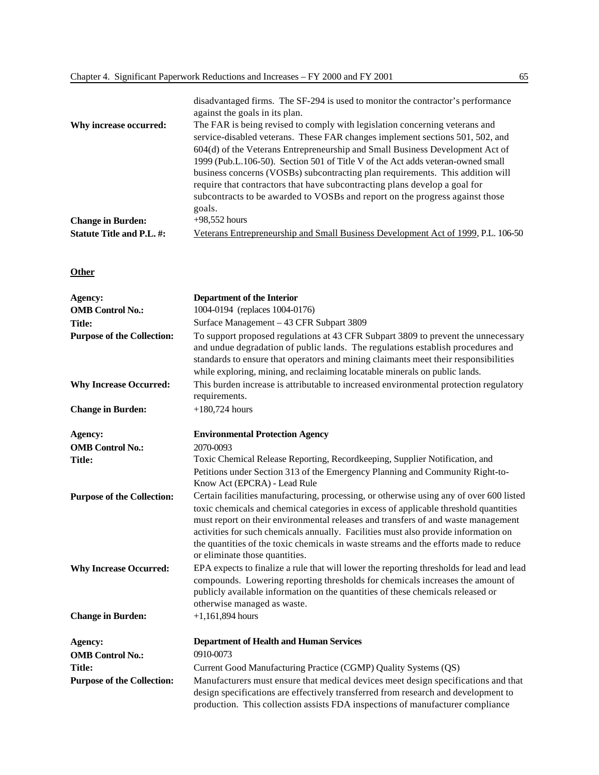|                           | disadvantaged firms. The SF-294 is used to monitor the contractor's performance<br>against the goals in its plan.                                                                                                                                                                                                                                                                                                                                                                                                                                                                          |
|---------------------------|--------------------------------------------------------------------------------------------------------------------------------------------------------------------------------------------------------------------------------------------------------------------------------------------------------------------------------------------------------------------------------------------------------------------------------------------------------------------------------------------------------------------------------------------------------------------------------------------|
| Why increase occurred:    | The FAR is being revised to comply with legislation concerning veterans and<br>service-disabled veterans. These FAR changes implement sections 501, 502, and<br>604(d) of the Veterans Entrepreneurship and Small Business Development Act of<br>1999 (Pub.L.106-50). Section 501 of Title V of the Act adds veteran-owned small<br>business concerns (VOSBs) subcontracting plan requirements. This addition will<br>require that contractors that have subcontracting plans develop a goal for<br>subcontracts to be awarded to VOSBs and report on the progress against those<br>goals. |
| <b>Change in Burden:</b>  | $+98,552$ hours                                                                                                                                                                                                                                                                                                                                                                                                                                                                                                                                                                            |
| Statute Title and P.L. #: | <u>Veterans Entrepreneurship and Small Business Development Act of 1999</u> , P.L. 106-50                                                                                                                                                                                                                                                                                                                                                                                                                                                                                                  |

#### **Other**

| Agency:<br><b>OMB</b> Control No.: | Department of the Interior<br>1004-0194 (replaces 1004-0176)                                                                                                                                                                                                                                                                                                                                                                                                                           |
|------------------------------------|----------------------------------------------------------------------------------------------------------------------------------------------------------------------------------------------------------------------------------------------------------------------------------------------------------------------------------------------------------------------------------------------------------------------------------------------------------------------------------------|
| <b>Title:</b>                      | Surface Management - 43 CFR Subpart 3809                                                                                                                                                                                                                                                                                                                                                                                                                                               |
| <b>Purpose of the Collection:</b>  | To support proposed regulations at 43 CFR Subpart 3809 to prevent the unnecessary<br>and undue degradation of public lands. The regulations establish procedures and<br>standards to ensure that operators and mining claimants meet their responsibilities<br>while exploring, mining, and reclaiming locatable minerals on public lands.                                                                                                                                             |
| <b>Why Increase Occurred:</b>      | This burden increase is attributable to increased environmental protection regulatory<br>requirements.                                                                                                                                                                                                                                                                                                                                                                                 |
| <b>Change in Burden:</b>           | $+180,724$ hours                                                                                                                                                                                                                                                                                                                                                                                                                                                                       |
| Agency:                            | <b>Environmental Protection Agency</b>                                                                                                                                                                                                                                                                                                                                                                                                                                                 |
| <b>OMB</b> Control No.:            | 2070-0093                                                                                                                                                                                                                                                                                                                                                                                                                                                                              |
| <b>Title:</b>                      | Toxic Chemical Release Reporting, Recordkeeping, Supplier Notification, and<br>Petitions under Section 313 of the Emergency Planning and Community Right-to-<br>Know Act (EPCRA) - Lead Rule                                                                                                                                                                                                                                                                                           |
| <b>Purpose of the Collection:</b>  | Certain facilities manufacturing, processing, or otherwise using any of over 600 listed<br>toxic chemicals and chemical categories in excess of applicable threshold quantities<br>must report on their environmental releases and transfers of and waste management<br>activities for such chemicals annually. Facilities must also provide information on<br>the quantities of the toxic chemicals in waste streams and the efforts made to reduce<br>or eliminate those quantities. |
| <b>Why Increase Occurred:</b>      | EPA expects to finalize a rule that will lower the reporting thresholds for lead and lead<br>compounds. Lowering reporting thresholds for chemicals increases the amount of<br>publicly available information on the quantities of these chemicals released or<br>otherwise managed as waste.                                                                                                                                                                                          |
| <b>Change in Burden:</b>           | $+1,161,894$ hours                                                                                                                                                                                                                                                                                                                                                                                                                                                                     |
| Agency:                            | <b>Department of Health and Human Services</b>                                                                                                                                                                                                                                                                                                                                                                                                                                         |
| <b>OMB</b> Control No.:            | 0910-0073                                                                                                                                                                                                                                                                                                                                                                                                                                                                              |
| <b>Title:</b>                      | Current Good Manufacturing Practice (CGMP) Quality Systems (QS)                                                                                                                                                                                                                                                                                                                                                                                                                        |
| <b>Purpose of the Collection:</b>  | Manufacturers must ensure that medical devices meet design specifications and that<br>design specifications are effectively transferred from research and development to<br>production. This collection assists FDA inspections of manufacturer compliance                                                                                                                                                                                                                             |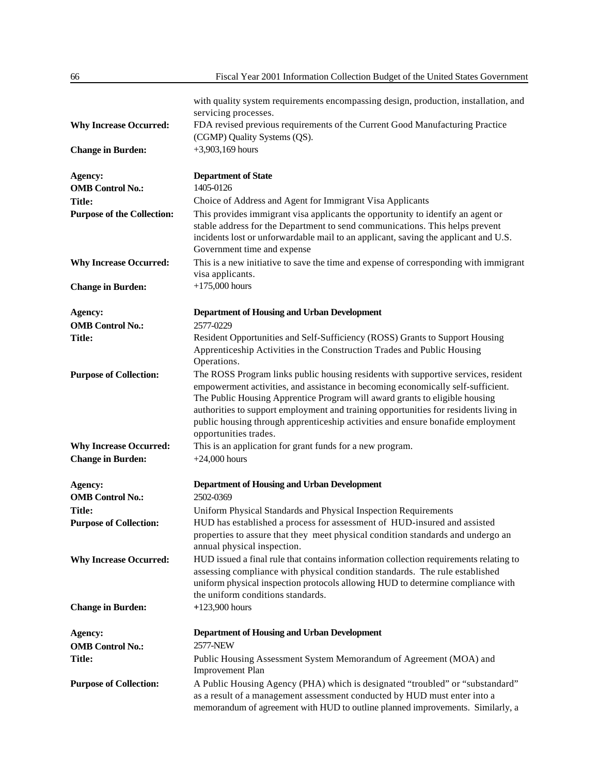|                                   | with quality system requirements encompassing design, production, installation, and                                                                                                                                                                                                                                                                                                                                                                       |
|-----------------------------------|-----------------------------------------------------------------------------------------------------------------------------------------------------------------------------------------------------------------------------------------------------------------------------------------------------------------------------------------------------------------------------------------------------------------------------------------------------------|
| <b>Why Increase Occurred:</b>     | servicing processes.<br>FDA revised previous requirements of the Current Good Manufacturing Practice                                                                                                                                                                                                                                                                                                                                                      |
| <b>Change in Burden:</b>          | (CGMP) Quality Systems (QS).<br>$+3,903,169$ hours                                                                                                                                                                                                                                                                                                                                                                                                        |
|                                   |                                                                                                                                                                                                                                                                                                                                                                                                                                                           |
| Agency:                           | <b>Department of State</b>                                                                                                                                                                                                                                                                                                                                                                                                                                |
| <b>OMB Control No.:</b>           | 1405-0126                                                                                                                                                                                                                                                                                                                                                                                                                                                 |
| <b>Title:</b>                     | Choice of Address and Agent for Immigrant Visa Applicants                                                                                                                                                                                                                                                                                                                                                                                                 |
| <b>Purpose of the Collection:</b> | This provides immigrant visa applicants the opportunity to identify an agent or<br>stable address for the Department to send communications. This helps prevent<br>incidents lost or unforwardable mail to an applicant, saving the applicant and U.S.<br>Government time and expense                                                                                                                                                                     |
| <b>Why Increase Occurred:</b>     | This is a new initiative to save the time and expense of corresponding with immigrant<br>visa applicants.                                                                                                                                                                                                                                                                                                                                                 |
| <b>Change in Burden:</b>          | $+175,000$ hours                                                                                                                                                                                                                                                                                                                                                                                                                                          |
| Agency:                           | <b>Department of Housing and Urban Development</b>                                                                                                                                                                                                                                                                                                                                                                                                        |
| <b>OMB Control No.:</b>           | 2577-0229                                                                                                                                                                                                                                                                                                                                                                                                                                                 |
| <b>Title:</b>                     | Resident Opportunities and Self-Sufficiency (ROSS) Grants to Support Housing<br>Apprenticeship Activities in the Construction Trades and Public Housing                                                                                                                                                                                                                                                                                                   |
|                                   | Operations.                                                                                                                                                                                                                                                                                                                                                                                                                                               |
| <b>Purpose of Collection:</b>     | The ROSS Program links public housing residents with supportive services, resident<br>empowerment activities, and assistance in becoming economically self-sufficient.<br>The Public Housing Apprentice Program will award grants to eligible housing<br>authorities to support employment and training opportunities for residents living in<br>public housing through apprenticeship activities and ensure bonafide employment<br>opportunities trades. |
| <b>Why Increase Occurred:</b>     | This is an application for grant funds for a new program.                                                                                                                                                                                                                                                                                                                                                                                                 |
| <b>Change in Burden:</b>          | $+24,000$ hours                                                                                                                                                                                                                                                                                                                                                                                                                                           |
| Agency:                           | <b>Department of Housing and Urban Development</b>                                                                                                                                                                                                                                                                                                                                                                                                        |
| <b>OMB Control No.:</b>           | 2502-0369                                                                                                                                                                                                                                                                                                                                                                                                                                                 |
| <b>Title:</b>                     | Uniform Physical Standards and Physical Inspection Requirements                                                                                                                                                                                                                                                                                                                                                                                           |
| <b>Purpose of Collection:</b>     | HUD has established a process for assessment of HUD-insured and assisted<br>properties to assure that they meet physical condition standards and undergo an<br>annual physical inspection.                                                                                                                                                                                                                                                                |
| <b>Why Increase Occurred:</b>     | HUD issued a final rule that contains information collection requirements relating to<br>assessing compliance with physical condition standards. The rule established<br>uniform physical inspection protocols allowing HUD to determine compliance with<br>the uniform conditions standards.                                                                                                                                                             |
| <b>Change in Burden:</b>          | $+123,900$ hours                                                                                                                                                                                                                                                                                                                                                                                                                                          |
| Agency:                           | <b>Department of Housing and Urban Development</b>                                                                                                                                                                                                                                                                                                                                                                                                        |
| <b>OMB Control No.:</b>           | 2577-NEW                                                                                                                                                                                                                                                                                                                                                                                                                                                  |
| <b>Title:</b>                     | Public Housing Assessment System Memorandum of Agreement (MOA) and<br><b>Improvement Plan</b>                                                                                                                                                                                                                                                                                                                                                             |
| <b>Purpose of Collection:</b>     | A Public Housing Agency (PHA) which is designated "troubled" or "substandard"<br>as a result of a management assessment conducted by HUD must enter into a<br>memorandum of agreement with HUD to outline planned improvements. Similarly, a                                                                                                                                                                                                              |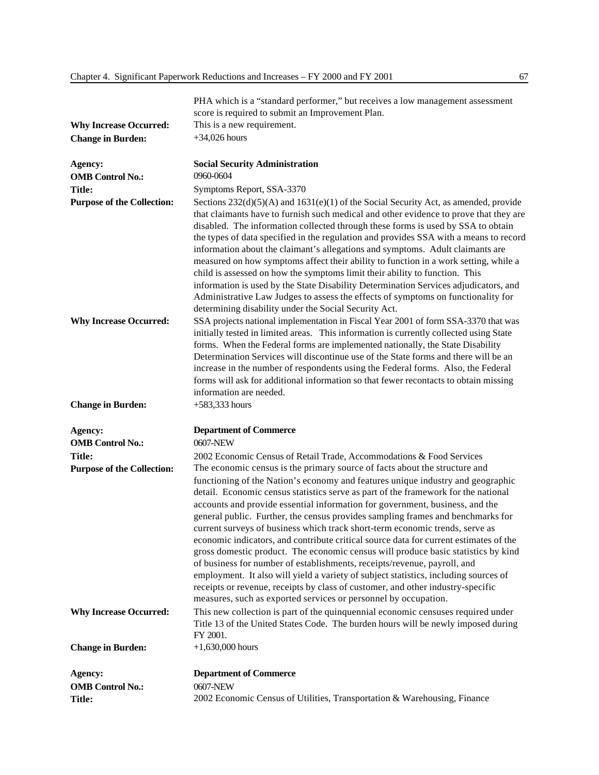|                                   | PHA which is a "standard performer," but receives a low management assessment                                                                                                                                                                                                                                                                                                                                                                                                                                                                                                                                                                                                                                                                                                                                                                                                                                                                                                                                  |
|-----------------------------------|----------------------------------------------------------------------------------------------------------------------------------------------------------------------------------------------------------------------------------------------------------------------------------------------------------------------------------------------------------------------------------------------------------------------------------------------------------------------------------------------------------------------------------------------------------------------------------------------------------------------------------------------------------------------------------------------------------------------------------------------------------------------------------------------------------------------------------------------------------------------------------------------------------------------------------------------------------------------------------------------------------------|
|                                   | score is required to submit an Improvement Plan.                                                                                                                                                                                                                                                                                                                                                                                                                                                                                                                                                                                                                                                                                                                                                                                                                                                                                                                                                               |
| <b>Why Increase Occurred:</b>     | This is a new requirement.                                                                                                                                                                                                                                                                                                                                                                                                                                                                                                                                                                                                                                                                                                                                                                                                                                                                                                                                                                                     |
| <b>Change in Burden:</b>          | $+34,026$ hours                                                                                                                                                                                                                                                                                                                                                                                                                                                                                                                                                                                                                                                                                                                                                                                                                                                                                                                                                                                                |
| Agency:                           | <b>Social Security Administration</b>                                                                                                                                                                                                                                                                                                                                                                                                                                                                                                                                                                                                                                                                                                                                                                                                                                                                                                                                                                          |
| <b>OMB</b> Control No.:           | 0960-0604                                                                                                                                                                                                                                                                                                                                                                                                                                                                                                                                                                                                                                                                                                                                                                                                                                                                                                                                                                                                      |
| <b>Title:</b>                     | Symptoms Report, SSA-3370                                                                                                                                                                                                                                                                                                                                                                                                                                                                                                                                                                                                                                                                                                                                                                                                                                                                                                                                                                                      |
| <b>Purpose of the Collection:</b> | Sections 232(d)(5)(A) and 1631(e)(1) of the Social Security Act, as amended, provide<br>that claimants have to furnish such medical and other evidence to prove that they are<br>disabled. The information collected through these forms is used by SSA to obtain<br>the types of data specified in the regulation and provides SSA with a means to record<br>information about the claimant's allegations and symptoms. Adult claimants are<br>measured on how symptoms affect their ability to function in a work setting, while a<br>child is assessed on how the symptoms limit their ability to function. This<br>information is used by the State Disability Determination Services adjudicators, and<br>Administrative Law Judges to assess the effects of symptoms on functionality for<br>determining disability under the Social Security Act.                                                                                                                                                       |
| <b>Why Increase Occurred:</b>     | SSA projects national implementation in Fiscal Year 2001 of form SSA-3370 that was<br>initially tested in limited areas. This information is currently collected using State<br>forms. When the Federal forms are implemented nationally, the State Disability<br>Determination Services will discontinue use of the State forms and there will be an<br>increase in the number of respondents using the Federal forms. Also, the Federal<br>forms will ask for additional information so that fewer recontacts to obtain missing<br>information are needed.                                                                                                                                                                                                                                                                                                                                                                                                                                                   |
|                                   |                                                                                                                                                                                                                                                                                                                                                                                                                                                                                                                                                                                                                                                                                                                                                                                                                                                                                                                                                                                                                |
| <b>Change in Burden:</b>          | $+583,333$ hours                                                                                                                                                                                                                                                                                                                                                                                                                                                                                                                                                                                                                                                                                                                                                                                                                                                                                                                                                                                               |
| Agency:                           | <b>Department of Commerce</b>                                                                                                                                                                                                                                                                                                                                                                                                                                                                                                                                                                                                                                                                                                                                                                                                                                                                                                                                                                                  |
| <b>OMB</b> Control No.:           | 0607-NEW                                                                                                                                                                                                                                                                                                                                                                                                                                                                                                                                                                                                                                                                                                                                                                                                                                                                                                                                                                                                       |
| Title:                            | 2002 Economic Census of Retail Trade, Accommodations & Food Services                                                                                                                                                                                                                                                                                                                                                                                                                                                                                                                                                                                                                                                                                                                                                                                                                                                                                                                                           |
| <b>Purpose of the Collection:</b> | The economic census is the primary source of facts about the structure and<br>functioning of the Nation's economy and features unique industry and geographic<br>detail. Economic census statistics serve as part of the framework for the national<br>accounts and provide essential information for government, business, and the<br>general public. Further, the census provides sampling frames and benchmarks for<br>current surveys of business which track short-term economic trends, serve as<br>economic indicators, and contribute critical source data for current estimates of the<br>gross domestic product. The economic census will produce basic statistics by kind<br>of business for number of establishments, receipts/revenue, payroll, and<br>employment. It also will yield a variety of subject statistics, including sources of<br>receipts or revenue, receipts by class of customer, and other industry-specific<br>measures, such as exported services or personnel by occupation. |
| <b>Why Increase Occurred:</b>     | This new collection is part of the quinquennial economic censuses required under<br>Title 13 of the United States Code. The burden hours will be newly imposed during<br>FY 2001.                                                                                                                                                                                                                                                                                                                                                                                                                                                                                                                                                                                                                                                                                                                                                                                                                              |
| <b>Change in Burden:</b>          | $+1,630,000$ hours                                                                                                                                                                                                                                                                                                                                                                                                                                                                                                                                                                                                                                                                                                                                                                                                                                                                                                                                                                                             |
| Agency:                           | <b>Department of Commerce</b>                                                                                                                                                                                                                                                                                                                                                                                                                                                                                                                                                                                                                                                                                                                                                                                                                                                                                                                                                                                  |
| <b>OMB</b> Control No.:           | 0607-NEW                                                                                                                                                                                                                                                                                                                                                                                                                                                                                                                                                                                                                                                                                                                                                                                                                                                                                                                                                                                                       |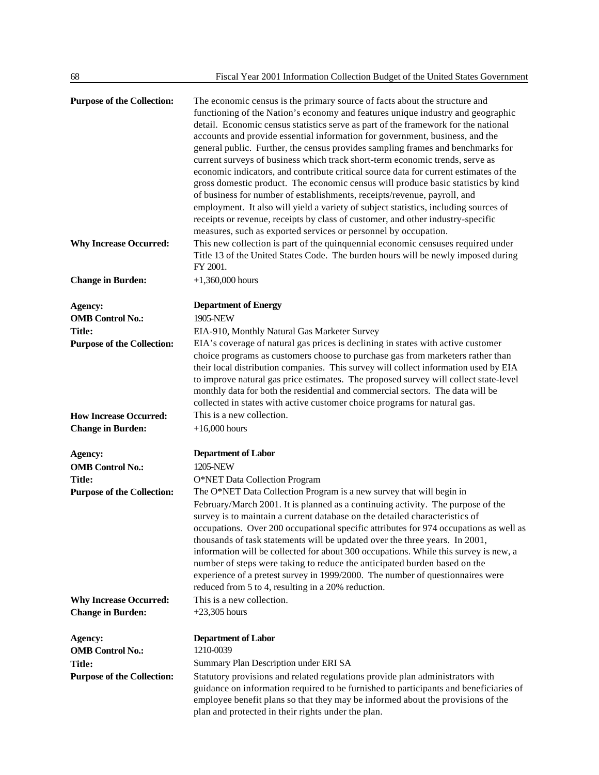| <b>Purpose of the Collection:</b>        | The economic census is the primary source of facts about the structure and<br>functioning of the Nation's economy and features unique industry and geographic<br>detail. Economic census statistics serve as part of the framework for the national<br>accounts and provide essential information for government, business, and the<br>general public. Further, the census provides sampling frames and benchmarks for<br>current surveys of business which track short-term economic trends, serve as<br>economic indicators, and contribute critical source data for current estimates of the<br>gross domestic product. The economic census will produce basic statistics by kind<br>of business for number of establishments, receipts/revenue, payroll, and<br>employment. It also will yield a variety of subject statistics, including sources of<br>receipts or revenue, receipts by class of customer, and other industry-specific<br>measures, such as exported services or personnel by occupation. |
|------------------------------------------|----------------------------------------------------------------------------------------------------------------------------------------------------------------------------------------------------------------------------------------------------------------------------------------------------------------------------------------------------------------------------------------------------------------------------------------------------------------------------------------------------------------------------------------------------------------------------------------------------------------------------------------------------------------------------------------------------------------------------------------------------------------------------------------------------------------------------------------------------------------------------------------------------------------------------------------------------------------------------------------------------------------|
| <b>Why Increase Occurred:</b>            | This new collection is part of the quinquennial economic censuses required under<br>Title 13 of the United States Code. The burden hours will be newly imposed during<br>FY 2001.                                                                                                                                                                                                                                                                                                                                                                                                                                                                                                                                                                                                                                                                                                                                                                                                                              |
| <b>Change in Burden:</b>                 | $+1,360,000$ hours                                                                                                                                                                                                                                                                                                                                                                                                                                                                                                                                                                                                                                                                                                                                                                                                                                                                                                                                                                                             |
| Agency:                                  | <b>Department of Energy</b>                                                                                                                                                                                                                                                                                                                                                                                                                                                                                                                                                                                                                                                                                                                                                                                                                                                                                                                                                                                    |
| <b>OMB Control No.:</b><br><b>Title:</b> | 1905-NEW<br>EIA-910, Monthly Natural Gas Marketer Survey                                                                                                                                                                                                                                                                                                                                                                                                                                                                                                                                                                                                                                                                                                                                                                                                                                                                                                                                                       |
| <b>Purpose of the Collection:</b>        | EIA's coverage of natural gas prices is declining in states with active customer                                                                                                                                                                                                                                                                                                                                                                                                                                                                                                                                                                                                                                                                                                                                                                                                                                                                                                                               |
|                                          | choice programs as customers choose to purchase gas from marketers rather than<br>their local distribution companies. This survey will collect information used by EIA<br>to improve natural gas price estimates. The proposed survey will collect state-level<br>monthly data for both the residential and commercial sectors. The data will be<br>collected in states with active customer choice programs for natural gas.                                                                                                                                                                                                                                                                                                                                                                                                                                                                                                                                                                                  |
| <b>How Increase Occurred:</b>            | This is a new collection.                                                                                                                                                                                                                                                                                                                                                                                                                                                                                                                                                                                                                                                                                                                                                                                                                                                                                                                                                                                      |
| <b>Change in Burden:</b>                 | $+16,000$ hours                                                                                                                                                                                                                                                                                                                                                                                                                                                                                                                                                                                                                                                                                                                                                                                                                                                                                                                                                                                                |
| Agency:                                  | <b>Department of Labor</b>                                                                                                                                                                                                                                                                                                                                                                                                                                                                                                                                                                                                                                                                                                                                                                                                                                                                                                                                                                                     |
| <b>OMB Control No.:</b>                  | 1205-NEW                                                                                                                                                                                                                                                                                                                                                                                                                                                                                                                                                                                                                                                                                                                                                                                                                                                                                                                                                                                                       |
| Title:                                   | O*NET Data Collection Program                                                                                                                                                                                                                                                                                                                                                                                                                                                                                                                                                                                                                                                                                                                                                                                                                                                                                                                                                                                  |
| <b>Purpose of the Collection:</b>        | The O*NET Data Collection Program is a new survey that will begin in<br>February/March 2001. It is planned as a continuing activity. The purpose of the<br>survey is to maintain a current database on the detailed characteristics of<br>occupations. Over 200 occupational specific attributes for 974 occupations as well as<br>thousands of task statements will be updated over the three years. In 2001,<br>information will be collected for about 300 occupations. While this survey is new, a<br>number of steps were taking to reduce the anticipated burden based on the<br>experience of a pretest survey in 1999/2000. The number of questionnaires were<br>reduced from 5 to 4, resulting in a 20% reduction.                                                                                                                                                                                                                                                                                    |
| <b>Why Increase Occurred:</b>            | This is a new collection.                                                                                                                                                                                                                                                                                                                                                                                                                                                                                                                                                                                                                                                                                                                                                                                                                                                                                                                                                                                      |
| <b>Change in Burden:</b>                 | $+23,305$ hours                                                                                                                                                                                                                                                                                                                                                                                                                                                                                                                                                                                                                                                                                                                                                                                                                                                                                                                                                                                                |
| Agency:                                  | <b>Department of Labor</b><br>1210-0039                                                                                                                                                                                                                                                                                                                                                                                                                                                                                                                                                                                                                                                                                                                                                                                                                                                                                                                                                                        |
| <b>OMB Control No.:</b><br><b>Title:</b> | Summary Plan Description under ERI SA                                                                                                                                                                                                                                                                                                                                                                                                                                                                                                                                                                                                                                                                                                                                                                                                                                                                                                                                                                          |
| <b>Purpose of the Collection:</b>        | Statutory provisions and related regulations provide plan administrators with<br>guidance on information required to be furnished to participants and beneficiaries of<br>employee benefit plans so that they may be informed about the provisions of the<br>plan and protected in their rights under the plan.                                                                                                                                                                                                                                                                                                                                                                                                                                                                                                                                                                                                                                                                                                |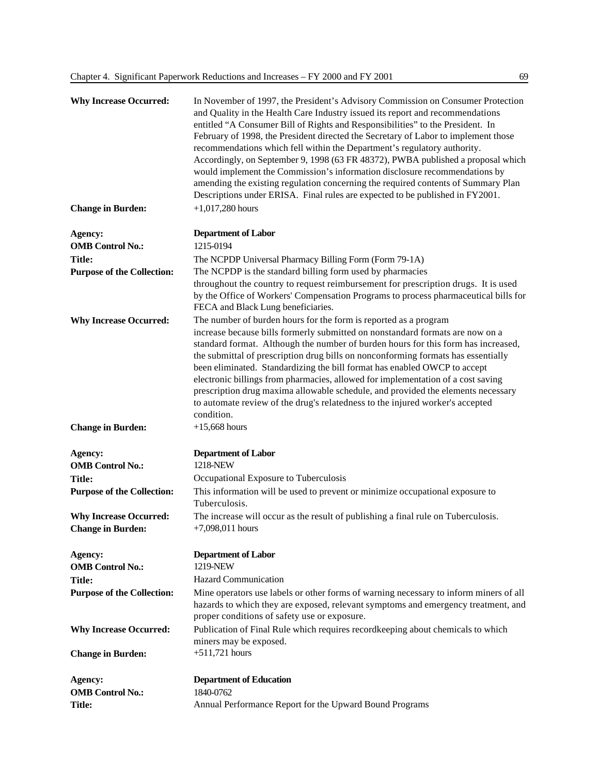| <b>Why Increase Occurred:</b>                             | In November of 1997, the President's Advisory Commission on Consumer Protection<br>and Quality in the Health Care Industry issued its report and recommendations<br>entitled "A Consumer Bill of Rights and Responsibilities" to the President. In<br>February of 1998, the President directed the Secretary of Labor to implement those<br>recommendations which fell within the Department's regulatory authority.<br>Accordingly, on September 9, 1998 (63 FR 48372), PWBA published a proposal which<br>would implement the Commission's information disclosure recommendations by<br>amending the existing regulation concerning the required contents of Summary Plan<br>Descriptions under ERISA. Final rules are expected to be published in FY2001. |
|-----------------------------------------------------------|--------------------------------------------------------------------------------------------------------------------------------------------------------------------------------------------------------------------------------------------------------------------------------------------------------------------------------------------------------------------------------------------------------------------------------------------------------------------------------------------------------------------------------------------------------------------------------------------------------------------------------------------------------------------------------------------------------------------------------------------------------------|
| <b>Change in Burden:</b>                                  | $+1,017,280$ hours                                                                                                                                                                                                                                                                                                                                                                                                                                                                                                                                                                                                                                                                                                                                           |
| Agency:<br><b>OMB Control No.:</b>                        | <b>Department of Labor</b><br>1215-0194                                                                                                                                                                                                                                                                                                                                                                                                                                                                                                                                                                                                                                                                                                                      |
| <b>Title:</b><br><b>Purpose of the Collection:</b>        | The NCPDP Universal Pharmacy Billing Form (Form 79-1A)<br>The NCPDP is the standard billing form used by pharmacies<br>throughout the country to request reimbursement for prescription drugs. It is used<br>by the Office of Workers' Compensation Programs to process pharmaceutical bills for<br>FECA and Black Lung beneficiaries.                                                                                                                                                                                                                                                                                                                                                                                                                       |
| <b>Why Increase Occurred:</b>                             | The number of burden hours for the form is reported as a program<br>increase because bills formerly submitted on nonstandard formats are now on a<br>standard format. Although the number of burden hours for this form has increased,<br>the submittal of prescription drug bills on nonconforming formats has essentially<br>been eliminated. Standardizing the bill format has enabled OWCP to accept<br>electronic billings from pharmacies, allowed for implementation of a cost saving<br>prescription drug maxima allowable schedule, and provided the elements necessary<br>to automate review of the drug's relatedness to the injured worker's accepted<br>condition.                                                                              |
| <b>Change in Burden:</b>                                  | $+15,668$ hours                                                                                                                                                                                                                                                                                                                                                                                                                                                                                                                                                                                                                                                                                                                                              |
| Agency:<br><b>OMB Control No.:</b>                        | <b>Department of Labor</b><br>1218-NEW                                                                                                                                                                                                                                                                                                                                                                                                                                                                                                                                                                                                                                                                                                                       |
| <b>Title:</b>                                             | Occupational Exposure to Tuberculosis                                                                                                                                                                                                                                                                                                                                                                                                                                                                                                                                                                                                                                                                                                                        |
| <b>Purpose of the Collection:</b>                         | This information will be used to prevent or minimize occupational exposure to<br>Tuberculosis.                                                                                                                                                                                                                                                                                                                                                                                                                                                                                                                                                                                                                                                               |
| <b>Why Increase Occurred:</b><br><b>Change in Burden:</b> | The increase will occur as the result of publishing a final rule on Tuberculosis.<br>$+7,098,011$ hours                                                                                                                                                                                                                                                                                                                                                                                                                                                                                                                                                                                                                                                      |
| Agency:<br><b>OMB</b> Control No.:                        | <b>Department of Labor</b><br>1219-NEW                                                                                                                                                                                                                                                                                                                                                                                                                                                                                                                                                                                                                                                                                                                       |
| Title:                                                    | <b>Hazard Communication</b>                                                                                                                                                                                                                                                                                                                                                                                                                                                                                                                                                                                                                                                                                                                                  |
| <b>Purpose of the Collection:</b>                         | Mine operators use labels or other forms of warning necessary to inform miners of all<br>hazards to which they are exposed, relevant symptoms and emergency treatment, and<br>proper conditions of safety use or exposure.                                                                                                                                                                                                                                                                                                                                                                                                                                                                                                                                   |
| <b>Why Increase Occurred:</b>                             | Publication of Final Rule which requires recordkeeping about chemicals to which<br>miners may be exposed.                                                                                                                                                                                                                                                                                                                                                                                                                                                                                                                                                                                                                                                    |
| <b>Change in Burden:</b>                                  | $+511,721$ hours                                                                                                                                                                                                                                                                                                                                                                                                                                                                                                                                                                                                                                                                                                                                             |
| Agency:                                                   | <b>Department of Education</b>                                                                                                                                                                                                                                                                                                                                                                                                                                                                                                                                                                                                                                                                                                                               |
| <b>OMB</b> Control No.:                                   | 1840-0762                                                                                                                                                                                                                                                                                                                                                                                                                                                                                                                                                                                                                                                                                                                                                    |
| <b>Title:</b>                                             | Annual Performance Report for the Upward Bound Programs                                                                                                                                                                                                                                                                                                                                                                                                                                                                                                                                                                                                                                                                                                      |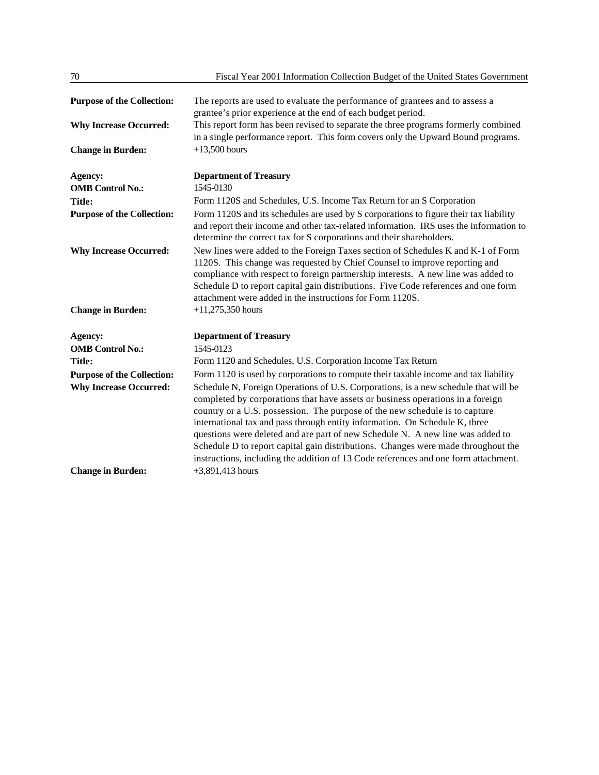| 70                                | Fiscal Year 2001 Information Collection Budget of the United States Government                                                                                                                                                                                                                                                                                                                                                                                                                                                                                                                    |
|-----------------------------------|---------------------------------------------------------------------------------------------------------------------------------------------------------------------------------------------------------------------------------------------------------------------------------------------------------------------------------------------------------------------------------------------------------------------------------------------------------------------------------------------------------------------------------------------------------------------------------------------------|
|                                   |                                                                                                                                                                                                                                                                                                                                                                                                                                                                                                                                                                                                   |
| <b>Purpose of the Collection:</b> | The reports are used to evaluate the performance of grantees and to assess a                                                                                                                                                                                                                                                                                                                                                                                                                                                                                                                      |
|                                   | grantee's prior experience at the end of each budget period.                                                                                                                                                                                                                                                                                                                                                                                                                                                                                                                                      |
| <b>Why Increase Occurred:</b>     | This report form has been revised to separate the three programs formerly combined                                                                                                                                                                                                                                                                                                                                                                                                                                                                                                                |
|                                   | in a single performance report. This form covers only the Upward Bound programs.                                                                                                                                                                                                                                                                                                                                                                                                                                                                                                                  |
| <b>Change in Burden:</b>          | $+13,500$ hours                                                                                                                                                                                                                                                                                                                                                                                                                                                                                                                                                                                   |
| Agency:                           | <b>Department of Treasury</b>                                                                                                                                                                                                                                                                                                                                                                                                                                                                                                                                                                     |
| <b>OMB</b> Control No.:           | 1545-0130                                                                                                                                                                                                                                                                                                                                                                                                                                                                                                                                                                                         |
| <b>Title:</b>                     | Form 1120S and Schedules, U.S. Income Tax Return for an S Corporation                                                                                                                                                                                                                                                                                                                                                                                                                                                                                                                             |
| <b>Purpose of the Collection:</b> | Form 1120S and its schedules are used by S corporations to figure their tax liability<br>and report their income and other tax-related information. IRS uses the information to<br>determine the correct tax for S corporations and their shareholders.                                                                                                                                                                                                                                                                                                                                           |
| <b>Why Increase Occurred:</b>     | New lines were added to the Foreign Taxes section of Schedules K and K-1 of Form<br>1120S. This change was requested by Chief Counsel to improve reporting and<br>compliance with respect to foreign partnership interests. A new line was added to<br>Schedule D to report capital gain distributions. Five Code references and one form<br>attachment were added in the instructions for Form 1120S.                                                                                                                                                                                            |
| <b>Change in Burden:</b>          | $+11,275,350$ hours                                                                                                                                                                                                                                                                                                                                                                                                                                                                                                                                                                               |
| Agency:                           | <b>Department of Treasury</b>                                                                                                                                                                                                                                                                                                                                                                                                                                                                                                                                                                     |
| <b>OMB</b> Control No.:           | 1545-0123                                                                                                                                                                                                                                                                                                                                                                                                                                                                                                                                                                                         |
| <b>Title:</b>                     | Form 1120 and Schedules, U.S. Corporation Income Tax Return                                                                                                                                                                                                                                                                                                                                                                                                                                                                                                                                       |
| <b>Purpose of the Collection:</b> | Form 1120 is used by corporations to compute their taxable income and tax liability                                                                                                                                                                                                                                                                                                                                                                                                                                                                                                               |
| <b>Why Increase Occurred:</b>     | Schedule N, Foreign Operations of U.S. Corporations, is a new schedule that will be<br>completed by corporations that have assets or business operations in a foreign<br>country or a U.S. possession. The purpose of the new schedule is to capture<br>international tax and pass through entity information. On Schedule K, three<br>questions were deleted and are part of new Schedule N. A new line was added to<br>Schedule D to report capital gain distributions. Changes were made throughout the<br>instructions, including the addition of 13 Code references and one form attachment. |
| <b>Change in Burden:</b>          | $+3,891,413$ hours                                                                                                                                                                                                                                                                                                                                                                                                                                                                                                                                                                                |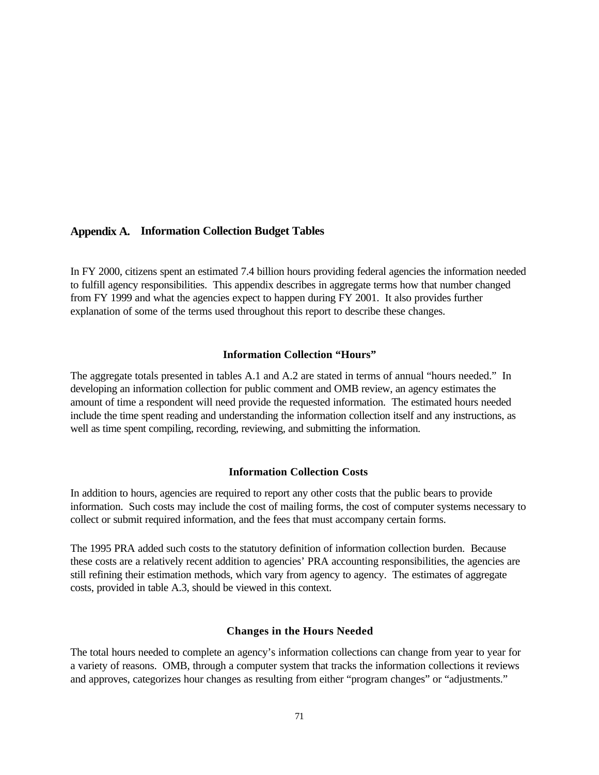### **Appendix A. Information Collection Budget Tables**

In FY 2000, citizens spent an estimated 7.4 billion hours providing federal agencies the information needed to fulfill agency responsibilities. This appendix describes in aggregate terms how that number changed from FY 1999 and what the agencies expect to happen during FY 2001. It also provides further explanation of some of the terms used throughout this report to describe these changes.

#### **Information Collection "Hours"**

The aggregate totals presented in tables A.1 and A.2 are stated in terms of annual "hours needed." In developing an information collection for public comment and OMB review, an agency estimates the amount of time a respondent will need provide the requested information. The estimated hours needed include the time spent reading and understanding the information collection itself and any instructions, as well as time spent compiling, recording, reviewing, and submitting the information.

#### **Information Collection Costs**

In addition to hours, agencies are required to report any other costs that the public bears to provide information. Such costs may include the cost of mailing forms, the cost of computer systems necessary to collect or submit required information, and the fees that must accompany certain forms.

The 1995 PRA added such costs to the statutory definition of information collection burden. Because these costs are a relatively recent addition to agencies' PRA accounting responsibilities, the agencies are still refining their estimation methods, which vary from agency to agency. The estimates of aggregate costs, provided in table A.3, should be viewed in this context.

### **Changes in the Hours Needed**

The total hours needed to complete an agency's information collections can change from year to year for a variety of reasons. OMB, through a computer system that tracks the information collections it reviews and approves, categorizes hour changes as resulting from either "program changes" or "adjustments."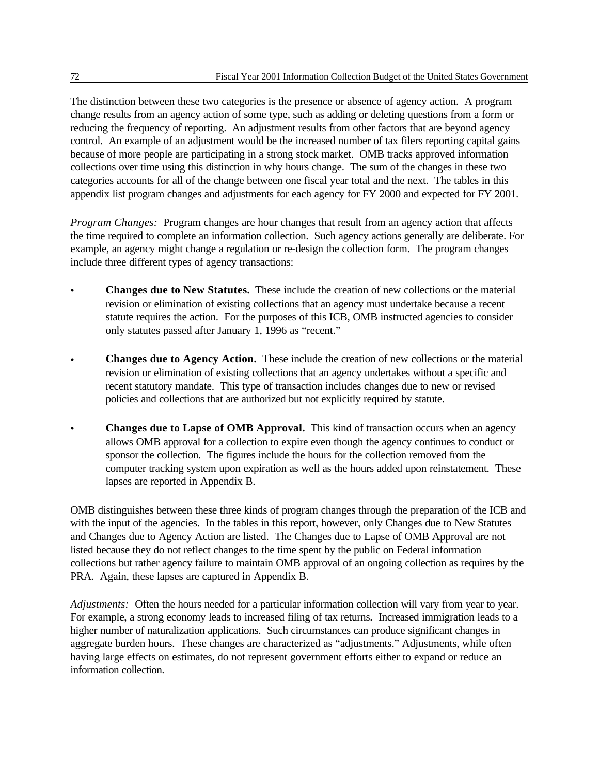The distinction between these two categories is the presence or absence of agency action. A program change results from an agency action of some type, such as adding or deleting questions from a form or reducing the frequency of reporting. An adjustment results from other factors that are beyond agency control. An example of an adjustment would be the increased number of tax filers reporting capital gains because of more people are participating in a strong stock market. OMB tracks approved information collections over time using this distinction in why hours change. The sum of the changes in these two categories accounts for all of the change between one fiscal year total and the next. The tables in this appendix list program changes and adjustments for each agency for FY 2000 and expected for FY 2001.

*Program Changes:* Program changes are hour changes that result from an agency action that affects the time required to complete an information collection. Such agency actions generally are deliberate. For example, an agency might change a regulation or re-design the collection form. The program changes include three different types of agency transactions:

- **Changes due to New Statutes.** These include the creation of new collections or the material revision or elimination of existing collections that an agency must undertake because a recent statute requires the action. For the purposes of this ICB, OMB instructed agencies to consider only statutes passed after January 1, 1996 as "recent."
- **Changes due to Agency Action.** These include the creation of new collections or the material revision or elimination of existing collections that an agency undertakes without a specific and recent statutory mandate. This type of transaction includes changes due to new or revised policies and collections that are authorized but not explicitly required by statute.
- **Changes due to Lapse of OMB Approval.** This kind of transaction occurs when an agency allows OMB approval for a collection to expire even though the agency continues to conduct or sponsor the collection. The figures include the hours for the collection removed from the computer tracking system upon expiration as well as the hours added upon reinstatement. These lapses are reported in Appendix B.

OMB distinguishes between these three kinds of program changes through the preparation of the ICB and with the input of the agencies. In the tables in this report, however, only Changes due to New Statutes and Changes due to Agency Action are listed. The Changes due to Lapse of OMB Approval are not listed because they do not reflect changes to the time spent by the public on Federal information collections but rather agency failure to maintain OMB approval of an ongoing collection as requires by the PRA. Again, these lapses are captured in Appendix B.

*Adjustments:* Often the hours needed for a particular information collection will vary from year to year. For example, a strong economy leads to increased filing of tax returns. Increased immigration leads to a higher number of naturalization applications. Such circumstances can produce significant changes in aggregate burden hours. These changes are characterized as "adjustments." Adjustments, while often having large effects on estimates, do not represent government efforts either to expand or reduce an information collection.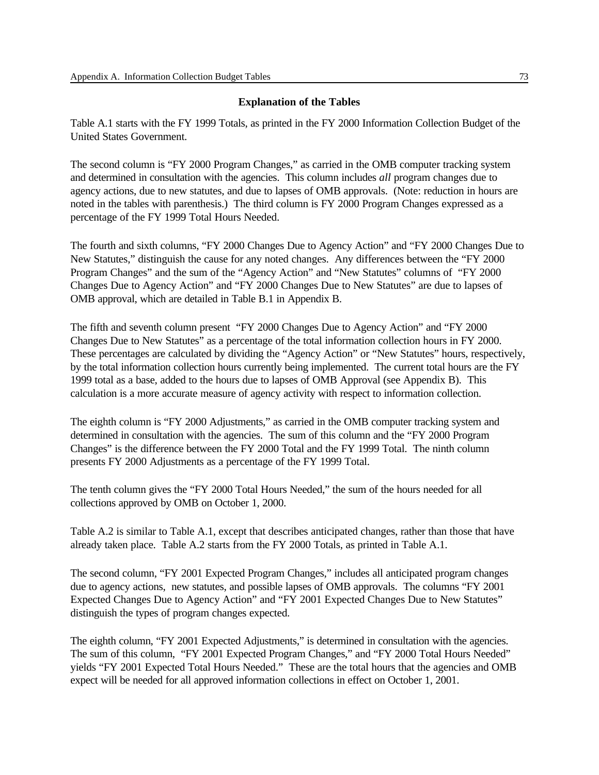#### **Explanation of the Tables**

Table A.1 starts with the FY 1999 Totals, as printed in the FY 2000 Information Collection Budget of the United States Government.

The second column is "FY 2000 Program Changes," as carried in the OMB computer tracking system and determined in consultation with the agencies. This column includes *all* program changes due to agency actions, due to new statutes, and due to lapses of OMB approvals. (Note: reduction in hours are noted in the tables with parenthesis.) The third column is FY 2000 Program Changes expressed as a percentage of the FY 1999 Total Hours Needed.

The fourth and sixth columns, "FY 2000 Changes Due to Agency Action" and "FY 2000 Changes Due to New Statutes," distinguish the cause for any noted changes. Any differences between the "FY 2000 Program Changes" and the sum of the "Agency Action" and "New Statutes" columns of "FY 2000 Changes Due to Agency Action" and "FY 2000 Changes Due to New Statutes" are due to lapses of OMB approval, which are detailed in Table B.1 in Appendix B.

The fifth and seventh column present "FY 2000 Changes Due to Agency Action" and "FY 2000 Changes Due to New Statutes" as a percentage of the total information collection hours in FY 2000. These percentages are calculated by dividing the "Agency Action" or "New Statutes" hours, respectively, by the total information collection hours currently being implemented. The current total hours are the FY 1999 total as a base, added to the hours due to lapses of OMB Approval (see Appendix B). This calculation is a more accurate measure of agency activity with respect to information collection.

The eighth column is "FY 2000 Adjustments," as carried in the OMB computer tracking system and determined in consultation with the agencies. The sum of this column and the "FY 2000 Program Changes" is the difference between the FY 2000 Total and the FY 1999 Total. The ninth column presents FY 2000 Adjustments as a percentage of the FY 1999 Total.

The tenth column gives the "FY 2000 Total Hours Needed," the sum of the hours needed for all collections approved by OMB on October 1, 2000.

Table A.2 is similar to Table A.1, except that describes anticipated changes, rather than those that have already taken place. Table A.2 starts from the FY 2000 Totals, as printed in Table A.1.

The second column, "FY 2001 Expected Program Changes," includes all anticipated program changes due to agency actions, new statutes, and possible lapses of OMB approvals. The columns "FY 2001 Expected Changes Due to Agency Action" and "FY 2001 Expected Changes Due to New Statutes" distinguish the types of program changes expected.

The eighth column, "FY 2001 Expected Adjustments," is determined in consultation with the agencies. The sum of this column, "FY 2001 Expected Program Changes," and "FY 2000 Total Hours Needed" yields "FY 2001 Expected Total Hours Needed." These are the total hours that the agencies and OMB expect will be needed for all approved information collections in effect on October 1, 2001.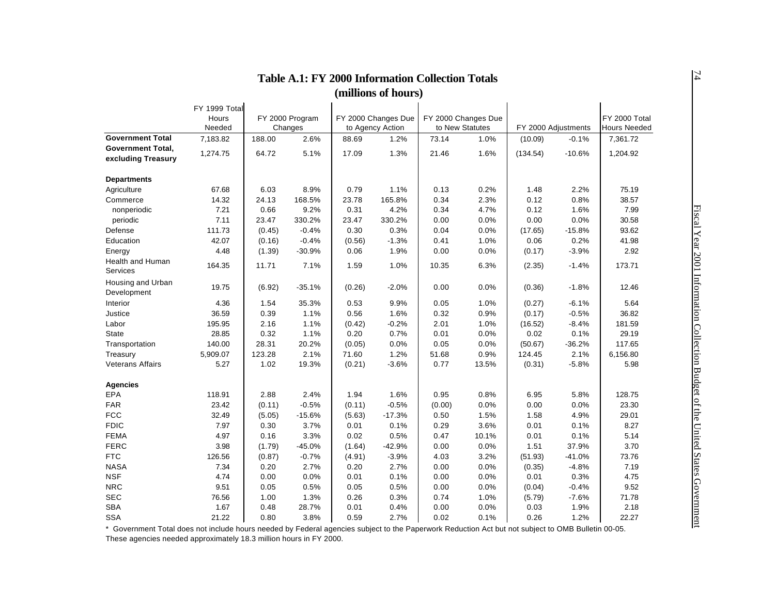|                                  | FY 1999 Total |        |                 |        |                     |                     |       |          |                     |                      |
|----------------------------------|---------------|--------|-----------------|--------|---------------------|---------------------|-------|----------|---------------------|----------------------|
|                                  | Hours         |        | FY 2000 Program |        | FY 2000 Changes Due | FY 2000 Changes Due |       |          |                     | <b>FY 2000 Total</b> |
|                                  | Needed        |        | Changes         |        | to Agency Action    | to New Statutes     |       |          | FY 2000 Adjustments | <b>Hours Needed</b>  |
| <b>Government Total</b>          | 7,183.82      | 188.00 | 2.6%            | 88.69  | 1.2%                | 73.14               | 1.0%  | (10.09)  | $-0.1%$             | 7,361.72             |
| <b>Government Total,</b>         | 1,274.75      | 64.72  | 5.1%            | 17.09  | 1.3%                | 21.46               | 1.6%  | (134.54) | $-10.6%$            | 1,204.92             |
| excluding Treasury               |               |        |                 |        |                     |                     |       |          |                     |                      |
| <b>Departments</b>               |               |        |                 |        |                     |                     |       |          |                     |                      |
| Agriculture                      | 67.68         | 6.03   | 8.9%            | 0.79   | 1.1%                | 0.13                | 0.2%  | 1.48     | 2.2%                | 75.19                |
| Commerce                         | 14.32         | 24.13  | 168.5%          | 23.78  | 165.8%              | 0.34                | 2.3%  | 0.12     | 0.8%                | 38.57                |
| nonperiodic                      | 7.21          | 0.66   | 9.2%            | 0.31   | 4.2%                | 0.34                | 4.7%  | 0.12     | 1.6%                | 7.99                 |
| periodic                         | 7.11          | 23.47  | 330.2%          | 23.47  | 330.2%              | 0.00                | 0.0%  | 0.00     | 0.0%                | 30.58                |
| Defense                          | 111.73        | (0.45) | $-0.4%$         | 0.30   | 0.3%                | 0.04                | 0.0%  | (17.65)  | $-15.8%$            | 93.62                |
| Education                        | 42.07         | (0.16) | $-0.4%$         | (0.56) | $-1.3%$             | 0.41                | 1.0%  | 0.06     | 0.2%                | 41.98                |
| Energy                           | 4.48          | (1.39) | $-30.9%$        | 0.06   | 1.9%                | 0.00                | 0.0%  | (0.17)   | $-3.9%$             | 2.92                 |
| Health and Human<br>Services     | 164.35        | 11.71  | 7.1%            | 1.59   | 1.0%                | 10.35               | 6.3%  | (2.35)   | $-1.4%$             | 173.71               |
| Housing and Urban<br>Development | 19.75         | (6.92) | $-35.1%$        | (0.26) | $-2.0%$             | 0.00                | 0.0%  | (0.36)   | $-1.8%$             | 12.46                |
| Interior                         | 4.36          | 1.54   | 35.3%           | 0.53   | 9.9%                | 0.05                | 1.0%  | (0.27)   | $-6.1%$             | 5.64                 |
| Justice                          | 36.59         | 0.39   | 1.1%            | 0.56   | 1.6%                | 0.32                | 0.9%  | (0.17)   | $-0.5%$             | 36.82                |
| Labor                            | 195.95        | 2.16   | 1.1%            | (0.42) | $-0.2%$             | 2.01                | 1.0%  | (16.52)  | $-8.4%$             | 181.59               |
| <b>State</b>                     | 28.85         | 0.32   | 1.1%            | 0.20   | 0.7%                | 0.01                | 0.0%  | 0.02     | 0.1%                | 29.19                |
| Transportation                   | 140.00        | 28.31  | 20.2%           | (0.05) | 0.0%                | 0.05                | 0.0%  | (50.67)  | $-36.2%$            | 117.65               |
| Treasury                         | 5,909.07      | 123.28 | 2.1%            | 71.60  | 1.2%                | 51.68               | 0.9%  | 124.45   | 2.1%                | 6,156.80             |
| <b>Veterans Affairs</b>          | 5.27          | 1.02   | 19.3%           | (0.21) | $-3.6%$             | 0.77                | 13.5% | (0.31)   | $-5.8%$             | 5.98                 |
| <b>Agencies</b>                  |               |        |                 |        |                     |                     |       |          |                     |                      |
| <b>EPA</b>                       | 118.91        | 2.88   | 2.4%            | 1.94   | 1.6%                | 0.95                | 0.8%  | 6.95     | 5.8%                | 128.75               |
| <b>FAR</b>                       | 23.42         | (0.11) | $-0.5%$         | (0.11) | $-0.5%$             | (0.00)              | 0.0%  | 0.00     | 0.0%                | 23.30                |
| <b>FCC</b>                       | 32.49         | (5.05) | $-15.6%$        | (5.63) | $-17.3%$            | 0.50                | 1.5%  | 1.58     | 4.9%                | 29.01                |
| <b>FDIC</b>                      | 7.97          | 0.30   | 3.7%            | 0.01   | 0.1%                | 0.29                | 3.6%  | 0.01     | 0.1%                | 8.27                 |
| <b>FEMA</b>                      | 4.97          | 0.16   | 3.3%            | 0.02   | 0.5%                | 0.47                | 10.1% | 0.01     | 0.1%                | 5.14                 |
| <b>FERC</b>                      | 3.98          | (1.79) | $-45.0%$        | (1.64) | $-42.9%$            | 0.00                | 0.0%  | 1.51     | 37.9%               | 3.70                 |
| <b>FTC</b>                       | 126.56        | (0.87) | $-0.7%$         | (4.91) | $-3.9%$             | 4.03                | 3.2%  | (51.93)  | $-41.0%$            | 73.76                |
| <b>NASA</b>                      | 7.34          | 0.20   | 2.7%            | 0.20   | 2.7%                | 0.00                | 0.0%  | (0.35)   | $-4.8%$             | 7.19                 |
| <b>NSF</b>                       | 4.74          | 0.00   | 0.0%            | 0.01   | 0.1%                | 0.00                | 0.0%  | 0.01     | 0.3%                | 4.75                 |
| <b>NRC</b>                       | 9.51          | 0.05   | 0.5%            | 0.05   | 0.5%                | 0.00                | 0.0%  | (0.04)   | $-0.4%$             | 9.52                 |
| <b>SEC</b>                       | 76.56         | 1.00   | 1.3%            | 0.26   | 0.3%                | 0.74                | 1.0%  | (5.79)   | $-7.6%$             | 71.78                |
| <b>SBA</b>                       | 1.67          | 0.48   | 28.7%           | 0.01   | 0.4%                | 0.00                | 0.0%  | 0.03     | 1.9%                | 2.18                 |
| <b>SSA</b>                       | 21.22         | 0.80   | 3.8%            | 0.59   | 2.7%                | 0.02                | 0.1%  | 0.26     | 1.2%                | 22.27                |

## **Table A.1: FY 2000 Information Collection Totals (millions of hours)**

\* Government Total does not include hours needed by Federal agencies subject to the Paperwork Reduction Act but not subject to OMB Bulletin 00-05. These agencies needed approximately 18.3 million hours in FY 2000.

Fiscal Year 2001 Information Collection Budget of the United States Government Fiscal Year 2001 Information Collection Budget of the United States Government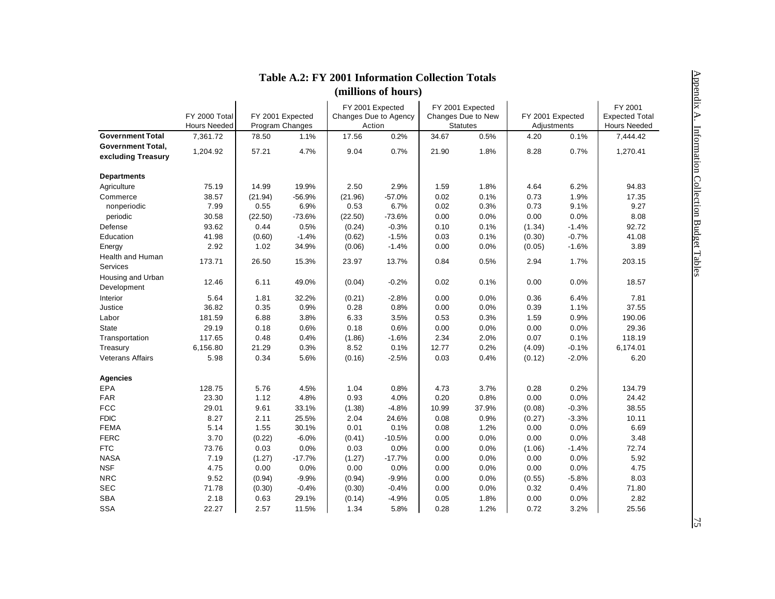|                                  | <b>FY 2000 Total</b><br><b>Hours Needed</b> | Program Changes | FY 2001 Expected |         | FY 2001 Expected<br>Changes Due to Agency<br>Action |       | FY 2001 Expected<br>Changes Due to New<br>Statutes | FY 2001 Expected<br>Adjustments |         | FY 2001<br><b>Expected Total</b><br><b>Hours Needed</b> |
|----------------------------------|---------------------------------------------|-----------------|------------------|---------|-----------------------------------------------------|-------|----------------------------------------------------|---------------------------------|---------|---------------------------------------------------------|
| <b>Government Total</b>          | 7,361.72                                    | 78.50           | 1.1%             | 17.56   | 0.2%                                                | 34.67 | 0.5%                                               | 4.20                            | 0.1%    | 7,444.42                                                |
| <b>Government Total,</b>         | 1,204.92                                    | 57.21           | 4.7%             | 9.04    | 0.7%                                                | 21.90 | 1.8%                                               | 8.28                            | 0.7%    | 1,270.41                                                |
| excluding Treasury               |                                             |                 |                  |         |                                                     |       |                                                    |                                 |         |                                                         |
| <b>Departments</b>               |                                             |                 |                  |         |                                                     |       |                                                    |                                 |         |                                                         |
| Agriculture                      | 75.19                                       | 14.99           | 19.9%            | 2.50    | 2.9%                                                | 1.59  | 1.8%                                               | 4.64                            | 6.2%    | 94.83                                                   |
| Commerce                         | 38.57                                       | (21.94)         | $-56.9%$         | (21.96) | $-57.0%$                                            | 0.02  | 0.1%                                               | 0.73                            | 1.9%    | 17.35                                                   |
| nonperiodic                      | 7.99                                        | 0.55            | 6.9%             | 0.53    | 6.7%                                                | 0.02  | 0.3%                                               | 0.73                            | 9.1%    | 9.27                                                    |
| periodic                         | 30.58                                       | (22.50)         | $-73.6%$         | (22.50) | $-73.6%$                                            | 0.00  | 0.0%                                               | 0.00                            | 0.0%    | 8.08                                                    |
| Defense                          | 93.62                                       | 0.44            | 0.5%             | (0.24)  | $-0.3%$                                             | 0.10  | 0.1%                                               | (1.34)                          | $-1.4%$ | 92.72                                                   |
| Education                        | 41.98                                       | (0.60)          | $-1.4%$          | (0.62)  | $-1.5%$                                             | 0.03  | 0.1%                                               | (0.30)                          | $-0.7%$ | 41.08                                                   |
| Energy                           | 2.92                                        | 1.02            | 34.9%            | (0.06)  | $-1.4%$                                             | 0.00  | 0.0%                                               | (0.05)                          | $-1.6%$ | 3.89                                                    |
| Health and Human<br>Services     | 173.71                                      | 26.50           | 15.3%            | 23.97   | 13.7%                                               | 0.84  | 0.5%                                               | 2.94                            | 1.7%    | 203.15                                                  |
| Housing and Urban<br>Development | 12.46                                       | 6.11            | 49.0%            | (0.04)  | $-0.2%$                                             | 0.02  | 0.1%                                               | 0.00                            | 0.0%    | 18.57                                                   |
| Interior                         | 5.64                                        | 1.81            | 32.2%            | (0.21)  | $-2.8%$                                             | 0.00  | 0.0%                                               | 0.36                            | 6.4%    | 7.81                                                    |
| Justice                          | 36.82                                       | 0.35            | 0.9%             | 0.28    | 0.8%                                                | 0.00  | 0.0%                                               | 0.39                            | 1.1%    | 37.55                                                   |
| Labor                            | 181.59                                      | 6.88            | 3.8%             | 6.33    | 3.5%                                                | 0.53  | 0.3%                                               | 1.59                            | 0.9%    | 190.06                                                  |
| State                            | 29.19                                       | 0.18            | 0.6%             | 0.18    | 0.6%                                                | 0.00  | 0.0%                                               | 0.00                            | 0.0%    | 29.36                                                   |
| Transportation                   | 117.65                                      | 0.48            | 0.4%             | (1.86)  | $-1.6%$                                             | 2.34  | 2.0%                                               | 0.07                            | 0.1%    | 118.19                                                  |
| Treasury                         | 6,156.80                                    | 21.29           | 0.3%             | 8.52    | 0.1%                                                | 12.77 | 0.2%                                               | (4.09)                          | $-0.1%$ | 6,174.01                                                |
| <b>Veterans Affairs</b>          | 5.98                                        | 0.34            | 5.6%             | (0.16)  | $-2.5%$                                             | 0.03  | 0.4%                                               | (0.12)                          | $-2.0%$ | 6.20                                                    |
| <b>Agencies</b>                  |                                             |                 |                  |         |                                                     |       |                                                    |                                 |         |                                                         |
| EPA                              | 128.75                                      | 5.76            | 4.5%             | 1.04    | 0.8%                                                | 4.73  | 3.7%                                               | 0.28                            | 0.2%    | 134.79                                                  |
| <b>FAR</b>                       | 23.30                                       | 1.12            | 4.8%             | 0.93    | 4.0%                                                | 0.20  | 0.8%                                               | 0.00                            | 0.0%    | 24.42                                                   |
| <b>FCC</b>                       | 29.01                                       | 9.61            | 33.1%            | (1.38)  | $-4.8%$                                             | 10.99 | 37.9%                                              | (0.08)                          | $-0.3%$ | 38.55                                                   |
| <b>FDIC</b>                      | 8.27                                        | 2.11            | 25.5%            | 2.04    | 24.6%                                               | 0.08  | 0.9%                                               | (0.27)                          | $-3.3%$ | 10.11                                                   |
| <b>FEMA</b>                      | 5.14                                        | 1.55            | 30.1%            | 0.01    | 0.1%                                                | 0.08  | 1.2%                                               | 0.00                            | 0.0%    | 6.69                                                    |
| <b>FERC</b>                      | 3.70                                        | (0.22)          | $-6.0%$          | (0.41)  | $-10.5%$                                            | 0.00  | 0.0%                                               | 0.00                            | 0.0%    | 3.48                                                    |
| <b>FTC</b>                       | 73.76                                       | 0.03            | 0.0%             | 0.03    | 0.0%                                                | 0.00  | 0.0%                                               | (1.06)                          | $-1.4%$ | 72.74                                                   |
| <b>NASA</b>                      | 7.19                                        | (1.27)          | $-17.7%$         | (1.27)  | $-17.7%$                                            | 0.00  | 0.0%                                               | 0.00                            | 0.0%    | 5.92                                                    |
| <b>NSF</b>                       | 4.75                                        | 0.00            | 0.0%             | 0.00    | 0.0%                                                | 0.00  | 0.0%                                               | 0.00                            | 0.0%    | 4.75                                                    |
| <b>NRC</b>                       | 9.52                                        | (0.94)          | $-9.9%$          | (0.94)  | $-9.9%$                                             | 0.00  | 0.0%                                               | (0.55)                          | $-5.8%$ | 8.03                                                    |
| <b>SEC</b>                       | 71.78                                       | (0.30)          | $-0.4%$          | (0.30)  | $-0.4%$                                             | 0.00  | 0.0%                                               | 0.32                            | 0.4%    | 71.80                                                   |
| <b>SBA</b>                       | 2.18                                        | 0.63            | 29.1%            | (0.14)  | $-4.9%$                                             | 0.05  | 1.8%                                               | 0.00                            | 0.0%    | 2.82                                                    |
| <b>SSA</b>                       | 22.27                                       | 2.57            | 11.5%            | 1.34    | 5.8%                                                | 0.28  | 1.2%                                               | 0.72                            | 3.2%    | 25.56                                                   |

### **Table A.2: FY 2001 Information Collection Totals (millions of hours)**

 $75$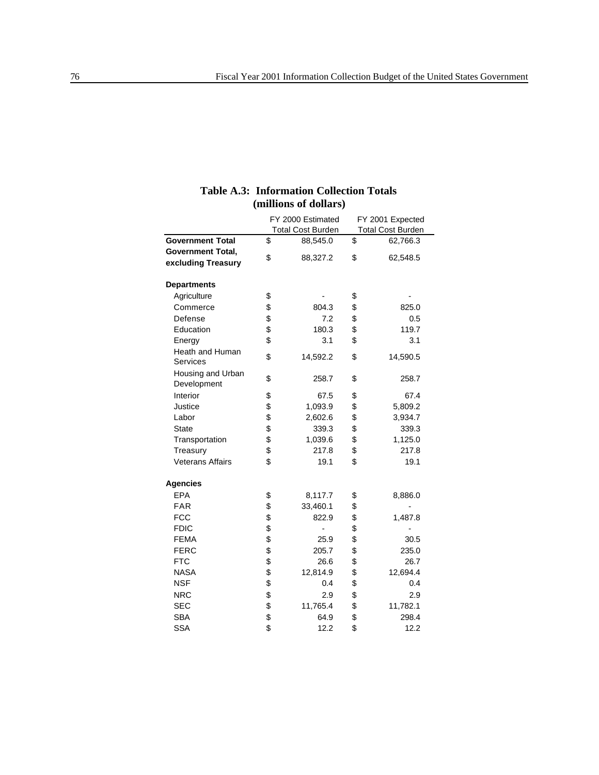|                                                | FY 2000 Estimated        | FY 2001 Expected |                          |
|------------------------------------------------|--------------------------|------------------|--------------------------|
|                                                | <b>Total Cost Burden</b> |                  | <b>Total Cost Burden</b> |
| <b>Government Total</b>                        | \$<br>88,545.0           | \$               | 62,766.3                 |
| <b>Government Total,</b><br>excluding Treasury | \$<br>88,327.2           | \$               | 62,548.5                 |
| <b>Departments</b>                             |                          |                  |                          |
| Agriculture                                    | \$                       | \$               |                          |
| Commerce                                       | \$<br>804.3              | \$               | 825.0                    |
| Defense                                        | \$<br>7.2                | \$               | 0.5                      |
| Education                                      | \$<br>180.3              | \$               | 119.7                    |
| Energy                                         | \$<br>3.1                | \$               | 3.1                      |
| Heath and Human<br>Services                    | \$<br>14,592.2           | \$               | 14,590.5                 |
| Housing and Urban<br>Development               | \$<br>258.7              | \$               | 258.7                    |
| Interior                                       | \$<br>67.5               | \$               | 67.4                     |
| Justice                                        | \$<br>1,093.9            | \$               | 5,809.2                  |
| Labor                                          | \$<br>2,602.6            | \$               | 3,934.7                  |
| <b>State</b>                                   | \$<br>339.3              | \$               | 339.3                    |
| Transportation                                 | \$<br>1,039.6            | \$               | 1,125.0                  |
| Treasury                                       | \$<br>217.8              | \$               | 217.8                    |
| <b>Veterans Affairs</b>                        | \$<br>19.1               | \$               | 19.1                     |
| <b>Agencies</b>                                |                          |                  |                          |
| <b>EPA</b>                                     | \$<br>8,117.7            | \$               | 8,886.0                  |
| <b>FAR</b>                                     | \$<br>33,460.1           | \$               |                          |
| <b>FCC</b>                                     | \$<br>822.9              | \$               | 1,487.8                  |
| <b>FDIC</b>                                    | \$                       | \$               |                          |
| <b>FEMA</b>                                    | \$<br>25.9               | \$               | 30.5                     |
| <b>FERC</b>                                    | \$<br>205.7              | \$               | 235.0                    |
| <b>FTC</b>                                     | \$<br>26.6               | \$               | 26.7                     |
| <b>NASA</b>                                    | \$<br>12,814.9           | \$               | 12,694.4                 |
| <b>NSF</b>                                     | \$<br>0.4                | \$               | 0.4                      |
| <b>NRC</b>                                     | \$<br>2.9                | \$               | 2.9                      |
| <b>SEC</b>                                     | \$<br>11,765.4           | \$               | 11,782.1                 |
| <b>SBA</b>                                     | \$<br>64.9               | \$               | 298.4                    |
| <b>SSA</b>                                     | \$<br>12.2               | \$               | 12.2                     |
|                                                |                          |                  |                          |

### **Table A.3: Information Collection Totals (millions of dollars)**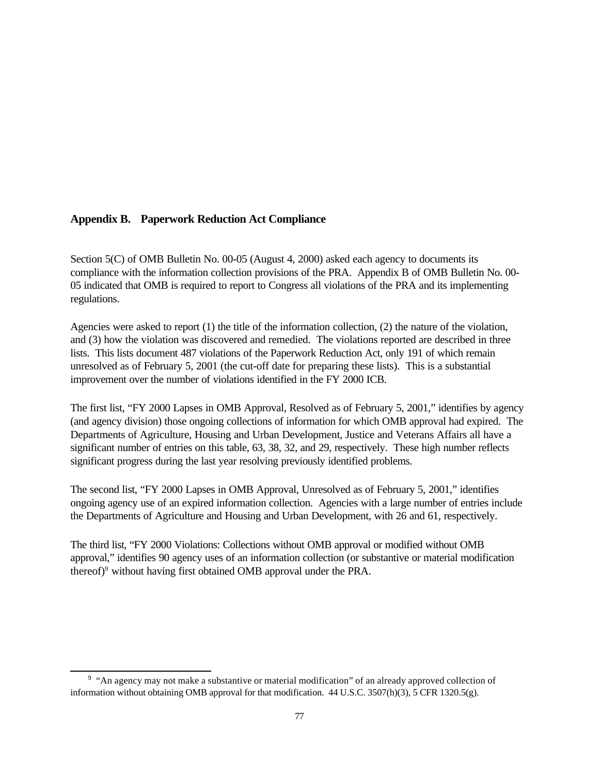### **Appendix B. Paperwork Reduction Act Compliance**

Section 5(C) of OMB Bulletin No. 00-05 (August 4, 2000) asked each agency to documents its compliance with the information collection provisions of the PRA. Appendix B of OMB Bulletin No. 00- 05 indicated that OMB is required to report to Congress all violations of the PRA and its implementing regulations.

Agencies were asked to report  $(1)$  the title of the information collection,  $(2)$  the nature of the violation, and (3) how the violation was discovered and remedied. The violations reported are described in three lists. This lists document 487 violations of the Paperwork Reduction Act, only 191 of which remain unresolved as of February 5, 2001 (the cut-off date for preparing these lists). This is a substantial improvement over the number of violations identified in the FY 2000 ICB.

The first list, "FY 2000 Lapses in OMB Approval, Resolved as of February 5, 2001," identifies by agency (and agency division) those ongoing collections of information for which OMB approval had expired. The Departments of Agriculture, Housing and Urban Development, Justice and Veterans Affairs all have a significant number of entries on this table, 63, 38, 32, and 29, respectively. These high number reflects significant progress during the last year resolving previously identified problems.

The second list, "FY 2000 Lapses in OMB Approval, Unresolved as of February 5, 2001," identifies ongoing agency use of an expired information collection. Agencies with a large number of entries include the Departments of Agriculture and Housing and Urban Development, with 26 and 61, respectively.

The third list, "FY 2000 Violations: Collections without OMB approval or modified without OMB approval," identifies 90 agency uses of an information collection (or substantive or material modification thereof)9 without having first obtained OMB approval under the PRA.

<sup>9 &</sup>quot;An agency may not make a substantive or material modification" of an already approved collection of information without obtaining OMB approval for that modification. 44 U.S.C. 3507(h)(3), 5 CFR 1320.5(g).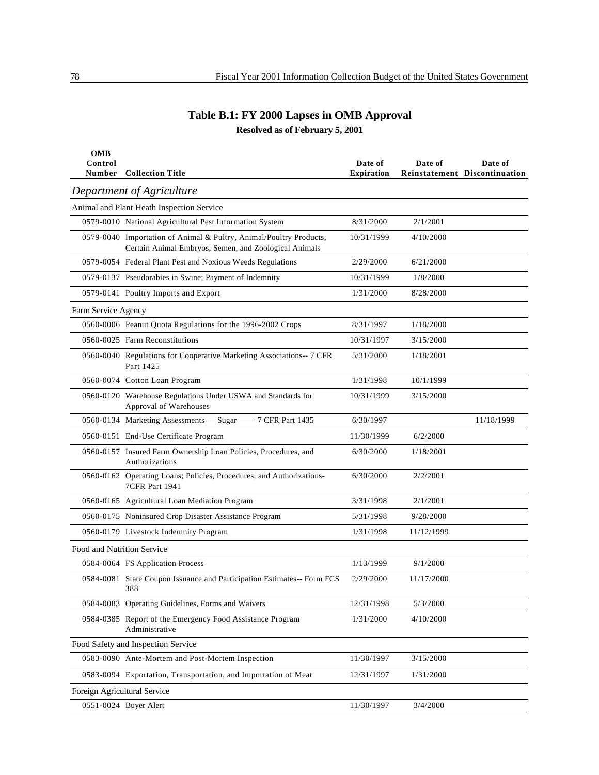## **Table B.1: FY 2000 Lapses in OMB Approval Resolved as of February 5, 2001**

| <b>OMB</b><br>Control<br>Number | <b>Collection Title</b>                                                                                                     | Date of<br><b>Expiration</b> | Date of    | Date of<br><b>Reinstatement Discontinuation</b> |
|---------------------------------|-----------------------------------------------------------------------------------------------------------------------------|------------------------------|------------|-------------------------------------------------|
|                                 | Department of Agriculture                                                                                                   |                              |            |                                                 |
|                                 | Animal and Plant Heath Inspection Service                                                                                   |                              |            |                                                 |
|                                 | 0579-0010 National Agricultural Pest Information System                                                                     | 8/31/2000                    | 2/1/2001   |                                                 |
|                                 | 0579-0040 Importation of Animal & Pultry, Animal/Poultry Products,<br>Certain Animal Embryos, Semen, and Zoological Animals | 10/31/1999                   | 4/10/2000  |                                                 |
|                                 | 0579-0054 Federal Plant Pest and Noxious Weeds Regulations                                                                  | 2/29/2000                    | 6/21/2000  |                                                 |
|                                 | 0579-0137 Pseudorabies in Swine; Payment of Indemnity                                                                       | 10/31/1999                   | 1/8/2000   |                                                 |
|                                 | 0579-0141 Poultry Imports and Export                                                                                        | 1/31/2000                    | 8/28/2000  |                                                 |
| Farm Service Agency             |                                                                                                                             |                              |            |                                                 |
|                                 | 0560-0006 Peanut Quota Regulations for the 1996-2002 Crops                                                                  | 8/31/1997                    | 1/18/2000  |                                                 |
|                                 | 0560-0025 Farm Reconstitutions                                                                                              | 10/31/1997                   | 3/15/2000  |                                                 |
|                                 | 0560-0040 Regulations for Cooperative Marketing Associations-- 7 CFR<br>Part 1425                                           | 5/31/2000                    | 1/18/2001  |                                                 |
|                                 | 0560-0074 Cotton Loan Program                                                                                               | 1/31/1998                    | 10/1/1999  |                                                 |
|                                 | 0560-0120 Warehouse Regulations Under USWA and Standards for<br>Approval of Warehouses                                      | 10/31/1999                   | 3/15/2000  |                                                 |
|                                 | 0560-0134 Marketing Assessments - Sugar -7 CFR Part 1435                                                                    | 6/30/1997                    |            | 11/18/1999                                      |
|                                 | 0560-0151 End-Use Certificate Program                                                                                       | 11/30/1999                   | 6/2/2000   |                                                 |
|                                 | 0560-0157 Insured Farm Ownership Loan Policies, Procedures, and<br>Authorizations                                           | 6/30/2000                    | 1/18/2001  |                                                 |
|                                 | 0560-0162 Operating Loans; Policies, Procedures, and Authorizations-<br><b>7CFR Part 1941</b>                               | 6/30/2000                    | 2/2/2001   |                                                 |
|                                 | 0560-0165 Agricultural Loan Mediation Program                                                                               | 3/31/1998                    | 2/1/2001   |                                                 |
|                                 | 0560-0175 Noninsured Crop Disaster Assistance Program                                                                       | 5/31/1998                    | 9/28/2000  |                                                 |
|                                 | 0560-0179 Livestock Indemnity Program                                                                                       | 1/31/1998                    | 11/12/1999 |                                                 |
| Food and Nutrition Service      |                                                                                                                             |                              |            |                                                 |
|                                 | 0584-0064 FS Application Process                                                                                            | 1/13/1999                    | 9/1/2000   |                                                 |
|                                 | 0584-0081 State Coupon Issuance and Participation Estimates-- Form FCS<br>388                                               | 2/29/2000                    | 11/17/2000 |                                                 |
|                                 | 0584-0083 Operating Guidelines, Forms and Waivers                                                                           | 12/31/1998                   | 5/3/2000   |                                                 |
|                                 | 0584-0385 Report of the Emergency Food Assistance Program<br>Administrative                                                 | 1/31/2000                    | 4/10/2000  |                                                 |
|                                 | Food Safety and Inspection Service                                                                                          |                              |            |                                                 |
|                                 | 0583-0090 Ante-Mortem and Post-Mortem Inspection                                                                            | 11/30/1997                   | 3/15/2000  |                                                 |
|                                 | 0583-0094 Exportation, Transportation, and Importation of Meat                                                              | 12/31/1997                   | 1/31/2000  |                                                 |
| Foreign Agricultural Service    |                                                                                                                             |                              |            |                                                 |
|                                 | 0551-0024 Buyer Alert                                                                                                       | 11/30/1997                   | 3/4/2000   |                                                 |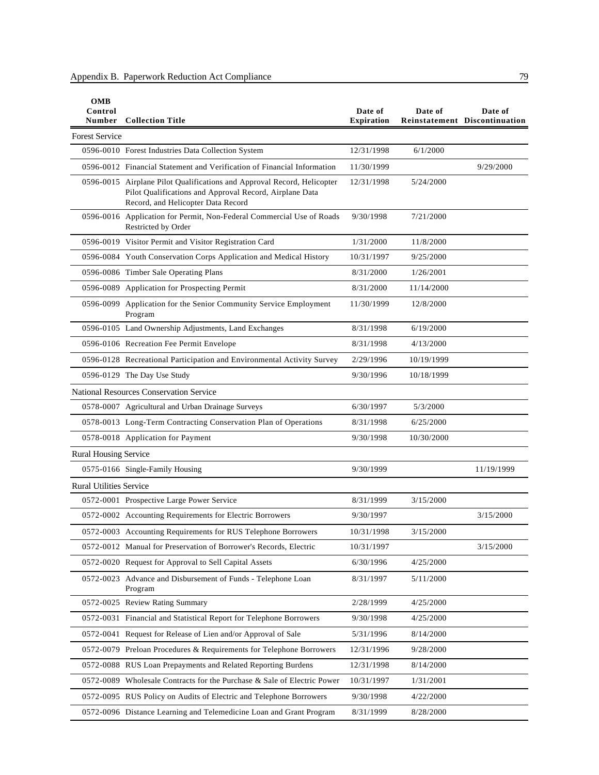| <b>OMB</b><br>Control<br>Number | <b>Collection Title</b>                                                                                                                                                  | Date of<br><b>Expiration</b> | Date of    | Date of<br><b>Reinstatement Discontinuation</b> |
|---------------------------------|--------------------------------------------------------------------------------------------------------------------------------------------------------------------------|------------------------------|------------|-------------------------------------------------|
| <b>Forest Service</b>           |                                                                                                                                                                          |                              |            |                                                 |
|                                 | 0596-0010 Forest Industries Data Collection System                                                                                                                       | 12/31/1998                   | 6/1/2000   |                                                 |
|                                 | 0596-0012 Financial Statement and Verification of Financial Information                                                                                                  | 11/30/1999                   |            | 9/29/2000                                       |
|                                 | 0596-0015 Airplane Pilot Qualifications and Approval Record, Helicopter<br>Pilot Qualifications and Approval Record, Airplane Data<br>Record, and Helicopter Data Record | 12/31/1998                   | 5/24/2000  |                                                 |
|                                 | 0596-0016 Application for Permit, Non-Federal Commercial Use of Roads<br>Restricted by Order                                                                             | 9/30/1998                    | 7/21/2000  |                                                 |
|                                 | 0596-0019 Visitor Permit and Visitor Registration Card                                                                                                                   | 1/31/2000                    | 11/8/2000  |                                                 |
|                                 | 0596-0084 Youth Conservation Corps Application and Medical History                                                                                                       | 10/31/1997                   | 9/25/2000  |                                                 |
|                                 | 0596-0086 Timber Sale Operating Plans                                                                                                                                    | 8/31/2000                    | 1/26/2001  |                                                 |
|                                 | 0596-0089 Application for Prospecting Permit                                                                                                                             | 8/31/2000                    | 11/14/2000 |                                                 |
|                                 | 0596-0099 Application for the Senior Community Service Employment<br>Program                                                                                             | 11/30/1999                   | 12/8/2000  |                                                 |
|                                 | 0596-0105 Land Ownership Adjustments, Land Exchanges                                                                                                                     | 8/31/1998                    | 6/19/2000  |                                                 |
|                                 | 0596-0106 Recreation Fee Permit Envelope                                                                                                                                 | 8/31/1998                    | 4/13/2000  |                                                 |
|                                 | 0596-0128 Recreational Participation and Environmental Activity Survey                                                                                                   | 2/29/1996                    | 10/19/1999 |                                                 |
|                                 | 0596-0129 The Day Use Study                                                                                                                                              | 9/30/1996                    | 10/18/1999 |                                                 |
|                                 | <b>National Resources Conservation Service</b>                                                                                                                           |                              |            |                                                 |
|                                 | 0578-0007 Agricultural and Urban Drainage Surveys                                                                                                                        | 6/30/1997                    | 5/3/2000   |                                                 |
|                                 | 0578-0013 Long-Term Contracting Conservation Plan of Operations                                                                                                          | 8/31/1998                    | 6/25/2000  |                                                 |
|                                 | 0578-0018 Application for Payment                                                                                                                                        | 9/30/1998                    | 10/30/2000 |                                                 |
| <b>Rural Housing Service</b>    |                                                                                                                                                                          |                              |            |                                                 |
|                                 | 0575-0166 Single-Family Housing                                                                                                                                          | 9/30/1999                    |            | 11/19/1999                                      |
| <b>Rural Utilities Service</b>  |                                                                                                                                                                          |                              |            |                                                 |
|                                 | 0572-0001 Prospective Large Power Service                                                                                                                                | 8/31/1999                    | 3/15/2000  |                                                 |
|                                 | 0572-0002 Accounting Requirements for Electric Borrowers                                                                                                                 | 9/30/1997                    |            | 3/15/2000                                       |
|                                 | 0572-0003 Accounting Requirements for RUS Telephone Borrowers                                                                                                            | 10/31/1998                   | 3/15/2000  |                                                 |
|                                 | 0572-0012 Manual for Preservation of Borrower's Records, Electric                                                                                                        | 10/31/1997                   |            | 3/15/2000                                       |
|                                 | 0572-0020 Request for Approval to Sell Capital Assets                                                                                                                    | 6/30/1996                    | 4/25/2000  |                                                 |
|                                 | 0572-0023 Advance and Disbursement of Funds - Telephone Loan<br>Program                                                                                                  | 8/31/1997                    | 5/11/2000  |                                                 |
|                                 | 0572-0025 Review Rating Summary                                                                                                                                          | 2/28/1999                    | 4/25/2000  |                                                 |
|                                 | 0572-0031 Financial and Statistical Report for Telephone Borrowers                                                                                                       | 9/30/1998                    | 4/25/2000  |                                                 |
|                                 | 0572-0041 Request for Release of Lien and/or Approval of Sale                                                                                                            | 5/31/1996                    | 8/14/2000  |                                                 |
|                                 | 0572-0079 Preloan Procedures & Requirements for Telephone Borrowers                                                                                                      | 12/31/1996                   | 9/28/2000  |                                                 |
|                                 | 0572-0088 RUS Loan Prepayments and Related Reporting Burdens                                                                                                             | 12/31/1998                   | 8/14/2000  |                                                 |
|                                 | 0572-0089 Wholesale Contracts for the Purchase & Sale of Electric Power                                                                                                  | 10/31/1997                   | 1/31/2001  |                                                 |
|                                 | 0572-0095 RUS Policy on Audits of Electric and Telephone Borrowers                                                                                                       | 9/30/1998                    | 4/22/2000  |                                                 |
|                                 | 0572-0096 Distance Learning and Telemedicine Loan and Grant Program                                                                                                      | 8/31/1999                    | 8/28/2000  |                                                 |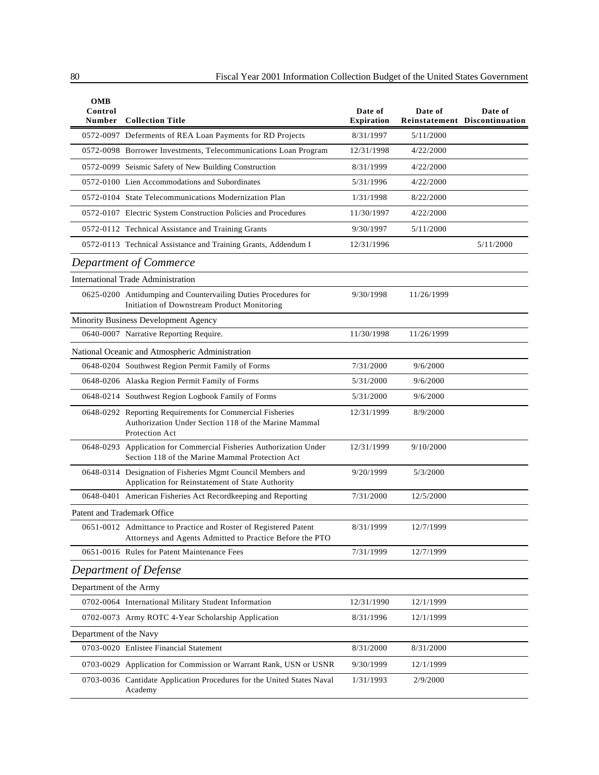| <b>OMB</b><br>Control<br>Number | <b>Collection Title</b>                                                                                                             | Date of<br><b>Expiration</b> | Date of    | Date of<br><b>Reinstatement Discontinuation</b> |
|---------------------------------|-------------------------------------------------------------------------------------------------------------------------------------|------------------------------|------------|-------------------------------------------------|
|                                 | 0572-0097 Deferments of REA Loan Payments for RD Projects                                                                           | 8/31/1997                    | 5/11/2000  |                                                 |
|                                 | 0572-0098 Borrower Investments, Telecommunications Loan Program                                                                     | 12/31/1998                   | 4/22/2000  |                                                 |
|                                 | 0572-0099 Seismic Safety of New Building Construction                                                                               | 8/31/1999                    | 4/22/2000  |                                                 |
|                                 | 0572-0100 Lien Accommodations and Subordinates                                                                                      | 5/31/1996                    | 4/22/2000  |                                                 |
|                                 | 0572-0104 State Telecommunications Modernization Plan                                                                               | 1/31/1998                    | 8/22/2000  |                                                 |
|                                 | 0572-0107 Electric System Construction Policies and Procedures                                                                      | 11/30/1997                   | 4/22/2000  |                                                 |
|                                 | 0572-0112 Technical Assistance and Training Grants                                                                                  | 9/30/1997                    | 5/11/2000  |                                                 |
|                                 | 0572-0113 Technical Assistance and Training Grants, Addendum I                                                                      | 12/31/1996                   |            | 5/11/2000                                       |
|                                 | Department of Commerce                                                                                                              |                              |            |                                                 |
|                                 | <b>International Trade Administration</b>                                                                                           |                              |            |                                                 |
|                                 | 0625-0200 Antidumping and Countervailing Duties Procedures for<br>Initiation of Downstream Product Monitoring                       | 9/30/1998                    | 11/26/1999 |                                                 |
|                                 | Minority Business Development Agency                                                                                                |                              |            |                                                 |
|                                 | 0640-0007 Narrative Reporting Require.                                                                                              | 11/30/1998                   | 11/26/1999 |                                                 |
|                                 | National Oceanic and Atmospheric Administration                                                                                     |                              |            |                                                 |
|                                 | 0648-0204 Southwest Region Permit Family of Forms                                                                                   | 7/31/2000                    | 9/6/2000   |                                                 |
|                                 | 0648-0206 Alaska Region Permit Family of Forms                                                                                      | 5/31/2000                    | 9/6/2000   |                                                 |
|                                 | 0648-0214 Southwest Region Logbook Family of Forms                                                                                  | 5/31/2000                    | 9/6/2000   |                                                 |
|                                 | 0648-0292 Reporting Requirements for Commercial Fisheries<br>Authorization Under Section 118 of the Marine Mammal<br>Protection Act | 12/31/1999                   | 8/9/2000   |                                                 |
|                                 | 0648-0293 Application for Commercial Fisheries Authorization Under<br>Section 118 of the Marine Mammal Protection Act               | 12/31/1999                   | 9/10/2000  |                                                 |
|                                 | 0648-0314 Designation of Fisheries Mgmt Council Members and<br>Application for Reinstatement of State Authority                     | 9/20/1999                    | 5/3/2000   |                                                 |
|                                 | 0648-0401 American Fisheries Act Recordkeeping and Reporting                                                                        | 7/31/2000                    | 12/5/2000  |                                                 |
|                                 | Patent and Trademark Office                                                                                                         |                              |            |                                                 |
|                                 | 0651-0012 Admittance to Practice and Roster of Registered Patent<br>Attorneys and Agents Admitted to Practice Before the PTO        | 8/31/1999                    | 12/7/1999  |                                                 |
|                                 | 0651-0016 Rules for Patent Maintenance Fees                                                                                         | 7/31/1999                    | 12/7/1999  |                                                 |
|                                 | Department of Defense                                                                                                               |                              |            |                                                 |
| Department of the Army          |                                                                                                                                     |                              |            |                                                 |
|                                 | 0702-0064 International Military Student Information                                                                                | 12/31/1990                   | 12/1/1999  |                                                 |
|                                 | 0702-0073 Army ROTC 4-Year Scholarship Application                                                                                  | 8/31/1996                    | 12/1/1999  |                                                 |
| Department of the Navy          |                                                                                                                                     |                              |            |                                                 |
|                                 | 0703-0020 Enlistee Financial Statement                                                                                              | 8/31/2000                    | 8/31/2000  |                                                 |
|                                 | 0703-0029 Application for Commission or Warrant Rank, USN or USNR                                                                   | 9/30/1999                    | 12/1/1999  |                                                 |
|                                 | 0703-0036 Cantidate Application Procedures for the United States Naval<br>Academy                                                   | 1/31/1993                    | 2/9/2000   |                                                 |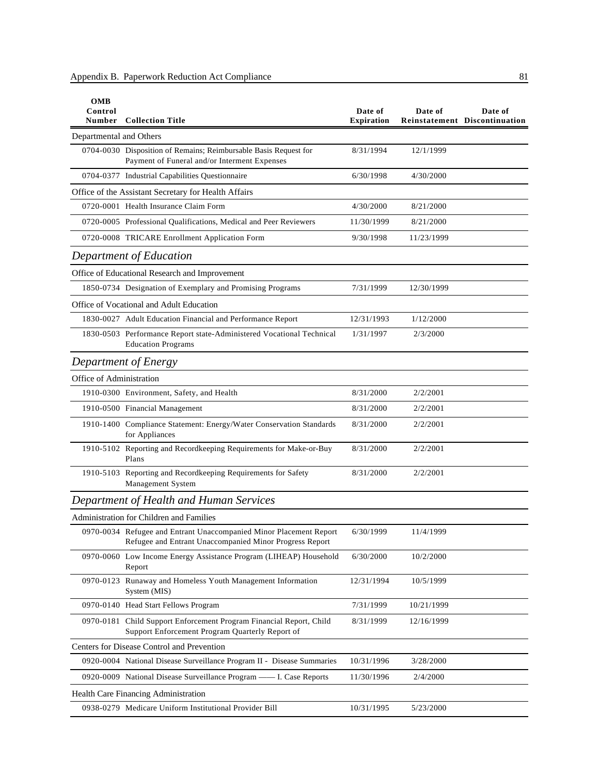| <b>OMB</b><br>Control<br>Number | <b>Collection Title</b>                                                                                                       | Date of<br><b>Expiration</b> | Date of    | Date of<br><b>Reinstatement Discontinuation</b> |
|---------------------------------|-------------------------------------------------------------------------------------------------------------------------------|------------------------------|------------|-------------------------------------------------|
| Departmental and Others         |                                                                                                                               |                              |            |                                                 |
|                                 | 0704-0030 Disposition of Remains; Reimbursable Basis Request for<br>Payment of Funeral and/or Interment Expenses              | 8/31/1994                    | 12/1/1999  |                                                 |
|                                 | 0704-0377 Industrial Capabilities Questionnaire                                                                               | 6/30/1998                    | 4/30/2000  |                                                 |
|                                 | Office of the Assistant Secretary for Health Affairs                                                                          |                              |            |                                                 |
|                                 | 0720-0001 Health Insurance Claim Form                                                                                         | 4/30/2000                    | 8/21/2000  |                                                 |
|                                 | 0720-0005 Professional Qualifications, Medical and Peer Reviewers                                                             | 11/30/1999                   | 8/21/2000  |                                                 |
|                                 | 0720-0008 TRICARE Enrollment Application Form                                                                                 | 9/30/1998                    | 11/23/1999 |                                                 |
|                                 | Department of Education                                                                                                       |                              |            |                                                 |
|                                 | Office of Educational Research and Improvement                                                                                |                              |            |                                                 |
|                                 | 1850-0734 Designation of Exemplary and Promising Programs                                                                     | 7/31/1999                    | 12/30/1999 |                                                 |
|                                 | Office of Vocational and Adult Education                                                                                      |                              |            |                                                 |
|                                 | 1830-0027 Adult Education Financial and Performance Report                                                                    | 12/31/1993                   | 1/12/2000  |                                                 |
|                                 | 1830-0503 Performance Report state-Administered Vocational Technical<br><b>Education Programs</b>                             | 1/31/1997                    | 2/3/2000   |                                                 |
|                                 | Department of Energy                                                                                                          |                              |            |                                                 |
| Office of Administration        |                                                                                                                               |                              |            |                                                 |
|                                 | 1910-0300 Environment, Safety, and Health                                                                                     | 8/31/2000                    | 2/2/2001   |                                                 |
|                                 | 1910-0500 Financial Management                                                                                                | 8/31/2000                    | 2/2/2001   |                                                 |
|                                 | 1910-1400 Compliance Statement: Energy/Water Conservation Standards<br>for Appliances                                         | 8/31/2000                    | 2/2/2001   |                                                 |
|                                 | 1910-5102 Reporting and Recordkeeping Requirements for Make-or-Buy<br>Plans                                                   | 8/31/2000                    | 2/2/2001   |                                                 |
|                                 | 1910-5103 Reporting and Recordkeeping Requirements for Safety<br>Management System                                            | 8/31/2000                    | 2/2/2001   |                                                 |
|                                 | Department of Health and Human Services                                                                                       |                              |            |                                                 |
|                                 | Administration for Children and Families                                                                                      |                              |            |                                                 |
|                                 | 0970-0034 Refugee and Entrant Unaccompanied Minor Placement Report<br>Refugee and Entrant Unaccompanied Minor Progress Report | 6/30/1999                    | 11/4/1999  |                                                 |
|                                 | 0970-0060 Low Income Energy Assistance Program (LIHEAP) Household<br>Report                                                   | 6/30/2000                    | 10/2/2000  |                                                 |
|                                 | 0970-0123 Runaway and Homeless Youth Management Information<br>System (MIS)                                                   | 12/31/1994                   | 10/5/1999  |                                                 |
|                                 | 0970-0140 Head Start Fellows Program                                                                                          | 7/31/1999                    | 10/21/1999 |                                                 |
|                                 | 0970-0181 Child Support Enforcement Program Financial Report, Child<br>Support Enforcement Program Quarterly Report of        | 8/31/1999                    | 12/16/1999 |                                                 |
|                                 | Centers for Disease Control and Prevention                                                                                    |                              |            |                                                 |
|                                 | 0920-0004 National Disease Surveillance Program II - Disease Summaries                                                        | 10/31/1996                   | 3/28/2000  |                                                 |
|                                 | 0920-0009 National Disease Surveillance Program — I. Case Reports                                                             | 11/30/1996                   | 2/4/2000   |                                                 |
|                                 | Health Care Financing Administration                                                                                          |                              |            |                                                 |
|                                 | 0938-0279 Medicare Uniform Institutional Provider Bill                                                                        | 10/31/1995                   | 5/23/2000  |                                                 |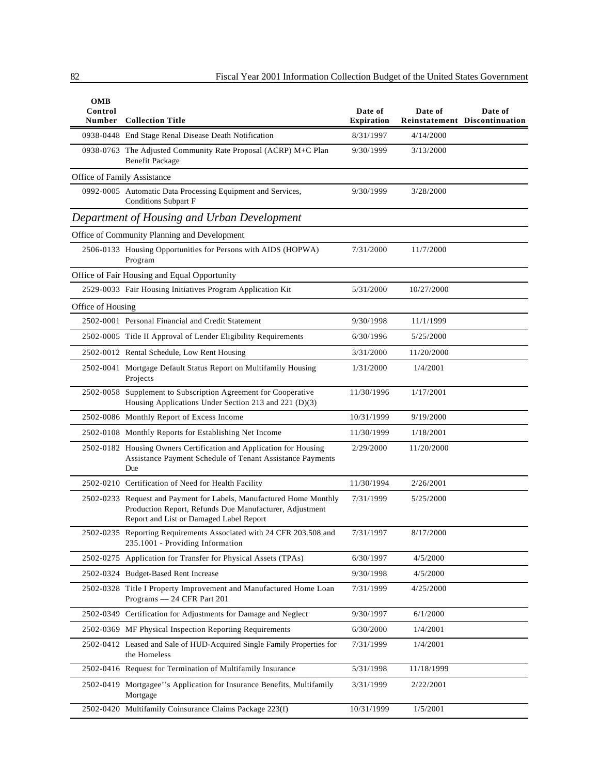| OMB<br>Control<br>Number    | <b>Collection Title</b>                                                                                                                                                   | Date of<br><b>Expiration</b> | Date of    | Date of<br><b>Reinstatement Discontinuation</b> |
|-----------------------------|---------------------------------------------------------------------------------------------------------------------------------------------------------------------------|------------------------------|------------|-------------------------------------------------|
|                             | 0938-0448 End Stage Renal Disease Death Notification                                                                                                                      | 8/31/1997                    | 4/14/2000  |                                                 |
|                             | 0938-0763 The Adjusted Community Rate Proposal (ACRP) M+C Plan<br><b>Benefit Package</b>                                                                                  | 9/30/1999                    | 3/13/2000  |                                                 |
| Office of Family Assistance |                                                                                                                                                                           |                              |            |                                                 |
|                             | 0992-0005 Automatic Data Processing Equipment and Services,<br><b>Conditions Subpart F</b>                                                                                | 9/30/1999                    | 3/28/2000  |                                                 |
|                             | Department of Housing and Urban Development                                                                                                                               |                              |            |                                                 |
|                             | Office of Community Planning and Development                                                                                                                              |                              |            |                                                 |
|                             | 2506-0133 Housing Opportunities for Persons with AIDS (HOPWA)<br>Program                                                                                                  | 7/31/2000                    | 11/7/2000  |                                                 |
|                             | Office of Fair Housing and Equal Opportunity                                                                                                                              |                              |            |                                                 |
|                             | 2529-0033 Fair Housing Initiatives Program Application Kit                                                                                                                | 5/31/2000                    | 10/27/2000 |                                                 |
| Office of Housing           |                                                                                                                                                                           |                              |            |                                                 |
|                             | 2502-0001 Personal Financial and Credit Statement                                                                                                                         | 9/30/1998                    | 11/1/1999  |                                                 |
|                             | 2502-0005 Title II Approval of Lender Eligibility Requirements                                                                                                            | 6/30/1996                    | 5/25/2000  |                                                 |
|                             | 2502-0012 Rental Schedule, Low Rent Housing                                                                                                                               | 3/31/2000                    | 11/20/2000 |                                                 |
|                             | 2502-0041 Mortgage Default Status Report on Multifamily Housing<br>Projects                                                                                               | 1/31/2000                    | 1/4/2001   |                                                 |
|                             | 2502-0058 Supplement to Subscription Agreement for Cooperative<br>Housing Applications Under Section 213 and 221 (D)(3)                                                   | 11/30/1996                   | 1/17/2001  |                                                 |
|                             | 2502-0086 Monthly Report of Excess Income                                                                                                                                 | 10/31/1999                   | 9/19/2000  |                                                 |
|                             | 2502-0108 Monthly Reports for Establishing Net Income                                                                                                                     | 11/30/1999                   | 1/18/2001  |                                                 |
|                             | 2502-0182 Housing Owners Certification and Application for Housing<br>Assistance Payment Schedule of Tenant Assistance Payments<br>Due                                    | 2/29/2000                    | 11/20/2000 |                                                 |
|                             | 2502-0210 Certification of Need for Health Facility                                                                                                                       | 11/30/1994                   | 2/26/2001  |                                                 |
|                             | 2502-0233 Request and Payment for Labels, Manufactured Home Monthly<br>Production Report, Refunds Due Manufacturer, Adjustment<br>Report and List or Damaged Label Report | 7/31/1999                    | 5/25/2000  |                                                 |
|                             | 2502-0235 Reporting Requirements Associated with 24 CFR 203.508 and<br>235.1001 - Providing Information                                                                   | 7/31/1997                    | 8/17/2000  |                                                 |
|                             | 2502-0275 Application for Transfer for Physical Assets (TPAs)                                                                                                             | 6/30/1997                    | 4/5/2000   |                                                 |
|                             | 2502-0324 Budget-Based Rent Increase                                                                                                                                      | 9/30/1998                    | 4/5/2000   |                                                 |
|                             | 2502-0328 Title I Property Improvement and Manufactured Home Loan<br>Programs - 24 CFR Part 201                                                                           | 7/31/1999                    | 4/25/2000  |                                                 |
|                             | 2502-0349 Certification for Adjustments for Damage and Neglect                                                                                                            | 9/30/1997                    | 6/1/2000   |                                                 |
|                             | 2502-0369 MF Physical Inspection Reporting Requirements                                                                                                                   | 6/30/2000                    | 1/4/2001   |                                                 |
|                             | 2502-0412 Leased and Sale of HUD-Acquired Single Family Properties for<br>the Homeless                                                                                    | 7/31/1999                    | 1/4/2001   |                                                 |
|                             | 2502-0416 Request for Termination of Multifamily Insurance                                                                                                                | 5/31/1998                    | 11/18/1999 |                                                 |
|                             | 2502-0419 Mortgagee''s Application for Insurance Benefits, Multifamily<br>Mortgage                                                                                        | 3/31/1999                    | 2/22/2001  |                                                 |
|                             | 2502-0420 Multifamily Coinsurance Claims Package 223(f)                                                                                                                   | 10/31/1999                   | 1/5/2001   |                                                 |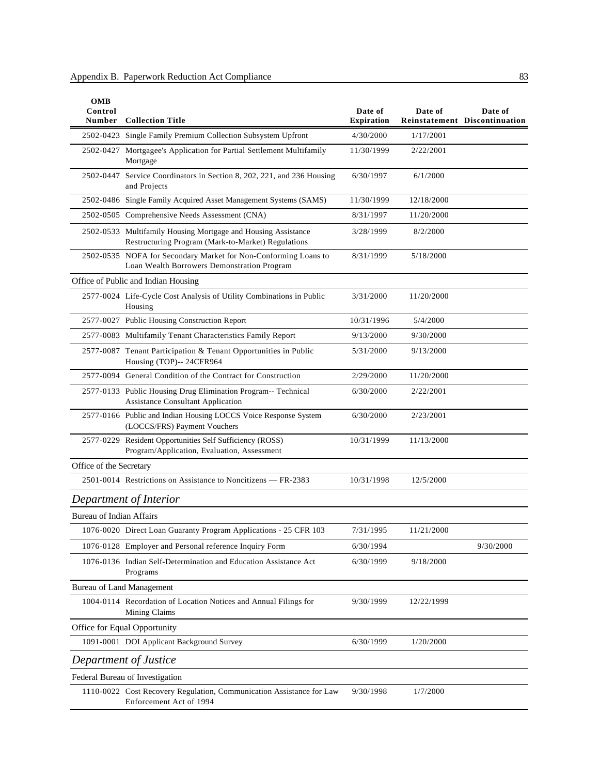| <b>OMB</b><br>Control<br>Number  | <b>Collection Title</b>                                                                                             | Date of<br><b>Expiration</b> | Date of    | Date of<br><b>Reinstatement Discontinuation</b> |
|----------------------------------|---------------------------------------------------------------------------------------------------------------------|------------------------------|------------|-------------------------------------------------|
|                                  | 2502-0423 Single Family Premium Collection Subsystem Upfront                                                        | 4/30/2000                    | 1/17/2001  |                                                 |
|                                  | 2502-0427 Mortgagee's Application for Partial Settlement Multifamily<br>Mortgage                                    | 11/30/1999                   | 2/22/2001  |                                                 |
|                                  | 2502-0447 Service Coordinators in Section 8, 202, 221, and 236 Housing<br>and Projects                              | 6/30/1997                    | 6/1/2000   |                                                 |
|                                  | 2502-0486 Single Family Acquired Asset Management Systems (SAMS)                                                    | 11/30/1999                   | 12/18/2000 |                                                 |
|                                  | 2502-0505 Comprehensive Needs Assessment (CNA)                                                                      | 8/31/1997                    | 11/20/2000 |                                                 |
|                                  | 2502-0533 Multifamily Housing Mortgage and Housing Assistance<br>Restructuring Program (Mark-to-Market) Regulations | 3/28/1999                    | 8/2/2000   |                                                 |
|                                  | 2502-0535 NOFA for Secondary Market for Non-Conforming Loans to<br>Loan Wealth Borrowers Demonstration Program      | 8/31/1999                    | 5/18/2000  |                                                 |
|                                  | Office of Public and Indian Housing                                                                                 |                              |            |                                                 |
|                                  | 2577-0024 Life-Cycle Cost Analysis of Utility Combinations in Public<br>Housing                                     | 3/31/2000                    | 11/20/2000 |                                                 |
|                                  | 2577-0027 Public Housing Construction Report                                                                        | 10/31/1996                   | 5/4/2000   |                                                 |
|                                  | 2577-0083 Multifamily Tenant Characteristics Family Report                                                          | 9/13/2000                    | 9/30/2000  |                                                 |
|                                  | 2577-0087 Tenant Participation & Tenant Opportunities in Public<br>Housing (TOP)-- 24CFR964                         | 5/31/2000                    | 9/13/2000  |                                                 |
|                                  | 2577-0094 General Condition of the Contract for Construction                                                        | 2/29/2000                    | 11/20/2000 |                                                 |
|                                  | 2577-0133 Public Housing Drug Elimination Program-- Technical<br><b>Assistance Consultant Application</b>           | 6/30/2000                    | 2/22/2001  |                                                 |
|                                  | 2577-0166 Public and Indian Housing LOCCS Voice Response System<br>(LOCCS/FRS) Payment Vouchers                     | 6/30/2000                    | 2/23/2001  |                                                 |
|                                  | 2577-0229 Resident Opportunities Self Sufficiency (ROSS)<br>Program/Application, Evaluation, Assessment             | 10/31/1999                   | 11/13/2000 |                                                 |
| Office of the Secretary          |                                                                                                                     |                              |            |                                                 |
|                                  | 2501-0014 Restrictions on Assistance to Noncitizens — FR-2383                                                       | 10/31/1998                   | 12/5/2000  |                                                 |
|                                  | Department of Interior                                                                                              |                              |            |                                                 |
| Bureau of Indian Affairs         |                                                                                                                     |                              |            |                                                 |
|                                  | 1076-0020 Direct Loan Guaranty Program Applications - 25 CFR 103                                                    | 7/31/1995                    | 11/21/2000 |                                                 |
|                                  | 1076-0128 Employer and Personal reference Inquiry Form                                                              | 6/30/1994                    |            | 9/30/2000                                       |
|                                  | 1076-0136 Indian Self-Determination and Education Assistance Act<br>Programs                                        | 6/30/1999                    | 9/18/2000  |                                                 |
| <b>Bureau of Land Management</b> |                                                                                                                     |                              |            |                                                 |
|                                  | 1004-0114 Recordation of Location Notices and Annual Filings for<br>Mining Claims                                   | 9/30/1999                    | 12/22/1999 |                                                 |
|                                  | Office for Equal Opportunity                                                                                        |                              |            |                                                 |
|                                  | 1091-0001 DOI Applicant Background Survey                                                                           | 6/30/1999                    | 1/20/2000  |                                                 |
|                                  | Department of Justice                                                                                               |                              |            |                                                 |
|                                  | Federal Bureau of Investigation                                                                                     |                              |            |                                                 |
|                                  | 1110-0022 Cost Recovery Regulation, Communication Assistance for Law<br>Enforcement Act of 1994                     | 9/30/1998                    | 1/7/2000   |                                                 |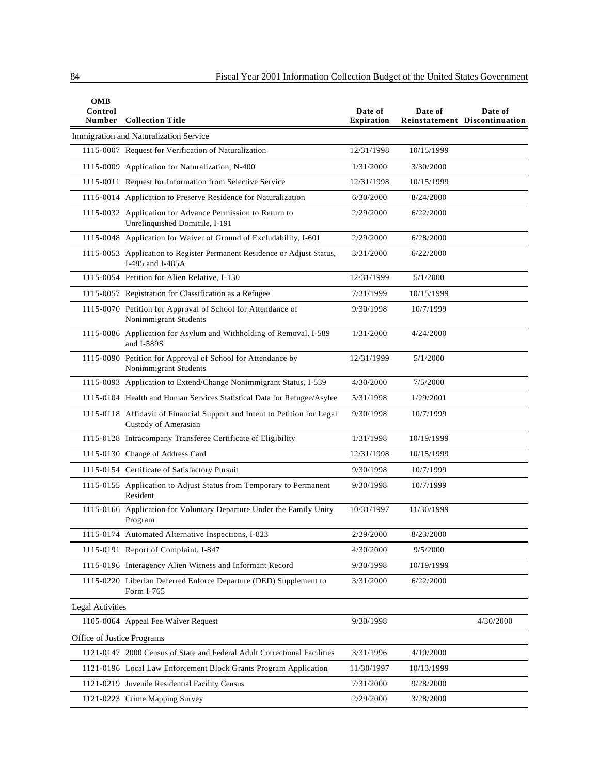| <b>OMB</b><br>Control<br>Number | <b>Collection Title</b>                                                                           | Date of<br><b>Expiration</b> | Date of    | Date of<br><b>Reinstatement Discontinuation</b> |
|---------------------------------|---------------------------------------------------------------------------------------------------|------------------------------|------------|-------------------------------------------------|
|                                 | Immigration and Naturalization Service                                                            |                              |            |                                                 |
|                                 | 1115-0007 Request for Verification of Naturalization                                              | 12/31/1998                   | 10/15/1999 |                                                 |
|                                 | 1115-0009 Application for Naturalization, N-400                                                   | 1/31/2000                    | 3/30/2000  |                                                 |
|                                 | 1115-0011 Request for Information from Selective Service                                          | 12/31/1998                   | 10/15/1999 |                                                 |
|                                 | 1115-0014 Application to Preserve Residence for Naturalization                                    | 6/30/2000                    | 8/24/2000  |                                                 |
|                                 | 1115-0032 Application for Advance Permission to Return to<br>Unrelinquished Domicile, I-191       | 2/29/2000                    | 6/22/2000  |                                                 |
|                                 | 1115-0048 Application for Waiver of Ground of Excludability, I-601                                | 2/29/2000                    | 6/28/2000  |                                                 |
|                                 | 1115-0053 Application to Register Permanent Residence or Adjust Status,<br>I-485 and I-485A       | 3/31/2000                    | 6/22/2000  |                                                 |
|                                 | 1115-0054 Petition for Alien Relative, I-130                                                      | 12/31/1999                   | 5/1/2000   |                                                 |
|                                 | 1115-0057 Registration for Classification as a Refugee                                            | 7/31/1999                    | 10/15/1999 |                                                 |
|                                 | 1115-0070 Petition for Approval of School for Attendance of<br>Nonimmigrant Students              | 9/30/1998                    | 10/7/1999  |                                                 |
|                                 | 1115-0086 Application for Asylum and Withholding of Removal, I-589<br>and I-589S                  | 1/31/2000                    | 4/24/2000  |                                                 |
|                                 | 1115-0090 Petition for Approval of School for Attendance by<br>Nonimmigrant Students              | 12/31/1999                   | 5/1/2000   |                                                 |
|                                 | 1115-0093 Application to Extend/Change Nonimmigrant Status, I-539                                 | 4/30/2000                    | 7/5/2000   |                                                 |
|                                 | 1115-0104 Health and Human Services Statistical Data for Refugee/Asylee                           | 5/31/1998                    | 1/29/2001  |                                                 |
|                                 | 1115-0118 Affidavit of Financial Support and Intent to Petition for Legal<br>Custody of Amerasian | 9/30/1998                    | 10/7/1999  |                                                 |
|                                 | 1115-0128 Intracompany Transferee Certificate of Eligibility                                      | 1/31/1998                    | 10/19/1999 |                                                 |
|                                 | 1115-0130 Change of Address Card                                                                  | 12/31/1998                   | 10/15/1999 |                                                 |
|                                 | 1115-0154 Certificate of Satisfactory Pursuit                                                     | 9/30/1998                    | 10/7/1999  |                                                 |
|                                 | 1115-0155 Application to Adjust Status from Temporary to Permanent<br>Resident                    | 9/30/1998                    | 10/7/1999  |                                                 |
|                                 | 1115-0166 Application for Voluntary Departure Under the Family Unity<br>Program                   | 10/31/1997                   | 11/30/1999 |                                                 |
|                                 | 1115-0174 Automated Alternative Inspections, I-823                                                | 2/29/2000                    | 8/23/2000  |                                                 |
|                                 | 1115-0191 Report of Complaint, I-847                                                              | 4/30/2000                    | 9/5/2000   |                                                 |
|                                 | 1115-0196 Interagency Alien Witness and Informant Record                                          | 9/30/1998                    | 10/19/1999 |                                                 |
|                                 | 1115-0220 Liberian Deferred Enforce Departure (DED) Supplement to<br>Form I-765                   | 3/31/2000                    | 6/22/2000  |                                                 |
| <b>Legal Activities</b>         |                                                                                                   |                              |            |                                                 |
|                                 | 1105-0064 Appeal Fee Waiver Request                                                               | 9/30/1998                    |            | 4/30/2000                                       |
| Office of Justice Programs      |                                                                                                   |                              |            |                                                 |
|                                 | 1121-0147 2000 Census of State and Federal Adult Correctional Facilities                          | 3/31/1996                    | 4/10/2000  |                                                 |
|                                 | 1121-0196 Local Law Enforcement Block Grants Program Application                                  | 11/30/1997                   | 10/13/1999 |                                                 |
|                                 | 1121-0219 Juvenile Residential Facility Census                                                    | 7/31/2000                    | 9/28/2000  |                                                 |
|                                 | 1121-0223 Crime Mapping Survey                                                                    | 2/29/2000                    | 3/28/2000  |                                                 |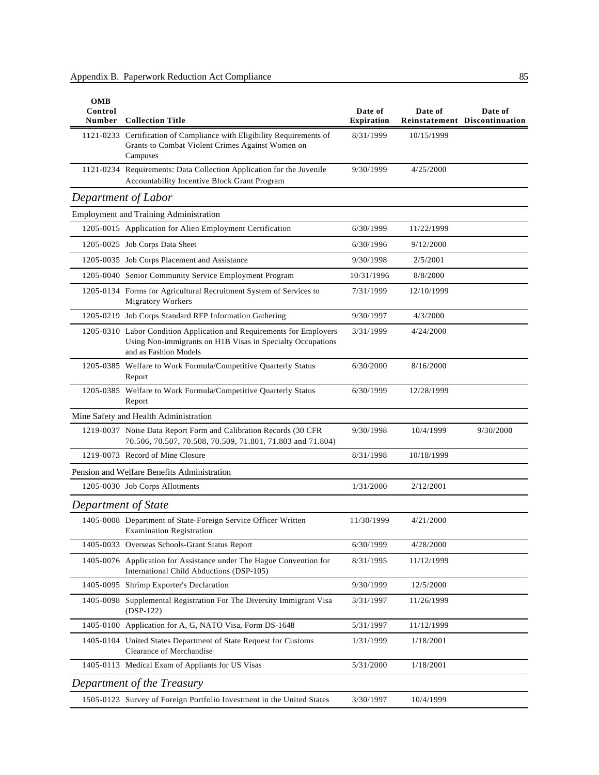| <b>OMB</b><br>Control<br>Number | <b>Collection Title</b>                                                                                                                                     | Date of<br><b>Expiration</b> | Date of    | Date of<br><b>Reinstatement Discontinuation</b> |
|---------------------------------|-------------------------------------------------------------------------------------------------------------------------------------------------------------|------------------------------|------------|-------------------------------------------------|
|                                 | 1121-0233 Certification of Compliance with Eligibility Requirements of<br>Grants to Combat Violent Crimes Against Women on<br>Campuses                      | 8/31/1999                    | 10/15/1999 |                                                 |
|                                 | 1121-0234 Requirements: Data Collection Application for the Juvenile<br>Accountability Incentive Block Grant Program                                        | 9/30/1999                    | 4/25/2000  |                                                 |
|                                 | Department of Labor                                                                                                                                         |                              |            |                                                 |
|                                 | <b>Employment and Training Administration</b>                                                                                                               |                              |            |                                                 |
|                                 | 1205-0015 Application for Alien Employment Certification                                                                                                    | 6/30/1999                    | 11/22/1999 |                                                 |
|                                 | 1205-0025 Job Corps Data Sheet                                                                                                                              | 6/30/1996                    | 9/12/2000  |                                                 |
|                                 | 1205-0035 Job Corps Placement and Assistance                                                                                                                | 9/30/1998                    | 2/5/2001   |                                                 |
|                                 | 1205-0040 Senior Community Service Employment Program                                                                                                       | 10/31/1996                   | 8/8/2000   |                                                 |
|                                 | 1205-0134 Forms for Agricultural Recruitment System of Services to<br><b>Migratory Workers</b>                                                              | 7/31/1999                    | 12/10/1999 |                                                 |
|                                 | 1205-0219 Job Corps Standard RFP Information Gathering                                                                                                      | 9/30/1997                    | 4/3/2000   |                                                 |
|                                 | 1205-0310 Labor Condition Application and Requirements for Employers<br>Using Non-immigrants on H1B Visas in Specialty Occupations<br>and as Fashion Models | 3/31/1999                    | 4/24/2000  |                                                 |
|                                 | 1205-0385 Welfare to Work Formula/Competitive Quarterly Status<br>Report                                                                                    | 6/30/2000                    | 8/16/2000  |                                                 |
|                                 | 1205-0385 Welfare to Work Formula/Competitive Quarterly Status<br>Report                                                                                    | 6/30/1999                    | 12/28/1999 |                                                 |
|                                 | Mine Safety and Health Administration                                                                                                                       |                              |            |                                                 |
|                                 | 1219-0037 Noise Data Report Form and Calibration Records (30 CFR<br>70.506, 70.507, 70.508, 70.509, 71.801, 71.803 and 71.804)                              | 9/30/1998                    | 10/4/1999  | 9/30/2000                                       |
|                                 | 1219-0073 Record of Mine Closure                                                                                                                            | 8/31/1998                    | 10/18/1999 |                                                 |
|                                 | Pension and Welfare Benefits Administration                                                                                                                 |                              |            |                                                 |
|                                 | 1205-0030 Job Corps Allotments                                                                                                                              | 1/31/2000                    | 2/12/2001  |                                                 |
| Department of State             |                                                                                                                                                             |                              |            |                                                 |
|                                 | 1405-0008 Department of State-Foreign Service Officer Written<br><b>Examination Registration</b>                                                            | 11/30/1999                   | 4/21/2000  |                                                 |
|                                 | 1405-0033 Overseas Schools-Grant Status Report                                                                                                              | 6/30/1999                    | 4/28/2000  |                                                 |
|                                 | 1405-0076 Application for Assistance under The Hague Convention for<br>International Child Abductions (DSP-105)                                             | 8/31/1995                    | 11/12/1999 |                                                 |
|                                 | 1405-0095 Shrimp Exporter's Declaration                                                                                                                     | 9/30/1999                    | 12/5/2000  |                                                 |
|                                 | 1405-0098 Supplemental Registration For The Diversity Immigrant Visa<br>$(DSP-122)$                                                                         | 3/31/1997                    | 11/26/1999 |                                                 |
|                                 | 1405-0100 Application for A, G, NATO Visa, Form DS-1648                                                                                                     | 5/31/1997                    | 11/12/1999 |                                                 |
|                                 | 1405-0104 United States Department of State Request for Customs<br>Clearance of Merchandise                                                                 | 1/31/1999                    | 1/18/2001  |                                                 |
|                                 | 1405-0113 Medical Exam of Appliants for US Visas                                                                                                            | 5/31/2000                    | 1/18/2001  |                                                 |
|                                 | Department of the Treasury                                                                                                                                  |                              |            |                                                 |
|                                 | 1505-0123 Survey of Foreign Portfolio Investment in the United States                                                                                       | 3/30/1997                    | 10/4/1999  |                                                 |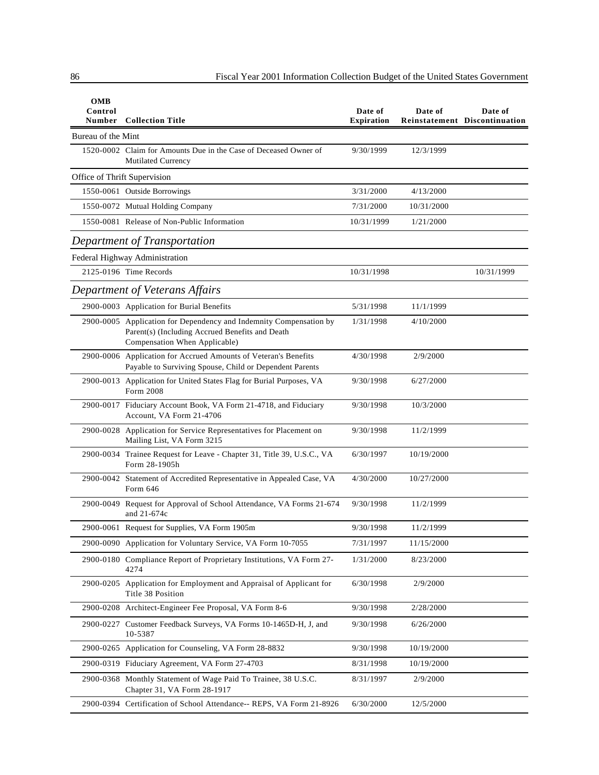| OMB<br>Control<br>Number     | <b>Collection Title</b>                                                                                                                                | Date of<br><b>Expiration</b> | Date of    | Date of<br><b>Reinstatement Discontinuation</b> |
|------------------------------|--------------------------------------------------------------------------------------------------------------------------------------------------------|------------------------------|------------|-------------------------------------------------|
| Bureau of the Mint           |                                                                                                                                                        |                              |            |                                                 |
|                              | 1520-0002 Claim for Amounts Due in the Case of Deceased Owner of<br>Mutilated Currency                                                                 | 9/30/1999                    | 12/3/1999  |                                                 |
| Office of Thrift Supervision |                                                                                                                                                        |                              |            |                                                 |
|                              | 1550-0061 Outside Borrowings                                                                                                                           | 3/31/2000                    | 4/13/2000  |                                                 |
|                              | 1550-0072 Mutual Holding Company                                                                                                                       | 7/31/2000                    | 10/31/2000 |                                                 |
|                              | 1550-0081 Release of Non-Public Information                                                                                                            | 10/31/1999                   | 1/21/2000  |                                                 |
|                              | Department of Transportation                                                                                                                           |                              |            |                                                 |
|                              | Federal Highway Administration                                                                                                                         |                              |            |                                                 |
|                              | 2125-0196 Time Records                                                                                                                                 | 10/31/1998                   |            | 10/31/1999                                      |
|                              | Department of Veterans Affairs                                                                                                                         |                              |            |                                                 |
|                              | 2900-0003 Application for Burial Benefits                                                                                                              | 5/31/1998                    | 11/1/1999  |                                                 |
|                              | 2900-0005 Application for Dependency and Indemnity Compensation by<br>Parent(s) (Including Accrued Benefits and Death<br>Compensation When Applicable) | 1/31/1998                    | 4/10/2000  |                                                 |
|                              | 2900-0006 Application for Accrued Amounts of Veteran's Benefits<br>Payable to Surviving Spouse, Child or Dependent Parents                             | 4/30/1998                    | 2/9/2000   |                                                 |
|                              | 2900-0013 Application for United States Flag for Burial Purposes, VA<br>Form 2008                                                                      | 9/30/1998                    | 6/27/2000  |                                                 |
|                              | 2900-0017 Fiduciary Account Book, VA Form 21-4718, and Fiduciary<br>Account, VA Form 21-4706                                                           | 9/30/1998                    | 10/3/2000  |                                                 |
|                              | 2900-0028 Application for Service Representatives for Placement on<br>Mailing List, VA Form 3215                                                       | 9/30/1998                    | 11/2/1999  |                                                 |
|                              | 2900-0034 Trainee Request for Leave - Chapter 31, Title 39, U.S.C., VA<br>Form 28-1905h                                                                | 6/30/1997                    | 10/19/2000 |                                                 |
|                              | 2900-0042 Statement of Accredited Representative in Appealed Case, VA<br>Form 646                                                                      | 4/30/2000                    | 10/27/2000 |                                                 |
|                              | 2900-0049 Request for Approval of School Attendance, VA Forms 21-674<br>and 21-674c                                                                    | 9/30/1998                    | 11/2/1999  |                                                 |
|                              | 2900-0061 Request for Supplies, VA Form 1905m                                                                                                          | 9/30/1998                    | 11/2/1999  |                                                 |
|                              | 2900-0090 Application for Voluntary Service, VA Form 10-7055                                                                                           | 7/31/1997                    | 11/15/2000 |                                                 |
|                              | 2900-0180 Compliance Report of Proprietary Institutions, VA Form 27-<br>4274                                                                           | 1/31/2000                    | 8/23/2000  |                                                 |
|                              | 2900-0205 Application for Employment and Appraisal of Applicant for<br>Title 38 Position                                                               | 6/30/1998                    | 2/9/2000   |                                                 |
|                              | 2900-0208 Architect-Engineer Fee Proposal, VA Form 8-6                                                                                                 | 9/30/1998                    | 2/28/2000  |                                                 |
|                              | 2900-0227 Customer Feedback Surveys, VA Forms 10-1465D-H, J, and<br>10-5387                                                                            | 9/30/1998                    | 6/26/2000  |                                                 |
|                              | 2900-0265 Application for Counseling, VA Form 28-8832                                                                                                  | 9/30/1998                    | 10/19/2000 |                                                 |
|                              | 2900-0319 Fiduciary Agreement, VA Form 27-4703                                                                                                         | 8/31/1998                    | 10/19/2000 |                                                 |
|                              | 2900-0368 Monthly Statement of Wage Paid To Trainee, 38 U.S.C.<br>Chapter 31, VA Form 28-1917                                                          | 8/31/1997                    | 2/9/2000   |                                                 |
|                              | 2900-0394 Certification of School Attendance-- REPS, VA Form 21-8926                                                                                   | 6/30/2000                    | 12/5/2000  |                                                 |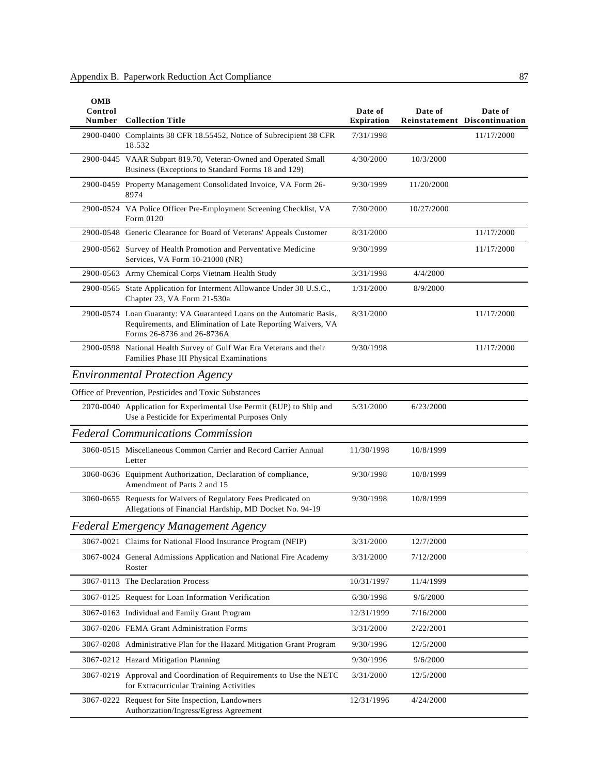| <b>OMB</b><br>Control<br>Number | <b>Collection Title</b>                                                                                                                                           | Date of<br><b>Expiration</b> | Date of    | Date of<br><b>Reinstatement Discontinuation</b> |
|---------------------------------|-------------------------------------------------------------------------------------------------------------------------------------------------------------------|------------------------------|------------|-------------------------------------------------|
|                                 | 2900-0400 Complaints 38 CFR 18.55452, Notice of Subrecipient 38 CFR<br>18.532                                                                                     | 7/31/1998                    |            | 11/17/2000                                      |
|                                 | 2900-0445 VAAR Subpart 819.70, Veteran-Owned and Operated Small<br>Business (Exceptions to Standard Forms 18 and 129)                                             | 4/30/2000                    | 10/3/2000  |                                                 |
|                                 | 2900-0459 Property Management Consolidated Invoice, VA Form 26-<br>8974                                                                                           | 9/30/1999                    | 11/20/2000 |                                                 |
|                                 | 2900-0524 VA Police Officer Pre-Employment Screening Checklist, VA<br>Form 0120                                                                                   | 7/30/2000                    | 10/27/2000 |                                                 |
|                                 | 2900-0548 Generic Clearance for Board of Veterans' Appeals Customer                                                                                               | 8/31/2000                    |            | 11/17/2000                                      |
|                                 | 2900-0562 Survey of Health Promotion and Perventative Medicine<br>Services, VA Form 10-21000 (NR)                                                                 | 9/30/1999                    |            | 11/17/2000                                      |
|                                 | 2900-0563 Army Chemical Corps Vietnam Health Study                                                                                                                | 3/31/1998                    | 4/4/2000   |                                                 |
|                                 | 2900-0565 State Application for Interment Allowance Under 38 U.S.C.,<br>Chapter 23, VA Form 21-530a                                                               | 1/31/2000                    | 8/9/2000   |                                                 |
|                                 | 2900-0574 Loan Guaranty: VA Guaranteed Loans on the Automatic Basis,<br>Requirements, and Elimination of Late Reporting Waivers, VA<br>Forms 26-8736 and 26-8736A | 8/31/2000                    |            | 11/17/2000                                      |
|                                 | 2900-0598 National Health Survey of Gulf War Era Veterans and their<br>Families Phase III Physical Examinations                                                   | 9/30/1998                    |            | 11/17/2000                                      |
|                                 | <b>Environmental Protection Agency</b>                                                                                                                            |                              |            |                                                 |
|                                 | Office of Prevention, Pesticides and Toxic Substances                                                                                                             |                              |            |                                                 |
|                                 | 2070-0040 Application for Experimental Use Permit (EUP) to Ship and<br>Use a Pesticide for Experimental Purposes Only                                             | 5/31/2000                    | 6/23/2000  |                                                 |
|                                 | <b>Federal Communications Commission</b>                                                                                                                          |                              |            |                                                 |
|                                 | 3060-0515 Miscellaneous Common Carrier and Record Carrier Annual<br>Letter                                                                                        | 11/30/1998                   | 10/8/1999  |                                                 |
|                                 | 3060-0636 Equipment Authorization, Declaration of compliance,<br>Amendment of Parts 2 and 15                                                                      | 9/30/1998                    | 10/8/1999  |                                                 |
|                                 | 3060-0655 Requests for Waivers of Regulatory Fees Predicated on<br>Allegations of Financial Hardship, MD Docket No. 94-19                                         | 9/30/1998                    | 10/8/1999  |                                                 |
|                                 | <b>Federal Emergency Management Agency</b>                                                                                                                        |                              |            |                                                 |
|                                 | 3067-0021 Claims for National Flood Insurance Program (NFIP)                                                                                                      | 3/31/2000                    | 12/7/2000  |                                                 |
|                                 | 3067-0024 General Admissions Application and National Fire Academy<br>Roster                                                                                      | 3/31/2000                    | 7/12/2000  |                                                 |
|                                 | 3067-0113 The Declaration Process                                                                                                                                 | 10/31/1997                   | 11/4/1999  |                                                 |
|                                 | 3067-0125 Request for Loan Information Verification                                                                                                               | 6/30/1998                    | 9/6/2000   |                                                 |
|                                 | 3067-0163 Individual and Family Grant Program                                                                                                                     | 12/31/1999                   | 7/16/2000  |                                                 |
|                                 | 3067-0206 FEMA Grant Administration Forms                                                                                                                         | 3/31/2000                    | 2/22/2001  |                                                 |
|                                 | 3067-0208 Administrative Plan for the Hazard Mitigation Grant Program                                                                                             | 9/30/1996                    | 12/5/2000  |                                                 |
|                                 | 3067-0212 Hazard Mitigation Planning                                                                                                                              | 9/30/1996                    | 9/6/2000   |                                                 |
|                                 | 3067-0219 Approval and Coordination of Requirements to Use the NETC<br>for Extracurricular Training Activities                                                    | 3/31/2000                    | 12/5/2000  |                                                 |
|                                 | 3067-0222 Request for Site Inspection, Landowners<br>Authorization/Ingress/Egress Agreement                                                                       | 12/31/1996                   | 4/24/2000  |                                                 |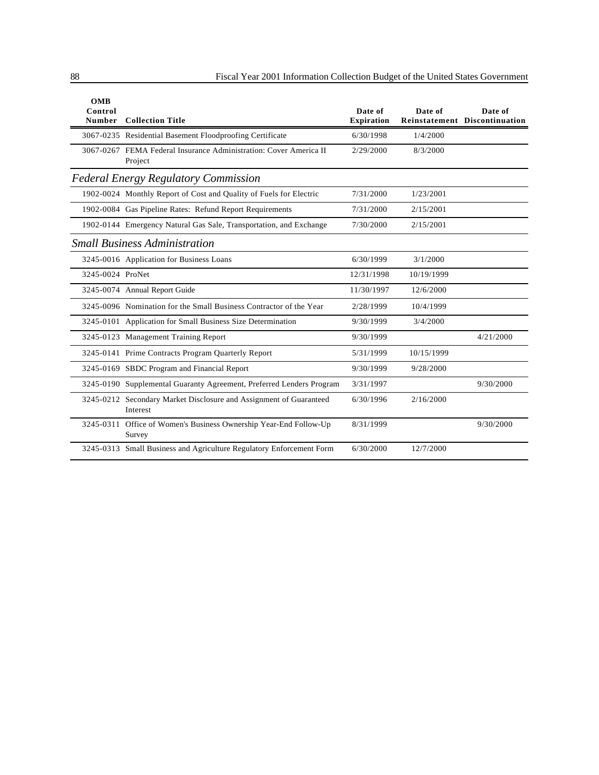| <b>OMB</b><br>Control |                                                                                | Date of           | Date of    | Date of                              |
|-----------------------|--------------------------------------------------------------------------------|-------------------|------------|--------------------------------------|
| <b>Number</b>         | <b>Collection Title</b>                                                        | <b>Expiration</b> |            | <b>Reinstatement Discontinuation</b> |
|                       | 3067-0235 Residential Basement Floodproofing Certificate                       | 6/30/1998         | 1/4/2000   |                                      |
|                       | 3067-0267 FEMA Federal Insurance Administration: Cover America II<br>Project   | 2/29/2000         | 8/3/2000   |                                      |
|                       | <b>Federal Energy Regulatory Commission</b>                                    |                   |            |                                      |
|                       | 1902-0024 Monthly Report of Cost and Quality of Fuels for Electric             | 7/31/2000         | 1/23/2001  |                                      |
|                       | 1902-0084 Gas Pipeline Rates: Refund Report Requirements                       | 7/31/2000         | 2/15/2001  |                                      |
|                       | 1902-0144 Emergency Natural Gas Sale, Transportation, and Exchange             | 7/30/2000         | 2/15/2001  |                                      |
|                       | <b>Small Business Administration</b>                                           |                   |            |                                      |
|                       | 3245-0016 Application for Business Loans                                       | 6/30/1999         | 3/1/2000   |                                      |
| 3245-0024 ProNet      |                                                                                | 12/31/1998        | 10/19/1999 |                                      |
|                       | 3245-0074 Annual Report Guide                                                  | 11/30/1997        | 12/6/2000  |                                      |
|                       | 3245-0096 Nomination for the Small Business Contractor of the Year             | 2/28/1999         | 10/4/1999  |                                      |
|                       | 3245-0101 Application for Small Business Size Determination                    | 9/30/1999         | 3/4/2000   |                                      |
|                       | 3245-0123 Management Training Report                                           | 9/30/1999         |            | 4/21/2000                            |
|                       | 3245-0141 Prime Contracts Program Quarterly Report                             | 5/31/1999         | 10/15/1999 |                                      |
|                       | 3245-0169 SBDC Program and Financial Report                                    | 9/30/1999         | 9/28/2000  |                                      |
|                       | 3245-0190 Supplemental Guaranty Agreement, Preferred Lenders Program           | 3/31/1997         |            | 9/30/2000                            |
|                       | 3245-0212 Secondary Market Disclosure and Assignment of Guaranteed<br>Interest | 6/30/1996         | 2/16/2000  |                                      |
|                       | 3245-0311 Office of Women's Business Ownership Year-End Follow-Up<br>Survey    | 8/31/1999         |            | 9/30/2000                            |
|                       | 3245-0313 Small Business and Agriculture Regulatory Enforcement Form           | 6/30/2000         | 12/7/2000  |                                      |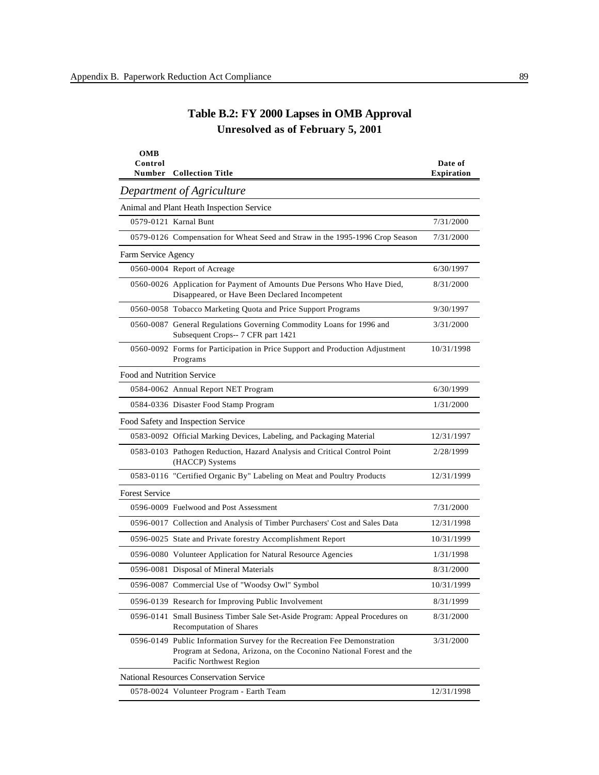# **Table B.2: FY 2000 Lapses in OMB Approval Unresolved as of February 5, 2001**

| <b>OMB</b><br>Control<br>Number | <b>Collection Title</b>                                                                                                                                                     | Date of<br><b>Expiration</b> |
|---------------------------------|-----------------------------------------------------------------------------------------------------------------------------------------------------------------------------|------------------------------|
|                                 | Department of Agriculture                                                                                                                                                   |                              |
|                                 | Animal and Plant Heath Inspection Service                                                                                                                                   |                              |
|                                 | 0579-0121 Karnal Bunt                                                                                                                                                       | 7/31/2000                    |
|                                 | 0579-0126 Compensation for Wheat Seed and Straw in the 1995-1996 Crop Season                                                                                                | 7/31/2000                    |
| Farm Service Agency             |                                                                                                                                                                             |                              |
|                                 | 0560-0004 Report of Acreage                                                                                                                                                 | 6/30/1997                    |
|                                 | 0560-0026 Application for Payment of Amounts Due Persons Who Have Died,<br>Disappeared, or Have Been Declared Incompetent                                                   | 8/31/2000                    |
|                                 | 0560-0058 Tobacco Marketing Quota and Price Support Programs                                                                                                                | 9/30/1997                    |
|                                 | 0560-0087 General Regulations Governing Commodity Loans for 1996 and<br>Subsequent Crops-- 7 CFR part 1421                                                                  | 3/31/2000                    |
|                                 | 0560-0092 Forms for Participation in Price Support and Production Adjustment<br>Programs                                                                                    | 10/31/1998                   |
| Food and Nutrition Service      |                                                                                                                                                                             |                              |
|                                 | 0584-0062 Annual Report NET Program                                                                                                                                         | 6/30/1999                    |
|                                 | 0584-0336 Disaster Food Stamp Program                                                                                                                                       | 1/31/2000                    |
|                                 | Food Safety and Inspection Service                                                                                                                                          |                              |
|                                 | 0583-0092 Official Marking Devices, Labeling, and Packaging Material                                                                                                        | 12/31/1997                   |
|                                 | 0583-0103 Pathogen Reduction, Hazard Analysis and Critical Control Point<br>(HACCP) Systems                                                                                 | 2/28/1999                    |
|                                 | 0583-0116 "Certified Organic By" Labeling on Meat and Poultry Products                                                                                                      | 12/31/1999                   |
| <b>Forest Service</b>           |                                                                                                                                                                             |                              |
|                                 | 0596-0009 Fuelwood and Post Assessment                                                                                                                                      | 7/31/2000                    |
|                                 | 0596-0017 Collection and Analysis of Timber Purchasers' Cost and Sales Data                                                                                                 | 12/31/1998                   |
|                                 | 0596-0025 State and Private forestry Accomplishment Report                                                                                                                  | 10/31/1999                   |
|                                 | 0596-0080 Volunteer Application for Natural Resource Agencies                                                                                                               | 1/31/1998                    |
|                                 | 0596-0081 Disposal of Mineral Materials                                                                                                                                     | 8/31/2000                    |
|                                 | 0596-0087 Commercial Use of "Woodsy Owl" Symbol                                                                                                                             | 10/31/1999                   |
|                                 | 0596-0139 Research for Improving Public Involvement                                                                                                                         | 8/31/1999                    |
|                                 | 0596-0141 Small Business Timber Sale Set-Aside Program: Appeal Procedures on<br>Recomputation of Shares                                                                     | 8/31/2000                    |
|                                 | 0596-0149 Public Information Survey for the Recreation Fee Demonstration<br>Program at Sedona, Arizona, on the Coconino National Forest and the<br>Pacific Northwest Region | 3/31/2000                    |
|                                 | <b>National Resources Conservation Service</b>                                                                                                                              |                              |
|                                 | 0578-0024 Volunteer Program - Earth Team                                                                                                                                    | 12/31/1998                   |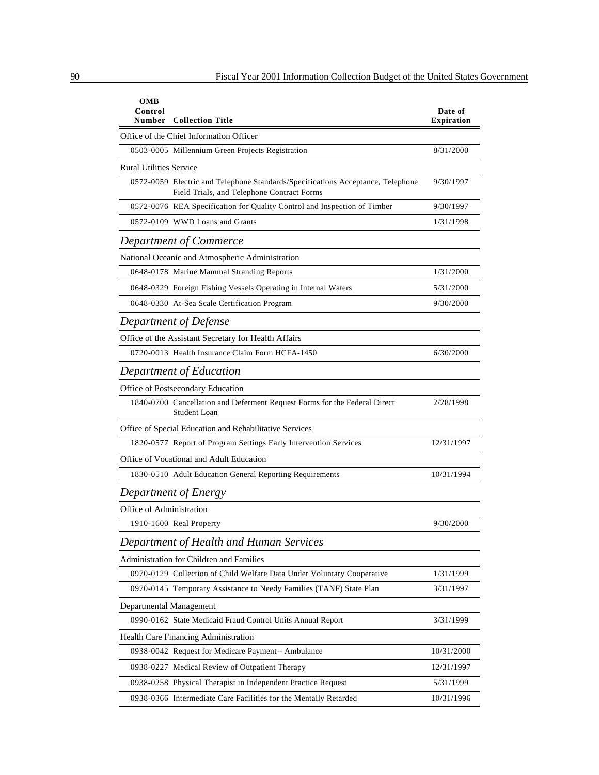| <b>OMB</b><br>Control<br>Number | <b>Collection Title</b>                                                                                                       | Date of<br><b>Expiration</b> |
|---------------------------------|-------------------------------------------------------------------------------------------------------------------------------|------------------------------|
|                                 | Office of the Chief Information Officer                                                                                       |                              |
|                                 | 0503-0005 Millennium Green Projects Registration                                                                              | 8/31/2000                    |
| <b>Rural Utilities Service</b>  |                                                                                                                               |                              |
|                                 | 0572-0059 Electric and Telephone Standards/Specifications Acceptance, Telephone<br>Field Trials, and Telephone Contract Forms | 9/30/1997                    |
|                                 | 0572-0076 REA Specification for Quality Control and Inspection of Timber                                                      | 9/30/1997                    |
|                                 | 0572-0109 WWD Loans and Grants                                                                                                | 1/31/1998                    |
|                                 | Department of Commerce                                                                                                        |                              |
|                                 | National Oceanic and Atmospheric Administration                                                                               |                              |
|                                 | 0648-0178 Marine Mammal Stranding Reports                                                                                     | 1/31/2000                    |
|                                 | 0648-0329 Foreign Fishing Vessels Operating in Internal Waters                                                                | 5/31/2000                    |
|                                 | 0648-0330 At-Sea Scale Certification Program                                                                                  | 9/30/2000                    |
|                                 | Department of Defense                                                                                                         |                              |
|                                 | Office of the Assistant Secretary for Health Affairs                                                                          |                              |
|                                 | 0720-0013 Health Insurance Claim Form HCFA-1450                                                                               | 6/30/2000                    |
|                                 | Department of Education                                                                                                       |                              |
|                                 | Office of Postsecondary Education                                                                                             |                              |
|                                 | 1840-0700 Cancellation and Deferment Request Forms for the Federal Direct<br>Student Loan                                     | 2/28/1998                    |
|                                 | Office of Special Education and Rehabilitative Services                                                                       |                              |
|                                 | 1820-0577 Report of Program Settings Early Intervention Services                                                              | 12/31/1997                   |
|                                 | Office of Vocational and Adult Education                                                                                      |                              |
|                                 | 1830-0510 Adult Education General Reporting Requirements                                                                      | 10/31/1994                   |
|                                 | Department of Energy                                                                                                          |                              |
| Office of Administration        |                                                                                                                               |                              |
|                                 | 1910-1600 Real Property                                                                                                       | 9/30/2000                    |
|                                 | Department of Health and Human Services                                                                                       |                              |
|                                 | Administration for Children and Families                                                                                      |                              |
|                                 | 0970-0129 Collection of Child Welfare Data Under Voluntary Cooperative                                                        | 1/31/1999                    |
|                                 | 0970-0145 Temporary Assistance to Needy Families (TANF) State Plan                                                            | 3/31/1997                    |
| Departmental Management         |                                                                                                                               |                              |
|                                 | 0990-0162 State Medicaid Fraud Control Units Annual Report                                                                    | 3/31/1999                    |
|                                 | Health Care Financing Administration                                                                                          |                              |
|                                 | 0938-0042 Request for Medicare Payment-- Ambulance                                                                            | 10/31/2000                   |
|                                 | 0938-0227 Medical Review of Outpatient Therapy                                                                                | 12/31/1997                   |
|                                 | 0938-0258 Physical Therapist in Independent Practice Request                                                                  | 5/31/1999                    |
|                                 | 0938-0366 Intermediate Care Facilities for the Mentally Retarded                                                              | 10/31/1996                   |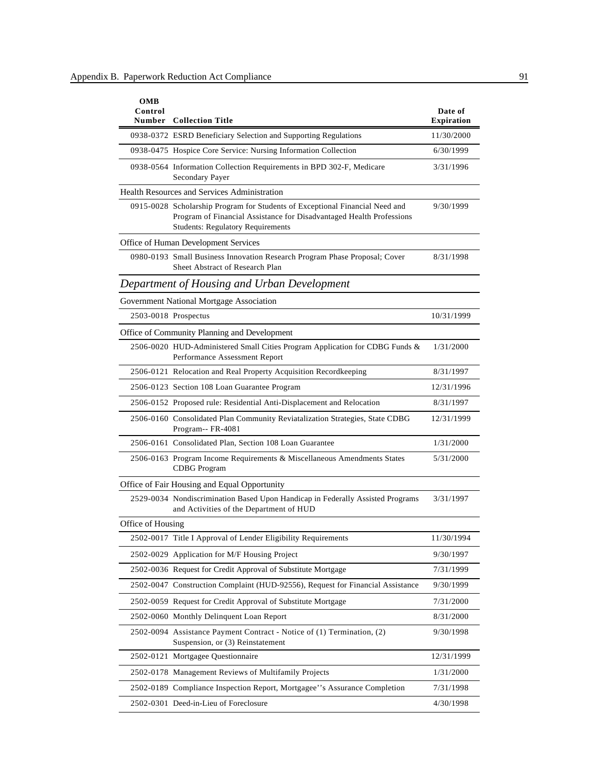| OMB<br>Control<br>Number | <b>Collection Title</b>                                                                                                                                                                          | Date of<br><b>Expiration</b> |
|--------------------------|--------------------------------------------------------------------------------------------------------------------------------------------------------------------------------------------------|------------------------------|
|                          | 0938-0372 ESRD Beneficiary Selection and Supporting Regulations                                                                                                                                  | 11/30/2000                   |
|                          | 0938-0475 Hospice Core Service: Nursing Information Collection                                                                                                                                   | 6/30/1999                    |
|                          | 0938-0564 Information Collection Requirements in BPD 302-F, Medicare<br>Secondary Payer                                                                                                          | 3/31/1996                    |
|                          | Health Resources and Services Administration                                                                                                                                                     |                              |
|                          | 0915-0028 Scholarship Program for Students of Exceptional Financial Need and<br>Program of Financial Assistance for Disadvantaged Health Professions<br><b>Students: Regulatory Requirements</b> | 9/30/1999                    |
|                          | Office of Human Development Services                                                                                                                                                             |                              |
|                          | 0980-0193 Small Business Innovation Research Program Phase Proposal; Cover<br>Sheet Abstract of Research Plan                                                                                    | 8/31/1998                    |
|                          | Department of Housing and Urban Development                                                                                                                                                      |                              |
|                          | Government National Mortgage Association                                                                                                                                                         |                              |
| 2503-0018 Prospectus     |                                                                                                                                                                                                  | 10/31/1999                   |
|                          | Office of Community Planning and Development                                                                                                                                                     |                              |
|                          | 2506-0020 HUD-Administered Small Cities Program Application for CDBG Funds &<br>Performance Assessment Report                                                                                    | 1/31/2000                    |
|                          | 2506-0121 Relocation and Real Property Acquisition Recordkeeping                                                                                                                                 | 8/31/1997                    |
|                          | 2506-0123 Section 108 Loan Guarantee Program                                                                                                                                                     | 12/31/1996                   |
|                          | 2506-0152 Proposed rule: Residential Anti-Displacement and Relocation                                                                                                                            | 8/31/1997                    |
|                          | 2506-0160 Consolidated Plan Community Reviatalization Strategies, State CDBG<br>Program-- FR-4081                                                                                                | 12/31/1999                   |
|                          | 2506-0161 Consolidated Plan, Section 108 Loan Guarantee                                                                                                                                          | 1/31/2000                    |
|                          | 2506-0163 Program Income Requirements & Miscellaneous Amendments States<br><b>CDBG</b> Program                                                                                                   | 5/31/2000                    |
|                          | Office of Fair Housing and Equal Opportunity                                                                                                                                                     |                              |
|                          | 2529-0034 Nondiscrimination Based Upon Handicap in Federally Assisted Programs<br>and Activities of the Department of HUD                                                                        | 3/31/1997                    |
| Office of Housing        |                                                                                                                                                                                                  |                              |
|                          | 2502-0017 Title I Approval of Lender Eligibility Requirements                                                                                                                                    | 11/30/1994                   |
|                          | 2502-0029 Application for M/F Housing Project                                                                                                                                                    | 9/30/1997                    |
|                          | 2502-0036 Request for Credit Approval of Substitute Mortgage                                                                                                                                     | 7/31/1999                    |
|                          | 2502-0047 Construction Complaint (HUD-92556), Request for Financial Assistance                                                                                                                   | 9/30/1999                    |
|                          | 2502-0059 Request for Credit Approval of Substitute Mortgage                                                                                                                                     | 7/31/2000                    |
|                          | 2502-0060 Monthly Delinquent Loan Report                                                                                                                                                         | 8/31/2000                    |
|                          | 2502-0094 Assistance Payment Contract - Notice of (1) Termination, (2)<br>Suspension, or (3) Reinstatement                                                                                       | 9/30/1998                    |
|                          | 2502-0121 Mortgagee Questionnaire                                                                                                                                                                | 12/31/1999                   |
|                          | 2502-0178 Management Reviews of Multifamily Projects                                                                                                                                             | 1/31/2000                    |
|                          | 2502-0189 Compliance Inspection Report, Mortgagee''s Assurance Completion                                                                                                                        | 7/31/1998                    |
|                          | 2502-0301 Deed-in-Lieu of Foreclosure                                                                                                                                                            | 4/30/1998                    |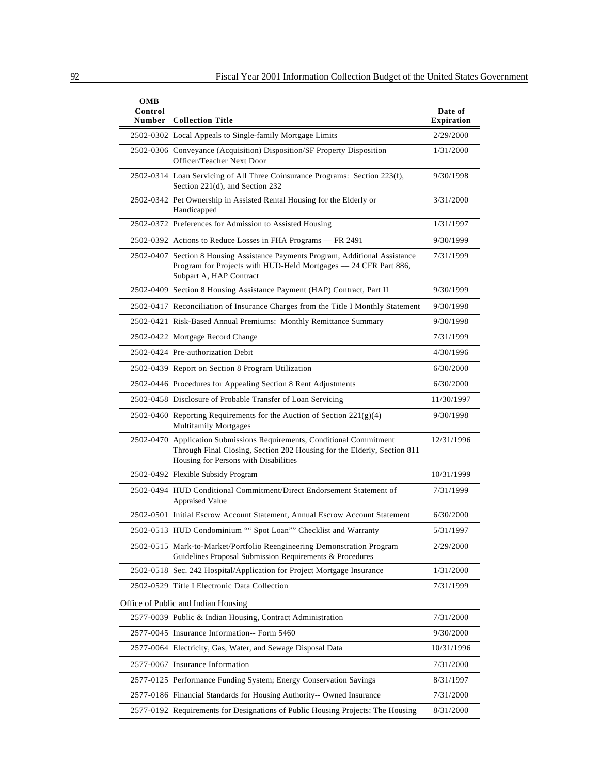| <b>OMB</b><br>Control<br>Number | <b>Collection Title</b>                                                                                                                                                                    | Date of<br><b>Expiration</b> |
|---------------------------------|--------------------------------------------------------------------------------------------------------------------------------------------------------------------------------------------|------------------------------|
|                                 | 2502-0302 Local Appeals to Single-family Mortgage Limits                                                                                                                                   | 2/29/2000                    |
|                                 | 2502-0306 Conveyance (Acquisition) Disposition/SF Property Disposition<br>Officer/Teacher Next Door                                                                                        | 1/31/2000                    |
|                                 | 2502-0314 Loan Servicing of All Three Coinsurance Programs: Section 223(f),<br>Section 221(d), and Section 232                                                                             | 9/30/1998                    |
|                                 | 2502-0342 Pet Ownership in Assisted Rental Housing for the Elderly or<br>Handicapped                                                                                                       | 3/31/2000                    |
|                                 | 2502-0372 Preferences for Admission to Assisted Housing                                                                                                                                    | 1/31/1997                    |
|                                 | 2502-0392 Actions to Reduce Losses in FHA Programs - FR 2491                                                                                                                               | 9/30/1999                    |
|                                 | 2502-0407 Section 8 Housing Assistance Payments Program, Additional Assistance<br>Program for Projects with HUD-Held Mortgages - 24 CFR Part 886,<br>Subpart A, HAP Contract               | 7/31/1999                    |
|                                 | 2502-0409 Section 8 Housing Assistance Payment (HAP) Contract, Part II                                                                                                                     | 9/30/1999                    |
|                                 | 2502-0417 Reconciliation of Insurance Charges from the Title I Monthly Statement                                                                                                           | 9/30/1998                    |
|                                 | 2502-0421 Risk-Based Annual Premiums: Monthly Remittance Summary                                                                                                                           | 9/30/1998                    |
|                                 | 2502-0422 Mortgage Record Change                                                                                                                                                           | 7/31/1999                    |
|                                 | 2502-0424 Pre-authorization Debit                                                                                                                                                          | 4/30/1996                    |
|                                 | 2502-0439 Report on Section 8 Program Utilization                                                                                                                                          | 6/30/2000                    |
|                                 | 2502-0446 Procedures for Appealing Section 8 Rent Adjustments                                                                                                                              | 6/30/2000                    |
|                                 | 2502-0458 Disclosure of Probable Transfer of Loan Servicing                                                                                                                                | 11/30/1997                   |
|                                 | 2502-0460 Reporting Requirements for the Auction of Section $221(g)(4)$<br><b>Multifamily Mortgages</b>                                                                                    | 9/30/1998                    |
|                                 | 2502-0470 Application Submissions Requirements, Conditional Commitment<br>Through Final Closing, Section 202 Housing for the Elderly, Section 811<br>Housing for Persons with Disabilities | 12/31/1996                   |
|                                 | 2502-0492 Flexible Subsidy Program                                                                                                                                                         | 10/31/1999                   |
|                                 | 2502-0494 HUD Conditional Commitment/Direct Endorsement Statement of<br><b>Appraised Value</b>                                                                                             | 7/31/1999                    |
|                                 | 2502-0501 Initial Escrow Account Statement, Annual Escrow Account Statement                                                                                                                | 6/30/2000                    |
|                                 | 2502-0513 HUD Condominium "" Spot Loan"" Checklist and Warranty                                                                                                                            | 5/31/1997                    |
|                                 | 2502-0515 Mark-to-Market/Portfolio Reengineering Demonstration Program<br>Guidelines Proposal Submission Requirements & Procedures                                                         | 2/29/2000                    |
|                                 | 2502-0518 Sec. 242 Hospital/Application for Project Mortgage Insurance                                                                                                                     | 1/31/2000                    |
|                                 | 2502-0529 Title I Electronic Data Collection                                                                                                                                               | 7/31/1999                    |
|                                 | Office of Public and Indian Housing                                                                                                                                                        |                              |
|                                 | 2577-0039 Public & Indian Housing, Contract Administration                                                                                                                                 | 7/31/2000                    |
|                                 | 2577-0045 Insurance Information-- Form 5460                                                                                                                                                | 9/30/2000                    |
|                                 | 2577-0064 Electricity, Gas, Water, and Sewage Disposal Data                                                                                                                                | 10/31/1996                   |
|                                 | 2577-0067 Insurance Information                                                                                                                                                            | 7/31/2000                    |
|                                 | 2577-0125 Performance Funding System; Energy Conservation Savings                                                                                                                          | 8/31/1997                    |
|                                 | 2577-0186 Financial Standards for Housing Authority-- Owned Insurance                                                                                                                      | 7/31/2000                    |
|                                 | 2577-0192 Requirements for Designations of Public Housing Projects: The Housing                                                                                                            | 8/31/2000                    |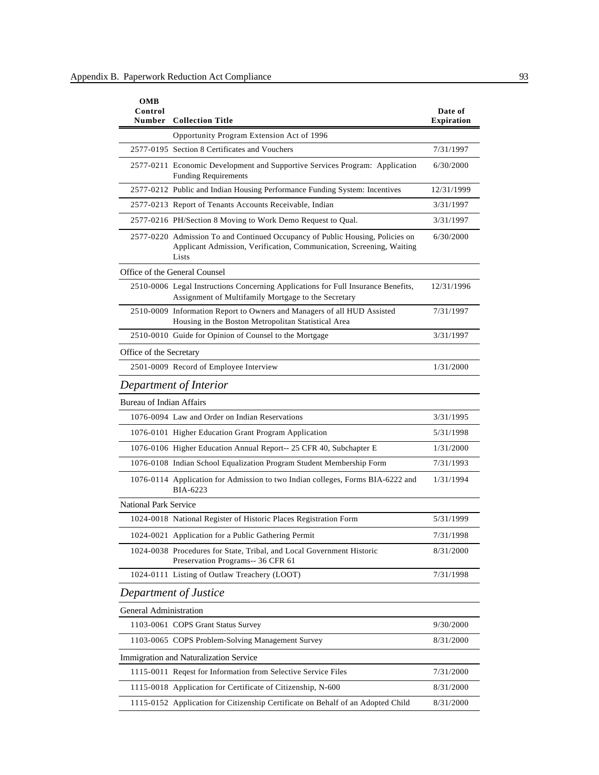| OMB<br>Control<br>Number     | <b>Collection Title</b>                                                                                                                                        | Date of<br><b>Expiration</b> |
|------------------------------|----------------------------------------------------------------------------------------------------------------------------------------------------------------|------------------------------|
|                              | Opportunity Program Extension Act of 1996                                                                                                                      |                              |
|                              | 2577-0195 Section 8 Certificates and Vouchers                                                                                                                  | 7/31/1997                    |
|                              | 2577-0211 Economic Development and Supportive Services Program: Application<br><b>Funding Requirements</b>                                                     | 6/30/2000                    |
|                              | 2577-0212 Public and Indian Housing Performance Funding System: Incentives                                                                                     | 12/31/1999                   |
|                              | 2577-0213 Report of Tenants Accounts Receivable, Indian                                                                                                        | 3/31/1997                    |
|                              | 2577-0216 PH/Section 8 Moving to Work Demo Request to Qual.                                                                                                    | 3/31/1997                    |
|                              | 2577-0220 Admission To and Continued Occupancy of Public Housing, Policies on<br>Applicant Admission, Verification, Communication, Screening, Waiting<br>Lists | 6/30/2000                    |
|                              | Office of the General Counsel                                                                                                                                  |                              |
|                              | 2510-0006 Legal Instructions Concerning Applications for Full Insurance Benefits,<br>Assignment of Multifamily Mortgage to the Secretary                       | 12/31/1996                   |
|                              | 2510-0009 Information Report to Owners and Managers of all HUD Assisted<br>Housing in the Boston Metropolitan Statistical Area                                 | 7/31/1997                    |
|                              | 2510-0010 Guide for Opinion of Counsel to the Mortgage                                                                                                         | 3/31/1997                    |
| Office of the Secretary      |                                                                                                                                                                |                              |
|                              | 2501-0009 Record of Employee Interview                                                                                                                         | 1/31/2000                    |
|                              | Department of Interior                                                                                                                                         |                              |
| Bureau of Indian Affairs     |                                                                                                                                                                |                              |
|                              | 1076-0094 Law and Order on Indian Reservations                                                                                                                 | 3/31/1995                    |
|                              | 1076-0101 Higher Education Grant Program Application                                                                                                           | 5/31/1998                    |
|                              | 1076-0106 Higher Education Annual Report-- 25 CFR 40, Subchapter E                                                                                             | 1/31/2000                    |
|                              | 1076-0108 Indian School Equalization Program Student Membership Form                                                                                           | 7/31/1993                    |
|                              | 1076-0114 Application for Admission to two Indian colleges, Forms BIA-6222 and<br>BIA-6223                                                                     | 1/31/1994                    |
| <b>National Park Service</b> |                                                                                                                                                                |                              |
|                              | 1024-0018 National Register of Historic Places Registration Form                                                                                               | 5/31/1999                    |
|                              | 1024-0021 Application for a Public Gathering Permit                                                                                                            | 7/31/1998                    |
|                              | 1024-0038 Procedures for State, Tribal, and Local Government Historic<br>Preservation Programs-- 36 CFR 61                                                     | 8/31/2000                    |
|                              | 1024-0111 Listing of Outlaw Treachery (LOOT)                                                                                                                   | 7/31/1998                    |
|                              | Department of Justice                                                                                                                                          |                              |
| General Administration       |                                                                                                                                                                |                              |
|                              | 1103-0061 COPS Grant Status Survey                                                                                                                             | 9/30/2000                    |
|                              | 1103-0065 COPS Problem-Solving Management Survey                                                                                                               | 8/31/2000                    |
|                              | Immigration and Naturalization Service                                                                                                                         |                              |
|                              | 1115-0011 Reqest for Information from Selective Service Files                                                                                                  | 7/31/2000                    |
|                              | 1115-0018 Application for Certificate of Citizenship, N-600                                                                                                    | 8/31/2000                    |
|                              | 1115-0152 Application for Citizenship Certificate on Behalf of an Adopted Child                                                                                | 8/31/2000                    |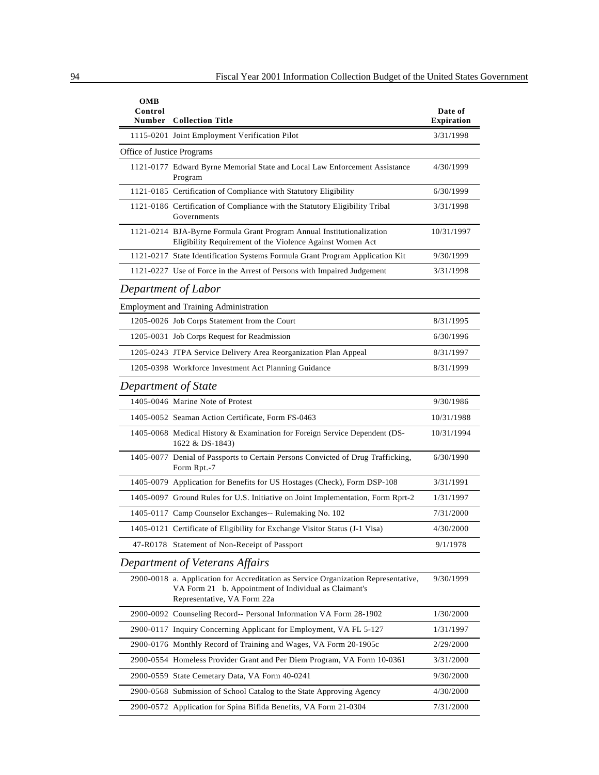| OMB<br>Control<br>Number   | <b>Collection Title</b>                                                                                                                                                    | Date of<br><b>Expiration</b> |
|----------------------------|----------------------------------------------------------------------------------------------------------------------------------------------------------------------------|------------------------------|
|                            | 1115-0201 Joint Employment Verification Pilot                                                                                                                              | 3/31/1998                    |
| Office of Justice Programs |                                                                                                                                                                            |                              |
|                            | 1121-0177 Edward Byrne Memorial State and Local Law Enforcement Assistance<br>Program                                                                                      | 4/30/1999                    |
|                            | 1121-0185 Certification of Compliance with Statutory Eligibility                                                                                                           | 6/30/1999                    |
|                            | 1121-0186 Certification of Compliance with the Statutory Eligibility Tribal<br>Governments                                                                                 | 3/31/1998                    |
|                            | 1121-0214 BJA-Byrne Formula Grant Program Annual Institutionalization<br>Eligibility Requirement of the Violence Against Women Act                                         | 10/31/1997                   |
|                            | 1121-0217 State Identification Systems Formula Grant Program Application Kit                                                                                               | 9/30/1999                    |
|                            | 1121-0227 Use of Force in the Arrest of Persons with Impaired Judgement                                                                                                    | 3/31/1998                    |
|                            | Department of Labor                                                                                                                                                        |                              |
|                            | <b>Employment and Training Administration</b>                                                                                                                              |                              |
|                            | 1205-0026 Job Corps Statement from the Court                                                                                                                               | 8/31/1995                    |
|                            | 1205-0031 Job Corps Request for Readmission                                                                                                                                | 6/30/1996                    |
|                            | 1205-0243 JTPA Service Delivery Area Reorganization Plan Appeal                                                                                                            | 8/31/1997                    |
|                            | 1205-0398 Workforce Investment Act Planning Guidance                                                                                                                       | 8/31/1999                    |
| Department of State        |                                                                                                                                                                            |                              |
|                            | 1405-0046 Marine Note of Protest                                                                                                                                           | 9/30/1986                    |
|                            | 1405-0052 Seaman Action Certificate, Form FS-0463                                                                                                                          | 10/31/1988                   |
|                            | 1405-0068 Medical History & Examination for Foreign Service Dependent (DS-<br>1622 & DS-1843)                                                                              | 10/31/1994                   |
|                            | 1405-0077 Denial of Passports to Certain Persons Convicted of Drug Trafficking,<br>Form Rpt.-7                                                                             | 6/30/1990                    |
|                            | 1405-0079 Application for Benefits for US Hostages (Check), Form DSP-108                                                                                                   | 3/31/1991                    |
|                            | 1405-0097 Ground Rules for U.S. Initiative on Joint Implementation, Form Rprt-2                                                                                            | 1/31/1997                    |
|                            | 1405-0117 Camp Counselor Exchanges-- Rulemaking No. 102                                                                                                                    | 7/31/2000                    |
|                            | 1405-0121 Certificate of Eligibility for Exchange Visitor Status (J-1 Visa)                                                                                                | 4/30/2000                    |
|                            | 47-R0178 Statement of Non-Receipt of Passport                                                                                                                              | 9/1/1978                     |
|                            | Department of Veterans Affairs                                                                                                                                             |                              |
|                            | 2900-0018 a. Application for Accreditation as Service Organization Representative,<br>VA Form 21 b. Appointment of Individual as Claimant's<br>Representative, VA Form 22a | 9/30/1999                    |
|                            | 2900-0092 Counseling Record-- Personal Information VA Form 28-1902                                                                                                         | 1/30/2000                    |
|                            | 2900-0117 Inquiry Concerning Applicant for Employment, VA FL 5-127                                                                                                         | 1/31/1997                    |
|                            | 2900-0176 Monthly Record of Training and Wages, VA Form 20-1905c                                                                                                           | 2/29/2000                    |
|                            | 2900-0554 Homeless Provider Grant and Per Diem Program, VA Form 10-0361                                                                                                    | 3/31/2000                    |
|                            | 2900-0559 State Cemetary Data, VA Form 40-0241                                                                                                                             | 9/30/2000                    |
|                            | 2900-0568 Submission of School Catalog to the State Approving Agency                                                                                                       | 4/30/2000                    |
|                            | 2900-0572 Application for Spina Bifida Benefits, VA Form 21-0304                                                                                                           | 7/31/2000                    |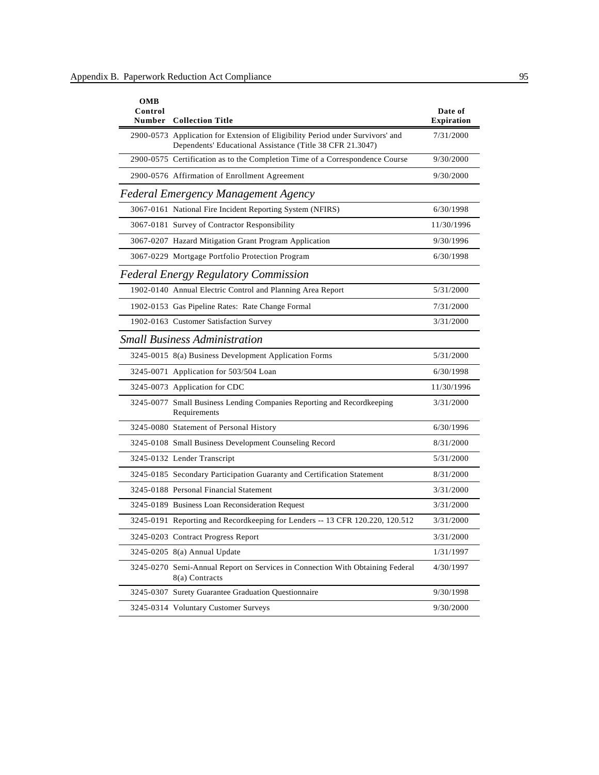| OMB<br>Control<br><b>Number</b> | <b>Collection Title</b>                                                                                                                     | Date of<br><b>Expiration</b> |
|---------------------------------|---------------------------------------------------------------------------------------------------------------------------------------------|------------------------------|
|                                 | 2900-0573 Application for Extension of Eligibility Period under Survivors' and<br>Dependents' Educational Assistance (Title 38 CFR 21.3047) | 7/31/2000                    |
|                                 | 2900-0575 Certification as to the Completion Time of a Correspondence Course                                                                | 9/30/2000                    |
|                                 | 2900-0576 Affirmation of Enrollment Agreement                                                                                               | 9/30/2000                    |
|                                 | <b>Federal Emergency Management Agency</b>                                                                                                  |                              |
|                                 | 3067-0161 National Fire Incident Reporting System (NFIRS)                                                                                   | 6/30/1998                    |
|                                 | 3067-0181 Survey of Contractor Responsibility                                                                                               | 11/30/1996                   |
|                                 | 3067-0207 Hazard Mitigation Grant Program Application                                                                                       | 9/30/1996                    |
|                                 | 3067-0229 Mortgage Portfolio Protection Program                                                                                             | 6/30/1998                    |
|                                 | <b>Federal Energy Regulatory Commission</b>                                                                                                 |                              |
|                                 | 1902-0140 Annual Electric Control and Planning Area Report                                                                                  | 5/31/2000                    |
|                                 | 1902-0153 Gas Pipeline Rates: Rate Change Formal                                                                                            | 7/31/2000                    |
|                                 | 1902-0163 Customer Satisfaction Survey                                                                                                      | 3/31/2000                    |
|                                 | <b>Small Business Administration</b>                                                                                                        |                              |
|                                 | 3245-0015 8(a) Business Development Application Forms                                                                                       | 5/31/2000                    |
|                                 | 3245-0071 Application for 503/504 Loan                                                                                                      | 6/30/1998                    |
|                                 | 3245-0073 Application for CDC                                                                                                               | 11/30/1996                   |
|                                 | 3245-0077 Small Business Lending Companies Reporting and Recordkeeping<br>Requirements                                                      | 3/31/2000                    |
|                                 | 3245-0080 Statement of Personal History                                                                                                     | 6/30/1996                    |
|                                 | 3245-0108 Small Business Development Counseling Record                                                                                      | 8/31/2000                    |
|                                 | 3245-0132 Lender Transcript                                                                                                                 | 5/31/2000                    |
|                                 | 3245-0185 Secondary Participation Guaranty and Certification Statement                                                                      | 8/31/2000                    |
|                                 | 3245-0188 Personal Financial Statement                                                                                                      | 3/31/2000                    |
|                                 | 3245-0189 Business Loan Reconsideration Request                                                                                             | 3/31/2000                    |
|                                 | 3245-0191 Reporting and Recordkeeping for Lenders -- 13 CFR 120.220, 120.512                                                                | 3/31/2000                    |
|                                 | 3245-0203 Contract Progress Report                                                                                                          | 3/31/2000                    |
|                                 | 3245-0205 8(a) Annual Update                                                                                                                | 1/31/1997                    |
|                                 | 3245-0270 Semi-Annual Report on Services in Connection With Obtaining Federal<br>8(a) Contracts                                             | 4/30/1997                    |
|                                 | 3245-0307 Surety Guarantee Graduation Questionnaire                                                                                         | 9/30/1998                    |
|                                 | 3245-0314 Voluntary Customer Surveys                                                                                                        | 9/30/2000                    |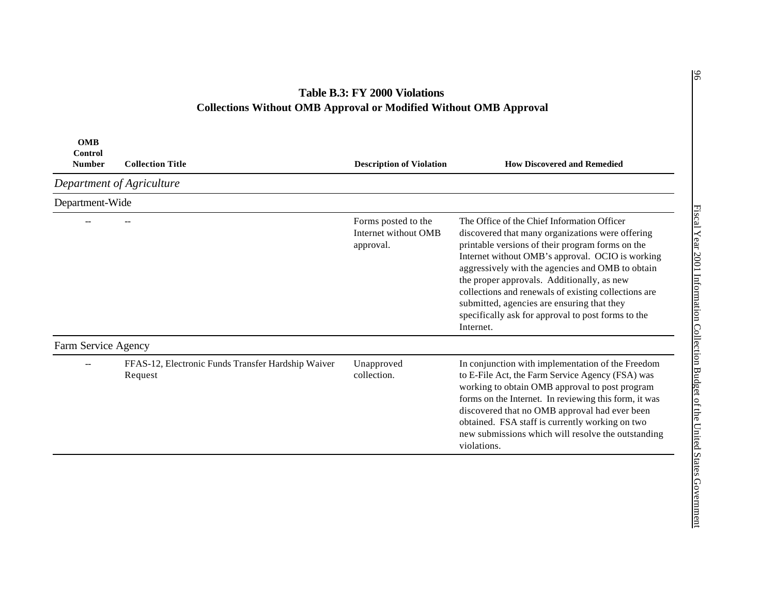# **Table B.3: FY 2000 Violations Collections Without OMB Approval or Modified Without OMB Approval**

| <b>OMB</b><br>Control<br><b>Number</b> | <b>Collection Title</b>                                       | <b>Description of Violation</b>                          | <b>How Discovered and Remedied</b>                                                                                                                                                                                                                                                                                                                                                                                                                                                 |
|----------------------------------------|---------------------------------------------------------------|----------------------------------------------------------|------------------------------------------------------------------------------------------------------------------------------------------------------------------------------------------------------------------------------------------------------------------------------------------------------------------------------------------------------------------------------------------------------------------------------------------------------------------------------------|
|                                        | Department of Agriculture                                     |                                                          |                                                                                                                                                                                                                                                                                                                                                                                                                                                                                    |
| Department-Wide                        |                                                               |                                                          |                                                                                                                                                                                                                                                                                                                                                                                                                                                                                    |
|                                        |                                                               | Forms posted to the<br>Internet without OMB<br>approval. | The Office of the Chief Information Officer<br>discovered that many organizations were offering<br>printable versions of their program forms on the<br>Internet without OMB's approval. OCIO is working<br>aggressively with the agencies and OMB to obtain<br>the proper approvals. Additionally, as new<br>collections and renewals of existing collections are<br>submitted, agencies are ensuring that they<br>specifically ask for approval to post forms to the<br>Internet. |
| Farm Service Agency                    |                                                               |                                                          |                                                                                                                                                                                                                                                                                                                                                                                                                                                                                    |
|                                        | FFAS-12, Electronic Funds Transfer Hardship Waiver<br>Request | Unapproved<br>collection.                                | In conjunction with implementation of the Freedom<br>to E-File Act, the Farm Service Agency (FSA) was<br>working to obtain OMB approval to post program<br>forms on the Internet. In reviewing this form, it was<br>discovered that no OMB approval had ever been<br>obtained. FSA staff is currently working on two<br>new submissions which will resolve the outstanding<br>violations.                                                                                          |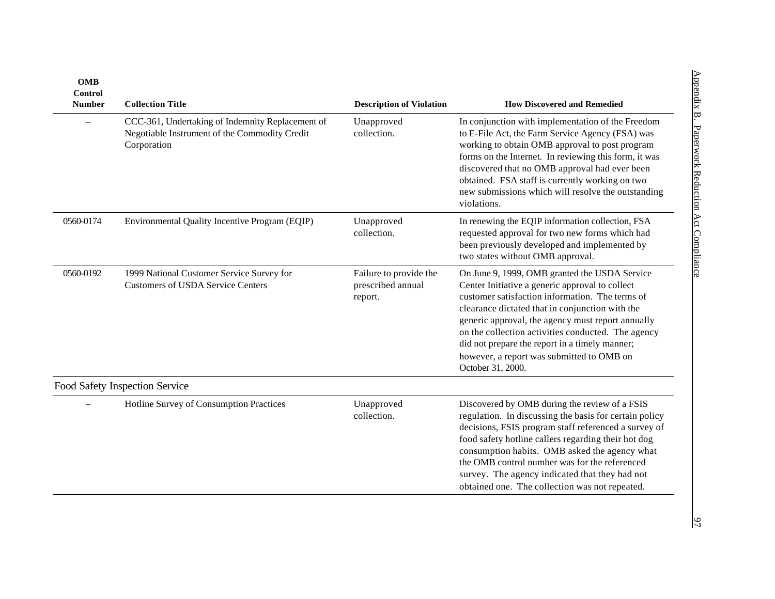| <b>OMB</b><br><b>Control</b><br><b>Number</b> | <b>Collection Title</b>                                                                                          | <b>Description of Violation</b>                        | <b>How Discovered and Remedied</b>                                                                                                                                                                                                                                                                                                                                                                                                    |
|-----------------------------------------------|------------------------------------------------------------------------------------------------------------------|--------------------------------------------------------|---------------------------------------------------------------------------------------------------------------------------------------------------------------------------------------------------------------------------------------------------------------------------------------------------------------------------------------------------------------------------------------------------------------------------------------|
|                                               | CCC-361, Undertaking of Indemnity Replacement of<br>Negotiable Instrument of the Commodity Credit<br>Corporation | Unapproved<br>collection.                              | In conjunction with implementation of the Freedom<br>to E-File Act, the Farm Service Agency (FSA) was<br>working to obtain OMB approval to post program<br>forms on the Internet. In reviewing this form, it was<br>discovered that no OMB approval had ever been<br>obtained. FSA staff is currently working on two<br>new submissions which will resolve the outstanding<br>violations.                                             |
| 0560-0174                                     | Environmental Quality Incentive Program (EQIP)                                                                   | Unapproved<br>collection.                              | In renewing the EQIP information collection, FSA<br>requested approval for two new forms which had<br>been previously developed and implemented by<br>two states without OMB approval.                                                                                                                                                                                                                                                |
| 0560-0192                                     | 1999 National Customer Service Survey for<br><b>Customers of USDA Service Centers</b>                            | Failure to provide the<br>prescribed annual<br>report. | On June 9, 1999, OMB granted the USDA Service<br>Center Initiative a generic approval to collect<br>customer satisfaction information. The terms of<br>clearance dictated that in conjunction with the<br>generic approval, the agency must report annually<br>on the collection activities conducted. The agency<br>did not prepare the report in a timely manner;<br>however, a report was submitted to OMB on<br>October 31, 2000. |
|                                               | Food Safety Inspection Service                                                                                   |                                                        |                                                                                                                                                                                                                                                                                                                                                                                                                                       |
|                                               | Hotline Survey of Consumption Practices                                                                          | Unapproved<br>collection.                              | Discovered by OMB during the review of a FSIS<br>regulation. In discussing the basis for certain policy<br>decisions, FSIS program staff referenced a survey of<br>food safety hotline callers regarding their hot dog<br>consumption habits. OMB asked the agency what<br>the OMB control number was for the referenced<br>survey. The agency indicated that they had not<br>obtained one. The collection was not repeated.          |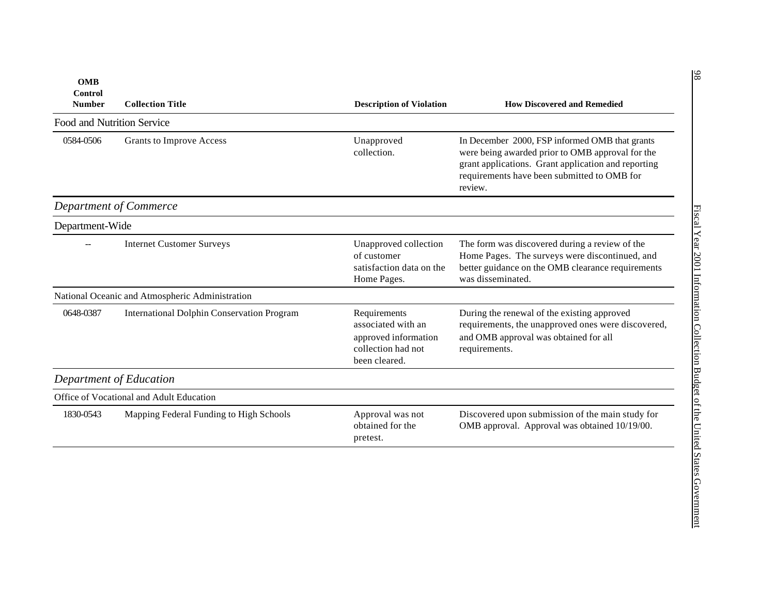| <b>OMB</b><br><b>Control</b><br><b>Number</b> | <b>Collection Title</b>                           | <b>Description of Violation</b>                                                                   | <b>How Discovered and Remedied</b>                                                                                                                                                                                  |
|-----------------------------------------------|---------------------------------------------------|---------------------------------------------------------------------------------------------------|---------------------------------------------------------------------------------------------------------------------------------------------------------------------------------------------------------------------|
| Food and Nutrition Service                    |                                                   |                                                                                                   |                                                                                                                                                                                                                     |
| 0584-0506                                     | <b>Grants to Improve Access</b>                   | Unapproved<br>collection.                                                                         | In December 2000, FSP informed OMB that grants<br>were being awarded prior to OMB approval for the<br>grant applications. Grant application and reporting<br>requirements have been submitted to OMB for<br>review. |
|                                               | Department of Commerce                            |                                                                                                   |                                                                                                                                                                                                                     |
| Department-Wide                               |                                                   |                                                                                                   |                                                                                                                                                                                                                     |
|                                               | <b>Internet Customer Surveys</b>                  | Unapproved collection<br>of customer<br>satisfaction data on the<br>Home Pages.                   | The form was discovered during a review of the<br>Home Pages. The surveys were discontinued, and<br>better guidance on the OMB clearance requirements<br>was disseminated.                                          |
|                                               | National Oceanic and Atmospheric Administration   |                                                                                                   |                                                                                                                                                                                                                     |
| 0648-0387                                     | <b>International Dolphin Conservation Program</b> | Requirements<br>associated with an<br>approved information<br>collection had not<br>been cleared. | During the renewal of the existing approved<br>requirements, the unapproved ones were discovered,<br>and OMB approval was obtained for all<br>requirements.                                                         |
|                                               | Department of Education                           |                                                                                                   |                                                                                                                                                                                                                     |
|                                               | Office of Vocational and Adult Education          |                                                                                                   |                                                                                                                                                                                                                     |
| 1830-0543                                     | Mapping Federal Funding to High Schools           | Approval was not<br>obtained for the<br>pretest.                                                  | Discovered upon submission of the main study for<br>OMB approval. Approval was obtained 10/19/00.                                                                                                                   |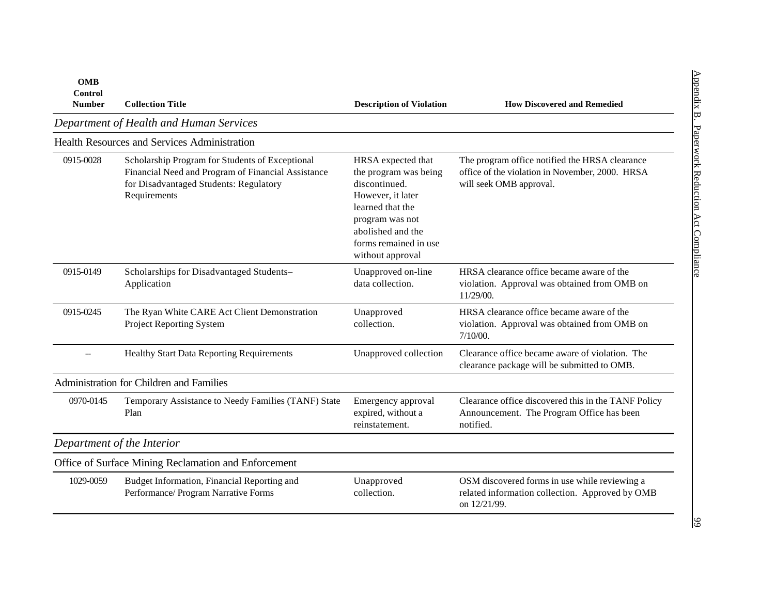| <b>OMB</b><br>Control<br><b>Number</b> | <b>Collection Title</b>                                                                                                                                         | <b>Description of Violation</b>                                                                                                                                                            | <b>How Discovered and Remedied</b>                                                                                           |
|----------------------------------------|-----------------------------------------------------------------------------------------------------------------------------------------------------------------|--------------------------------------------------------------------------------------------------------------------------------------------------------------------------------------------|------------------------------------------------------------------------------------------------------------------------------|
|                                        | Department of Health and Human Services                                                                                                                         |                                                                                                                                                                                            |                                                                                                                              |
|                                        | <b>Health Resources and Services Administration</b>                                                                                                             |                                                                                                                                                                                            |                                                                                                                              |
| 0915-0028                              | Scholarship Program for Students of Exceptional<br>Financial Need and Program of Financial Assistance<br>for Disadvantaged Students: Regulatory<br>Requirements | HRSA expected that<br>the program was being<br>discontinued.<br>However, it later<br>learned that the<br>program was not<br>abolished and the<br>forms remained in use<br>without approval | The program office notified the HRSA clearance<br>office of the violation in November, 2000. HRSA<br>will seek OMB approval. |
| 0915-0149                              | Scholarships for Disadvantaged Students-<br>Application                                                                                                         | Unapproved on-line<br>data collection.                                                                                                                                                     | HRSA clearance office became aware of the<br>violation. Approval was obtained from OMB on<br>11/29/00.                       |
| 0915-0245                              | The Ryan White CARE Act Client Demonstration<br>Project Reporting System                                                                                        | Unapproved<br>collection.                                                                                                                                                                  | HRSA clearance office became aware of the<br>violation. Approval was obtained from OMB on<br>$7/10/00$ .                     |
|                                        | <b>Healthy Start Data Reporting Requirements</b>                                                                                                                | Unapproved collection                                                                                                                                                                      | Clearance office became aware of violation. The<br>clearance package will be submitted to OMB.                               |
|                                        | Administration for Children and Families                                                                                                                        |                                                                                                                                                                                            |                                                                                                                              |
| 0970-0145                              | Temporary Assistance to Needy Families (TANF) State<br>Plan                                                                                                     | Emergency approval<br>expired, without a<br>reinstatement.                                                                                                                                 | Clearance office discovered this in the TANF Policy<br>Announcement. The Program Office has been<br>notified.                |
|                                        | Department of the Interior                                                                                                                                      |                                                                                                                                                                                            |                                                                                                                              |
|                                        | Office of Surface Mining Reclamation and Enforcement                                                                                                            |                                                                                                                                                                                            |                                                                                                                              |
| 1029-0059                              | Budget Information, Financial Reporting and<br>Performance/ Program Narrative Forms                                                                             | Unapproved<br>collection.                                                                                                                                                                  | OSM discovered forms in use while reviewing a<br>related information collection. Approved by OMB<br>on 12/21/99.             |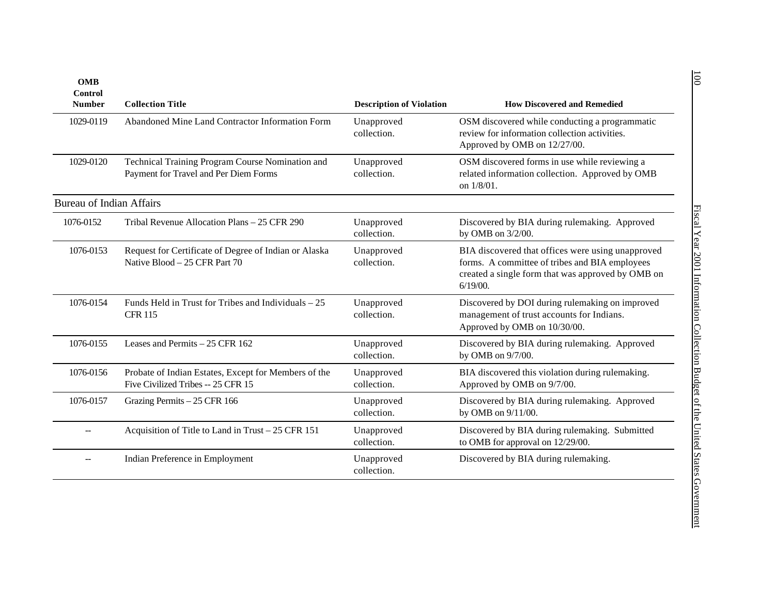| <b>OMB</b><br>Control<br><b>Number</b> | <b>Collection Title</b>                                                                    | <b>Description of Violation</b> | <b>How Discovered and Remedied</b>                                                                                                                                   |
|----------------------------------------|--------------------------------------------------------------------------------------------|---------------------------------|----------------------------------------------------------------------------------------------------------------------------------------------------------------------|
| 1029-0119                              | Abandoned Mine Land Contractor Information Form                                            | Unapproved<br>collection.       | OSM discovered while conducting a programmatic<br>review for information collection activities.<br>Approved by OMB on 12/27/00.                                      |
| 1029-0120                              | Technical Training Program Course Nomination and<br>Payment for Travel and Per Diem Forms  | Unapproved<br>collection.       | OSM discovered forms in use while reviewing a<br>related information collection. Approved by OMB<br>on $1/8/01$ .                                                    |
| <b>Bureau of Indian Affairs</b>        |                                                                                            |                                 |                                                                                                                                                                      |
| 1076-0152                              | Tribal Revenue Allocation Plans - 25 CFR 290                                               | Unapproved<br>collection.       | Discovered by BIA during rulemaking. Approved<br>by OMB on 3/2/00.                                                                                                   |
| 1076-0153                              | Request for Certificate of Degree of Indian or Alaska<br>Native Blood – 25 CFR Part 70     | Unapproved<br>collection.       | BIA discovered that offices were using unapproved<br>forms. A committee of tribes and BIA employees<br>created a single form that was approved by OMB on<br>6/19/00. |
| 1076-0154                              | Funds Held in Trust for Tribes and Individuals $-25$<br><b>CFR 115</b>                     | Unapproved<br>collection.       | Discovered by DOI during rulemaking on improved<br>management of trust accounts for Indians.<br>Approved by OMB on 10/30/00.                                         |
| 1076-0155                              | Leases and Permits - 25 CFR 162                                                            | Unapproved<br>collection.       | Discovered by BIA during rulemaking. Approved<br>by OMB on 9/7/00.                                                                                                   |
| 1076-0156                              | Probate of Indian Estates, Except for Members of the<br>Five Civilized Tribes -- 25 CFR 15 | Unapproved<br>collection.       | BIA discovered this violation during rulemaking.<br>Approved by OMB on 9/7/00.                                                                                       |
| 1076-0157                              | Grazing Permits - 25 CFR 166                                                               | Unapproved<br>collection.       | Discovered by BIA during rulemaking. Approved<br>by OMB on 9/11/00.                                                                                                  |
|                                        | Acquisition of Title to Land in Trust - 25 CFR 151                                         | Unapproved<br>collection.       | Discovered by BIA during rulemaking. Submitted<br>to OMB for approval on 12/29/00.                                                                                   |
|                                        | Indian Preference in Employment                                                            | Unapproved<br>collection.       | Discovered by BIA during rulemaking.                                                                                                                                 |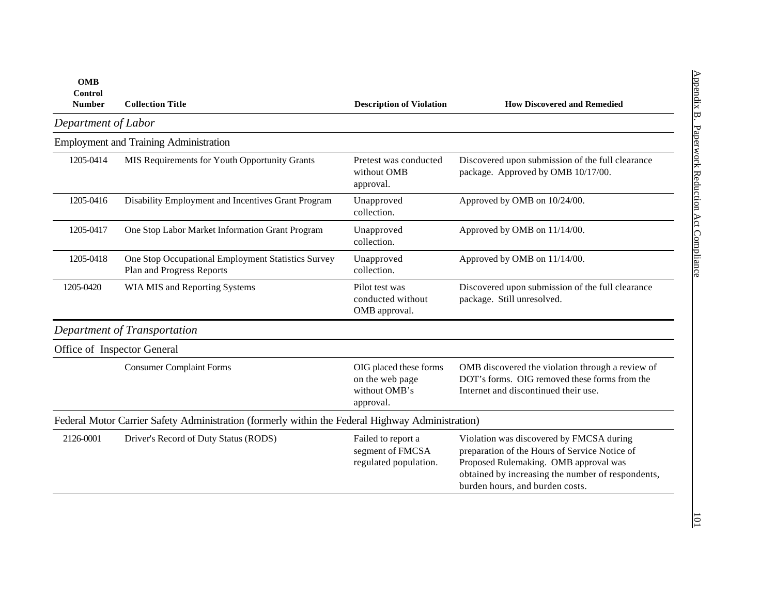| <b>OMB</b><br>Control<br><b>Number</b> | <b>Collection Title</b>                                                                          | <b>Description of Violation</b>                                         | <b>How Discovered and Remedied</b>                                                                                                                                                                                         |
|----------------------------------------|--------------------------------------------------------------------------------------------------|-------------------------------------------------------------------------|----------------------------------------------------------------------------------------------------------------------------------------------------------------------------------------------------------------------------|
| Department of Labor                    |                                                                                                  |                                                                         |                                                                                                                                                                                                                            |
|                                        | <b>Employment and Training Administration</b>                                                    |                                                                         |                                                                                                                                                                                                                            |
| 1205-0414                              | MIS Requirements for Youth Opportunity Grants                                                    | Pretest was conducted<br>without OMB<br>approval.                       | Discovered upon submission of the full clearance<br>package. Approved by OMB 10/17/00.                                                                                                                                     |
| 1205-0416                              | Disability Employment and Incentives Grant Program                                               | Unapproved<br>collection.                                               | Approved by OMB on 10/24/00.                                                                                                                                                                                               |
| 1205-0417                              | One Stop Labor Market Information Grant Program                                                  | Unapproved<br>collection.                                               | Approved by OMB on 11/14/00.                                                                                                                                                                                               |
| 1205-0418                              | One Stop Occupational Employment Statistics Survey<br>Plan and Progress Reports                  | Unapproved<br>collection.                                               | Approved by OMB on 11/14/00.                                                                                                                                                                                               |
| 1205-0420                              | WIA MIS and Reporting Systems                                                                    | Pilot test was<br>conducted without<br>OMB approval.                    | Discovered upon submission of the full clearance<br>package. Still unresolved.                                                                                                                                             |
|                                        | Department of Transportation                                                                     |                                                                         |                                                                                                                                                                                                                            |
|                                        | Office of Inspector General                                                                      |                                                                         |                                                                                                                                                                                                                            |
|                                        | <b>Consumer Complaint Forms</b>                                                                  | OIG placed these forms<br>on the web page<br>without OMB's<br>approval. | OMB discovered the violation through a review of<br>DOT's forms. OIG removed these forms from the<br>Internet and discontinued their use.                                                                                  |
|                                        | Federal Motor Carrier Safety Administration (formerly within the Federal Highway Administration) |                                                                         |                                                                                                                                                                                                                            |
| 2126-0001                              | Driver's Record of Duty Status (RODS)                                                            | Failed to report a<br>segment of FMCSA<br>regulated population.         | Violation was discovered by FMCSA during<br>preparation of the Hours of Service Notice of<br>Proposed Rulemaking. OMB approval was<br>obtained by increasing the number of respondents,<br>burden hours, and burden costs. |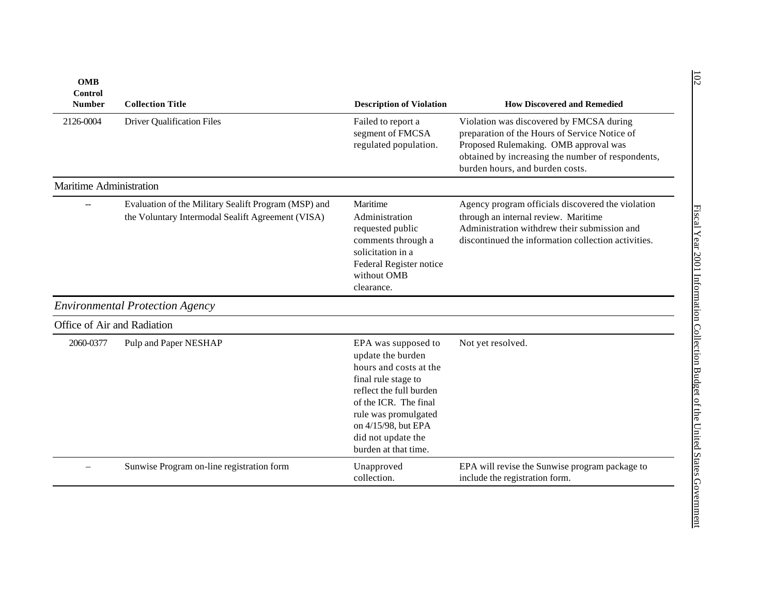| <b>OMB</b><br><b>Control</b><br><b>Number</b> | <b>Collection Title</b>                                                                                   | <b>Description of Violation</b>                                                                                                                                                                                                            | <b>How Discovered and Remedied</b>                                                                                                                                                                                         |
|-----------------------------------------------|-----------------------------------------------------------------------------------------------------------|--------------------------------------------------------------------------------------------------------------------------------------------------------------------------------------------------------------------------------------------|----------------------------------------------------------------------------------------------------------------------------------------------------------------------------------------------------------------------------|
| 2126-0004                                     | <b>Driver Qualification Files</b>                                                                         | Failed to report a<br>segment of FMCSA<br>regulated population.                                                                                                                                                                            | Violation was discovered by FMCSA during<br>preparation of the Hours of Service Notice of<br>Proposed Rulemaking. OMB approval was<br>obtained by increasing the number of respondents,<br>burden hours, and burden costs. |
| <b>Maritime Administration</b>                |                                                                                                           |                                                                                                                                                                                                                                            |                                                                                                                                                                                                                            |
|                                               | Evaluation of the Military Sealift Program (MSP) and<br>the Voluntary Intermodal Sealift Agreement (VISA) | Maritime<br>Administration<br>requested public<br>comments through a<br>solicitation in a<br>Federal Register notice<br>without OMB<br>clearance.                                                                                          | Agency program officials discovered the violation<br>through an internal review. Maritime<br>Administration withdrew their submission and<br>discontinued the information collection activities.                           |
|                                               | <b>Environmental Protection Agency</b>                                                                    |                                                                                                                                                                                                                                            |                                                                                                                                                                                                                            |
| Office of Air and Radiation                   |                                                                                                           |                                                                                                                                                                                                                                            |                                                                                                                                                                                                                            |
| 2060-0377                                     | Pulp and Paper NESHAP                                                                                     | EPA was supposed to<br>update the burden<br>hours and costs at the<br>final rule stage to<br>reflect the full burden<br>of the ICR. The final<br>rule was promulgated<br>on 4/15/98, but EPA<br>did not update the<br>burden at that time. | Not yet resolved.                                                                                                                                                                                                          |
|                                               | Sunwise Program on-line registration form                                                                 | Unapproved<br>collection.                                                                                                                                                                                                                  | EPA will revise the Sunwise program package to<br>include the registration form.                                                                                                                                           |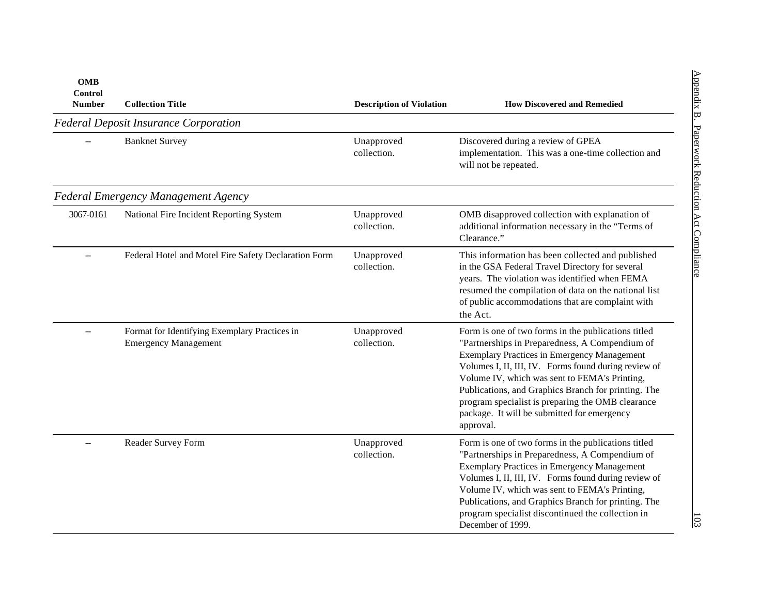| <b>OMB</b><br>Control<br><b>Number</b> | <b>Collection Title</b>                                                      | <b>Description of Violation</b> | <b>How Discovered and Remedied</b>                                                                                                                                                                                                                                                                                                                                                                                                           |
|----------------------------------------|------------------------------------------------------------------------------|---------------------------------|----------------------------------------------------------------------------------------------------------------------------------------------------------------------------------------------------------------------------------------------------------------------------------------------------------------------------------------------------------------------------------------------------------------------------------------------|
|                                        | <b>Federal Deposit Insurance Corporation</b>                                 |                                 |                                                                                                                                                                                                                                                                                                                                                                                                                                              |
|                                        | <b>Banknet Survey</b>                                                        | Unapproved<br>collection.       | Discovered during a review of GPEA<br>implementation. This was a one-time collection and<br>will not be repeated.                                                                                                                                                                                                                                                                                                                            |
|                                        | <b>Federal Emergency Management Agency</b>                                   |                                 |                                                                                                                                                                                                                                                                                                                                                                                                                                              |
| 3067-0161                              | National Fire Incident Reporting System                                      | Unapproved<br>collection.       | OMB disapproved collection with explanation of<br>additional information necessary in the "Terms of<br>Clearance."                                                                                                                                                                                                                                                                                                                           |
|                                        | Federal Hotel and Motel Fire Safety Declaration Form                         | Unapproved<br>collection.       | This information has been collected and published<br>in the GSA Federal Travel Directory for several<br>years. The violation was identified when FEMA<br>resumed the compilation of data on the national list<br>of public accommodations that are complaint with<br>the Act.                                                                                                                                                                |
|                                        | Format for Identifying Exemplary Practices in<br><b>Emergency Management</b> | Unapproved<br>collection.       | Form is one of two forms in the publications titled<br>"Partnerships in Preparedness, A Compendium of<br><b>Exemplary Practices in Emergency Management</b><br>Volumes I, II, III, IV. Forms found during review of<br>Volume IV, which was sent to FEMA's Printing,<br>Publications, and Graphics Branch for printing. The<br>program specialist is preparing the OMB clearance<br>package. It will be submitted for emergency<br>approval. |
|                                        | Reader Survey Form                                                           | Unapproved<br>collection.       | Form is one of two forms in the publications titled<br>"Partnerships in Preparedness, A Compendium of<br><b>Exemplary Practices in Emergency Management</b><br>Volumes I, II, III, IV. Forms found during review of<br>Volume IV, which was sent to FEMA's Printing,<br>Publications, and Graphics Branch for printing. The<br>program specialist discontinued the collection in<br>December of 1999.                                        |

103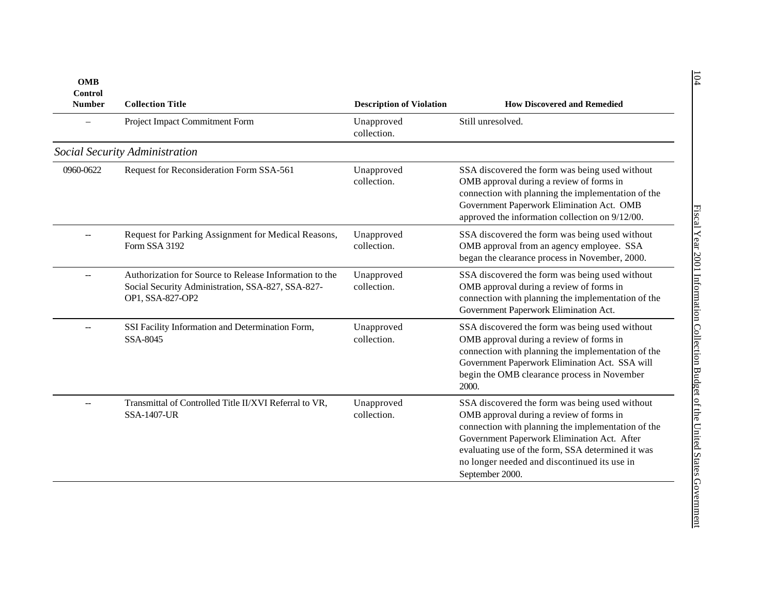| <b>OMB</b><br>Control<br><b>Number</b> | <b>Collection Title</b>                                                                                                         | <b>Description of Violation</b> | <b>How Discovered and Remedied</b>                                                                                                                                                                                                                                                                                      |
|----------------------------------------|---------------------------------------------------------------------------------------------------------------------------------|---------------------------------|-------------------------------------------------------------------------------------------------------------------------------------------------------------------------------------------------------------------------------------------------------------------------------------------------------------------------|
|                                        | Project Impact Commitment Form                                                                                                  | Unapproved<br>collection.       | Still unresolved.                                                                                                                                                                                                                                                                                                       |
|                                        | Social Security Administration                                                                                                  |                                 |                                                                                                                                                                                                                                                                                                                         |
| 0960-0622                              | Request for Reconsideration Form SSA-561                                                                                        | Unapproved<br>collection.       | SSA discovered the form was being used without<br>OMB approval during a review of forms in<br>connection with planning the implementation of the<br>Government Paperwork Elimination Act. OMB<br>approved the information collection on 9/12/00.                                                                        |
|                                        | Request for Parking Assignment for Medical Reasons,<br>Form SSA 3192                                                            | Unapproved<br>collection.       | SSA discovered the form was being used without<br>OMB approval from an agency employee. SSA<br>began the clearance process in November, 2000.                                                                                                                                                                           |
|                                        | Authorization for Source to Release Information to the<br>Social Security Administration, SSA-827, SSA-827-<br>OP1, SSA-827-OP2 | Unapproved<br>collection.       | SSA discovered the form was being used without<br>OMB approval during a review of forms in<br>connection with planning the implementation of the<br>Government Paperwork Elimination Act.                                                                                                                               |
|                                        | SSI Facility Information and Determination Form,<br>SSA-8045                                                                    | Unapproved<br>collection.       | SSA discovered the form was being used without<br>OMB approval during a review of forms in<br>connection with planning the implementation of the<br>Government Paperwork Elimination Act. SSA will<br>begin the OMB clearance process in November<br>2000.                                                              |
|                                        | Transmittal of Controlled Title II/XVI Referral to VR,<br><b>SSA-1407-UR</b>                                                    | Unapproved<br>collection.       | SSA discovered the form was being used without<br>OMB approval during a review of forms in<br>connection with planning the implementation of the<br>Government Paperwork Elimination Act. After<br>evaluating use of the form, SSA determined it was<br>no longer needed and discontinued its use in<br>September 2000. |